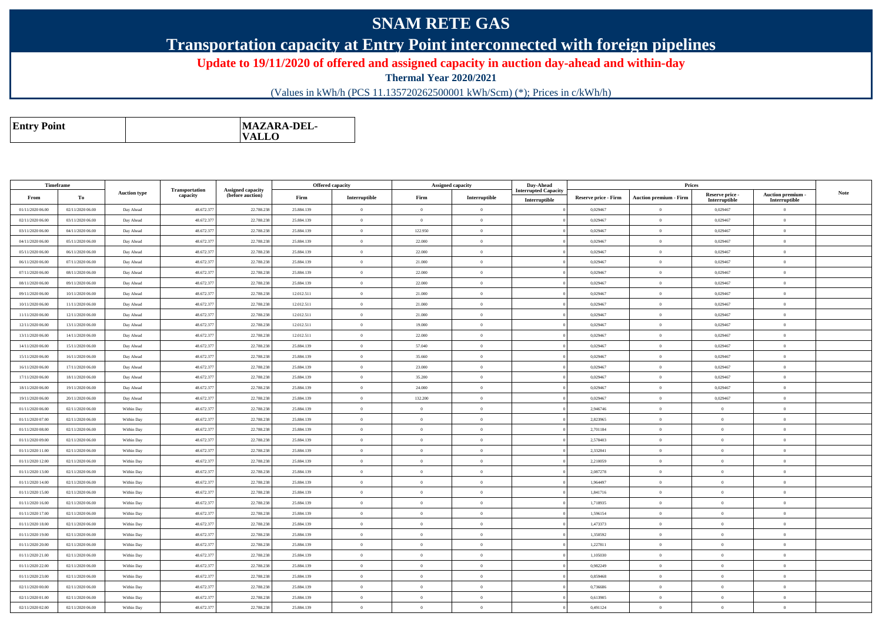## **SNAM RETE GAS**

## **Transportation capacity at Entry Point interconnected with foreign pipelines**

**Update to 19/11/2020 of offered and assigned capacity in auction day-ahead and within-day**

**Thermal Year 2020/2021**

(Values in kWh/h (PCS 11.135720262500001 kWh/Scm) (\*); Prices in c/kWh/h)

| <b>MAZARA-DEL-</b><br><b>Entry Point</b><br><b>VALLO</b> |
|----------------------------------------------------------|
|----------------------------------------------------------|

| Timeframe        |                  |                     |                            |                                              |            | <b>Offered capacity</b> | Assigned capacity |                | Day-Ahead                                    |                      | Prices                        |                                  |                                    |             |
|------------------|------------------|---------------------|----------------------------|----------------------------------------------|------------|-------------------------|-------------------|----------------|----------------------------------------------|----------------------|-------------------------------|----------------------------------|------------------------------------|-------------|
| From             | To               | <b>Auction type</b> | Transportation<br>capacity | <b>Assigned capacity</b><br>(before auction) | Firm       | Interruptible           | Firm              | Interruptible  | <b>Interrupted Capacity</b><br>Interruptible | Reserve price - Firm | <b>Auction premium - Firm</b> | Reserve price -<br>Interruptible | Auction premium -<br>Interruptible | <b>Note</b> |
| 01/11/2020 06:00 | 02/11/2020 06:00 | Day Ahead           | 48.672.37                  | 22.788.23                                    | 25.884.139 | $\Omega$                | $\Omega$          | $\overline{0}$ |                                              | 0,029467             | $\Omega$                      | 0,029467                         | $\Omega$                           |             |
| 02/11/2020 06:00 | 03/11/2020 06:00 | Day Ahead           | 48.672.37                  | 22.788.238                                   | 25.884.139 | $\theta$                | $\Omega$          | $\overline{0}$ |                                              | 0,029467             | $\bf{0}$                      | 0,029467                         | $\overline{0}$                     |             |
| 03/11/2020 06:00 | 04/11/2020 06:00 | Day Ahead           | 48.672.377                 | 22.788.238                                   | 25.884.139 | $\theta$                | 122.950           | $\overline{0}$ |                                              | 0.029467             | $\theta$                      | 0.029467                         | $\overline{0}$                     |             |
| 04/11/2020 06.00 | 05/11/2020 06.00 | Day Ahead           | 48.672.37                  | 22.788.238                                   | 25.884.139 | $\overline{0}$          | 22.000            | $\overline{0}$ |                                              | 0,029467             | $\bf{0}$                      | 0,029467                         | $\overline{0}$                     |             |
| 05/11/2020 06:00 | 06/11/2020 06.00 | Day Ahead           | 48.672.377                 | 22.788.238                                   | 25.884.139 | $\theta$                | 22.000            | $\overline{0}$ |                                              | 0.029467             | $\Omega$                      | 0.029467                         | $\theta$                           |             |
| 06/11/2020 06:00 | 07/11/2020 06:00 | Day Ahead           | 48.672.37                  | 22.788.23                                    | 25.884.139 | $\Omega$                | 21.000            | $\overline{0}$ |                                              | 0,029467             | $\Omega$                      | 0,029467                         | $\overline{0}$                     |             |
| 07/11/2020 06:00 | 08/11/2020 06:00 | Day Ahead           | 48.672.377                 | 22.788.238                                   | 25.884.139 | $\theta$                | 22.000            | $\overline{0}$ |                                              | 0,029467             | $\overline{0}$                | 0,029467                         | $\overline{0}$                     |             |
| 08/11/2020 06:00 | 09/11/2020 06:00 | Day Ahead           | 48.672.37                  | 22.788.238                                   | 25.884.139 | $\theta$                | 22.000            | $\overline{0}$ |                                              | 0,029467             | $\Omega$                      | 0,029467                         | $\mathbf{0}$                       |             |
| 09/11/2020 06:00 | 10/11/2020 06:00 | Day Ahead           | 48.672.377                 | 22.788.238                                   | 12.012.511 | $\theta$                | 21.000            | $\overline{0}$ |                                              | 0.029467             | $\theta$                      | 0.029467                         | $\theta$                           |             |
| 10/11/2020 06:00 | 11/11/2020 06:00 | Day Ahead           | 48.672.377                 | 22.788.238                                   | 12.012.511 | $\Omega$                | 21.000            | $\overline{0}$ |                                              | 0,029467             | $\theta$                      | 0,029467                         | $\Omega$                           |             |
| 11/11/2020 06.00 | 12/11/2020 06:00 | Day Ahead           | 48.672.37                  | 22.788.238                                   | 12.012.511 | $\overline{0}$          | 21.000            | $\overline{0}$ |                                              | 0,029467             | $\bf{0}$                      | 0,029467                         | $\overline{0}$                     |             |
| 12/11/2020 06.00 | 13/11/2020 06:00 | Day Ahead           | 48.672.37                  | 22.788.238                                   | 12.012.511 | $\overline{0}$          | 19.000            | $\overline{0}$ |                                              | 0,029467             | $\bf{0}$                      | 0,029467                         | $\overline{0}$                     |             |
| 13/11/2020 06:00 | 14/11/2020 06:00 | Day Ahead           | 48.672.37                  | 22.788.238                                   | 12.012.511 | $\Omega$                | 22.000            | $\overline{0}$ |                                              | 0,029467             | $\bf{0}$                      | 0,029467                         | $\overline{0}$                     |             |
| 14/11/2020 06:00 | 15/11/2020 06:00 | Day Ahead           | 48.672.377                 | 22.788.238                                   | 25.884.139 | $\theta$                | 57.040            | $\overline{0}$ |                                              | 0,029467             | $\theta$                      | 0,029467                         | $\theta$                           |             |
| 15/11/2020 06:00 | 16/11/2020 06:00 | Day Ahead           | 48.672.377                 | 22.788.238                                   | 25.884.139 | $\Omega$                | 35.660            | $\Omega$       |                                              | 0.029467             | $\Omega$                      | 0,029467                         | $\Omega$                           |             |
| 16/11/2020 06:00 | 17/11/2020 06:00 | Day Ahead           | 48.672.377                 | 22.788.238                                   | 25.884.139 | $\theta$                | 23.000            | $\overline{0}$ |                                              | 0,029467             | $\Omega$                      | 0,029467                         | $\overline{0}$                     |             |
| 17/11/2020 06:00 | 18/11/2020 06:00 | Day Ahead           | 48.672.37                  | 22.788.238                                   | 25.884.139 | $\mathbf{0}$            | 35.200            | $\overline{0}$ |                                              | 0,029467             | $\bf{0}$                      | 0,029467                         | $\overline{0}$                     |             |
| 18/11/2020 06:00 | 19/11/2020 06:00 | Day Ahead           | 48.672.37                  | 22.788.238                                   | 25.884.139 | $\overline{0}$          | 24.000            | $\overline{0}$ |                                              | 0,029467             | $\bf{0}$                      | 0,029467                         | $\overline{0}$                     |             |
| 19/11/2020 06.00 | 20/11/2020 06.00 | Day Ahead           | 48.672.377                 | 22.788.238                                   | 25.884.139 | $\Omega$                | 132.200           | $\overline{0}$ |                                              | 0,029467             | $\bf{0}$                      | 0,029467                         | $\overline{0}$                     |             |
| 01/11/2020 06:00 | 02/11/2020 06:00 | Within Day          | 48.672.377                 | 22.788.238                                   | 25.884.139 | $\theta$                | $\sqrt{2}$        | $\Omega$       |                                              | 2.946746             | $\theta$                      | $\Omega$                         | $\Omega$                           |             |
| 01/11/2020 07:00 | 02/11/2020 06:00 | Within Day          | 48.672.377                 | 22.788.238                                   | 25.884.139 | $\overline{0}$          | $\overline{0}$    | $\Omega$       |                                              | 2,823965             | $\overline{0}$                | $\theta$                         | $\overline{0}$                     |             |
| 01/11/2020 08:00 | 02/11/2020 06:00 | Within Day          | 48.672.37                  | 22.788.238                                   | 25.884.139 | $\,$ 0                  | $\overline{0}$    | $\overline{0}$ |                                              | 2,701184             | $\,$ 0                        | $\bf{0}$                         | $\overline{0}$                     |             |
| 01/11/2020 09:00 | 02/11/2020 06:00 | Within Day          | 48.672.37                  | 22.788.238                                   | 25.884.139 | $\mathbf{0}$            | $\overline{0}$    | $\overline{0}$ |                                              | 2,578403             | $\bf{0}$                      | $\theta$                         | $\overline{0}$                     |             |
| 01/11/2020 11:00 | 02/11/2020 06:00 | Within Day          | 48.672.37                  | 22.788.238                                   | 25.884.139 | $\overline{0}$          | $\overline{0}$    | $\mathbf{0}$   |                                              | 2,332841             | $\bf{0}$                      | $\overline{0}$                   | $\overline{0}$                     |             |
| 01/11/2020 12:00 | 02/11/2020 06:00 | Within Day          | 48.672.377                 | 22.788.238                                   | 25.884.139 | $\mathbf{0}$            | $\Omega$          | $\overline{0}$ |                                              | 2,210059             | $\bf{0}$                      | $\theta$                         | $\mathbf{0}$                       |             |
| 01/11/2020 13:00 | 02/11/2020 06:00 | Within Day          | 48.672.377                 | 22.788.238                                   | 25.884.139 | $\theta$                | $\overline{0}$    | $\overline{0}$ |                                              | 2,087278             | $\theta$                      | $\overline{0}$                   | $\overline{0}$                     |             |
| 01/11/2020 14:00 | 02/11/2020 06:00 | Within Day          | 48.672.377                 | 22.788.238                                   | 25.884.139 | $\overline{0}$          | $\overline{0}$    | $\overline{0}$ |                                              | 1,964497             | $\mathbf{0}$                  | $\mathbf{0}$                     | $\overline{0}$                     |             |
| 01/11/2020 15.00 | 02/11/2020 06.00 | Within Day          | 48.672.37                  | 22.788.238                                   | 25.884.139 | $\mathbf{0}$            | $\Omega$          | $\overline{0}$ |                                              | 1,841716             | $\bf{0}$                      | $\theta$                         | $\overline{0}$                     |             |
| 01/11/2020 16:00 | 02/11/2020 06:00 | Within Day          | 48.672.37                  | 22.788.238                                   | 25.884.139 | $\theta$                | $\Omega$          | $\overline{0}$ |                                              | 1,718935             | $\theta$                      | $\Omega$                         | $\overline{0}$                     |             |
| 01/11/2020 17:00 | 02/11/2020 06:00 | Within Day          | 48.672.37                  | 22.788.23                                    | 25.884.139 | $\theta$                | $\Omega$          | $\overline{0}$ |                                              | 1,596154             | $\theta$                      | $\Omega$                         | $\Omega$                           |             |
| 01/11/2020 18:00 | 02/11/2020 06:00 | Within Dav          | 48.672.377                 | 22,788.238                                   | 25.884.139 | $\theta$                | $\Omega$          | $\overline{0}$ |                                              | 1.473373             | $\theta$                      | $\theta$                         | $\Omega$                           |             |
| 01/11/2020 19:00 | 02/11/2020 06:00 | Within Day          | 48.672.377                 | 22.788.238                                   | 25.884.139 | $\overline{0}$          | $\sqrt{2}$        | $\overline{0}$ |                                              | 1.350592             | $\bf{0}$                      | $\mathbf{a}$                     | $\overline{0}$                     |             |
| 01/11/2020 20.00 | 02/11/2020 06:00 | Within Day          | 48.672.37                  | 22.788.238                                   | 25.884.139 | $\overline{0}$          | $\theta$          | $\overline{0}$ |                                              | 1,227811             | $\theta$                      | $\theta$                         | $\overline{0}$                     |             |
| 01/11/2020 21.00 | 02/11/2020 06.00 | Within Day          | 48.672.377                 | 22.788.238                                   | 25.884.139 | $\overline{0}$          | $\theta$          | $\overline{0}$ |                                              | 1,105030             | $\bf{0}$                      | $\Omega$                         | $\overline{0}$                     |             |
| 01/11/2020 22.00 | 02/11/2020 06:00 | Within Day          | 48.672.37                  | 22.788.238                                   | 25.884.139 | $\theta$                | $\Omega$          | $\overline{0}$ |                                              | 0,982249             | $\theta$                      | $\Omega$                         | $\mathbf{0}$                       |             |
| 01/11/2020 23.00 | 02/11/2020 06:00 | Within Day          | 48.672.377                 | 22.788.238                                   | 25.884.139 | $\overline{0}$          | $\Omega$          | $\overline{0}$ |                                              | 0,859468             | $\bf{0}$                      | $\bf{0}$                         | $\overline{0}$                     |             |
| 02/11/2020 00:00 | 02/11/2020 06:00 | Within Dav          | 48.672.37                  | 22.788.238                                   | 25.884.139 | $\theta$                | $\Omega$          | $\overline{0}$ |                                              | 0.736686             | $\theta$                      | $\Omega$                         | $\Omega$                           |             |
| 02/11/2020 01:00 | 02/11/2020 06.00 | Within Day          | 48.672.37                  | 22.788.238                                   | 25.884.139 | $\theta$                | $\theta$          | $\overline{0}$ |                                              | 0.613905             | $\Omega$                      | $\mathbf{0}$                     | $\overline{0}$                     |             |
| 02/11/2020 02:00 | 02/11/2020 06.00 | Within Day          | 48.672.377                 | 22.788.238                                   | 25.884.139 | $\theta$                | $\Omega$          | $\overline{0}$ |                                              | 0,491124             | $\Omega$                      | $\Omega$                         | $\Omega$                           |             |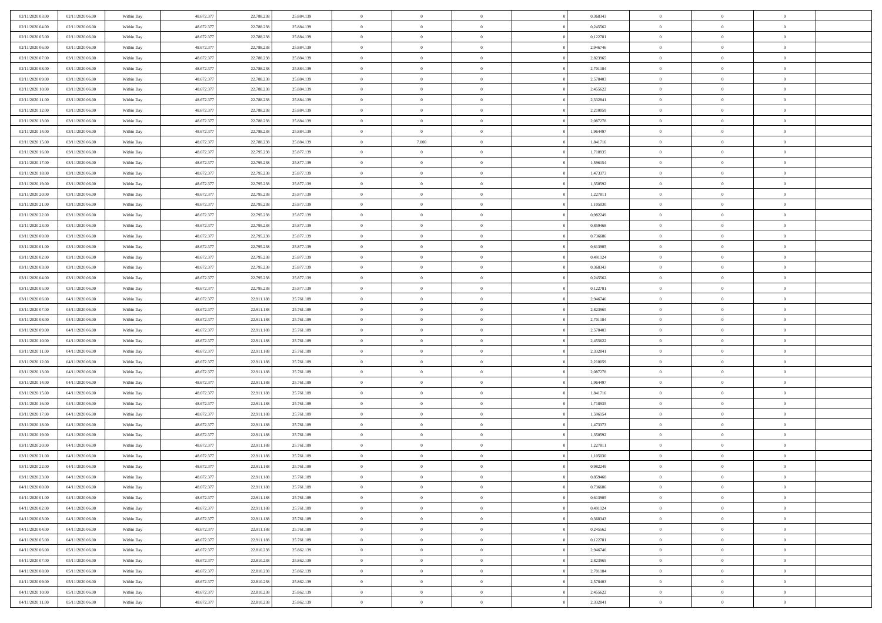| 02/11/2020 03.00<br>02/11/2020 06:00 | Within Day | 48.672.377 | 22.788.238 | 25.884.139 | $\,$ 0         | $\bf{0}$       | $\theta$       |          | 0,368343 | $\bf{0}$                 | $\overline{0}$ | $\,0\,$        |  |
|--------------------------------------|------------|------------|------------|------------|----------------|----------------|----------------|----------|----------|--------------------------|----------------|----------------|--|
| 02/11/2020 04:00<br>02/11/2020 06:00 | Within Day | 48.672.377 | 22.788.238 | 25.884.139 | $\theta$       | $\overline{0}$ | $\overline{0}$ |          | 0,245562 | $\overline{0}$           | $\overline{0}$ | $\theta$       |  |
| 02/11/2020 05:00<br>02/11/2020 06:00 | Within Dav | 48.672.377 | 22.788.238 | 25.884.139 | $\mathbf{0}$   | $\overline{0}$ | $\overline{0}$ |          | 0,122781 | $\mathbf{0}$             | $\overline{0}$ | $\overline{0}$ |  |
| 02/11/2020 06.00<br>03/11/2020 06:00 | Within Day | 48.672.377 | 22.788.238 | 25.884.139 | $\bf{0}$       | $\overline{0}$ | $\bf{0}$       |          | 2,946746 | $\bf{0}$                 | $\overline{0}$ | $\bf{0}$       |  |
| 02/11/2020 07.00<br>03/11/2020 06:00 | Within Day | 48.672.377 | 22.788.238 | 25.884.139 | $\bf{0}$       | $\bf{0}$       | $\overline{0}$ |          | 2,823965 | $\bf{0}$                 | $\theta$       | $\,0\,$        |  |
| 02/11/2020 08:00<br>03/11/2020 06:00 | Within Dav | 48.672.377 | 22.788.238 | 25.884.139 | $\mathbf{0}$   | $\overline{0}$ | $\overline{0}$ |          | 2,701184 | $\mathbf{0}$             | $\overline{0}$ | $\overline{0}$ |  |
|                                      |            |            |            |            |                |                |                |          |          |                          |                |                |  |
| 02/11/2020 09:00<br>03/11/2020 06:00 | Within Day | 48.672.377 | 22.788.238 | 25.884.139 | $\bf{0}$       | $\bf{0}$       | $\overline{0}$ |          | 2,578403 | $\bf{0}$                 | $\overline{0}$ | $\,0\,$        |  |
| 02/11/2020 10:00<br>03/11/2020 06:00 | Within Day | 48.672.377 | 22.788.238 | 25.884.139 | $\theta$       | $\overline{0}$ | $\overline{0}$ |          | 2,455622 | $\,$ 0 $\,$              | $\overline{0}$ | $\theta$       |  |
| 02/11/2020 11:00<br>03/11/2020 06:00 | Within Dav | 48.672.377 | 22.788.238 | 25.884.139 | $\mathbf{0}$   | $\overline{0}$ | $\overline{0}$ |          | 2,332841 | $\mathbf{0}$             | $\bf{0}$       | $\overline{0}$ |  |
| 02/11/2020 12.00<br>03/11/2020 06:00 | Within Day | 48.672.377 | 22.788.238 | 25.884.139 | $\bf{0}$       | $\overline{0}$ | $\theta$       |          | 2,210059 | $\bf{0}$                 | $\overline{0}$ | $\,0\,$        |  |
| 02/11/2020 13.00<br>03/11/2020 06:00 | Within Day | 48.672.377 | 22.788.238 | 25.884.139 | $\bf{0}$       | $\overline{0}$ | $\overline{0}$ |          | 2,087278 | $\bf{0}$                 | $\mathbf{0}$   | $\theta$       |  |
| 02/11/2020 14:00<br>03/11/2020 06:00 | Within Dav | 48.672.377 | 22.788.238 | 25.884.139 | $\mathbf{0}$   | $\overline{0}$ | $\overline{0}$ |          | 1,964497 | $\mathbf{0}$             | $\overline{0}$ | $\overline{0}$ |  |
| 02/11/2020 15.00<br>03/11/2020 06:00 | Within Day | 48.672.377 | 22.788.238 | 25.884.139 | $\bf{0}$       | 7.000          | $\bf{0}$       |          | 1,841716 | $\bf{0}$                 | $\overline{0}$ | $\bf{0}$       |  |
| 02/11/2020 16:00<br>03/11/2020 06:00 | Within Day | 48.672.377 | 22.795.238 | 25.877.139 | $\bf{0}$       | $\overline{0}$ | $\overline{0}$ |          | 1,718935 | $\bf{0}$                 | $\theta$       | $\,0\,$        |  |
| 02/11/2020 17:00<br>03/11/2020 06:00 | Within Dav | 48.672.377 | 22.795.238 | 25.877.139 | $\mathbf{0}$   | $\overline{0}$ | $\overline{0}$ |          | 1,596154 | $\mathbf{0}$             | $\overline{0}$ | $\overline{0}$ |  |
| 02/11/2020 18.00<br>03/11/2020 06:00 | Within Day | 48.672.377 | 22.795.238 | 25.877.139 | $\bf{0}$       | $\overline{0}$ | $\overline{0}$ |          | 1,473373 | $\bf{0}$                 | $\overline{0}$ | $\,0\,$        |  |
| 02/11/2020 19:00<br>03/11/2020 06:00 | Within Day | 48.672.377 | 22.795.238 | 25.877.139 | $\overline{0}$ | $\overline{0}$ | $\overline{0}$ |          | 1,350592 | $\bf{0}$                 | $\overline{0}$ | $\theta$       |  |
| 02/11/2020 20:00<br>03/11/2020 06:00 | Within Day | 48.672.377 | 22.795.238 | 25.877.139 | $\mathbf{0}$   | $\overline{0}$ | $\overline{0}$ |          | 1,227811 | $\mathbf{0}$             | $\overline{0}$ | $\overline{0}$ |  |
| 02/11/2020 21.00<br>03/11/2020 06:00 | Within Day | 48.672.377 | 22.795.238 | 25.877.139 | $\,$ 0         | $\overline{0}$ | $\overline{0}$ |          | 1,105030 | $\bf{0}$                 | $\overline{0}$ | $\,0\,$        |  |
| 02/11/2020 22.00<br>03/11/2020 06:00 | Within Day | 48.672.377 | 22.795.238 | 25.877.139 | $\bf{0}$       | $\overline{0}$ | $\overline{0}$ |          | 0,982249 | $\bf{0}$                 | $\mathbf{0}$   | $\overline{0}$ |  |
| 02/11/2020 23.00<br>03/11/2020 06:00 | Within Dav | 48.672.377 | 22.795.238 | 25.877.139 | $\mathbf{0}$   | $\overline{0}$ | $\overline{0}$ |          | 0,859468 | $\mathbf{0}$             | $\overline{0}$ | $\overline{0}$ |  |
| 03/11/2020 00:00<br>03/11/2020 06:00 | Within Day | 48.672.377 | 22.795.238 | 25.877.139 | $\bf{0}$       | $\overline{0}$ | $\bf{0}$       |          | 0,736686 | $\bf{0}$                 | $\overline{0}$ | $\bf{0}$       |  |
| 03/11/2020 01:00<br>03/11/2020 06:00 | Within Day | 48.672.377 | 22.795.238 | 25.877.139 | $\bf{0}$       | $\overline{0}$ | $\overline{0}$ |          | 0,613905 | $\bf{0}$                 | $\bf{0}$       | $\,0\,$        |  |
| 03/11/2020 02:00<br>03/11/2020 06:00 | Within Dav | 48.672.377 | 22.795.238 | 25.877.139 | $\mathbf{0}$   | $\overline{0}$ | $\overline{0}$ |          | 0,491124 | $\mathbf{0}$             | $\overline{0}$ | $\overline{0}$ |  |
| 03/11/2020 03.00<br>03/11/2020 06:00 | Within Day | 48.672.377 | 22.795.238 | 25.877.139 | $\bf{0}$       | $\overline{0}$ | $\overline{0}$ |          | 0,368343 | $\bf{0}$                 | $\overline{0}$ | $\,0\,$        |  |
| 03/11/2020 04:00<br>03/11/2020 06:00 | Within Day | 48.672.377 | 22.795.238 | 25.877.139 | $\overline{0}$ | $\overline{0}$ | $\overline{0}$ |          | 0,245562 | $\bf{0}$                 | $\overline{0}$ | $\theta$       |  |
| 03/11/2020 05:00<br>03/11/2020 06:00 | Within Dav | 48.672.377 | 22.795.238 | 25.877.139 | $\mathbf{0}$   | $\overline{0}$ | $\overline{0}$ |          | 0,122781 | $\mathbf{0}$             | $\overline{0}$ | $\overline{0}$ |  |
| 03/11/2020 06.00<br>04/11/2020 06.00 | Within Day | 48.672.377 | 22.911.188 | 25.761.189 | $\bf{0}$       | $\overline{0}$ | $\overline{0}$ |          | 2,946746 | $\bf{0}$                 | $\overline{0}$ | $\,0\,$        |  |
| 03/11/2020 07:00<br>04/11/2020 06.00 | Within Day | 48.672.377 | 22.911.188 | 25.761.189 | $\bf{0}$       | $\overline{0}$ | $\overline{0}$ |          | 2,823965 | $\bf{0}$                 | $\mathbf{0}$   | $\overline{0}$ |  |
| 03/11/2020 08:00<br>04/11/2020 06:00 | Within Dav | 48.672.377 | 22.911.188 | 25.761.189 | $\mathbf{0}$   | $\overline{0}$ | $\overline{0}$ |          | 2,701184 | $\mathbf{0}$             | $\overline{0}$ | $\overline{0}$ |  |
| 03/11/2020 09:00<br>04/11/2020 06:00 | Within Day | 48.672.377 | 22.911.188 | 25.761.189 | $\bf{0}$       | $\overline{0}$ | $\theta$       |          | 2,578403 | $\,$ 0                   | $\overline{0}$ | $\theta$       |  |
| 03/11/2020 10:00<br>04/11/2020 06.00 | Within Day | 48.672.377 | 22.911.188 | 25.761.189 | $\bf{0}$       | $\bf{0}$       | $\overline{0}$ |          | 2,455622 | $\bf{0}$                 | $\mathbf{0}$   | $\bf{0}$       |  |
| 03/11/2020 11:00<br>04/11/2020 06:00 | Within Dav | 48.672.377 | 22.911.188 | 25.761.189 | $\mathbf{0}$   | $\overline{0}$ | $\overline{0}$ |          | 2,332841 | $\mathbf{0}$             | $\overline{0}$ | $\overline{0}$ |  |
| 04/11/2020 06:00<br>03/11/2020 12:00 | Within Day | 48.672.377 | 22.911.188 | 25.761.189 | $\bf{0}$       | $\overline{0}$ | $\theta$       |          | 2,210059 | $\,$ 0                   | $\overline{0}$ | $\theta$       |  |
|                                      |            | 48.672.377 |            |            | $\bf{0}$       | $\overline{0}$ | $\overline{0}$ |          |          |                          | $\overline{0}$ | $\overline{0}$ |  |
| 03/11/2020 13:00<br>04/11/2020 06.00 | Within Day |            | 22.911.188 | 25.761.189 | $\mathbf{0}$   |                |                |          | 2,087278 | $\bf{0}$<br>$\mathbf{0}$ |                | $\overline{0}$ |  |
| 03/11/2020 14:00<br>04/11/2020 06:00 | Within Day | 48.672.377 | 22.911.188 | 25.761.189 |                | $\overline{0}$ | $\overline{0}$ |          | 1,964497 |                          | $\overline{0}$ |                |  |
| 03/11/2020 15:00<br>04/11/2020 06:00 | Within Day | 48.672.377 | 22.911.188 | 25.761.189 | $\bf{0}$       | $\overline{0}$ | $\theta$       |          | 1,841716 | $\,$ 0                   | $\overline{0}$ | $\theta$       |  |
| 03/11/2020 16:00<br>04/11/2020 06.00 | Within Day | 48.672.377 | 22.911.188 | 25.761.189 | $\bf{0}$       | $\bf{0}$       | $\overline{0}$ |          | 1,718935 | $\bf{0}$                 | $\mathbf{0}$   | $\bf{0}$       |  |
| 03/11/2020 17:00<br>04/11/2020 06:00 | Within Dav | 48.672.377 | 22.911.188 | 25.761.189 | $\mathbf{0}$   | $\overline{0}$ | $\overline{0}$ |          | 1,596154 | $\mathbf{0}$             | $\overline{0}$ | $\overline{0}$ |  |
| 03/11/2020 18:00<br>04/11/2020 06:00 | Within Day | 48.672.377 | 22.911.188 | 25.761.189 | $\bf{0}$       | $\overline{0}$ | $\theta$       |          | 1,473373 | $\,$ 0                   | $\overline{0}$ | $\theta$       |  |
| 03/11/2020 19:00<br>04/11/2020 06.00 | Within Day | 48.672.377 | 22.911.188 | 25.761.189 | $\bf{0}$       | $\bf{0}$       | $\overline{0}$ |          | 1,350592 | $\bf{0}$                 | $\overline{0}$ | $\bf{0}$       |  |
| 03/11/2020 20:00<br>04/11/2020 06:00 | Within Dav | 48.672.377 | 22.911.188 | 25.761.189 | $\mathbf{0}$   | $\overline{0}$ | $\overline{0}$ |          | 1,227811 | $\mathbf{0}$             | $\overline{0}$ | $\overline{0}$ |  |
| 03/11/2020 21:00<br>04/11/2020 06.00 | Within Day | 48.672.377 | 22.911.188 | 25.761.189 | $\bf{0}$       | $\overline{0}$ | $\theta$       |          | 1,105030 | $\,$ 0                   | $\overline{0}$ | $\theta$       |  |
| 03/11/2020 22.00<br>04/11/2020 06.00 | Within Day | 48.672.377 | 22.911.188 | 25.761.189 | $\bf{0}$       | $\overline{0}$ | $\overline{0}$ |          | 0,982249 | $\bf{0}$                 | $\overline{0}$ | $\bf{0}$       |  |
| 03/11/2020 23:00<br>04/11/2020 06:00 | Within Day | 48.672.377 | 22.911.188 | 25.761.189 | $\bf{0}$       | $\overline{0}$ |                |          | 0,859468 | $\overline{0}$           | $\theta$       | $\theta$       |  |
| 04/11/2020 00:00<br>04/11/2020 06.00 | Within Day | 48.672.377 | 22.911.188 | 25.761.189 | $\,0\,$        | $\overline{0}$ | $\theta$       |          | 0,736686 | $\,$ 0 $\,$              | $\overline{0}$ | $\theta$       |  |
| 04/11/2020 01:00<br>04/11/2020 06:00 | Within Day | 48.672.377 | 22.911.188 | 25.761.189 | $\overline{0}$ | $\overline{0}$ | $\overline{0}$ |          | 0,613905 | $\overline{0}$           | $\overline{0}$ | $\overline{0}$ |  |
| 04/11/2020 02:00<br>04/11/2020 06:00 | Within Day | 48.672.377 | 22.911.188 | 25.761.189 | $\bf{0}$       | $\overline{0}$ | $\overline{0}$ |          | 0,491124 | $\overline{0}$           | $\bf{0}$       | $\mathbf{0}$   |  |
| 04/11/2020 03.00<br>04/11/2020 06:00 | Within Day | 48.672.377 | 22.911.188 | 25.761.189 | $\bf{0}$       | $\overline{0}$ | $\overline{0}$ | $\theta$ | 0,368343 | $\,$ 0 $\,$              | $\overline{0}$ | $\,$ 0 $\,$    |  |
| 04/11/2020 04.00<br>04/11/2020 06.00 | Within Day | 48.672.377 | 22.911.188 | 25.761.189 | $\bf{0}$       | $\overline{0}$ | $\overline{0}$ |          | 0,245562 | $\,$ 0 $\,$              | $\overline{0}$ | $\overline{0}$ |  |
| 04/11/2020 05.00<br>04/11/2020 06.00 | Within Day | 48.672.377 | 22.911.188 | 25.761.189 | $\bf{0}$       | $\overline{0}$ | $\overline{0}$ |          | 0,122781 | $\mathbf{0}$             | $\overline{0}$ | $\overline{0}$ |  |
| 04/11/2020 06.00<br>05/11/2020 06:00 | Within Day | 48.672.377 | 22.810.238 | 25.862.139 | $\,0\,$        | $\overline{0}$ | $\overline{0}$ | $\theta$ | 2,946746 | $\,$ 0 $\,$              | $\overline{0}$ | $\overline{0}$ |  |
| 04/11/2020 07.00<br>05/11/2020 06:00 | Within Day | 48.672.377 | 22.810.238 | 25.862.139 | $\bf{0}$       | $\overline{0}$ | $\overline{0}$ |          | 2,823965 | $\overline{0}$           | $\overline{0}$ | $\overline{0}$ |  |
| 04/11/2020 08:00<br>05/11/2020 06.00 | Within Day | 48.672.377 | 22.810.238 | 25.862.139 | $\bf{0}$       | $\overline{0}$ | $\overline{0}$ |          | 2,701184 | $\mathbf{0}$             | $\overline{0}$ | $\mathbf{0}$   |  |
| 04/11/2020 09:00<br>05/11/2020 06:00 | Within Day | 48.672.377 | 22.810.238 | 25.862.139 | $\,0\,$        | $\overline{0}$ | $\overline{0}$ |          | 2,578403 | $\,$ 0 $\,$              | $\overline{0}$ | $\theta$       |  |
| 04/11/2020 10:00<br>05/11/2020 06:00 | Within Day | 48.672.377 | 22.810.238 | 25.862.139 | $\bf{0}$       | $\overline{0}$ | $\overline{0}$ |          | 2,455622 | $\bf{0}$                 | $\mathbf{0}$   | $\overline{0}$ |  |
| 04/11/2020 11:00<br>05/11/2020 06:00 | Within Day | 48.672.377 | 22.810.238 | 25.862.139 | $\mathbf{0}$   | $\overline{0}$ | $\overline{0}$ |          | 2,332841 | $\mathbf{0}$             | $\overline{0}$ | $\overline{0}$ |  |
|                                      |            |            |            |            |                |                |                |          |          |                          |                |                |  |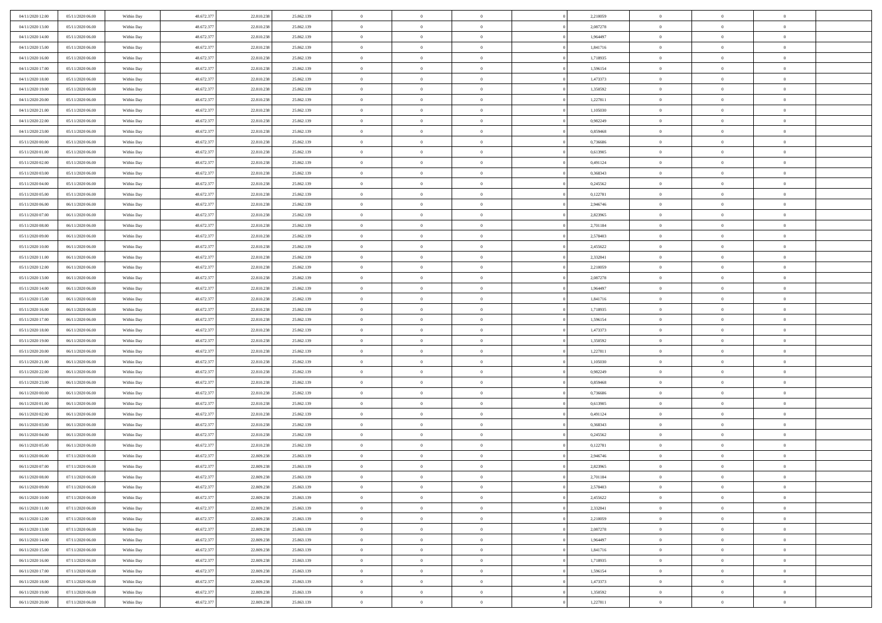| 04/11/2020 12:00                     | 05/11/2020 06:00                     | Within Day               | 48.672.377               | 22.810.238               | 25.862.139               | $\bf{0}$             | $\overline{0}$                   | $\overline{0}$                   | 2,210059             | $\bf{0}$                     | $\overline{0}$                   | $\,0\,$                    |  |
|--------------------------------------|--------------------------------------|--------------------------|--------------------------|--------------------------|--------------------------|----------------------|----------------------------------|----------------------------------|----------------------|------------------------------|----------------------------------|----------------------------|--|
| 04/11/2020 13.00                     | 05/11/2020 06.00                     | Within Day               | 48.672.377               | 22.810.238               | 25.862.139               | $\theta$             | $\overline{0}$                   | $\mathbf{0}$                     | 2,087278             | $\theta$                     | $\mathbf{0}$                     | $\theta$                   |  |
| 04/11/2020 14:00                     | 05/11/2020 06:00                     | Within Day               | 48.672.377               | 22.810.238               | 25.862.139               | $\theta$             | $\overline{0}$                   | $\overline{0}$                   | 1,964497             | $\mathbf{0}$                 | $\overline{0}$                   | $\overline{0}$             |  |
| 04/11/2020 15:00                     | 05/11/2020 06.00                     | Within Day               | 48.672.377               | 22.810.238               | 25.862.139               | $\,$ 0 $\,$          | $\overline{0}$                   | $\overline{0}$                   | 1,841716             | $\bf{0}$                     | $\overline{0}$                   | $\bf{0}$                   |  |
| 04/11/2020 16.00                     | 05/11/2020 06.00                     | Within Day               | 48.672.377               | 22.810.238               | 25.862.139               | $\,$ 0               | $\overline{0}$                   | $\mathbf{0}$                     | 1,718935             | $\bf{0}$                     | $\theta$                         | $\,0\,$                    |  |
| 04/11/2020 17:00                     | 05/11/2020 06:00                     | Within Day               | 48.672.377               | 22.810.238               | 25.862.139               | $\theta$             | $\overline{0}$                   | $\mathbf{0}$                     | 1,596154             | $\mathbf{0}$                 | $\overline{0}$                   | $\overline{0}$             |  |
| 04/11/2020 18:00                     | 05/11/2020 06:00                     | Within Day               | 48.672.377               | 22.810.238               | 25.862.139               | $\,$ 0 $\,$          | $\overline{0}$                   | $\overline{0}$                   | 1,473373             | $\bf{0}$                     | $\overline{0}$                   | $\bf{0}$                   |  |
| 04/11/2020 19:00                     | 05/11/2020 06.00                     | Within Day               | 48.672.377               | 22.810.238               | 25.862.139               | $\,$ 0               | $\overline{0}$                   | $\mathbf{0}$                     | 1,350592             | $\,$ 0 $\,$                  | $\overline{0}$                   | $\theta$                   |  |
| 04/11/2020 20:00                     | 05/11/2020 06:00                     | Within Day               | 48.672.377               | 22.810.238               | 25.862.139               | $\theta$             | $\overline{0}$                   | $\overline{0}$                   | 1,227811             | $\mathbf{0}$                 | $\bf{0}$                         | $\overline{0}$             |  |
| 04/11/2020 21.00                     | 05/11/2020 06.00                     | Within Day               | 48.672.377               | 22.810.238               | 25.862.139               | $\,$ 0 $\,$          | $\overline{0}$                   | $\Omega$                         | 1,105030             | $\bf{0}$                     | $\overline{0}$                   | $\,0\,$                    |  |
| 04/11/2020 22.00                     | 05/11/2020 06.00                     | Within Day               | 48.672.377               | 22.810.238               | 25.862.139               | $\bf{0}$             | $\overline{0}$                   | $\mathbf{0}$                     | 0,982249             | $\bf{0}$                     | $\mathbf{0}$                     | $\theta$                   |  |
| 04/11/2020 23.00                     | 05/11/2020 06:00                     | Within Day               | 48.672.377               | 22.810.238               | 25.862.139               | $\theta$             | $\overline{0}$                   | $\overline{0}$                   | 0,859468             | $\mathbf{0}$                 | $\overline{0}$                   | $\overline{0}$             |  |
| 05/11/2020 00:00                     | 05/11/2020 06:00                     | Within Day               | 48.672.377               | 22.810.238               | 25.862.139               | $\,$ 0 $\,$          | $\overline{0}$                   | $\overline{0}$                   | 0,736686             | $\bf{0}$                     | $\overline{0}$                   | $\bf{0}$                   |  |
| 05/11/2020 01:00                     | 05/11/2020 06:00                     | Within Day               | 48.672.377               | 22.810.238               | 25.862.139               | $\bf{0}$             | $\overline{0}$                   | $\mathbf{0}$                     | 0,613905             | $\bf{0}$                     | $\theta$                         | $\,0\,$                    |  |
| 05/11/2020 02.00                     | 05/11/2020 06:00                     | Within Day               | 48.672.377               | 22.810.238               | 25.862.139               | $\theta$             | $\overline{0}$                   | $\mathbf{0}$                     | 0,491124             | $\mathbf{0}$                 | $\overline{0}$                   | $\overline{0}$             |  |
| 05/11/2020 03:00                     | 05/11/2020 06.00                     | Within Day               | 48.672.377               | 22.810.238               | 25.862.139               | $\,$ 0 $\,$          | $\overline{0}$                   | $\Omega$                         | 0,368343             | $\bf{0}$                     | $\overline{0}$                   | $\bf{0}$                   |  |
| 05/11/2020 04:00                     | 05/11/2020 06.00                     |                          | 48.672.377               | 22.810.238               | 25.862.139               | $\,$ 0               | $\overline{0}$                   | $\mathbf{0}$                     | 0,245562             | $\bf{0}$                     | $\overline{0}$                   | $\theta$                   |  |
| 05/11/2020 05:00                     | 05/11/2020 06:00                     | Within Day<br>Within Day | 48.672.377               | 22.810.238               | 25.862.139               | $\theta$             | $\overline{0}$                   | $\mathbf{0}$                     | 0,122781             | $\mathbf{0}$                 | $\overline{0}$                   | $\overline{0}$             |  |
| 05/11/2020 06:00                     | 06/11/2020 06.00                     | Within Day               | 48.672.377               | 22.810.238               | 25.862.139               | $\,$ 0 $\,$          | $\overline{0}$                   | $\Omega$                         | 2,946746             | $\bf{0}$                     | $\overline{0}$                   | $\,0\,$                    |  |
| 05/11/2020 07.00                     | 06/11/2020 06.00                     |                          | 48.672.377               | 22.810.238               |                          | $\bf{0}$             | $\overline{0}$                   | $\mathbf{0}$                     |                      | $\bf{0}$                     | $\mathbf{0}$                     | $\theta$                   |  |
| 05/11/2020 08:00                     | 06/11/2020 06:00                     | Within Day<br>Within Day | 48.672.377               | 22.810.238               | 25.862.139<br>25.862.139 | $\theta$             | $\overline{0}$                   | $\overline{0}$                   | 2,823965<br>2,701184 | $\mathbf{0}$                 | $\overline{0}$                   | $\overline{0}$             |  |
|                                      |                                      |                          |                          |                          |                          | $\,$ 0 $\,$          |                                  | $\overline{0}$                   |                      | $\bf{0}$                     | $\overline{0}$                   | $\bf{0}$                   |  |
| 05/11/2020 09:00                     | 06/11/2020 06.00                     | Within Day               | 48.672.377               | 22.810.238               | 25.862.139               |                      | $\overline{0}$                   |                                  | 2,578403             |                              |                                  |                            |  |
| 05/11/2020 10:00                     | 06/11/2020 06:00<br>06/11/2020 06:00 | Within Day               | 48.672.377               | 22.810.238               | 25.862.139               | $\,$ 0<br>$\theta$   | $\overline{0}$                   | $\mathbf{0}$                     | 2,455622             | $\bf{0}$<br>$\mathbf{0}$     | $\bf{0}$                         | $\,0\,$<br>$\overline{0}$  |  |
| 05/11/2020 11:00                     |                                      | Within Day               | 48.672.377               | 22.810.238               | 25.862.139               |                      | $\overline{0}$                   | $\mathbf{0}$<br>$\overline{0}$   | 2,332841             |                              | $\overline{0}$<br>$\overline{0}$ |                            |  |
| 05/11/2020 12:00                     | 06/11/2020 06:00                     | Within Day               | 48.672.377               | 22.810.238               | 25.862.139               | $\,$ 0 $\,$          | $\overline{0}$                   |                                  | 2,210059             | $\bf{0}$                     | $\overline{0}$                   | $\bf{0}$                   |  |
| 05/11/2020 13:00                     | 06/11/2020 06:00                     | Within Day               | 48.672.377               | 22.810.238               | 25.862.139               | $\,$ 0               | $\overline{0}$                   | $\mathbf{0}$                     | 2,087278             | $\bf{0}$                     |                                  | $\theta$                   |  |
| 05/11/2020 14:00                     | 06/11/2020 06:00                     | Within Day               | 48.672.377               | 22.810.238               | 25.862.139               | $\theta$             | $\overline{0}$                   | $\overline{0}$                   | 1,964497             | $\mathbf{0}$                 | $\bf{0}$                         | $\overline{0}$             |  |
| 05/11/2020 15:00                     | 06/11/2020 06:00                     | Within Day               | 48.672.377               | 22.810.238               | 25.862.139               | $\,$ 0 $\,$          | $\overline{0}$                   | $\Omega$                         | 1,841716             | $\bf{0}$                     | $\overline{0}$                   | $\bf{0}$                   |  |
| 05/11/2020 16:00                     | 06/11/2020 06.00                     | Within Day               | 48.672.377               | 22.810.238               | 25.862.139               | $\bf{0}$             | $\overline{0}$                   | $\mathbf{0}$                     | 1,718935             | $\bf{0}$                     | $\mathbf{0}$                     | $\overline{0}$             |  |
| 05/11/2020 17:00                     | 06/11/2020 06:00                     | Within Day               | 48.672.377               | 22.810.238               | 25.862.139               | $\theta$             | $\overline{0}$                   | $\overline{0}$                   | 1,596154             | $\mathbf{0}$                 | $\overline{0}$                   | $\overline{0}$             |  |
| 05/11/2020 18:00                     | 06/11/2020 06:00                     | Within Day               | 48.672.377               | 22.810.238               | 25.862.139               | $\,$ 0 $\,$          | $\overline{0}$                   | $\overline{0}$                   | 1,473373             | $\,$ 0                       | $\overline{0}$                   | $\,$ 0 $\,$                |  |
| 05/11/2020 19:00                     | 06/11/2020 06:00                     | Within Day               | 48.672.377               | 22.810.238               | 25.862.139               | $\,$ 0<br>$\theta$   | $\overline{0}$                   | $\mathbf{0}$                     | 1,350592             | $\bf{0}$<br>$\mathbf{0}$     | $\mathbf{0}$                     | $\bf{0}$<br>$\overline{0}$ |  |
| 05/11/2020 20:00                     | 06/11/2020 06:00                     | Within Day               | 48.672.377               | 22.810.238               | 25.862.139               |                      | $\overline{0}$<br>$\overline{0}$ | $\mathbf{0}$                     | 1,227811             |                              | $\overline{0}$                   | $\theta$                   |  |
| 05/11/2020 21:00                     | 06/11/2020 06:00                     | Within Day               | 48.672.377               | 22.810.238               | 25.862.139               | $\theta$             |                                  | $\overline{0}$                   | 1,105030             | $\,$ 0                       | $\overline{0}$<br>$\overline{0}$ | $\overline{0}$             |  |
| 05/11/2020 22.00<br>05/11/2020 23:00 | 06/11/2020 06.00<br>06/11/2020 06:00 | Within Day<br>Within Day | 48.672.377<br>48.672.377 | 22.810.238<br>22.810.238 | 25.862.139<br>25.862.139 | $\bf{0}$<br>$\theta$ | $\overline{0}$<br>$\overline{0}$ | $\mathbf{0}$                     | 0,982249<br>0,859468 | $\mathbf{0}$<br>$\mathbf{0}$ | $\overline{0}$                   | $\overline{0}$             |  |
|                                      |                                      |                          |                          |                          |                          | $\theta$             | $\overline{0}$                   | $\mathbf{0}$<br>$\overline{0}$   |                      | $\,$ 0                       | $\overline{0}$                   | $\theta$                   |  |
| 06/11/2020 00:00<br>06/11/2020 01:00 | 06/11/2020 06:00<br>06/11/2020 06:00 | Within Day               | 48.672.377<br>48.672.377 | 22.810.238<br>22.810.238 | 25.862.139               | $\bf{0}$             | $\overline{0}$                   | $\mathbf{0}$                     | 0,736686<br>0,613905 | $\bf{0}$                     | $\mathbf{0}$                     | $\bf{0}$                   |  |
| 06/11/2020 02.00                     | 06/11/2020 06:00                     | Within Day<br>Within Day | 48.672.377               | 22.810.238               | 25.862.139<br>25.862.139 | $\theta$             | $\overline{0}$                   | $\overline{0}$                   | 0,491124             | $\mathbf{0}$                 | $\overline{0}$                   | $\overline{0}$             |  |
|                                      |                                      |                          |                          |                          |                          | $\,$ 0 $\,$          |                                  | $\overline{0}$                   |                      | $\,$ 0                       | $\overline{0}$                   | $\,$ 0 $\,$                |  |
| 06/11/2020 03:00<br>06/11/2020 04:00 | 06/11/2020 06:00<br>06/11/2020 06:00 | Within Day               | 48.672.377<br>48.672.377 | 22.810.238<br>22.810.238 | 25.862.139<br>25.862.139 | $\bf{0}$             | $\overline{0}$<br>$\,$ 0 $\,$    | $\overline{0}$                   | 0,368343<br>0,245562 | $\,$ 0 $\,$                  | $\overline{0}$                   | $\bf{0}$                   |  |
| 06/11/2020 05:00                     | 06/11/2020 06:00                     | Within Day<br>Within Day | 48.672.377               | 22.810.238               | 25.862.139               | $\theta$             | $\overline{0}$                   | $\mathbf{0}$                     | 0,122781             | $\mathbf{0}$                 | $\overline{0}$                   | $\overline{0}$             |  |
| 06/11/2020 06:00                     | 07/11/2020 06.00                     | Within Day               | 48.672.377               | 22.809.238               | 25.863.139               | $\overline{0}$       | $\overline{0}$                   | $\overline{0}$                   | 2,946746             | $\,$ 0                       | $\overline{0}$                   | $\theta$                   |  |
| 06/11/2020 07:00                     | 07/11/2020 06.00                     | Within Day               | 48.672.377               | 22.809.238               | 25.863.139               | $\bf{0}$             | $\overline{0}$                   | $\mathbf{0}$                     | 2,823965             | $\mathbf{0}$                 | $\overline{0}$                   | $\bf{0}$                   |  |
| 06/11/2020 08:00                     | 07/11/2020 06:00                     | Within Day               | 48.672.377               | 22.809.238               | 25.863.139               | $\overline{0}$       | $\theta$                         |                                  | 2,701184             | $\overline{0}$               | $\theta$                         | $\theta$                   |  |
| 06/11/2020 09:00                     | 07/11/2020 06:00                     | Within Day               | 48.672.377               | 22.809.238               | 25.863.139               | $\,$ 0 $\,$          | $\overline{0}$                   | $\overline{0}$                   | 2,578403             | $\,$ 0 $\,$                  | $\bf{0}$                         | $\theta$                   |  |
| 06/11/2020 10:00                     | 07/11/2020 06:00                     | Within Day               | 48.672.377               | 22.809.238               | 25.863.139               | $\bf{0}$             | $\,$ 0 $\,$                      | $\mathbf{0}$                     | 2,455622             | $\,$ 0 $\,$                  | $\overline{0}$                   | $\overline{0}$             |  |
| 06/11/2020 11:00                     | 07/11/2020 06:00                     | Within Day               | 48.672.377               | 22.809.238               | 25.863.139               | $\overline{0}$       | $\overline{0}$                   | $\overline{0}$                   | 2,332841             | $\,$ 0 $\,$                  | $\bf{0}$                         | $\mathbf{0}$               |  |
| 06/11/2020 12:00                     | 07/11/2020 06:00                     | Within Day               | 48.672.377               | 22.809.238               | 25.863.139               | $\,0\,$              | $\overline{0}$                   | $\overline{0}$                   | 2,210059             | $\,$ 0 $\,$                  | $\bf{0}$                         | $\,$ 0 $\,$                |  |
|                                      | 07/11/2020 06.00                     |                          | 48.672.377               | 22.809.238               |                          | $\,$ 0 $\,$          | $\,$ 0 $\,$                      | $\overline{0}$                   |                      | $\,$ 0 $\,$                  | $\overline{0}$                   | $\overline{0}$             |  |
| 06/11/2020 13:00<br>06/11/2020 14:00 | 07/11/2020 06:00                     | Within Day<br>Within Day | 48.672.377               | 22.809.238               | 25.863.139<br>25.863.139 | $\overline{0}$       | $\overline{0}$                   | $\overline{0}$                   | 2,087278<br>1,964497 | $\mathbf{0}$                 | $\overline{0}$                   | $\overline{0}$             |  |
|                                      |                                      |                          |                          |                          |                          |                      |                                  |                                  |                      |                              |                                  |                            |  |
| 06/11/2020 15:00                     | 07/11/2020 06:00                     | Within Day               | 48.672.377               | 22.809.238               | 25.863.139               | $\,$ 0 $\,$          | $\overline{0}$                   | $\overline{0}$<br>$\overline{0}$ | 1,841716             | $\,$ 0 $\,$                  | $\overline{0}$<br>$\overline{0}$ | $\,$ 0 $\,$                |  |
| 06/11/2020 16:00                     | 07/11/2020 06.00<br>07/11/2020 06:00 | Within Day               | 48.672.377               | 22.809.238               | 25.863.139               | $\bf{0}$             | $\overline{0}$                   |                                  | 1,718935             | $\,$ 0 $\,$                  |                                  | $\overline{0}$             |  |
| 06/11/2020 17:00                     |                                      | Within Day               | 48.672.377               | 22.809.238               | 25.863.139               | $\overline{0}$       | $\overline{0}$                   | $\overline{0}$                   | 1,596154             | $\mathbf{0}$                 | $\bf{0}$                         | $\overline{0}$             |  |
| 06/11/2020 18:00                     | 07/11/2020 06:00                     | Within Day               | 48.672.377               | 22.809.238               | 25.863.139               | $\,0\,$              | $\overline{0}$                   | $\overline{0}$                   | 1,473373             | $\,$ 0 $\,$                  | $\overline{0}$                   | $\,$ 0 $\,$                |  |
| 06/11/2020 19:00                     | 07/11/2020 06.00                     | Within Day               | 48.672.377               | 22.809.238               | 25.863.139               | $\,$ 0 $\,$          | $\overline{0}$                   | $\overline{0}$                   | 1,350592             | $\,$ 0 $\,$                  | $\overline{0}$                   | $\overline{0}$             |  |
| 06/11/2020 20:00                     | 07/11/2020 06:00                     | Within Day               | 48.672.377               | 22.809.238               | 25.863.139               | $\theta$             | $\overline{0}$                   | $\overline{0}$                   | 1,227811             | $\mathbf{0}$                 | $\overline{0}$                   | $\overline{0}$             |  |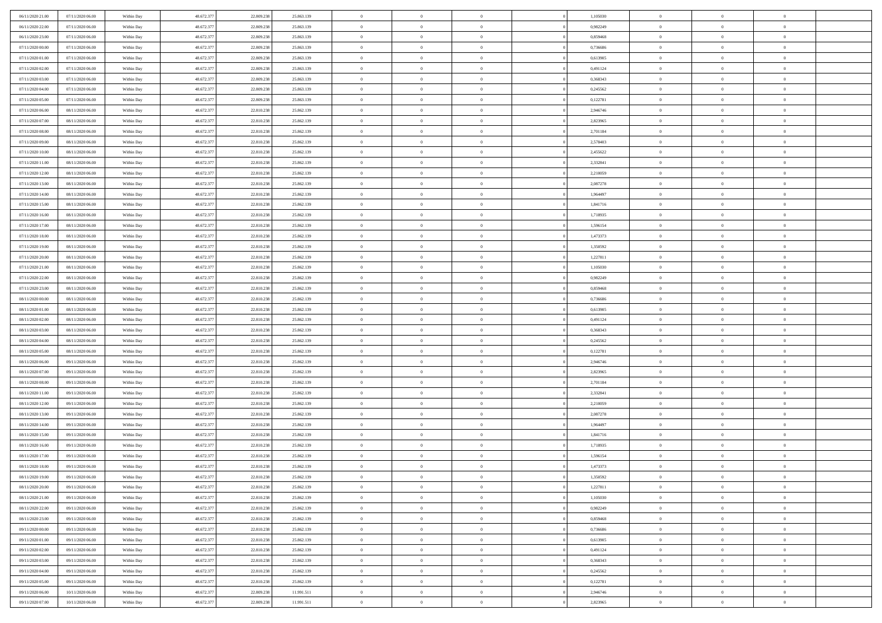| 06/11/2020 21.00<br>07/11/2020 06:00 | Within Day               | 48.672.377 | 22.809.238 | 25.863.139               | $\,$ 0         | $\bf{0}$       | $\overline{0}$                   |          | 1,105030             | $\bf{0}$       | $\overline{0}$ | $\,0\,$        |  |
|--------------------------------------|--------------------------|------------|------------|--------------------------|----------------|----------------|----------------------------------|----------|----------------------|----------------|----------------|----------------|--|
| 06/11/2020 22.00<br>07/11/2020 06:00 | Within Day               | 48.672.377 | 22.809.238 | 25.863.139               | $\overline{0}$ | $\overline{0}$ | $\overline{0}$                   |          | 0.982249             | $\overline{0}$ | $\overline{0}$ | $\theta$       |  |
| 06/11/2020 23:00<br>07/11/2020 06:00 | Within Dav               | 48.672.377 | 22.809.238 | 25.863.139               | $\mathbf{0}$   | $\overline{0}$ | $\overline{0}$                   |          | 0,859468             | $\mathbf{0}$   | $\overline{0}$ | $\overline{0}$ |  |
| 07/11/2020 00:00<br>07/11/2020 06:00 | Within Day               | 48.672.377 | 22.809.238 | 25.863.139               | $\bf{0}$       | $\overline{0}$ | $\bf{0}$                         |          | 0,736686             | $\bf{0}$       | $\overline{0}$ | $\bf{0}$       |  |
| 07/11/2020 01:00<br>07/11/2020 06:00 | Within Day               | 48.672.377 | 22.809.238 | 25.863.139               | $\bf{0}$       | $\bf{0}$       | $\overline{0}$                   |          | 0,613905             | $\bf{0}$       | $\bf{0}$       | $\,0\,$        |  |
| 07/11/2020 02:00<br>07/11/2020 06:00 | Within Dav               | 48.672.377 | 22.809.238 | 25.863.139               | $\mathbf{0}$   | $\overline{0}$ | $\overline{0}$                   |          | 0,491124             | $\mathbf{0}$   | $\overline{0}$ | $\overline{0}$ |  |
| 07/11/2020 03.00<br>07/11/2020 06:00 | Within Day               | 48.672.377 | 22.809.238 | 25.863.139               | $\bf{0}$       | $\bf{0}$       | $\overline{0}$                   |          | 0,368343             | $\bf{0}$       | $\overline{0}$ | $\,0\,$        |  |
| 07/11/2020 04:00<br>07/11/2020 06:00 | Within Day               | 48.672.377 | 22.809.238 | 25.863.139               | $\overline{0}$ | $\overline{0}$ | $\overline{0}$                   |          | 0,245562             | $\,$ 0 $\,$    | $\overline{0}$ | $\theta$       |  |
| 07/11/2020 05:00<br>07/11/2020 06:00 | Within Dav               | 48.672.377 | 22.809.238 | 25.863.139               | $\mathbf{0}$   | $\overline{0}$ | $\overline{0}$                   |          | 0,122781             | $\mathbf{0}$   | $\overline{0}$ | $\overline{0}$ |  |
| 07/11/2020 06.00<br>08/11/2020 06:00 | Within Day               | 48.672.377 | 22.810.238 | 25.862.139               | $\bf{0}$       | $\bf{0}$       | $\overline{0}$                   |          | 2,946746             | $\bf{0}$       | $\overline{0}$ | $\,0\,$        |  |
| 07/11/2020 07.00<br>08/11/2020 06:00 |                          | 48.672.377 | 22.810.238 | 25.862.139               | $\bf{0}$       | $\overline{0}$ | $\overline{0}$                   |          | 2,823965             | $\bf{0}$       | $\mathbf{0}$   | $\theta$       |  |
| 07/11/2020 08:00<br>08/11/2020 06:00 | Within Day<br>Within Dav | 48.672.377 | 22.810.238 | 25.862.139               | $\mathbf{0}$   | $\overline{0}$ | $\overline{0}$                   |          | 2,701184             | $\mathbf{0}$   | $\overline{0}$ | $\overline{0}$ |  |
| 07/11/2020 09:00<br>08/11/2020 06:00 | Within Day               | 48.672.377 | 22.810.238 | 25.862.139               | $\bf{0}$       | $\overline{0}$ | $\bf{0}$                         |          | 2,578403             | $\bf{0}$       | $\overline{0}$ | $\bf{0}$       |  |
| 07/11/2020 10:00<br>08/11/2020 06:00 |                          | 48.672.377 | 22.810.238 |                          | $\bf{0}$       | $\overline{0}$ | $\overline{0}$                   |          |                      | $\bf{0}$       | $\theta$       | $\,0\,$        |  |
| 07/11/2020 11:00<br>08/11/2020 06:00 | Within Day<br>Within Dav | 48.672.377 | 22.810.238 | 25.862.139<br>25.862.139 | $\overline{0}$ | $\overline{0}$ |                                  |          | 2,455622<br>2,332841 | $\mathbf{0}$   | $\overline{0}$ | $\overline{0}$ |  |
|                                      |                          |            |            |                          |                |                | $\overline{0}$<br>$\overline{0}$ |          |                      |                | $\overline{0}$ |                |  |
| 07/11/2020 12.00<br>08/11/2020 06:00 | Within Day               | 48.672.377 | 22.810.238 | 25.862.139               | $\bf{0}$       | $\bf{0}$       |                                  |          | 2,210059             | $\bf{0}$       | $\overline{0}$ | $\bf{0}$       |  |
| 07/11/2020 13.00<br>08/11/2020 06:00 | Within Day               | 48.672.377 | 22.810.238 | 25.862.139               | $\overline{0}$ | $\overline{0}$ | $\overline{0}$                   |          | 2,087278             | $\bf{0}$       |                | $\theta$       |  |
| 07/11/2020 14:00<br>08/11/2020 06:00 | Within Day               | 48.672.377 | 22.810.238 | 25.862.139               | $\mathbf{0}$   | $\overline{0}$ | $\overline{0}$                   |          | 1,964497             | $\mathbf{0}$   | $\overline{0}$ | $\overline{0}$ |  |
| 07/11/2020 15.00<br>08/11/2020 06:00 | Within Day               | 48.672.377 | 22.810.238 | 25.862.139               | $\bf{0}$       | $\bf{0}$       | $\overline{0}$                   |          | 1,841716             | $\bf{0}$       | $\overline{0}$ | $\,0\,$        |  |
| 07/11/2020 16.00<br>08/11/2020 06:00 | Within Day               | 48.672.377 | 22.810.238 | 25.862.139               | $\bf{0}$       | $\overline{0}$ | $\overline{0}$                   |          | 1,718935             | $\bf{0}$       | $\overline{0}$ | $\overline{0}$ |  |
| 07/11/2020 17.00<br>08/11/2020 06:00 | Within Dav               | 48.672.377 | 22.810.238 | 25.862.139               | $\mathbf{0}$   | $\overline{0}$ | $\overline{0}$                   |          | 1,596154             | $\mathbf{0}$   | $\overline{0}$ | $\overline{0}$ |  |
| 07/11/2020 18.00<br>08/11/2020 06:00 | Within Day               | 48.672.377 | 22.810.238 | 25.862.139               | $\bf{0}$       | $\overline{0}$ | $\bf{0}$                         |          | 1,473373             | $\bf{0}$       | $\overline{0}$ | $\bf{0}$       |  |
| 07/11/2020 19:00<br>08/11/2020 06:00 | Within Day               | 48.672.377 | 22.810.238 | 25.862.139               | $\bf{0}$       | $\overline{0}$ | $\overline{0}$                   |          | 1,350592             | $\bf{0}$       | $\overline{0}$ | $\,0\,$        |  |
| 07/11/2020 20:00<br>08/11/2020 06:00 | Within Dav               | 48.672.377 | 22.810.238 | 25,862,139               | $\mathbf{0}$   | $\overline{0}$ | $\overline{0}$                   |          | 1,227811             | $\mathbf{0}$   | $\overline{0}$ | $\overline{0}$ |  |
| 07/11/2020 21.00<br>08/11/2020 06:00 | Within Day               | 48.672.377 | 22.810.238 | 25.862.139               | $\bf{0}$       | $\overline{0}$ | $\overline{0}$                   |          | 1,105030             | $\bf{0}$       | $\overline{0}$ | $\,0\,$        |  |
| 07/11/2020 22.00<br>08/11/2020 06:00 | Within Day               | 48.672.377 | 22.810.238 | 25.862.139               | $\overline{0}$ | $\overline{0}$ | $\overline{0}$                   |          | 0,982249             | $\bf{0}$       | $\overline{0}$ | $\theta$       |  |
| 07/11/2020 23.00<br>08/11/2020 06:00 | Within Dav               | 48.672.377 | 22.810.238 | 25.862.139               | $\mathbf{0}$   | $\overline{0}$ | $\overline{0}$                   |          | 0,859468             | $\mathbf{0}$   | $\overline{0}$ | $\overline{0}$ |  |
| 08/11/2020 00:00<br>08/11/2020 06:00 | Within Day               | 48.672.377 | 22.810.238 | 25.862.139               | $\bf{0}$       | $\overline{0}$ | $\overline{0}$                   |          | 0,736686             | $\bf{0}$       | $\overline{0}$ | $\,0\,$        |  |
| 08/11/2020 01:00<br>08/11/2020 06:00 | Within Day               | 48.672.377 | 22.810.238 | 25.862.139               | $\bf{0}$       | $\overline{0}$ | $\overline{0}$                   |          | 0,613905             | $\bf{0}$       | $\overline{0}$ | $\bf{0}$       |  |
| 08/11/2020 02:00<br>08/11/2020 06:00 | Within Day               | 48.672.377 | 22.810.238 | 25.862.139               | $\mathbf{0}$   | $\overline{0}$ | $\overline{0}$                   |          | 0,491124             | $\mathbf{0}$   | $\overline{0}$ | $\overline{0}$ |  |
| 08/11/2020 03:00<br>08/11/2020 06:00 | Within Day               | 48.672.377 | 22.810.238 | 25.862.139               | $\bf{0}$       | $\overline{0}$ | $\theta$                         |          | 0,368343             | $\,$ 0         | $\overline{0}$ | $\theta$       |  |
| 08/11/2020 04:00<br>08/11/2020 06:00 | Within Day               | 48.672.377 | 22.810.238 | 25.862.139               | $\bf{0}$       | $\bf{0}$       | $\overline{0}$                   |          | 0,245562             | $\bf{0}$       | $\mathbf{0}$   | $\bf{0}$       |  |
| 08/11/2020 05:00<br>08/11/2020 06:00 | Within Dav               | 48.672.377 | 22.810.238 | 25.862.139               | $\mathbf{0}$   | $\overline{0}$ | $\overline{0}$                   |          | 0,122781             | $\mathbf{0}$   | $\overline{0}$ | $\overline{0}$ |  |
| 08/11/2020 06:00<br>09/11/2020 06:00 | Within Day               | 48.672.377 | 22.810.238 | 25.862.139               | $\bf{0}$       | $\overline{0}$ | $\theta$                         |          | 2,946746             | $\,$ 0         | $\overline{0}$ | $\theta$       |  |
| 08/11/2020 07:00<br>09/11/2020 06:00 | Within Day               | 48.672.377 | 22.810.238 | 25.862.139               | $\bf{0}$       | $\overline{0}$ | $\overline{0}$                   |          | 2,823965             | $\bf{0}$       | $\overline{0}$ | $\overline{0}$ |  |
| 08/11/2020 08:00<br>09/11/2020 06:00 | Within Day               | 48.672.377 | 22.810.238 | 25.862.139               | $\mathbf{0}$   | $\overline{0}$ | $\overline{0}$                   |          | 2,701184             | $\mathbf{0}$   | $\overline{0}$ | $\overline{0}$ |  |
| 08/11/2020 11:00<br>09/11/2020 06:00 | Within Day               | 48.672.377 | 22.810.238 | 25.862.139               | $\bf{0}$       | $\overline{0}$ | $\theta$                         |          | 2,332841             | $\,$ 0         | $\overline{0}$ | $\theta$       |  |
| 08/11/2020 12.00<br>09/11/2020 06:00 | Within Day               | 48.672.377 | 22.810.238 | 25.862.139               | $\bf{0}$       | $\bf{0}$       | $\overline{0}$                   |          | 2,210059             | $\bf{0}$       | $\mathbf{0}$   | $\bf{0}$       |  |
| 08/11/2020 13:00<br>09/11/2020 06:00 | Within Dav               | 48.672.377 | 22.810.238 | 25.862.139               | $\mathbf{0}$   | $\overline{0}$ | $\overline{0}$                   |          | 2,087278             | $\mathbf{0}$   | $\overline{0}$ | $\overline{0}$ |  |
| 08/11/2020 14:00<br>09/11/2020 06:00 | Within Day               | 48.672.377 | 22.810.238 | 25.862.139               | $\bf{0}$       | $\overline{0}$ | $\theta$                         |          | 1,964497             | $\,$ 0         | $\overline{0}$ | $\theta$       |  |
| 08/11/2020 15:00<br>09/11/2020 06:00 | Within Day               | 48.672.377 | 22.810.238 | 25.862.139               | $\bf{0}$       | $\bf{0}$       | $\overline{0}$                   |          | 1,841716             | $\bf{0}$       | $\overline{0}$ | $\bf{0}$       |  |
| 08/11/2020 16:00<br>09/11/2020 06:00 | Within Dav               | 48.672.377 | 22.810.238 | 25.862.139               | $\mathbf{0}$   | $\overline{0}$ | $\overline{0}$                   |          | 1,718935             | $\mathbf{0}$   | $\overline{0}$ | $\overline{0}$ |  |
| 08/11/2020 17:00<br>09/11/2020 06:00 | Within Day               | 48.672.377 | 22.810.238 | 25.862.139               | $\bf{0}$       | $\overline{0}$ | $\theta$                         |          | 1,596154             | $\,$ 0         | $\overline{0}$ | $\theta$       |  |
| 08/11/2020 18:00<br>09/11/2020 06:00 | Within Day               | 48.672.377 | 22.810.238 | 25.862.139               | $\bf{0}$       | $\overline{0}$ | $\overline{0}$                   |          | 1,473373             | $\bf{0}$       | $\overline{0}$ | $\overline{0}$ |  |
| 08/11/2020 19:00<br>09/11/2020 06.00 | Within Day               | 48.672.377 | 22.810.238 | 25.862.139               | $\bf{0}$       | $\overline{0}$ |                                  |          | 1,350592             | $\overline{0}$ | $\theta$       | $\theta$       |  |
| 08/11/2020 20:00<br>09/11/2020 06:00 | Within Day               | 48.672.377 | 22.810.238 | 25.862.139               | $\,0\,$        | $\overline{0}$ | $\theta$                         |          | 1,227811             | $\,$ 0 $\,$    | $\overline{0}$ | $\theta$       |  |
| 08/11/2020 21.00<br>09/11/2020 06:00 | Within Day               | 48.672.377 | 22.810.238 | 25.862.139               | $\overline{0}$ | $\overline{0}$ | $\overline{0}$                   |          | 1,105030             | $\overline{0}$ | $\overline{0}$ | $\overline{0}$ |  |
| 08/11/2020 22.00<br>09/11/2020 06.00 | Within Day               | 48.672.377 | 22.810.238 | 25.862.139               | $\bf{0}$       | $\overline{0}$ | $\overline{0}$                   |          | 0,982249             | $\overline{0}$ | $\bf{0}$       | $\mathbf{0}$   |  |
| 08/11/2020 23.00<br>09/11/2020 06:00 | Within Day               | 48.672.377 | 22.810.238 | 25.862.139               | $\bf{0}$       | $\overline{0}$ | $\overline{0}$                   | $\theta$ | 0,859468             | $\mathbf{0}$   | $\bf{0}$       | $\,$ 0 $\,$    |  |
| 09/11/2020 00:00<br>09/11/2020 06.00 | Within Day               | 48.672.377 | 22.810.238 | 25.862.139               | $\bf{0}$       | $\overline{0}$ | $\overline{0}$                   |          | 0,736686             | $\,$ 0 $\,$    | $\overline{0}$ | $\overline{0}$ |  |
| 09/11/2020 01:00<br>09/11/2020 06.00 | Within Day               | 48.672.377 | 22.810.238 | 25.862.139               | $\bf{0}$       | $\overline{0}$ | $\overline{0}$                   |          | 0,613905             | $\mathbf{0}$   | $\overline{0}$ | $\overline{0}$ |  |
| 09/11/2020 02.00<br>09/11/2020 06:00 | Within Day               | 48.672.377 | 22.810.238 | 25.862.139               | $\,0\,$        | $\overline{0}$ | $\overline{0}$                   | $\theta$ | 0,491124             | $\,$ 0 $\,$    | $\overline{0}$ | $\overline{0}$ |  |
| 09/11/2020 03.00<br>09/11/2020 06:00 | Within Day               | 48.672.377 | 22.810.238 | 25.862.139               | $\bf{0}$       | $\overline{0}$ | $\overline{0}$                   |          | 0,368343             | $\overline{0}$ | $\overline{0}$ | $\overline{0}$ |  |
| 09/11/2020 04.00<br>09/11/2020 06.00 | Within Day               | 48.672.377 | 22.810.238 | 25.862.139               | $\bf{0}$       | $\overline{0}$ | $\overline{0}$                   |          | 0,245562             | $\mathbf{0}$   | $\overline{0}$ | $\mathbf{0}$   |  |
| 09/11/2020 05:00<br>09/11/2020 06:00 | Within Day               | 48.672.377 | 22.810.238 | 25.862.139               | $\,0\,$        | $\overline{0}$ | $\overline{0}$                   |          | 0,122781             | $\,$ 0 $\,$    | $\overline{0}$ | $\theta$       |  |
| 09/11/2020 06:00<br>10/11/2020 06:00 | Within Day               | 48.672.377 | 22.809.238 | 11.991.511               | $\bf{0}$       | $\overline{0}$ | $\overline{0}$                   |          | 2,946746             | $\bf{0}$       | $\mathbf{0}$   | $\overline{0}$ |  |
| 09/11/2020 07:00<br>10/11/2020 06:00 | Within Day               | 48.672.377 | 22.809.238 | 11.991.511               | $\mathbf{0}$   | $\overline{0}$ | $\overline{0}$                   |          | 2,823965             | $\mathbf{0}$   | $\overline{0}$ | $\overline{0}$ |  |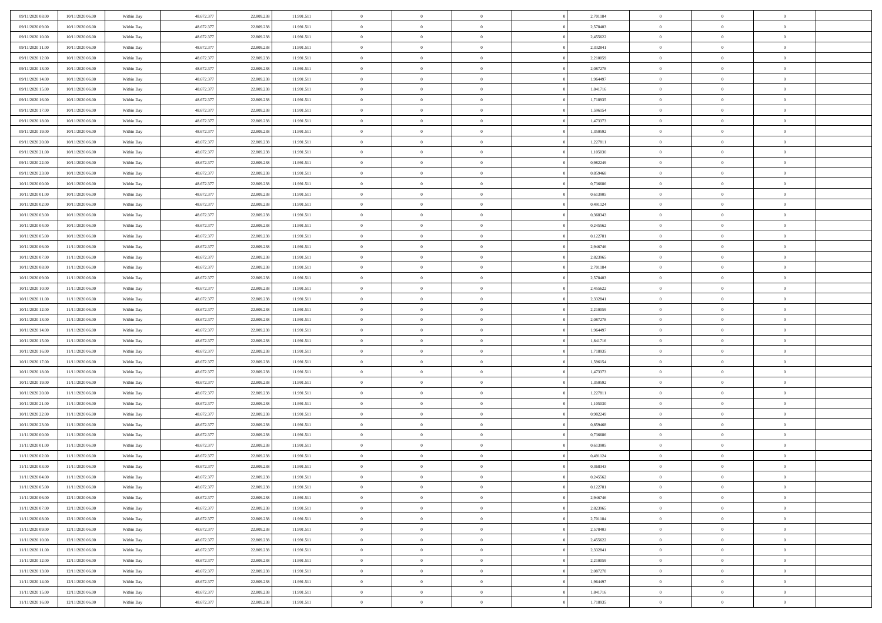| 09/11/2020 08:00 | 10/11/2020 06:00 | Within Day | 48.672.377 | 22.809.23  | 11.991.511 | $\bf{0}$       | $\overline{0}$ | $\Omega$       | 2,701184 | $\bf{0}$       | $\overline{0}$ | $\bf{0}$       |  |
|------------------|------------------|------------|------------|------------|------------|----------------|----------------|----------------|----------|----------------|----------------|----------------|--|
| 09/11/2020 09:00 | 10/11/2020 06:00 | Within Day | 48.672.377 | 22.809.23  | 11.991.511 | $\overline{0}$ | $\overline{0}$ | $\Omega$       | 2,578403 | $\overline{0}$ | $\theta$       | $\theta$       |  |
| 09/11/2020 10:00 | 10/11/2020 06:00 | Within Day | 48.672.377 | 22.809.238 | 11.991.511 | $\overline{0}$ | $\overline{0}$ | $\overline{0}$ | 2,455622 | $\mathbf{0}$   | $\overline{0}$ | $\theta$       |  |
| 09/11/2020 11:00 | 10/11/2020 06:00 | Within Day | 48.672.377 | 22.809.238 | 11.991.511 | $\bf{0}$       | $\overline{0}$ | $\overline{0}$ | 2,332841 | $\mathbf{0}$   | $\overline{0}$ | $\bf{0}$       |  |
| 09/11/2020 12:00 | 10/11/2020 06:00 | Within Day | 48.672.377 | 22.809.238 | 11.991.511 | $\bf{0}$       | $\overline{0}$ | $\overline{0}$ | 2,210059 | $\bf{0}$       | $\overline{0}$ | $\bf{0}$       |  |
| 09/11/2020 13:00 | 10/11/2020 06:00 | Within Day | 48.672.377 | 22.809.238 | 11.991.511 | $\overline{0}$ | $\overline{0}$ | $\overline{0}$ | 2,087278 | $\mathbf{0}$   | $\overline{0}$ | $\theta$       |  |
| 09/11/2020 14:00 |                  |            |            |            |            | $\bf{0}$       | $\overline{0}$ | $\overline{0}$ |          | $\bf{0}$       | $\overline{0}$ | $\bf{0}$       |  |
|                  | 10/11/2020 06:00 | Within Day | 48.672.377 | 22.809.238 | 11.991.511 |                |                |                | 1,964497 |                |                |                |  |
| 09/11/2020 15:00 | 10/11/2020 06:00 | Within Day | 48.672.377 | 22.809.238 | 11.991.511 | $\overline{0}$ | $\overline{0}$ | $\overline{0}$ | 1,841716 | $\mathbf{0}$   | $\theta$       | $\theta$       |  |
| 09/11/2020 16.00 | 10/11/2020 06:00 | Within Day | 48.672.377 | 22.809.238 | 11.991.511 | $\overline{0}$ | $\overline{0}$ | $\overline{0}$ | 1,718935 | $\mathbf{0}$   | $\overline{0}$ | $\theta$       |  |
| 09/11/2020 17:00 | 10/11/2020 06:00 | Within Day | 48.672.377 | 22.809.238 | 11.991.511 | $\bf{0}$       | $\bf{0}$       | $\Omega$       | 1,596154 | $\bf{0}$       | $\overline{0}$ | $\bf{0}$       |  |
| 09/11/2020 18:00 | 10/11/2020 06:00 | Within Day | 48.672.377 | 22.809.238 | 11.991.511 | $\bf{0}$       | $\overline{0}$ | $\overline{0}$ | 1,473373 | $\mathbf{0}$   | $\theta$       | $\theta$       |  |
| 09/11/2020 19:00 | 10/11/2020 06:00 | Within Day | 48.672.377 | 22.809.238 | 11.991.511 | $\overline{0}$ | $\overline{0}$ | $\overline{0}$ | 1,350592 | $\mathbf{0}$   | $\overline{0}$ | $\theta$       |  |
| 09/11/2020 20:00 | 10/11/2020 06:00 | Within Day | 48.672.377 | 22.809.238 | 11.991.511 | $\bf{0}$       | $\overline{0}$ | $\overline{0}$ | 1,227811 | $\mathbf{0}$   | $\overline{0}$ | $\bf{0}$       |  |
| 09/11/2020 21:00 | 10/11/2020 06:00 | Within Day | 48.672.377 | 22.809.238 | 11.991.511 | $\bf{0}$       | $\overline{0}$ | $\overline{0}$ | 1,105030 | $\bf{0}$       | $\theta$       | $\bf{0}$       |  |
| 09/11/2020 22.00 | 10/11/2020 06:00 | Within Day | 48.672.377 | 22.809.238 | 11.991.511 | $\overline{0}$ | $\overline{0}$ | $\overline{0}$ | 0,982249 | $\overline{0}$ | $\overline{0}$ | $\theta$       |  |
| 09/11/2020 23.00 | 10/11/2020 06:00 | Within Day | 48.672.377 | 22.809.238 | 11.991.511 | $\bf{0}$       | $\overline{0}$ | $\Omega$       | 0,859468 | $\bf{0}$       | $\overline{0}$ | $\bf{0}$       |  |
| 10/11/2020 00:00 | 10/11/2020 06:00 | Within Day | 48.672.377 | 22.809.238 | 11.991.511 | $\,$ 0 $\,$    | $\overline{0}$ | $\overline{0}$ | 0.736686 | $\mathbf{0}$   | $\theta$       | $\theta$       |  |
| 10/11/2020 01:00 | 10/11/2020 06:00 | Within Day | 48.672.377 | 22.809.238 | 11.991.511 | $\overline{0}$ | $\overline{0}$ | $\overline{0}$ | 0,613905 | $\mathbf{0}$   | $\overline{0}$ | $\theta$       |  |
| 10/11/2020 02:00 | 10/11/2020 06:00 | Within Day | 48.672.377 | 22.809.238 | 11.991.511 | $\bf{0}$       | $\overline{0}$ | $\Omega$       | 0,491124 | $\bf{0}$       | $\overline{0}$ | $\bf{0}$       |  |
| 10/11/2020 03:00 | 10/11/2020 06:00 | Within Day | 48.672.377 | 22.809.238 | 11.991.511 | $\bf{0}$       | $\overline{0}$ | $\overline{0}$ | 0.368343 | $\mathbf{0}$   | $\theta$       | $\overline{0}$ |  |
| 10/11/2020 04:00 | 10/11/2020 06:00 | Within Day | 48.672.377 | 22.809.238 | 11.991.511 | $\overline{0}$ | $\overline{0}$ | $\overline{0}$ | 0,245562 | $\mathbf{0}$   | $\overline{0}$ | $\theta$       |  |
| 10/11/2020 05:00 | 10/11/2020 06:00 | Within Day | 48.672.377 | 22.809.238 | 11.991.511 | $\bf{0}$       | $\overline{0}$ | $\overline{0}$ | 0,122781 | $\mathbf{0}$   | $\overline{0}$ | $\bf{0}$       |  |
| 10/11/2020 06:00 | 11/11/2020 06:00 | Within Day | 48.672.377 | 22.809.238 | 11.991.511 | $\bf{0}$       | $\overline{0}$ | $\overline{0}$ | 2,946746 | $\,$ 0 $\,$    | $\overline{0}$ | $\bf{0}$       |  |
| 10/11/2020 07:00 | 11/11/2020 06:00 | Within Day | 48.672.377 | 22.809.238 | 11.991.511 | $\overline{0}$ | $\overline{0}$ | $\overline{0}$ | 2,823965 | $\mathbf{0}$   | $\overline{0}$ | $\theta$       |  |
| 10/11/2020 08:00 | 11/11/2020 06:00 | Within Day | 48.672.377 | 22.809.238 | 11.991.511 | $\bf{0}$       | $\overline{0}$ | $\overline{0}$ | 2,701184 | $\bf{0}$       | $\overline{0}$ | $\bf{0}$       |  |
| 10/11/2020 09:00 | 11/11/2020 06:00 | Within Day | 48.672.377 | 22.809.238 | 11.991.511 | $\bf{0}$       | $\overline{0}$ | $\overline{0}$ | 2,578403 | $\mathbf{0}$   | $\overline{0}$ | $\overline{0}$ |  |
| 10/11/2020 10:00 | 11/11/2020 06:00 | Within Day | 48.672.377 | 22.809.238 | 11.991.511 | $\overline{0}$ | $\overline{0}$ | $\overline{0}$ | 2,455622 | $\mathbf{0}$   | $\overline{0}$ | $\theta$       |  |
| 10/11/2020 11:00 | 11/11/2020 06:00 | Within Day | 48.672.377 | 22.809.238 | 11.991.511 | $\bf{0}$       | $\overline{0}$ | $\Omega$       | 2,332841 | $\mathbf{0}$   | $\overline{0}$ | $\bf{0}$       |  |
|                  |                  |            |            |            |            | $\bf{0}$       |                | $\overline{0}$ |          |                | $\theta$       | $\overline{0}$ |  |
| 10/11/2020 12:00 | 11/11/2020 06:00 | Within Day | 48.672.377 | 22.809.238 | 11.991.511 |                | $\overline{0}$ |                | 2,210059 | $\mathbf{0}$   |                |                |  |
| 10/11/2020 13:00 | 11/11/2020 06:00 | Within Day | 48.672.377 | 22.809.238 | 11.991.511 | $\overline{0}$ | $\overline{0}$ | $\overline{0}$ | 2,087278 | $\mathbf{0}$   | $\overline{0}$ | $\theta$       |  |
| 10/11/2020 14:00 | 11/11/2020 06:00 | Within Day | 48.672.377 | 22.809.238 | 11.991.511 | $\,$ 0         | $\overline{0}$ | $\overline{0}$ | 1,964497 | $\,$ 0 $\,$    | $\overline{0}$ | $\,$ 0 $\,$    |  |
| 10/11/2020 15:00 | 11/11/2020 06:00 | Within Day | 48.672.377 | 22.809.238 | 11.991.511 | $\bf{0}$       | $\overline{0}$ | $\overline{0}$ | 1,841716 | $\mathbf{0}$   | $\theta$       | $\overline{0}$ |  |
| 10/11/2020 16:00 | 11/11/2020 06:00 | Within Day | 48.672.377 | 22.809.238 | 11.991.511 | $\overline{0}$ | $\overline{0}$ | $\overline{0}$ | 1,718935 | $\mathbf{0}$   | $\overline{0}$ | $\theta$       |  |
| 10/11/2020 17:00 | 11/11/2020 06:00 | Within Day | 48.672.377 | 22.809.238 | 11.991.511 | $\,$ 0         | $\overline{0}$ | $\theta$       | 1,596154 | $\,$ 0         | $\overline{0}$ | $\mathbf{0}$   |  |
| 10/11/2020 18:00 | 11/11/2020 06:00 | Within Day | 48.672.377 | 22.809.238 | 11.991.511 | $\bf{0}$       | $\overline{0}$ | $\overline{0}$ | 1,473373 | $\mathbf{0}$   | $\overline{0}$ | $\overline{0}$ |  |
| 10/11/2020 19:00 | 11/11/2020 06:00 | Within Day | 48.672.377 | 22.809.238 | 11.991.511 | $\overline{0}$ | $\overline{0}$ | $\overline{0}$ | 1,350592 | $\mathbf{0}$   | $\overline{0}$ | $\theta$       |  |
| 10/11/2020 20:00 | 11/11/2020 06:00 | Within Day | 48.672.377 | 22.809.238 | 11.991.511 | $\overline{0}$ | $\overline{0}$ | $\overline{0}$ | 1,227811 | $\,$ 0 $\,$    | $\overline{0}$ | $\mathbf{0}$   |  |
| 10/11/2020 21:00 | 11/11/2020 06:00 | Within Day | 48.672.377 | 22.809.238 | 11.991.511 | $\bf{0}$       | $\overline{0}$ | $\overline{0}$ | 1,105030 | $\mathbf{0}$   | $\theta$       | $\overline{0}$ |  |
| 10/11/2020 22.00 | 11/11/2020 06:00 | Within Day | 48.672.377 | 22.809.238 | 11.991.511 | $\overline{0}$ | $\overline{0}$ | $\overline{0}$ | 0,982249 | $\mathbf{0}$   | $\overline{0}$ | $\theta$       |  |
| 10/11/2020 23:00 | 11/11/2020 06:00 | Within Day | 48.672.377 | 22.809.238 | 11.991.511 | $\,$ 0         | $\overline{0}$ | $\overline{0}$ | 0,859468 | $\,$ 0 $\,$    | $\overline{0}$ | $\,$ 0 $\,$    |  |
| 11/11/2020 00:00 | 11/11/2020 06:00 | Within Day | 48.672.377 | 22.809.238 | 11.991.511 | $\bf{0}$       | $\,$ 0 $\,$    | $\overline{0}$ | 0,736686 | $\,$ 0 $\,$    | $\overline{0}$ | $\bf{0}$       |  |
| 11/11/2020 01:00 | 11/11/2020 06:00 | Within Day | 48.672.377 | 22.809.238 | 11.991.511 | $\overline{0}$ | $\overline{0}$ | $\overline{0}$ | 0,613905 | $\mathbf{0}$   | $\overline{0}$ | $\theta$       |  |
| 11/11/2020 02:00 | 11/11/2020 06:00 | Within Day | 48.672.377 | 22.809.238 | 11.991.511 | $\overline{0}$ | $\overline{0}$ | $\overline{0}$ | 0,491124 | $\overline{0}$ | $\overline{0}$ | $\mathbf{0}$   |  |
| 11/11/2020 03:00 | 11/11/2020 06:00 | Within Day | 48.672.377 | 22.809.238 | 11.991.511 | $\bf{0}$       | $\overline{0}$ | $\overline{0}$ | 0,368343 | $\mathbf{0}$   | $\overline{0}$ | $\bf{0}$       |  |
| 11/11/2020 04:00 | 11/11/2020 06:00 | Within Day | 48.672.377 | 22.809.238 | 11.991.511 | $\overline{0}$ | $\theta$       |                | 0,245562 | $\overline{0}$ | $\Omega$       | $\overline{0}$ |  |
| 11/11/2020 05:00 | 11/11/2020 06:00 | Within Day | 48.672.377 | 22.809.238 | 11.991.511 | $\,$ 0 $\,$    | $\overline{0}$ | $\overline{0}$ | 0,122781 | $\,$ 0 $\,$    | $\bf{0}$       | $\mathbf{0}$   |  |
| 11/11/2020 06:00 | 12/11/2020 06:00 | Within Day | 48.672.377 | 22.809.238 | 11.991.511 | $\mathbf{0}$   | $\overline{0}$ | $\overline{0}$ | 2,946746 | $\,$ 0 $\,$    | $\overline{0}$ | $\overline{0}$ |  |
| 11/11/2020 07:00 | 12/11/2020 06:00 | Within Day | 48.672.377 | 22.809.238 | 11.991.511 | $\mathbf{0}$   | $\overline{0}$ | $\overline{0}$ | 2,823965 | $\mathbf{0}$   | $\bf{0}$       | $\overline{0}$ |  |
| 11/11/2020 08:00 | 12/11/2020 06:00 | Within Day | 48.672.377 | 22.809.238 | 11.991.511 | $\,$ 0 $\,$    | $\overline{0}$ | $\overline{0}$ | 2,701184 | $\,$ 0 $\,$    | $\bf{0}$       | $\theta$       |  |
| 11/11/2020 09:00 | 12/11/2020 06:00 | Within Day | 48.672.377 | 22.809.238 | 11.991.511 | $\,$ 0 $\,$    | $\,$ 0 $\,$    | $\overline{0}$ | 2,578403 | $\,$ 0 $\,$    | $\overline{0}$ | $\overline{0}$ |  |
| 11/11/2020 10:00 | 12/11/2020 06:00 | Within Day | 48.672.377 | 22.809.238 | 11.991.511 | $\mathbf{0}$   | $\overline{0}$ | $\overline{0}$ | 2,455622 | $\mathbf{0}$   | $\overline{0}$ | $\overline{0}$ |  |
| 11/11/2020 11:00 | 12/11/2020 06:00 | Within Day | 48.672.377 | 22.809.238 | 11.991.511 | $\,$ 0 $\,$    | $\overline{0}$ | $\overline{0}$ | 2,332841 | $\,$ 0 $\,$    | $\mathbf{0}$   | $\theta$       |  |
| 11/11/2020 12:00 | 12/11/2020 06:00 | Within Day | 48.672.377 | 22.809.238 | 11.991.511 | $\mathbf{0}$   | $\overline{0}$ | $\overline{0}$ | 2,210059 | $\,$ 0 $\,$    | $\overline{0}$ | $\overline{0}$ |  |
| 11/11/2020 13:00 | 12/11/2020 06:00 | Within Day | 48.672.377 | 22.809.238 | 11.991.511 | $\mathbf{0}$   | $\overline{0}$ | $\overline{0}$ | 2,087278 | $\mathbf{0}$   | $\bf{0}$       | $\overline{0}$ |  |
| 11/11/2020 14:00 | 12/11/2020 06:00 | Within Day | 48.672.377 | 22.809.238 | 11.991.511 | $\,$ 0 $\,$    | $\overline{0}$ | $\overline{0}$ | 1,964497 | $\,$ 0 $\,$    | $\mathbf{0}$   | $\theta$       |  |
| 11/11/2020 15.00 | 12/11/2020 06:00 | Within Day | 48.672.377 | 22.809.238 | 11.991.511 | $\mathbf{0}$   | $\overline{0}$ | $\overline{0}$ | 1,841716 | $\,$ 0 $\,$    | $\overline{0}$ | $\overline{0}$ |  |
| 11/11/2020 16.00 | 12/11/2020 06:00 | Within Day | 48.672.377 | 22.809.238 | 11.991.511 | $\mathbf{0}$   | $\overline{0}$ | $\overline{0}$ | 1,718935 | $\mathbf{0}$   | $\overline{0}$ | $\overline{0}$ |  |
|                  |                  |            |            |            |            |                |                |                |          |                |                |                |  |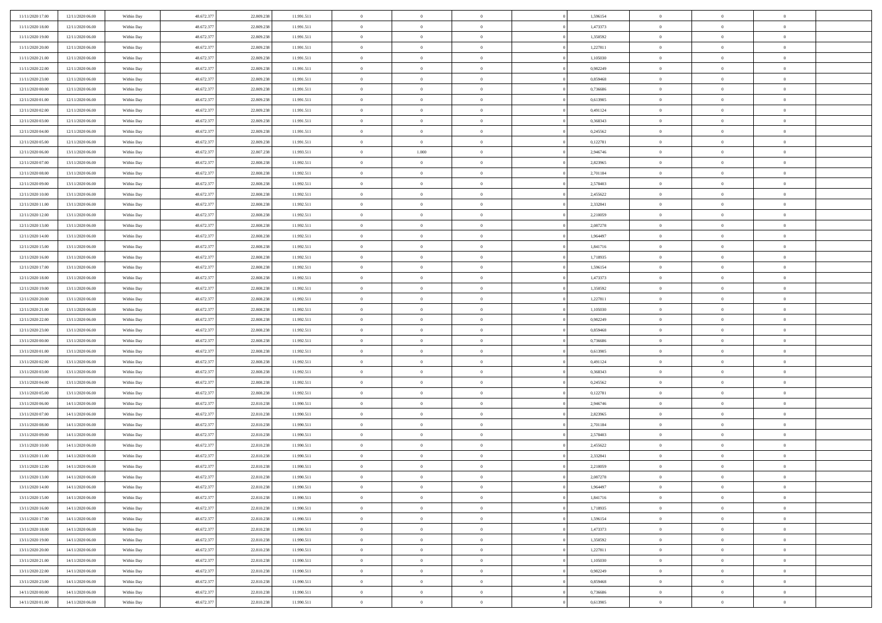| 11/11/2020 17:00 | 12/11/2020 06:00 | Within Day | 48.672.377 | 22.809.238 | 11.991.511 | $\,$ 0 $\,$    | $\overline{0}$ | $\overline{0}$ | 1,596154 | $\bf{0}$       | $\overline{0}$ | $\,0\,$        |  |
|------------------|------------------|------------|------------|------------|------------|----------------|----------------|----------------|----------|----------------|----------------|----------------|--|
| 11/11/2020 18.00 | 12/11/2020 06:00 | Within Day | 48.672.377 | 22.809.238 | 11.991.511 | $\theta$       | $\overline{0}$ | $\mathbf{0}$   | 1,473373 | $\theta$       | $\overline{0}$ | $\theta$       |  |
| 11/11/2020 19:00 | 12/11/2020 06:00 | Within Day | 48.672.377 | 22.809.238 | 11.991.511 | $\theta$       | $\overline{0}$ | $\overline{0}$ | 1,350592 | $\mathbf{0}$   | $\overline{0}$ | $\overline{0}$ |  |
| 11/11/2020 20:00 | 12/11/2020 06:00 | Within Day | 48.672.377 | 22.809.238 | 11.991.511 | $\,$ 0 $\,$    | $\overline{0}$ | $\overline{0}$ | 1,227811 | $\bf{0}$       | $\overline{0}$ | $\bf{0}$       |  |
| 11/11/2020 21:00 | 12/11/2020 06:00 | Within Day | 48.672.377 | 22.809.238 | 11.991.511 | $\,$ 0         | $\overline{0}$ | $\mathbf{0}$   | 1,105030 | $\bf{0}$       | $\bf{0}$       | $\,0\,$        |  |
| 11/11/2020 22:00 | 12/11/2020 06:00 | Within Day | 48.672.377 | 22.809.238 | 11.991.511 | $\theta$       | $\overline{0}$ | $\mathbf{0}$   | 0,982249 | $\mathbf{0}$   | $\overline{0}$ | $\overline{0}$ |  |
| 11/11/2020 23.00 | 12/11/2020 06:00 | Within Day | 48.672.377 | 22.809.238 | 11.991.511 | $\,$ 0 $\,$    | $\overline{0}$ | $\overline{0}$ | 0,859468 | $\bf{0}$       | $\overline{0}$ | $\bf{0}$       |  |
| 12/11/2020 00:00 | 12/11/2020 06:00 | Within Day | 48.672.377 | 22.809.238 | 11.991.511 | $\,$ 0         | $\overline{0}$ | $\mathbf{0}$   | 0,736686 | $\,$ 0 $\,$    | $\overline{0}$ | $\theta$       |  |
| 12/11/2020 01:00 | 12/11/2020 06:00 | Within Day | 48.672.377 | 22.809.238 | 11.991.511 | $\theta$       | $\overline{0}$ | $\mathbf{0}$   | 0,613905 | $\mathbf{0}$   | $\overline{0}$ | $\overline{0}$ |  |
| 12/11/2020 02.00 | 12/11/2020 06:00 | Within Day | 48.672.377 | 22.809.238 | 11.991.511 | $\,$ 0 $\,$    | $\overline{0}$ | $\Omega$       | 0,491124 | $\bf{0}$       | $\overline{0}$ | $\bf{0}$       |  |
| 12/11/2020 03:00 | 12/11/2020 06:00 | Within Day | 48.672.377 | 22.809.238 | 11.991.511 | $\bf{0}$       | $\overline{0}$ | $\mathbf{0}$   | 0.368343 | $\bf{0}$       | $\mathbf{0}$   | $\theta$       |  |
| 12/11/2020 04:00 | 12/11/2020 06:00 | Within Day | 48.672.377 | 22.809.238 | 11.991.511 | $\theta$       | $\overline{0}$ | $\overline{0}$ | 0,245562 | $\mathbf{0}$   | $\overline{0}$ | $\overline{0}$ |  |
| 12/11/2020 05:00 | 12/11/2020 06:00 | Within Day | 48.672.377 | 22.809.238 | 11.991.511 | $\,$ 0 $\,$    | $\overline{0}$ | $\overline{0}$ | 0,122781 | $\bf{0}$       | $\overline{0}$ | $\bf{0}$       |  |
| 12/11/2020 06:00 | 13/11/2020 06:00 | Within Day | 48.672.377 | 22.807.238 | 11.993.511 | $\,$ 0         | 1.000          | $\mathbf{0}$   | 2,946746 | $\bf{0}$       | $\theta$       | $\,0\,$        |  |
| 12/11/2020 07:00 | 13/11/2020 06:00 | Within Day | 48.672.377 | 22.808.238 | 11.992.511 | $\theta$       | $\overline{0}$ | $\mathbf{0}$   | 2,823965 | $\mathbf{0}$   | $\overline{0}$ | $\overline{0}$ |  |
| 12/11/2020 08:00 | 13/11/2020 06.00 | Within Day | 48.672.377 | 22.808.238 | 11.992.511 | $\,$ 0 $\,$    | $\overline{0}$ | $\Omega$       | 2,701184 | $\bf{0}$       | $\overline{0}$ | $\bf{0}$       |  |
| 12/11/2020 09:00 | 13/11/2020 06.00 | Within Day | 48.672.377 | 22.808.238 | 11.992.511 | $\,$ 0 $\,$    | $\overline{0}$ | $\mathbf{0}$   | 2,578403 | $\bf{0}$       | $\overline{0}$ | $\theta$       |  |
| 12/11/2020 10:00 | 13/11/2020 06:00 | Within Day | 48.672.377 | 22.808.238 | 11.992.511 | $\theta$       | $\overline{0}$ | $\mathbf{0}$   | 2,455622 | $\mathbf{0}$   | $\overline{0}$ | $\overline{0}$ |  |
| 12/11/2020 11:00 | 13/11/2020 06:00 | Within Day | 48.672.377 | 22.808.238 | 11.992.511 | $\,$ 0 $\,$    | $\overline{0}$ | $\Omega$       | 2,332841 | $\bf{0}$       | $\overline{0}$ | $\,0\,$        |  |
| 12/11/2020 12:00 | 13/11/2020 06.00 | Within Day | 48.672.377 | 22.808.238 | 11.992.511 | $\bf{0}$       | $\overline{0}$ | $\mathbf{0}$   | 2,210059 | $\bf{0}$       | $\mathbf{0}$   | $\theta$       |  |
| 12/11/2020 13:00 | 13/11/2020 06:00 | Within Day | 48.672.377 | 22.808.238 | 11.992.511 | $\theta$       | $\overline{0}$ | $\mathbf{0}$   | 2,087278 | $\mathbf{0}$   | $\overline{0}$ | $\overline{0}$ |  |
| 12/11/2020 14:00 | 13/11/2020 06:00 | Within Day | 48.672.377 | 22.808.238 | 11.992.511 | $\,$ 0 $\,$    | $\overline{0}$ | $\overline{0}$ | 1,964497 | $\bf{0}$       | $\overline{0}$ | $\bf{0}$       |  |
| 12/11/2020 15:00 | 13/11/2020 06:00 | Within Day | 48.672.377 | 22.808.238 | 11.992.511 | $\,$ 0         | $\overline{0}$ | $\mathbf{0}$   | 1,841716 | $\,$ 0 $\,$    | $\overline{0}$ | $\bf{0}$       |  |
| 12/11/2020 16:00 | 13/11/2020 06:00 | Within Day | 48.672.377 | 22.808.238 | 11.992.511 | $\theta$       | $\overline{0}$ | $\mathbf{0}$   | 1,718935 | $\mathbf{0}$   | $\overline{0}$ | $\overline{0}$ |  |
| 12/11/2020 17:00 | 13/11/2020 06:00 | Within Day | 48.672.377 | 22.808.238 | 11.992.511 | $\,$ 0 $\,$    | $\overline{0}$ | $\overline{0}$ | 1,596154 | $\bf{0}$       | $\overline{0}$ | $\bf{0}$       |  |
| 12/11/2020 18:00 | 13/11/2020 06.00 | Within Day | 48.672.377 | 22.808.238 | 11.992.511 | $\,$ 0         | $\overline{0}$ | $\mathbf{0}$   | 1,473373 | $\mathbf{0}$   | $\overline{0}$ | $\theta$       |  |
| 12/11/2020 19:00 | 13/11/2020 06:00 | Within Day | 48.672.377 | 22.808.238 | 11.992.511 | $\theta$       | $\overline{0}$ | $\overline{0}$ | 1,350592 | $\mathbf{0}$   | $\overline{0}$ | $\overline{0}$ |  |
| 12/11/2020 20:00 | 13/11/2020 06:00 | Within Day | 48.672.377 | 22.808.238 | 11.992.511 | $\,$ 0 $\,$    | $\overline{0}$ | $\Omega$       | 1,227811 | $\bf{0}$       | $\overline{0}$ | $\bf{0}$       |  |
| 12/11/2020 21:00 | 13/11/2020 06.00 | Within Day | 48.672.377 | 22.808.238 | 11.992.511 | $\bf{0}$       | $\overline{0}$ | $\mathbf{0}$   | 1,105030 | $\bf{0}$       | $\overline{0}$ | $\overline{0}$ |  |
| 12/11/2020 22.00 | 13/11/2020 06:00 | Within Day | 48.672.377 | 22.808.238 | 11.992.511 | $\theta$       | $\overline{0}$ | $\overline{0}$ | 0,982249 | $\mathbf{0}$   | $\overline{0}$ | $\overline{0}$ |  |
| 12/11/2020 23:00 | 13/11/2020 06:00 | Within Day | 48.672.377 | 22.808.238 | 11.992.511 | $\,$ 0 $\,$    | $\overline{0}$ | $\overline{0}$ | 0,859468 | $\,$ 0         | $\overline{0}$ | $\,$ 0 $\,$    |  |
| 13/11/2020 00:00 | 13/11/2020 06:00 | Within Day | 48.672.377 | 22.808.238 | 11.992.511 | $\,$ 0         | $\overline{0}$ | $\mathbf{0}$   | 0,736686 | $\bf{0}$       | $\mathbf{0}$   | $\bf{0}$       |  |
| 13/11/2020 01:00 | 13/11/2020 06:00 | Within Day | 48.672.377 | 22.808.238 | 11.992.511 | $\theta$       | $\overline{0}$ | $\mathbf{0}$   | 0,613905 | $\mathbf{0}$   | $\overline{0}$ | $\overline{0}$ |  |
| 13/11/2020 02:00 | 13/11/2020 06:00 | Within Day | 48.672.377 | 22.808.238 | 11.992.511 | $\theta$       | $\overline{0}$ | $\overline{0}$ | 0,491124 | $\,$ 0         | $\overline{0}$ | $\theta$       |  |
| 13/11/2020 03:00 | 13/11/2020 06.00 | Within Day | 48.672.377 | 22.808.238 | 11.992.511 | $\bf{0}$       | $\overline{0}$ | $\mathbf{0}$   | 0,368343 | $\mathbf{0}$   | $\overline{0}$ | $\overline{0}$ |  |
| 13/11/2020 04:00 | 13/11/2020 06:00 | Within Day | 48.672.377 | 22.808.238 | 11.992.511 | $\theta$       | $\overline{0}$ | $\mathbf{0}$   | 0,245562 | $\mathbf{0}$   | $\overline{0}$ | $\overline{0}$ |  |
| 13/11/2020 05:00 | 13/11/2020 06:00 | Within Day | 48.672.377 | 22.808.238 | 11.992.511 | $\theta$       | $\overline{0}$ | $\overline{0}$ | 0,122781 | $\,$ 0         | $\overline{0}$ | $\theta$       |  |
| 13/11/2020 06:00 | 14/11/2020 06:00 | Within Day | 48.672.377 | 22.810.238 | 11.990.511 | $\bf{0}$       | $\overline{0}$ | $\mathbf{0}$   | 2,946746 | $\bf{0}$       | $\mathbf{0}$   | $\overline{0}$ |  |
| 13/11/2020 07:00 | 14/11/2020 06:00 | Within Day | 48.672.377 | 22.810.238 | 11.990.511 | $\theta$       | $\overline{0}$ | $\overline{0}$ | 2,823965 | $\mathbf{0}$   | $\overline{0}$ | $\overline{0}$ |  |
| 13/11/2020 08:00 | 14/11/2020 06:00 | Within Day | 48.672.377 | 22.810.238 | 11.990.511 | $\,$ 0 $\,$    | $\overline{0}$ | $\overline{0}$ | 2,701184 | $\,$ 0         | $\overline{0}$ | $\,$ 0 $\,$    |  |
| 13/11/2020 09:00 | 14/11/2020 06:00 | Within Day | 48.672.377 | 22.810.238 | 11.990.511 | $\bf{0}$       | $\,$ 0 $\,$    | $\overline{0}$ | 2,578403 | $\,$ 0 $\,$    | $\overline{0}$ | $\overline{0}$ |  |
| 13/11/2020 10:00 | 14/11/2020 06:00 | Within Day | 48.672.377 | 22.810.238 | 11.990.511 | $\theta$       | $\overline{0}$ | $\mathbf{0}$   | 2,455622 | $\mathbf{0}$   | $\overline{0}$ | $\overline{0}$ |  |
| 13/11/2020 11:00 | 14/11/2020 06.00 | Within Day | 48.672.377 | 22.810.238 | 11.990.511 | $\overline{0}$ | $\overline{0}$ | $\overline{0}$ | 2,332841 | $\,$ 0         | $\overline{0}$ | $\theta$       |  |
| 13/11/2020 12:00 | 14/11/2020 06.00 | Within Day | 48.672.377 | 22.810.238 | 11.990.511 | $\bf{0}$       | $\,$ 0 $\,$    | $\mathbf{0}$   | 2,210059 | $\mathbf{0}$   | $\overline{0}$ | $\overline{0}$ |  |
| 13/11/2020 13:00 | 14/11/2020 06:00 | Within Day | 48.672.377 | 22.810.238 | 11.990.511 | $\overline{0}$ | $\theta$       |                | 2,087278 | $\overline{0}$ | $\theta$       | $\theta$       |  |
| 13/11/2020 14:00 | 14/11/2020 06:00 | Within Day | 48.672.377 | 22.810.238 | 11.990.511 | $\,$ 0 $\,$    | $\overline{0}$ | $\overline{0}$ | 1,964497 | $\,$ 0 $\,$    | $\bf{0}$       | $\theta$       |  |
| 13/11/2020 15.00 | 14/11/2020 06.00 | Within Day | 48.672.377 | 22.810.238 | 11.990.511 | $\bf{0}$       | $\,$ 0 $\,$    | $\overline{0}$ | 1,841716 | $\,$ 0 $\,$    | $\overline{0}$ | $\overline{0}$ |  |
| 13/11/2020 16:00 | 14/11/2020 06:00 | Within Day | 48.672.377 | 22.810.238 | 11.990.511 | $\overline{0}$ | $\overline{0}$ | $\overline{0}$ | 1,718935 | $\,$ 0 $\,$    | $\bf{0}$       | $\mathbf{0}$   |  |
| 13/11/2020 17:00 | 14/11/2020 06:00 | Within Day | 48.672.377 | 22.810.238 | 11.990.511 | $\,$ 0 $\,$    | $\overline{0}$ | $\overline{0}$ | 1,596154 | $\,$ 0 $\,$    | $\bf{0}$       | $\,$ 0 $\,$    |  |
| 13/11/2020 18:00 | 14/11/2020 06.00 | Within Day | 48.672.377 | 22.810.238 | 11.990.511 | $\,$ 0 $\,$    | $\,$ 0 $\,$    | $\overline{0}$ | 1,473373 | $\,$ 0 $\,$    | $\overline{0}$ | $\overline{0}$ |  |
| 13/11/2020 19:00 | 14/11/2020 06:00 | Within Day | 48.672.377 | 22.810.238 | 11.990.511 | $\overline{0}$ | $\overline{0}$ | $\overline{0}$ | 1,350592 | $\mathbf{0}$   | $\overline{0}$ | $\overline{0}$ |  |
| 13/11/2020 20:00 | 14/11/2020 06:00 | Within Day | 48.672.377 | 22.810.238 | 11.990.511 | $\,$ 0 $\,$    | $\overline{0}$ | $\overline{0}$ | 1,227811 | $\,$ 0 $\,$    | $\overline{0}$ | $\,$ 0 $\,$    |  |
| 13/11/2020 21:00 | 14/11/2020 06.00 | Within Day | 48.672.377 | 22.810.238 | 11.990.511 | $\bf{0}$       | $\,$ 0 $\,$    | $\overline{0}$ | 1,105030 | $\,$ 0 $\,$    | $\overline{0}$ | $\overline{0}$ |  |
| 13/11/2020 22.00 | 14/11/2020 06:00 | Within Day | 48.672.377 | 22.810.238 | 11.990.511 | $\overline{0}$ | $\overline{0}$ | $\overline{0}$ | 0,982249 | $\mathbf{0}$   | $\bf{0}$       | $\overline{0}$ |  |
| 13/11/2020 23:00 | 14/11/2020 06:00 | Within Day | 48.672.377 | 22.810.238 | 11.990.511 | $\,$ 0 $\,$    | $\overline{0}$ | $\overline{0}$ | 0,859468 | $\,$ 0 $\,$    | $\overline{0}$ | $\,$ 0 $\,$    |  |
| 14/11/2020 00:00 | 14/11/2020 06.00 | Within Day | 48.672.377 | 22.810.238 | 11.990.511 | $\,$ 0 $\,$    | $\,$ 0 $\,$    | $\overline{0}$ | 0,736686 | $\bf{0}$       | $\overline{0}$ | $\overline{0}$ |  |
| 14/11/2020 01:00 | 14/11/2020 06:00 | Within Day | 48.672.377 | 22.810.238 | 11.990.511 | $\theta$       | $\overline{0}$ | $\overline{0}$ | 0,613905 | $\mathbf{0}$   | $\mathbf{0}$   | $\overline{0}$ |  |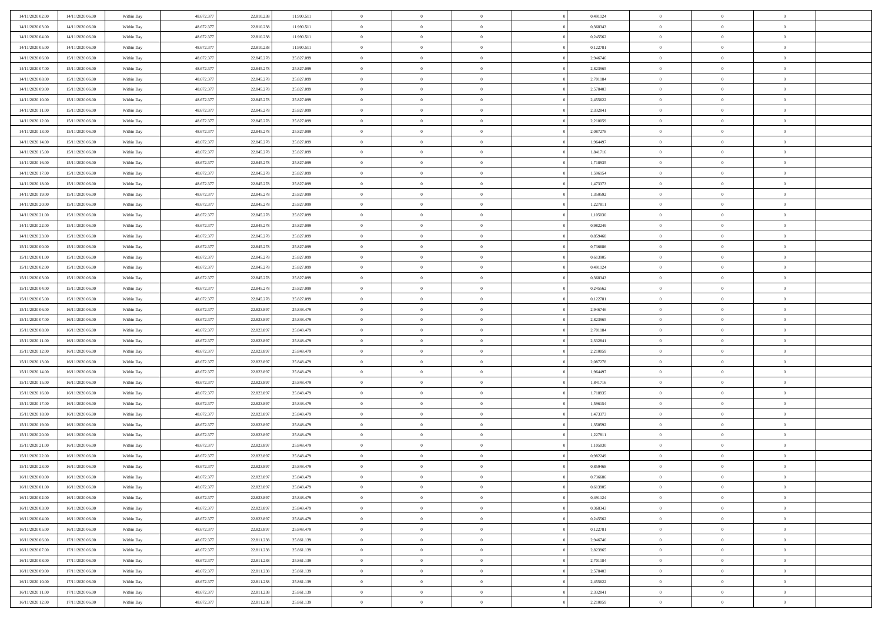| 14/11/2020 02.00                     | 14/11/2020 06:00                     | Within Day | 48.672.377 | 22.810.23                | 11.990.511               | $\bf{0}$       | $\bf{0}$       | $\Omega$       | 0,491124             | $\bf{0}$                     | $\overline{0}$ | $\bf{0}$       |  |
|--------------------------------------|--------------------------------------|------------|------------|--------------------------|--------------------------|----------------|----------------|----------------|----------------------|------------------------------|----------------|----------------|--|
| 14/11/2020 03:00                     | 14/11/2020 06:00                     | Within Day | 48.672.377 | 22.810.23                | 11.990.511               | $\overline{0}$ | $\overline{0}$ | $\Omega$       | 0.368343             | $\overline{0}$               | $\theta$       | $\theta$       |  |
| 14/11/2020 04:00                     | 14/11/2020 06:00                     | Within Day | 48.672.377 | 22.810.238               | 11.990.511               | $\overline{0}$ | $\overline{0}$ | $\overline{0}$ | 0,245562             | $\mathbf{0}$                 | $\overline{0}$ | $\theta$       |  |
| 14/11/2020 05:00                     | 14/11/2020 06.00                     | Within Day | 48.672.377 | 22.810.238               | 11.990.511               | $\bf{0}$       | $\overline{0}$ | $\overline{0}$ | 0,122781             | $\mathbf{0}$                 | $\overline{0}$ | $\bf{0}$       |  |
| 14/11/2020 06:00                     | 15/11/2020 06:00                     |            | 48.672.377 | 22.845.278               | 25.827.099               | $\bf{0}$       | $\overline{0}$ | $\overline{0}$ | 2,946746             | $\bf{0}$                     | $\overline{0}$ | $\bf{0}$       |  |
| 14/11/2020 07:00                     | 15/11/2020 06:00                     | Within Day | 48.672.377 | 22.845.278               | 25.827.099               | $\overline{0}$ | $\overline{0}$ |                | 2,823965             | $\mathbf{0}$                 | $\overline{0}$ | $\theta$       |  |
|                                      |                                      | Within Day |            |                          |                          |                |                | $\overline{0}$ |                      |                              |                |                |  |
| 14/11/2020 08:00                     | 15/11/2020 06:00                     | Within Day | 48.672.377 | 22.845.278               | 25.827.099               | $\bf{0}$       | $\overline{0}$ | $\overline{0}$ | 2,701184             | $\bf{0}$                     | $\overline{0}$ | $\bf{0}$       |  |
| 14/11/2020 09:00                     | 15/11/2020 06:00                     | Within Day | 48.672.377 | 22.845.278               | 25.827.099               | $\overline{0}$ | $\overline{0}$ | $\overline{0}$ | 2,578403             | $\mathbf{0}$                 | $\theta$       | $\theta$       |  |
| 14/11/2020 10:00                     | 15/11/2020 06:00                     | Within Day | 48.672.377 | 22.845.278               | 25.827.099               | $\overline{0}$ | $\overline{0}$ | $\overline{0}$ | 2,455622             | $\mathbf{0}$                 | $\overline{0}$ | $\theta$       |  |
| 14/11/2020 11:00                     | 15/11/2020 06:00                     | Within Day | 48.672.377 | 22.845.278               | 25.827.099               | $\bf{0}$       | $\overline{0}$ | $\Omega$       | 2,332841             | $\bf{0}$                     | $\overline{0}$ | $\bf{0}$       |  |
| 14/11/2020 12:00                     | 15/11/2020 06:00                     | Within Day | 48.672.377 | 22.845.278               | 25.827.099               | $\bf{0}$       | $\overline{0}$ | $\overline{0}$ | 2,210059             | $\mathbf{0}$                 | $\theta$       | $\theta$       |  |
| 14/11/2020 13.00                     | 15/11/2020 06:00                     | Within Day | 48.672.377 | 22.845.278               | 25.827.099               | $\overline{0}$ | $\overline{0}$ | $\overline{0}$ | 2,087278             | $\mathbf{0}$                 | $\overline{0}$ | $\theta$       |  |
| 14/11/2020 14.00                     | 15/11/2020 06:00                     | Within Day | 48.672.377 | 22.845.278               | 25.827.099               | $\bf{0}$       | $\overline{0}$ | $\overline{0}$ | 1,964497             | $\mathbf{0}$                 | $\overline{0}$ | $\bf{0}$       |  |
| 14/11/2020 15:00                     | 15/11/2020 06:00                     | Within Day | 48.672.377 | 22.845.278               | 25.827.099               | $\bf{0}$       | $\overline{0}$ | $\overline{0}$ | 1,841716             | $\bf{0}$                     | $\theta$       | $\bf{0}$       |  |
| 14/11/2020 16.00                     | 15/11/2020 06:00                     | Within Day | 48.672.377 | 22.845.278               | 25.827.099               | $\overline{0}$ | $\overline{0}$ | $\overline{0}$ | 1,718935             | $\overline{0}$               | $\overline{0}$ | $\theta$       |  |
| 14/11/2020 17.00                     | 15/11/2020 06:00                     | Within Day | 48.672.377 | 22.845.278               | 25.827.099               | $\bf{0}$       | $\overline{0}$ | $\Omega$       | 1,596154             | $\bf{0}$                     | $\overline{0}$ | $\bf{0}$       |  |
| 14/11/2020 18:00                     | 15/11/2020 06:00                     | Within Day | 48.672.377 | 22.845.278               | 25.827.099               | $\,$ 0 $\,$    | $\overline{0}$ | $\overline{0}$ | 1,473373             | $\mathbf{0}$                 | $\theta$       | $\theta$       |  |
| 14/11/2020 19:00                     | 15/11/2020 06:00                     | Within Day | 48.672.377 | 22.845.278               | 25.827.099               | $\overline{0}$ | $\overline{0}$ | $\overline{0}$ | 1,350592             | $\mathbf{0}$                 | $\overline{0}$ | $\theta$       |  |
| 14/11/2020 20.00                     | 15/11/2020 06:00                     | Within Day | 48.672.377 | 22.845.278               | 25.827.099               | $\bf{0}$       | $\overline{0}$ | $\Omega$       | 1,227811             | $\bf{0}$                     | $\overline{0}$ | $\bf{0}$       |  |
| 14/11/2020 21.00                     | 15/11/2020 06:00                     | Within Day | 48.672.377 | 22.845.278               | 25.827.099               | $\bf{0}$       | $\overline{0}$ | $\overline{0}$ | 1,105030             | $\mathbf{0}$                 | $\mathbf{0}$   | $\overline{0}$ |  |
| 14/11/2020 22:00                     | 15/11/2020 06:00                     | Within Day | 48.672.377 | 22.845.278               | 25.827.099               | $\overline{0}$ | $\overline{0}$ | $\overline{0}$ | 0,982249             | $\mathbf{0}$                 | $\overline{0}$ | $\theta$       |  |
| 14/11/2020 23.00                     | 15/11/2020 06:00                     | Within Day | 48.672.377 | 22.845.278               | 25.827.099               | $\bf{0}$       | $\overline{0}$ | $\overline{0}$ | 0,859468             | $\mathbf{0}$                 | $\overline{0}$ | $\bf{0}$       |  |
| 15/11/2020 00:00                     | 15/11/2020 06:00                     | Within Day | 48.672.377 | 22.845.278               | 25.827.099               | $\bf{0}$       | $\overline{0}$ | $\overline{0}$ | 0,736686             | $\,$ 0 $\,$                  | $\overline{0}$ | $\bf{0}$       |  |
| 15/11/2020 01:00                     | 15/11/2020 06:00                     | Within Day | 48.672.377 | 22.845.278               | 25.827.099               | $\overline{0}$ | $\overline{0}$ | $\overline{0}$ | 0,613905             | $\mathbf{0}$                 | $\overline{0}$ | $\theta$       |  |
| 15/11/2020 02:00                     | 15/11/2020 06:00                     | Within Day | 48.672.377 | 22.845.278               | 25.827.099               | $\bf{0}$       | $\overline{0}$ | $\overline{0}$ | 0,491124             | $\bf{0}$                     | $\overline{0}$ | $\bf{0}$       |  |
| 15/11/2020 03:00                     | 15/11/2020 06:00                     | Within Day | 48.672.377 | 22.845.278               | 25.827.099               | $\,$ 0 $\,$    | $\overline{0}$ | $\overline{0}$ | 0,368343             | $\mathbf{0}$                 | $\overline{0}$ | $\overline{0}$ |  |
| 15/11/2020 04:00                     | 15/11/2020 06:00                     | Within Day | 48.672.377 | 22.845.278               | 25.827.099               | $\overline{0}$ | $\overline{0}$ | $\overline{0}$ | 0,245562             | $\mathbf{0}$                 | $\overline{0}$ | $\theta$       |  |
| 15/11/2020 05:00                     | 15/11/2020 06:00                     | Within Day | 48.672.377 | 22.845.278               | 25.827.099               | $\bf{0}$       | $\overline{0}$ | $\Omega$       | 0,122781             | $\mathbf{0}$                 | $\overline{0}$ | $\bf{0}$       |  |
| 15/11/2020 06:00                     | 16/11/2020 06:00                     | Within Day | 48.672.377 | 22.823.897               | 25.848.479               | $\bf{0}$       | $\overline{0}$ | $\overline{0}$ | 2,946746             | $\mathbf{0}$                 | $\theta$       | $\overline{0}$ |  |
| 15/11/2020 07:00                     | 16/11/2020 06:00                     | Within Day | 48.672.377 | 22.823.897               | 25.848.479               | $\overline{0}$ | $\overline{0}$ | $\overline{0}$ | 2,823965             | $\mathbf{0}$                 | $\overline{0}$ | $\theta$       |  |
| 15/11/2020 08:00                     | 16/11/2020 06:00                     | Within Day | 48.672.377 | 22.823.897               | 25.848.479               | $\,$ 0         | $\overline{0}$ | $\overline{0}$ | 2,701184             | $\,$ 0 $\,$                  | $\overline{0}$ | $\,0\,$        |  |
| 15/11/2020 11:00                     | 16/11/2020 06:00                     | Within Day | 48.672.377 | 22.823.897               | 25.848.479               | $\bf{0}$       | $\overline{0}$ | $\overline{0}$ | 2,332841             | $\bf{0}$                     | $\theta$       | $\bf{0}$       |  |
| 15/11/2020 12:00                     | 16/11/2020 06:00                     | Within Day | 48.672.377 | 22.823.897               | 25.848.479               | $\overline{0}$ | $\overline{0}$ | $\overline{0}$ | 2,210059             | $\mathbf{0}$                 | $\overline{0}$ | $\theta$       |  |
| 15/11/2020 13:00                     |                                      |            | 48.672.377 | 22.823.897               | 25.848.479               | $\,$ 0         | $\overline{0}$ | $\theta$       | 2,087278             | $\,$ 0                       | $\overline{0}$ | $\mathbf{0}$   |  |
|                                      | 16/11/2020 06:00                     | Within Day | 48.672.377 |                          |                          | $\bf{0}$       | $\overline{0}$ | $\overline{0}$ |                      |                              | $\overline{0}$ | $\overline{0}$ |  |
| 15/11/2020 14:00<br>15/11/2020 15:00 | 16/11/2020 06.00<br>16/11/2020 06:00 | Within Day | 48.672.377 | 22.823.897<br>22.823.897 | 25.848.479<br>25.848.479 | $\overline{0}$ | $\overline{0}$ |                | 1,964497<br>1,841716 | $\mathbf{0}$<br>$\mathbf{0}$ | $\overline{0}$ | $\theta$       |  |
|                                      |                                      | Within Day |            |                          |                          |                |                | $\overline{0}$ |                      |                              |                |                |  |
| 15/11/2020 16:00                     | 16/11/2020 06:00                     | Within Day | 48.672.377 | 22.823.897               | 25.848.479               | $\overline{0}$ | $\overline{0}$ | $\overline{0}$ | 1,718935             | $\,$ 0 $\,$                  | $\overline{0}$ | $\mathbf{0}$   |  |
| 15/11/2020 17:00                     | 16/11/2020 06:00                     | Within Day | 48.672.377 | 22.823.897               | 25.848.479               | $\bf{0}$       | $\overline{0}$ | $\overline{0}$ | 1,596154             | $\mathbf{0}$                 | $\theta$       | $\bf{0}$       |  |
| 15/11/2020 18.00                     | 16/11/2020 06:00                     | Within Day | 48.672.377 | 22.823.897               | 25.848.479               | $\overline{0}$ | $\overline{0}$ | $\overline{0}$ | 1,473373             | $\mathbf{0}$                 | $\overline{0}$ | $\theta$       |  |
| 15/11/2020 19:00                     | 16/11/2020 06:00                     | Within Day | 48.672.377 | 22.823.897               | 25.848.479               | $\,$ 0         | $\overline{0}$ | $\overline{0}$ | 1,350592             | $\,$ 0 $\,$                  | $\overline{0}$ | $\,0\,$        |  |
| 15/11/2020 20:00                     | 16/11/2020 06:00                     | Within Day | 48.672.377 | 22.823.897               | 25.848.479               | $\bf{0}$       | $\,$ 0 $\,$    | $\overline{0}$ | 1,227811             | $\,$ 0 $\,$                  | $\overline{0}$ | $\bf{0}$       |  |
| 15/11/2020 21.00                     | 16/11/2020 06:00                     | Within Day | 48.672.377 | 22.823.897               | 25.848.479               | $\overline{0}$ | $\overline{0}$ | $\overline{0}$ | 1,105030             | $\mathbf{0}$                 | $\overline{0}$ | $\theta$       |  |
| 15/11/2020 22.00                     | 16/11/2020 06:00                     | Within Day | 48.672.377 | 22.823.897               | 25.848.479               | $\overline{0}$ | $\overline{0}$ | $\overline{0}$ | 0,982249             | $\overline{0}$               | $\overline{0}$ | $\mathbf{0}$   |  |
| 15/11/2020 23.00                     | 16/11/2020 06:00                     | Within Day | 48.672.377 | 22.823.89                | 25.848.479               | $\bf{0}$       | $\overline{0}$ | $\overline{0}$ | 0.859468             | $\mathbf{0}$                 | $\overline{0}$ | $\overline{0}$ |  |
| 16/11/2020 00:00                     | 16/11/2020 06:00                     | Within Day | 48.672.377 | 22.823.897               | 25.848.479               | $\overline{0}$ | $\theta$       |                | 0,736686             | $\overline{0}$               | $\Omega$       | $\overline{0}$ |  |
| 16/11/2020 01:00                     | 16/11/2020 06:00                     | Within Day | 48.672.377 | 22.823.897               | 25.848.479               | $\,$ 0         | $\overline{0}$ | $\overline{0}$ | 0,613905             | $\,$ 0 $\,$                  | $\bf{0}$       | $\mathbf{0}$   |  |
| 16/11/2020 02.00                     | 16/11/2020 06:00                     | Within Day | 48.672.377 | 22.823.89                | 25.848.479               | $\mathbf{0}$   | $\overline{0}$ | $\overline{0}$ | 0,491124             | $\,$ 0 $\,$                  | $\overline{0}$ | $\overline{0}$ |  |
| 16/11/2020 03:00                     | 16/11/2020 06:00                     | Within Day | 48.672.377 | 22.823.897               | 25.848.479               | $\mathbf{0}$   | $\overline{0}$ | $\overline{0}$ | 0,368343             | $\mathbf{0}$                 | $\bf{0}$       | $\overline{0}$ |  |
| 16/11/2020 04:00                     | 16/11/2020 06:00                     | Within Day | 48.672.377 | 22.823.897               | 25.848.479               | $\,$ 0 $\,$    | $\overline{0}$ | $\overline{0}$ | 0,245562             | $\,$ 0 $\,$                  | $\bf{0}$       | $\theta$       |  |
| 16/11/2020 05:00                     | 16/11/2020 06:00                     | Within Day | 48.672.377 | 22.823.897               | 25.848.479               | $\,$ 0 $\,$    | $\,$ 0 $\,$    | $\overline{0}$ | 0,122781             | $\,$ 0 $\,$                  | $\overline{0}$ | $\overline{0}$ |  |
| 16/11/2020 06.00                     | 17/11/2020 06:00                     | Within Day | 48.672.377 | 22.811.238               | 25.861.139               | $\mathbf{0}$   | $\overline{0}$ | $\overline{0}$ | 2,946746             | $\mathbf{0}$                 | $\overline{0}$ | $\overline{0}$ |  |
| 16/11/2020 07:00                     | 17/11/2020 06:00                     | Within Day | 48.672.377 | 22.811.238               | 25.861.139               | $\,$ 0 $\,$    | $\overline{0}$ | $\overline{0}$ | 2,823965             | $\,$ 0 $\,$                  | $\mathbf{0}$   | $\theta$       |  |
| 16/11/2020 08:00                     | 17/11/2020 06:00                     | Within Day | 48.672.377 | 22.811.238               | 25.861.139               | $\mathbf{0}$   | $\overline{0}$ | $\overline{0}$ | 2,701184             | $\,$ 0 $\,$                  | $\overline{0}$ | $\overline{0}$ |  |
| 16/11/2020 09:00                     | 17/11/2020 06:00                     | Within Day | 48.672.377 | 22.811.238               | 25.861.139               | $\mathbf{0}$   | $\overline{0}$ | $\overline{0}$ | 2,578403             | $\mathbf{0}$                 | $\bf{0}$       | $\overline{0}$ |  |
| 16/11/2020 10:00                     | 17/11/2020 06:00                     | Within Day | 48.672.377 | 22.811.238               | 25.861.139               | $\,$ 0 $\,$    | $\overline{0}$ | $\overline{0}$ | 2,455622             | $\,$ 0 $\,$                  | $\mathbf{0}$   | $\theta$       |  |
| 16/11/2020 11:00                     | 17/11/2020 06:00                     | Within Day | 48.672.377 | 22.811.238               | 25.861.139               | $\mathbf{0}$   | $\overline{0}$ | $\overline{0}$ | 2,332841             | $\,$ 0 $\,$                  | $\overline{0}$ | $\overline{0}$ |  |
| 16/11/2020 12:00                     | 17/11/2020 06:00                     | Within Day | 48.672.377 | 22.811.238               | 25.861.139               | $\mathbf{0}$   | $\overline{0}$ | $\overline{0}$ | 2,210059             | $\mathbf{0}$                 | $\mathbf{0}$   | $\overline{0}$ |  |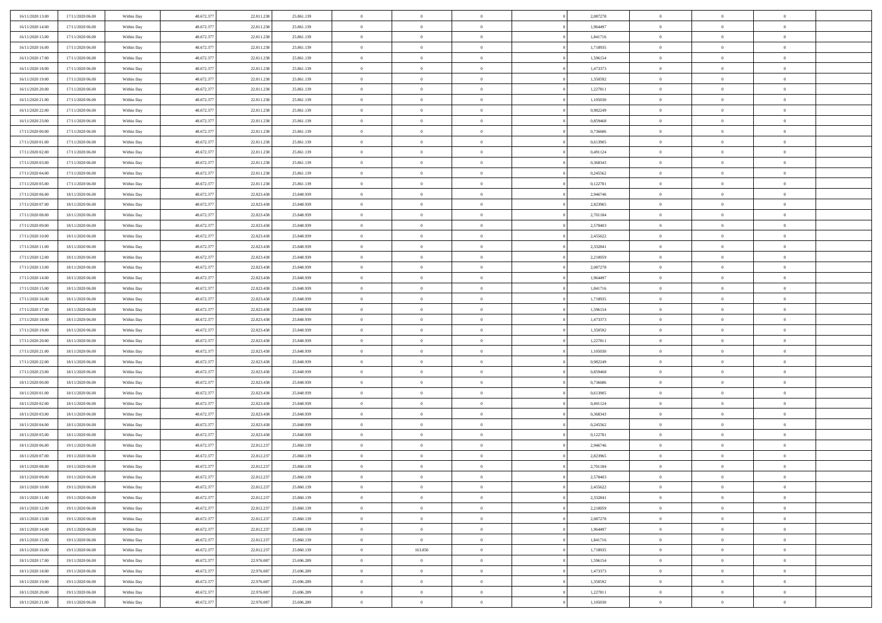| 16/11/2020 13:00                     | 17/11/2020 06:00 | Within Day               | 48.672.377 | 22.811.238 | 25.861.139               | $\bf{0}$                   | $\bf{0}$                         | $\Omega$       | 2,087278 | $\bf{0}$       | $\overline{0}$ | $\bf{0}$       |  |
|--------------------------------------|------------------|--------------------------|------------|------------|--------------------------|----------------------------|----------------------------------|----------------|----------|----------------|----------------|----------------|--|
| 16/11/2020 14:00                     | 17/11/2020 06:00 | Within Day               | 48.672.377 | 22.811.23  | 25.861.139               | $\overline{0}$             | $\overline{0}$                   | $\Omega$       | 1,964497 | $\overline{0}$ | $\theta$       | $\theta$       |  |
| 16/11/2020 15:00                     | 17/11/2020 06:00 | Within Day               | 48.672.377 | 22.811.238 | 25.861.139               | $\overline{0}$             | $\overline{0}$                   | $\overline{0}$ | 1,841716 | $\mathbf{0}$   | $\overline{0}$ | $\theta$       |  |
| 16/11/2020 16.00                     | 17/11/2020 06:00 | Within Day               | 48.672.377 | 22.811.238 | 25.861.139               | $\bf{0}$                   | $\overline{0}$                   | $\overline{0}$ | 1,718935 | $\mathbf{0}$   | $\overline{0}$ | $\bf{0}$       |  |
| 16/11/2020 17:00                     | 17/11/2020 06:00 | Within Day               | 48.672.377 | 22.811.238 | 25.861.139               | $\bf{0}$                   | $\overline{0}$                   | $\overline{0}$ | 1,596154 | $\bf{0}$       | $\overline{0}$ | $\bf{0}$       |  |
| 16/11/2020 18:00                     | 17/11/2020 06:00 | Within Day               | 48.672.377 | 22.811.238 | 25.861.139               | $\overline{0}$             | $\overline{0}$                   | $\overline{0}$ | 1,473373 | $\mathbf{0}$   | $\overline{0}$ | $\theta$       |  |
| 16/11/2020 19.00                     | 17/11/2020 06:00 | Within Day               | 48.672.377 | 22.811.238 | 25.861.139               | $\bf{0}$                   | $\overline{0}$                   | $\overline{0}$ | 1,350592 | $\mathbf{0}$   | $\overline{0}$ | $\bf{0}$       |  |
| 16/11/2020 20:00                     | 17/11/2020 06:00 | Within Day               | 48.672.377 | 22.811.238 | 25.861.139               | $\overline{0}$             | $\overline{0}$                   | $\overline{0}$ | 1,227811 | $\mathbf{0}$   | $\theta$       | $\theta$       |  |
| 16/11/2020 21:00                     | 17/11/2020 06:00 | Within Day               | 48.672.377 | 22.811.238 | 25.861.139               | $\overline{0}$             | $\overline{0}$                   | $\overline{0}$ | 1,105030 | $\mathbf{0}$   | $\overline{0}$ | $\theta$       |  |
|                                      |                  |                          | 48.672.377 | 22.811.238 | 25.861.139               | $\bf{0}$                   | $\overline{0}$                   | $\Omega$       | 0,982249 | $\mathbf{0}$   | $\overline{0}$ | $\bf{0}$       |  |
| 16/11/2020 22.00                     | 17/11/2020 06:00 | Within Day               |            |            |                          |                            |                                  |                | 0.859468 |                | $\theta$       | $\theta$       |  |
| 16/11/2020 23.00<br>17/11/2020 00:00 | 17/11/2020 06:00 | Within Day               | 48.672.377 | 22.811.238 | 25.861.139               | $\bf{0}$<br>$\overline{0}$ | $\overline{0}$<br>$\overline{0}$ | $\overline{0}$ |          | $\mathbf{0}$   |                | $\theta$       |  |
|                                      | 17/11/2020 06:00 | Within Day               | 48.672.377 | 22.811.238 | 25.861.139               |                            |                                  | $\overline{0}$ | 0,736686 | $\mathbf{0}$   | $\overline{0}$ |                |  |
| 17/11/2020 01:00                     | 17/11/2020 06:00 | Within Day               | 48.672.377 | 22.811.238 | 25.861.139               | $\bf{0}$                   | $\overline{0}$                   | $\overline{0}$ | 0,613905 | $\mathbf{0}$   | $\overline{0}$ | $\bf{0}$       |  |
| 17/11/2020 02:00                     | 17/11/2020 06:00 | Within Day               | 48.672.377 | 22.811.238 | 25.861.139               | $\bf{0}$                   | $\overline{0}$                   | $\overline{0}$ | 0,491124 | $\bf{0}$       | $\theta$       | $\bf{0}$       |  |
| 17/11/2020 03:00                     | 17/11/2020 06:00 | Within Day               | 48.672.377 | 22.811.238 | 25.861.139               | $\overline{0}$             | $\overline{0}$                   | $\overline{0}$ | 0,368343 | $\mathbf{0}$   | $\overline{0}$ | $\theta$       |  |
| 17/11/2020 04.00                     | 17/11/2020 06:00 | Within Day               | 48.672.377 | 22.811.238 | 25.861.139               | $\bf{0}$                   | $\overline{0}$                   | $\Omega$       | 0,245562 | $\bf{0}$       | $\overline{0}$ | $\bf{0}$       |  |
| 17/11/2020 05:00                     | 17/11/2020 06:00 | Within Day               | 48.672.377 | 22.811.238 | 25.861.139               | $\,$ 0 $\,$                | $\overline{0}$                   | $\overline{0}$ | 0,122781 | $\mathbf{0}$   | $\theta$       | $\theta$       |  |
| 17/11/2020 06:00                     | 18/11/2020 06:00 | Within Day               | 48.672.377 | 22.823.438 | 25.848.939               | $\overline{0}$             | $\overline{0}$                   | $\overline{0}$ | 2,946746 | $\mathbf{0}$   | $\overline{0}$ | $\theta$       |  |
| 17/11/2020 07:00                     | 18/11/2020 06:00 | Within Day               | 48.672.377 | 22.823.438 | 25.848.939               | $\bf{0}$                   | $\overline{0}$                   | $\Omega$       | 2,823965 | $\bf{0}$       | $\overline{0}$ | $\bf{0}$       |  |
| 17/11/2020 08:00                     | 18/11/2020 06:00 | Within Day               | 48.672.377 | 22.823.438 | 25.848.939               | $\bf{0}$                   | $\overline{0}$                   | $\overline{0}$ | 2,701184 | $\mathbf{0}$   | $\mathbf{0}$   | $\overline{0}$ |  |
| 17/11/2020 09:00                     | 18/11/2020 06:00 | Within Day               | 48.672.377 | 22.823.438 | 25.848.939               | $\overline{0}$             | $\overline{0}$                   | $\overline{0}$ | 2,578403 | $\mathbf{0}$   | $\overline{0}$ | $\theta$       |  |
| 17/11/2020 10:00                     | 18/11/2020 06:00 | Within Day               | 48.672.377 | 22.823.438 | 25.848.939               | $\bf{0}$                   | $\overline{0}$                   | $\overline{0}$ | 2,455622 | $\mathbf{0}$   | $\overline{0}$ | $\bf{0}$       |  |
| 17/11/2020 11:00                     | 18/11/2020 06:00 | Within Day               | 48.672.377 | 22.823.438 | 25.848.939               | $\bf{0}$                   | $\overline{0}$                   | $\overline{0}$ | 2,332841 | $\,$ 0 $\,$    | $\overline{0}$ | $\bf{0}$       |  |
| 17/11/2020 12:00                     | 18/11/2020 06:00 | Within Day               | 48.672.377 | 22.823.438 | 25.848.939               | $\overline{0}$             | $\overline{0}$                   | $\overline{0}$ | 2,210059 | $\mathbf{0}$   | $\overline{0}$ | $\theta$       |  |
| 17/11/2020 13.00                     | 18/11/2020 06:00 | Within Day               | 48.672.377 | 22.823.438 | 25.848.939               | $\bf{0}$                   | $\overline{0}$                   | $\overline{0}$ | 2,087278 | $\bf{0}$       | $\overline{0}$ | $\bf{0}$       |  |
| 17/11/2020 14:00                     | 18/11/2020 06:00 | Within Day               | 48.672.377 | 22.823.438 | 25.848.939               | $\,$ 0 $\,$                | $\overline{0}$                   | $\overline{0}$ | 1,964497 | $\mathbf{0}$   | $\overline{0}$ | $\overline{0}$ |  |
| 17/11/2020 15:00                     | 18/11/2020 06:00 | Within Day               | 48.672.377 | 22.823.438 | 25.848.939               | $\overline{0}$             | $\overline{0}$                   | $\overline{0}$ | 1,841716 | $\mathbf{0}$   | $\overline{0}$ | $\theta$       |  |
| 17/11/2020 16.00                     | 18/11/2020 06:00 | Within Day               | 48.672.377 | 22.823.438 | 25.848.939               | $\bf{0}$                   | $\overline{0}$                   | $\Omega$       | 1,718935 | $\mathbf{0}$   | $\overline{0}$ | $\bf{0}$       |  |
| 17/11/2020 17:00                     | 18/11/2020 06:00 | Within Day               | 48.672.377 | 22.823.438 | 25.848.939               | $\bf{0}$                   | $\overline{0}$                   | $\overline{0}$ | 1,596154 | $\mathbf{0}$   | $\theta$       | $\overline{0}$ |  |
| 17/11/2020 18.00                     | 18/11/2020 06:00 | Within Day               | 48.672.377 | 22.823.438 | 25.848.939               | $\overline{0}$             | $\overline{0}$                   | $\overline{0}$ | 1,473373 | $\mathbf{0}$   | $\overline{0}$ | $\theta$       |  |
| 17/11/2020 19:00                     | 18/11/2020 06:00 | Within Day               | 48.672.377 | 22.823.438 | 25.848.939               | $\,$ 0                     | $\overline{0}$                   | $\overline{0}$ | 1,350592 | $\,$ 0 $\,$    | $\overline{0}$ | $\,$ 0 $\,$    |  |
| 17/11/2020 20:00                     | 18/11/2020 06:00 | Within Day               | 48.672.377 | 22.823.438 | 25.848.939               | $\bf{0}$                   | $\overline{0}$                   | $\overline{0}$ | 1,227811 | $\mathbf{0}$   | $\theta$       | $\overline{0}$ |  |
| 17/11/2020 21.00                     | 18/11/2020 06:00 | Within Day               | 48.672.377 | 22.823.438 | 25.848.939               | $\overline{0}$             | $\overline{0}$                   | $\overline{0}$ | 1,105030 | $\mathbf{0}$   | $\overline{0}$ | $\theta$       |  |
| 17/11/2020 22.00                     | 18/11/2020 06:00 | Within Day               | 48.672.377 | 22.823.438 | 25.848.939               | $\,$ 0                     | $\overline{0}$                   | $\theta$       | 0,982249 | $\,$ 0         | $\overline{0}$ | $\mathbf{0}$   |  |
| 17/11/2020 23.00                     | 18/11/2020 06:00 | Within Day               | 48.672.377 | 22.823.438 | 25.848.939               | $\bf{0}$                   | $\overline{0}$                   | $\overline{0}$ | 0.859468 | $\mathbf{0}$   | $\overline{0}$ | $\overline{0}$ |  |
| 18/11/2020 00:00                     | 18/11/2020 06:00 | Within Day               | 48.672.377 | 22.823.438 | 25.848.939               | $\overline{0}$             | $\overline{0}$                   | $\overline{0}$ | 0,736686 | $\mathbf{0}$   | $\overline{0}$ | $\theta$       |  |
| 18/11/2020 01:00                     | 18/11/2020 06:00 | Within Day               | 48.672.377 | 22.823.438 | 25.848.939               | $\overline{0}$             | $\overline{0}$                   | $\overline{0}$ | 0,613905 | $\,$ 0 $\,$    | $\overline{0}$ | $\mathbf{0}$   |  |
| 18/11/2020 02:00                     | 18/11/2020 06:00 | Within Day               | 48.672.377 | 22.823.438 | 25.848.939               | $\bf{0}$                   | $\overline{0}$                   | $\overline{0}$ | 0,491124 | $\mathbf{0}$   | $\theta$       | $\bf{0}$       |  |
| 18/11/2020 03:00                     | 18/11/2020 06:00 | Within Day               | 48.672.377 | 22.823.438 | 25.848.939               | $\overline{0}$             | $\overline{0}$                   | $\overline{0}$ | 0,368343 | $\mathbf{0}$   | $\overline{0}$ | $\theta$       |  |
| 18/11/2020 04:00                     | 18/11/2020 06:00 | Within Day               | 48.672.377 | 22.823.438 | 25.848.939               | $\,$ 0                     | $\overline{0}$                   | $\overline{0}$ | 0,245562 | $\,$ 0 $\,$    | $\overline{0}$ | $\,$ 0 $\,$    |  |
| 18/11/2020 05:00                     | 18/11/2020 06:00 | Within Day               | 48.672.377 | 22.823.438 | 25.848.939               | $\,$ 0 $\,$                | $\,$ 0 $\,$                      | $\overline{0}$ | 0,122781 | $\,$ 0 $\,$    | $\overline{0}$ | $\bf{0}$       |  |
| 18/11/2020 06:00                     | 19/11/2020 06:00 | Within Day               | 48.672.377 | 22.812.237 | 25.860.139               | $\overline{0}$             | $\overline{0}$                   | $\overline{0}$ | 2,946746 | $\mathbf{0}$   | $\overline{0}$ | $\theta$       |  |
| 18/11/2020 07:00                     | 19/11/2020 06:00 | Within Day               | 48.672.377 | 22.812.237 | 25.860.139               | $\overline{0}$             | $\overline{0}$                   | $\overline{0}$ | 2,823965 | $\overline{0}$ | $\overline{0}$ | $\mathbf{0}$   |  |
| 18/11/2020 08:00                     | 19/11/2020 06:00 | Within Day               | 48.672.377 | 22.812.23  | 25.860.139               | $\bf{0}$                   | $\overline{0}$                   | $\overline{0}$ | 2,701184 | $\mathbf{0}$   | $\overline{0}$ | $\bf{0}$       |  |
| 18/11/2020 09:00                     | 19/11/2020 06:00 | Within Day               | 48.672.377 | 22.812.237 | 25.860.139               | $\overline{0}$             | $\theta$                         |                | 2,578403 | $\overline{0}$ | $\Omega$       | $\overline{0}$ |  |
| 18/11/2020 10:00                     | 19/11/2020 06:00 | Within Day               | 48.672.377 | 22.812.237 | 25.860.139               | $\,$ 0 $\,$                | $\overline{0}$                   | $\overline{0}$ | 2,455622 | $\,$ 0 $\,$    | $\bf{0}$       | $\mathbf{0}$   |  |
| 18/11/2020 11:00                     | 19/11/2020 06:00 | Within Day               | 48.672.377 | 22.812.23  | 25.860.139               | $\mathbf{0}$               | $\overline{0}$                   | $\overline{0}$ | 2,332841 | $\,$ 0 $\,$    | $\overline{0}$ | $\overline{0}$ |  |
| 18/11/2020 12:00                     | 19/11/2020 06:00 | Within Day               | 48.672.377 | 22.812.237 | 25.860.139               | $\mathbf{0}$               | $\overline{0}$                   | $\overline{0}$ | 2,210059 | $\mathbf{0}$   | $\bf{0}$       | $\overline{0}$ |  |
| 18/11/2020 13:00                     | 19/11/2020 06:00 | Within Day               | 48.672.377 | 22.812.237 | 25.860.139               | $\,$ 0 $\,$                | $\overline{0}$                   | $\overline{0}$ | 2,087278 | $\,$ 0 $\,$    | $\bf{0}$       | $\theta$       |  |
|                                      | 19/11/2020 06:00 |                          | 48.672.377 | 22.812.237 |                          | $\,$ 0 $\,$                | $\,$ 0 $\,$                      | $\overline{0}$ | 1,964497 | $\,$ 0 $\,$    | $\overline{0}$ | $\overline{0}$ |  |
| 18/11/2020 14:00<br>18/11/2020 15:00 | 19/11/2020 06:00 | Within Day<br>Within Day | 48.672.377 | 22.812.237 | 25.860.139<br>25.860.139 | $\mathbf{0}$               | $\overline{0}$                   | $\overline{0}$ | 1,841716 | $\mathbf{0}$   | $\bf{0}$       | $\overline{0}$ |  |
|                                      |                  |                          |            |            |                          |                            |                                  |                |          |                |                |                |  |
| 18/11/2020 16:00                     | 19/11/2020 06:00 | Within Day               | 48.672.377 | 22.812.237 | 25.860.139               | $\,$ 0 $\,$                | 163.850                          | $\overline{0}$ | 1,718935 | $\,$ 0 $\,$    | $\overline{0}$ | $\theta$       |  |
| 18/11/2020 17:00                     | 19/11/2020 06:00 | Within Day               | 48.672.377 | 22.976.087 | 25.696.289               | $\mathbf{0}$               | $\overline{0}$                   | $\overline{0}$ | 1,596154 | $\,$ 0 $\,$    | $\overline{0}$ | $\overline{0}$ |  |
| 18/11/2020 18:00                     | 19/11/2020 06:00 | Within Day               | 48.672.377 | 22.976.087 | 25.696.289               | $\mathbf{0}$               | $\overline{0}$                   | $\overline{0}$ | 1,473373 | $\mathbf{0}$   | $\bf{0}$       | $\overline{0}$ |  |
| 18/11/2020 19:00                     | 19/11/2020 06:00 | Within Day               | 48.672.377 | 22.976.087 | 25.696.289               | $\,$ 0 $\,$                | $\overline{0}$                   | $\overline{0}$ | 1,350592 | $\,$ 0 $\,$    | $\overline{0}$ | $\theta$       |  |
| 18/11/2020 20.00                     | 19/11/2020 06:00 | Within Day               | 48.672.377 | 22.976.087 | 25.696.289               | $\mathbf{0}$               | $\overline{0}$                   | $\overline{0}$ | 1,227811 | $\,$ 0 $\,$    | $\overline{0}$ | $\overline{0}$ |  |
| 18/11/2020 21.00                     | 19/11/2020 06:00 | Within Day               | 48.672.377 | 22.976.087 | 25.696.289               | $\mathbf{0}$               | $\overline{0}$                   | $\overline{0}$ | 1,105030 | $\mathbf{0}$   | $\overline{0}$ | $\overline{0}$ |  |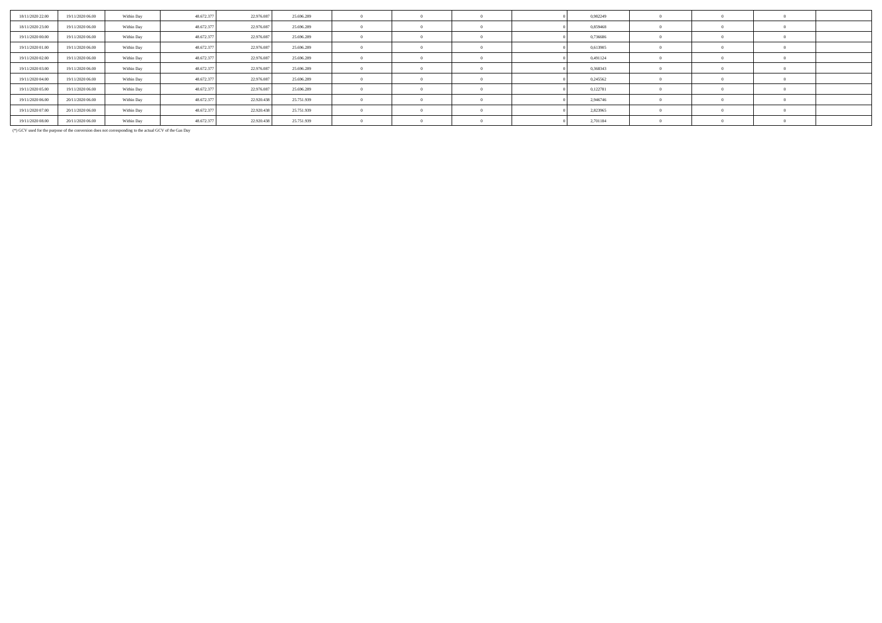| 18/11/2020 22.00 | 19/11/2020 06.00 | Within Day | 48.672.377 | 22.976.087 | 25.696.289 |            |  | 0,982249 |  |  |
|------------------|------------------|------------|------------|------------|------------|------------|--|----------|--|--|
| 18/11/2020 23.00 | 19/11/2020 06.00 | Within Day | 48.672.377 | 22.976.087 | 25.696.289 |            |  | 0,859468 |  |  |
| 19/11/2020 00:00 | 19/11/2020 06.00 | Within Day | 48.672.377 | 22.976.087 | 25.696.289 |            |  | 0,736686 |  |  |
| 19/11/2020 01:00 | 19/11/2020 06:00 | Within Day | 48.672.377 | 22.976.087 | 25.696.289 |            |  | 0,613905 |  |  |
| 19/11/2020 02.00 | 19/11/2020 06.00 | Within Day | 48.672.377 | 22.976.087 | 25.696.289 |            |  | 0,491124 |  |  |
| 19/11/2020 03:00 | 19/11/2020 06.00 | Within Day | 48.672.377 | 22.976.087 | 25.696.289 |            |  | 0,368343 |  |  |
| 19/11/2020 04.00 | 19/11/2020 06.00 | Within Day | 48.672.377 | 22.976.087 | 25.696.289 | $\sqrt{2}$ |  | 0,245562 |  |  |
| 19/11/2020 05:00 | 19/11/2020 06.00 | Within Day | 48.672.377 | 22.976.087 | 25.696.289 |            |  | 0,122781 |  |  |
| 19/11/2020 06.00 | 20/11/2020 06.00 | Within Day | 48.672.377 | 22.920.438 | 25.751.939 | $^{\circ}$ |  | 2,946746 |  |  |
| 19/11/2020 07:00 | 20/11/2020 06.00 | Within Day | 48.672.377 | 22.920.438 | 25.751.939 |            |  | 2,823965 |  |  |
| 19/11/2020 08:00 | 20/11/2020 06.00 | Within Day | 48.672.377 | 22.920.438 | 25.751.939 | $\sqrt{2}$ |  | 2,701184 |  |  |

(\*) GCV used for the purpose of the conversion does not corresponding to the actual GCV of the Gas Day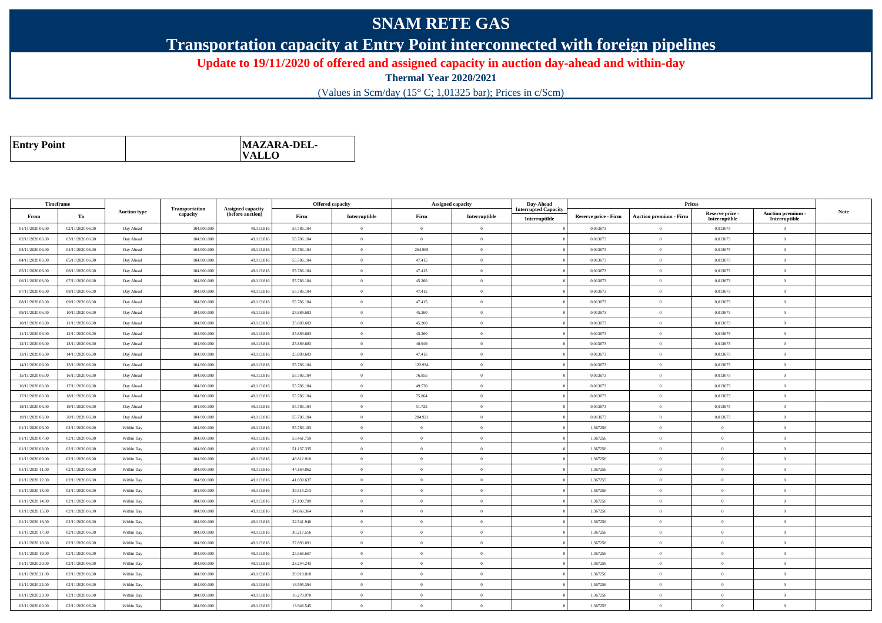## **SNAM RETE GAS**

**Transportation capacity at Entry Point interconnected with foreign pipelines**

**Update to 19/11/2020 of offered and assigned capacity in auction day-ahead and within-day**

**Thermal Year 2020/2021**

(Values in Scm/day (15° C; 1,01325 bar); Prices in c/Scm)

| <b>Entry Point</b> | MAZARA-DEL-<br>$\mathbf{VALLO}$ |
|--------------------|---------------------------------|
|--------------------|---------------------------------|

|                  | Timeframe        |                     |                            |                                              |            | <b>Offered capacity</b> |                | <b>Assigned capacity</b> | Day-Ahead                   |                             | Prices                        |                           |                                 |             |
|------------------|------------------|---------------------|----------------------------|----------------------------------------------|------------|-------------------------|----------------|--------------------------|-----------------------------|-----------------------------|-------------------------------|---------------------------|---------------------------------|-------------|
| From             | To               | <b>Auction type</b> | Transportation<br>capacity | <b>Assigned capacity</b><br>(before auction) | Firm       | Interruptible           | Firm           | Interruptible            | <b>Interrupted Capacity</b> | <b>Reserve price - Firm</b> | <b>Auction premium - Firm</b> | Reserve price -           | <b>Auction premium</b>          | <b>Note</b> |
| 01/11/2020 06.00 | 02/11/2020 06.00 | Day Ahead           | 104.900.000                | 49.113.816                                   | 55.786.184 | $\overline{0}$          | $\Omega$       | $\theta$                 | Interruptible               | 0,013673                    | $\mathbf{0}$                  | Interruptible<br>0,013673 | Interruptible<br>$\overline{0}$ |             |
| 02/11/2020 06:00 | 03/11/2020 06:00 | Day Ahead           | 104,900,000                | 49.113.816                                   | 55.786.184 | $\overline{0}$          | $\theta$       | $\theta$                 |                             | 0.013673                    | $\theta$                      | 0.013673                  | $\Omega$                        |             |
| 03/11/2020 06:00 | 04/11/2020 06.00 | Day Ahead           | 104.900.000                | 49.113.816                                   | 55.786.184 | $\overline{0}$          | 264.985        | $\overline{0}$           |                             | 0,013673                    | $\mathbf{0}$                  | 0,013673                  | $\overline{0}$                  |             |
| 04/11/2020 06.00 | 05/11/2020 06:00 | Day Ahead           | 104,900,000                | 49.113.816                                   | 55.786.184 | $\overline{0}$          | 47.415         | $\Omega$                 |                             | 0,013673                    | $\Omega$                      | 0,013673                  | $\overline{0}$                  |             |
| 05/11/2020 06.00 | 06/11/2020 06.00 | Day Ahead           | 104.900.000                | 49.113.816                                   | 55.786.184 | $\overline{0}$          | 47.415         | $\theta$                 |                             | 0,013673                    | $\mathbf{0}$                  | 0,013673                  | $\overline{0}$                  |             |
| 06/11/2020 06:00 | 07/11/2020 06:00 | Day Ahead           | 104,900,000                | 49.113.816                                   | 55.786.184 | $\bf{0}$                | 45.260         | $\overline{0}$           |                             | 0.013673                    | $\overline{0}$                | 0.013673                  | $\overline{0}$                  |             |
| 07/11/2020 06.00 | 08/11/2020 06:00 | Day Ahead           | 104.900.000                | 49.113.816                                   | 55.786.184 | $\overline{0}$          | 47.415         | $\overline{0}$           |                             | 0,013673                    | $\mathbf{0}$                  | 0,013673                  | $\overline{0}$                  |             |
| 08/11/2020 06:00 | 09/11/2020 06.00 | Day Ahead           | 104,900,000                | 49.113.816                                   | 55.786.184 | $\overline{0}$          | 47.415         | $\overline{0}$           |                             | 0.013673                    | $\theta$                      | 0,013673                  | $\overline{0}$                  |             |
| 09/11/2020 06.00 | 10/11/2020 06.00 | Day Ahead           | 104.900.000                | 49.113.816                                   | 25.889.683 | $\bf{0}$                | 45.260         | $\overline{0}$           |                             | 0,013673                    | $\mathbf{0}$                  | 0,013673                  | $\overline{0}$                  |             |
| 10/11/2020 06.00 | 11/11/2020 06.00 | Day Ahead           | 104.900.000                | 49.113.816                                   | 25.889.683 | $\overline{0}$          | 45.260         | $\theta$                 |                             | 0,013673                    | $\Omega$                      | 0,013673                  | $\overline{0}$                  |             |
| 11/11/2020 06:00 | 12/11/2020 06:00 | Day Ahead           | 104,900,000                | 49.113.816                                   | 25.889.683 | $\overline{0}$          | 45.260         | $\theta$                 |                             | 0.013673                    | $\theta$                      | 0,013673                  | $\Omega$                        |             |
| 12/11/2020 06.00 | 13/11/2020 06.00 | Day Ahead           | 104.900.000                | 49.113.816                                   | 25.889.683 | $\overline{0}$          | 40.949         | $\overline{0}$           |                             | 0,013673                    | $\theta$                      | 0,013673                  | $\overline{0}$                  |             |
| 13/11/2020 06:00 | 14/11/2020 06:00 | Day Ahead           | 104,900,000                | 49.113.816                                   | 25.889.683 | $\bf{0}$                | 47.415         | $\overline{0}$           |                             | 0,013673                    | $\overline{0}$                | 0,013673                  | $\overline{0}$                  |             |
| 14/11/2020 06.00 | 15/11/2020 06:00 | Day Ahead           | 104.900.000                | 49.113.816                                   | 55.786.184 | $\overline{0}$          | 122.934        | $\theta$                 |                             | 0,013673                    | $\Omega$                      | 0,013673                  | $\overline{0}$                  |             |
| 15/11/2020 06:00 | 16/11/2020 06:00 | Day Ahead           | 104,900,000                | 49.113.816                                   | 55.786.184 | $\bf{0}$                | 76.855         | $\theta$                 |                             | 0.013673                    | $\theta$                      | 0.013673                  | $\overline{0}$                  |             |
| 16/11/2020 06:00 | 17/11/2020 06.00 | Day Ahead           | 104.900.000                | 49.113.816                                   | 55.786.184 | $\overline{0}$          | 49.570         | $\overline{0}$           |                             | 0,013673                    | $\mathbf{0}$                  | 0,013673                  | $\overline{0}$                  |             |
| 17/11/2020 06:00 | 18/11/2020 06:00 | Day Ahead           | 104.900.000                | 49.113.816                                   | 55.786.184 | $\overline{0}$          | 75.864         | $\mathbf{0}$             |                             | 0,013673                    | $\overline{0}$                | 0,013673                  | $\overline{0}$                  |             |
| 18/11/2020 06:00 | 19/11/2020 06:00 | Day Ahead           | 104.900.000                | 49.113.816                                   | 55.786.184 | $\overline{0}$          | 51.725         | $\overline{0}$           |                             | 0,013673                    | $\mathbf{0}$                  | 0,013673                  | $\overline{0}$                  |             |
| 19/11/2020 06:00 | 20/11/2020 06:00 | Day Ahead           | 104,900,000                | 49.113.816                                   | 55.786.184 | $\overline{0}$          | 284.921        | $\theta$                 |                             | 0,013673                    | $\theta$                      | 0.013673                  | $\theta$                        |             |
| 01/11/2020 06:00 | 02/11/2020 06.00 | Within Day          | 104.900.000                | 49.113.816                                   | 55.786.183 | $\overline{0}$          | $\Omega$       | $\overline{0}$           |                             | 1,367256                    | $\mathbf{0}$                  | $\Omega$                  | $\mathbf{0}$                    |             |
| 01/11/2020 07:00 | 02/11/2020 06:00 | Within Day          | 104,900,000                | 49.113.816                                   | 53.461.759 | $\overline{0}$          | $\theta$       | $\Omega$                 |                             | 1,367256                    | $\theta$                      | $\overline{0}$            | $\overline{0}$                  |             |
| 01/11/2020 08:00 | 02/11/2020 06:00 | Within Day          | 104.900.000                | 49.113.816                                   | 51.137.335 | $\overline{0}$          | $\Omega$       | $\theta$                 |                             | 1,367256                    | $\overline{0}$                | $\overline{0}$            | $\overline{0}$                  |             |
| 01/11/2020 09:00 | 02/11/2020 06.00 | Within Day          | 104.900.000                | 49.113.816                                   | 48.812.910 | $\overline{0}$          | $\Omega$       | $\overline{0}$           |                             | 1,367256                    | $\mathbf{0}$                  | $\overline{0}$            | $\overline{0}$                  |             |
| 01/11/2020 11:00 | 02/11/2020 06:00 | Within Day          | 104.900.000                | 49.113.816                                   | 44.164.062 | $\overline{0}$          | $\Omega$       | $\overline{0}$           |                             | 1,367256                    | $\mathbf{0}$                  | $\theta$                  | $\overline{0}$                  |             |
| 01/11/2020 12.00 | 02/11/2020 06.00 | Within Day          | 104.900.000                | 49.113.816                                   | 41.839.637 | $\overline{0}$          | $\overline{0}$ | $\theta$                 |                             | 1,367255                    | $\overline{0}$                | $\overline{0}$            | $\overline{0}$                  |             |
| 01/11/2020 13:00 | 02/11/2020 06:00 | Within Day          | 104.900.000                | 49.113.816                                   | 39.515.213 | $\overline{0}$          | $\Omega$       | $\overline{0}$           |                             | 1,367256                    | $\overline{0}$                | $\overline{0}$            | $\overline{0}$                  |             |
| 01/11/2020 14.00 | 02/11/2020 06.00 | Within Day          | 104.900.000                | 49.113.816                                   | 37.190.789 | $\overline{0}$          | $\Omega$       | $\theta$                 |                             | 1,367256                    | $\Omega$                      | $\theta$                  | $\overline{0}$                  |             |
| 01/11/2020 15:00 | 02/11/2020 06:00 | Within Day          | 104,900,000                | 49.113.816                                   | 34,866,364 | $\overline{0}$          | $\Omega$       | $\theta$                 |                             | 1,367256                    | $\theta$                      | $\theta$                  | $\Omega$                        |             |
| 01/11/2020 16.00 | 02/11/2020 06.00 | Within Day          | 104.900.000                | 49.113.81                                    | 32.541.940 | $\overline{0}$          | $\Omega$       | $\Omega$                 |                             | 1,367256                    | $\Omega$                      | $\Omega$                  | $\Omega$                        |             |
| 01/11/2020 17:00 | 02/11/2020 06:00 | Within Day          | 104,900,000                | 49.113.816                                   | 30.217.516 | $\overline{0}$          | $\Omega$       | $\Omega$                 |                             | 1,367256                    | $\overline{0}$                | $\theta$                  | $\Omega$                        |             |
| 01/11/2020 18.00 | 02/11/2020 06.00 | Within Day          | 104.900.000                | 49.113.816                                   | 27.893.091 | $\overline{0}$          | $\overline{0}$ | $\theta$                 |                             | 1,367256                    | $\mathbf{0}$                  | $\theta$                  | $\overline{0}$                  |             |
| 01/11/2020 19:00 | 02/11/2020 06.00 | Within Day          | 104.900.000                | 49.113.816                                   | 25.568.667 | $\overline{0}$          | $\Omega$       | $\overline{0}$           |                             | 1,367256                    | $\mathbf{0}$                  | $\theta$                  | $\overline{0}$                  |             |
| 01/11/2020 20:00 | 02/11/2020 06.00 | Within Day          | 104.900.000                | 49.113.816                                   | 23.244.243 | $\overline{0}$          | $\overline{0}$ | $\theta$                 |                             | 1,367256                    | $\overline{0}$                | $\overline{0}$            | $\overline{0}$                  |             |
| 01/11/2020 21:00 | 02/11/2020 06:00 | Within Day          | 104,900,000                | 49.113.816                                   | 20.919.818 | $\overline{0}$          | $\theta$       | $\Omega$                 |                             | 1,367256                    | $\theta$                      | $\theta$                  | $\overline{0}$                  |             |
| 01/11/2020 22.00 | 02/11/2020 06.00 | Within Day          | 104.900.000                | 49.113.816                                   | 18.595.394 | $\overline{0}$          | $\Omega$       | $\theta$                 |                             | 1,367256                    | $\mathbf{0}$                  | $\overline{0}$            | $\overline{0}$                  |             |
| 01/11/2020 23.00 | 02/11/2020 06.00 | Within Day          | 104,900,000                | 49.113.816                                   | 16.270.970 | $\overline{0}$          | $\theta$       | $\Omega$                 |                             | 1,367256                    | $\Omega$                      | $\theta$                  | $\overline{0}$                  |             |
| 02/11/2020 00:00 | 02/11/2020 06:00 | Within Day          | 104.900.000                | 49.113.816                                   | 13.946.545 | $\overline{0}$          | $\Omega$       | $\overline{0}$           |                             | 1,367255                    | $\theta$                      | $\theta$                  | $\mathbf{0}$                    |             |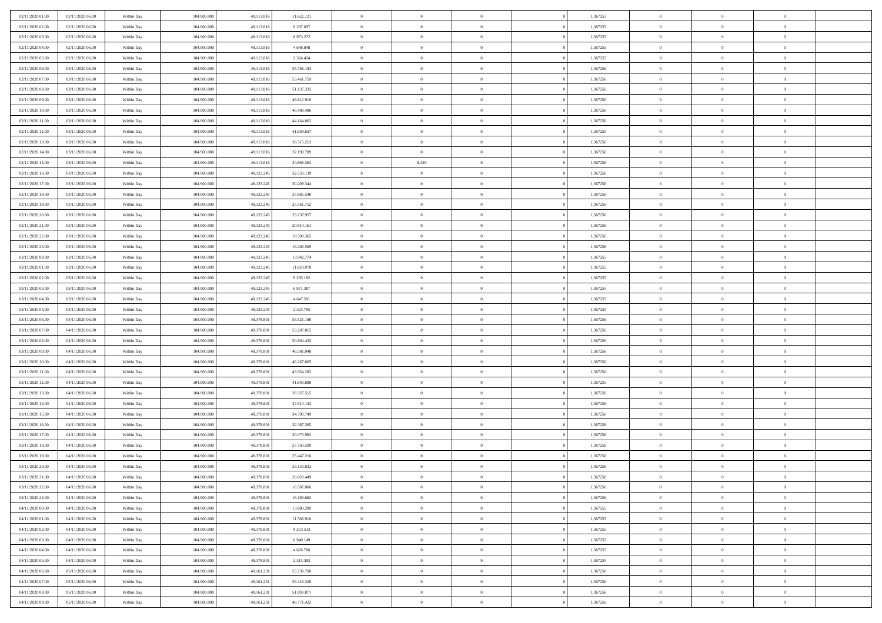| 02/11/2020 01:00 | 02/11/2020 06:00 | Within Day               | 104.900.000 | 49.113.816 | 11.622.121 | $\,$ 0         | $\bf{0}$       | $\theta$       |          | 1,367255 | $\bf{0}$       | $\overline{0}$ | $\,0\,$        |  |
|------------------|------------------|--------------------------|-------------|------------|------------|----------------|----------------|----------------|----------|----------|----------------|----------------|----------------|--|
| 02/11/2020 02.00 | 02/11/2020 06:00 | Within Day               | 104,900,000 | 49.113.816 | 9.297.697  | $\theta$       | $\overline{0}$ | $\overline{0}$ |          | 1,367255 | $\overline{0}$ | $\overline{0}$ | $\theta$       |  |
| 02/11/2020 03:00 | 02/11/2020 06:00 | Within Dav               | 104.900.000 | 49.113.816 | 6.973.272  | $\mathbf{0}$   | $\overline{0}$ | $\overline{0}$ |          | 1,367255 | $\mathbf{0}$   | $\overline{0}$ | $\overline{0}$ |  |
| 02/11/2020 04.00 | 02/11/2020 06:00 | Within Day               | 104.900.000 | 49.113.816 | 4.648.848  | $\bf{0}$       | $\overline{0}$ | $\bf{0}$       |          | 1,367255 | $\bf{0}$       | $\overline{0}$ | $\,0\,$        |  |
| 02/11/2020 05.00 | 02/11/2020 06:00 | Within Day               | 104,900,000 | 49.113.816 | 2.324.424  | $\bf{0}$       | $\bf{0}$       | $\overline{0}$ |          | 1,367255 | $\bf{0}$       | $\theta$       | $\,0\,$        |  |
| 02/11/2020 06:00 | 03/11/2020 06:00 | Within Dav               | 104.900.000 | 49.113.816 | 55.786.183 | $\mathbf{0}$   | $\overline{0}$ |                |          | 1,367256 | $\mathbf{0}$   | $\overline{0}$ | $\theta$       |  |
|                  |                  |                          |             |            |            |                |                | $\overline{0}$ |          |          |                |                |                |  |
| 02/11/2020 07.00 | 03/11/2020 06:00 | Within Day               | 104.900.000 | 49.113.816 | 53.461.759 | $\bf{0}$       | $\bf{0}$       | $\overline{0}$ |          | 1,367256 | $\bf{0}$       | $\overline{0}$ | $\,0\,$        |  |
| 02/11/2020 08:00 | 03/11/2020 06:00 | Within Day               | 104,900,000 | 49.113.816 | 51.137.335 | $\theta$       | $\overline{0}$ | $\overline{0}$ |          | 1,367256 | $\,$ 0 $\,$    | $\overline{0}$ | $\theta$       |  |
| 02/11/2020 09:00 | 03/11/2020 06:00 | Within Dav               | 104.900.000 | 49.113.816 | 48.812.910 | $\mathbf{0}$   | $\overline{0}$ | $\overline{0}$ |          | 1,367256 | $\mathbf{0}$   | $\overline{0}$ | $\overline{0}$ |  |
| 02/11/2020 10:00 | 03/11/2020 06:00 | Within Day               | 104.900.000 | 49.113.816 | 46.488.486 | $\bf{0}$       | $\bf{0}$       | $\theta$       |          | 1,367256 | $\bf{0}$       | $\overline{0}$ | $\,0\,$        |  |
| 02/11/2020 11:00 | 03/11/2020 06:00 | Within Day               | 104,900,000 | 49.113.816 | 44.164.062 | $\bf{0}$       | $\overline{0}$ | $\overline{0}$ |          | 1,367256 | $\bf{0}$       | $\mathbf{0}$   | $\theta$       |  |
| 02/11/2020 12:00 | 03/11/2020 06:00 | Within Dav               | 104.900.000 | 49.113.816 | 41.839.637 | $\mathbf{0}$   | $\overline{0}$ | $\overline{0}$ |          | 1,367255 | $\mathbf{0}$   | $\overline{0}$ | $\overline{0}$ |  |
| 02/11/2020 13.00 | 03/11/2020 06:00 | Within Day               | 104.900.000 | 49.113.816 | 39.515.213 | $\bf{0}$       | $\overline{0}$ | $\bf{0}$       |          | 1,367256 | $\bf{0}$       | $\overline{0}$ | $\,0\,$        |  |
| 02/11/2020 14:00 | 03/11/2020 06:00 | Within Day               | 104.900.000 | 49.113.816 | 37.190.789 | $\bf{0}$       | $\overline{0}$ | $\overline{0}$ |          | 1,367256 | $\bf{0}$       | $\theta$       | $\,0\,$        |  |
| 02/11/2020 15:00 | 03/11/2020 06:00 | Within Dav               | 104.900.000 | 49.113.816 | 34.866.364 | $\mathbf{0}$   | 9.429          | $\overline{0}$ |          | 1,367256 | $\mathbf{0}$   | $\overline{0}$ | $\overline{0}$ |  |
| 02/11/2020 16.00 | 03/11/2020 06:00 | Within Day               | 104.900.000 | 49.123.245 | 32.533.139 | $\bf{0}$       | $\overline{0}$ | $\overline{0}$ |          | 1,367256 | $\bf{0}$       | $\overline{0}$ | $\,0\,$        |  |
| 02/11/2020 17.00 | 03/11/2020 06:00 | Within Day               | 104,900,000 | 49.123.245 | 30.209.344 | $\overline{0}$ | $\overline{0}$ | $\overline{0}$ |          | 1,367256 | $\bf{0}$       | $\overline{0}$ | $\theta$       |  |
| 02/11/2020 18:00 | 03/11/2020 06:00 | Within Day               | 104.900.000 | 49.123.245 | 27.885.548 | $\mathbf{0}$   | $\overline{0}$ | $\overline{0}$ |          | 1,367256 | $\mathbf{0}$   | $\overline{0}$ | $\overline{0}$ |  |
| 02/11/2020 19:00 | 03/11/2020 06:00 | Within Day               | 104.900.000 | 49.123.245 | 25.561.752 | $\,$ 0         | $\overline{0}$ | $\overline{0}$ |          | 1,367256 | $\bf{0}$       | $\overline{0}$ | $\,0\,$        |  |
| 02/11/2020 20:00 | 03/11/2020 06:00 | Within Day               | 104,900,000 | 49.123.245 | 23.237.957 | $\bf{0}$       | $\overline{0}$ | $\overline{0}$ |          | 1,367256 | $\bf{0}$       | $\mathbf{0}$   | $\overline{0}$ |  |
| 02/11/2020 21:00 | 03/11/2020 06:00 | Within Dav               | 104.900.000 | 49.123.245 | 20.914.161 | $\mathbf{0}$   | $\overline{0}$ | $\overline{0}$ |          | 1,367256 | $\mathbf{0}$   | $\overline{0}$ | $\overline{0}$ |  |
| 02/11/2020 22.00 | 03/11/2020 06:00 | Within Day               | 104.900.000 | 49.123.245 | 18.590.365 | $\bf{0}$       | $\overline{0}$ | $\bf{0}$       |          | 1,367256 | $\bf{0}$       | $\overline{0}$ | $\bf{0}$       |  |
| 02/11/2020 23.00 | 03/11/2020 06:00 | Within Day               | 104,900,000 | 49.123.245 | 16.266.569 | $\bf{0}$       | $\overline{0}$ | $\overline{0}$ |          | 1,367256 | $\bf{0}$       | $\bf{0}$       | $\,0\,$        |  |
| 03/11/2020 00:00 | 03/11/2020 06:00 | Within Dav               | 104.900.000 | 49.123.245 | 13.942.774 | $\mathbf{0}$   | $\overline{0}$ | $\overline{0}$ |          | 1,367255 | $\mathbf{0}$   | $\overline{0}$ | $\theta$       |  |
| 03/11/2020 01:00 | 03/11/2020 06:00 | Within Day               | 104.900.000 | 49.123.245 | 11.618.978 | $\bf{0}$       | $\overline{0}$ | $\overline{0}$ |          | 1,367255 | $\bf{0}$       | $\overline{0}$ | $\,0\,$        |  |
| 03/11/2020 02.00 | 03/11/2020 06:00 | Within Day               | 104,900,000 | 49.123.245 | 9.295.182  | $\overline{0}$ | $\overline{0}$ | $\overline{0}$ |          | 1,367255 | $\bf{0}$       | $\overline{0}$ | $\theta$       |  |
| 03/11/2020 03:00 | 03/11/2020 06:00 | Within Dav               | 104.900.000 | 49.123.245 | 6.971.387  | $\mathbf{0}$   | $\overline{0}$ | $\overline{0}$ |          | 1,367255 | $\mathbf{0}$   | $\bf{0}$       | $\overline{0}$ |  |
| 03/11/2020 04.00 | 03/11/2020 06:00 | Within Day               | 104.900.000 | 49.123.245 | 4.647.591  | $\bf{0}$       | $\overline{0}$ | $\overline{0}$ |          | 1,367255 | $\bf{0}$       | $\overline{0}$ | $\,0\,$        |  |
| 03/11/2020 05:00 | 03/11/2020 06:00 | Within Day               | 104,900,000 | 49.123.245 | 2.323.795  | $\bf{0}$       | $\overline{0}$ | $\overline{0}$ |          | 1,367255 | $\bf{0}$       | $\mathbf{0}$   | $\overline{0}$ |  |
| 03/11/2020 06.00 | 04/11/2020 06:00 | Within Dav               | 104.900.000 | 49.378.801 | 55.521.198 | $\mathbf{0}$   | $\overline{0}$ | $\overline{0}$ |          | 1,367256 | $\mathbf{0}$   | $\overline{0}$ | $\overline{0}$ |  |
| 03/11/2020 07:00 | 04/11/2020 06:00 | Within Day               | 104.900.000 | 49.378.801 | 53.207.815 | $\bf{0}$       | $\overline{0}$ | $\theta$       |          | 1,367256 | $\,$ 0         | $\overline{0}$ | $\theta$       |  |
| 03/11/2020 08:00 | 04/11/2020 06.00 |                          | 104.900.000 | 49.378.801 | 50.894.432 | $\bf{0}$       | $\overline{0}$ | $\overline{0}$ |          | 1,367256 | $\bf{0}$       | $\mathbf{0}$   | $\overline{0}$ |  |
| 03/11/2020 09:00 | 04/11/2020 06:00 | Within Day<br>Within Dav | 104.900.000 | 49.378.801 | 48.581.048 | $\mathbf{0}$   | $\overline{0}$ | $\overline{0}$ |          | 1,367256 | $\mathbf{0}$   | $\overline{0}$ | $\overline{0}$ |  |
|                  |                  |                          |             |            |            | $\bf{0}$       | $\overline{0}$ | $\theta$       |          |          | $\,$ 0         | $\overline{0}$ | $\theta$       |  |
| 03/11/2020 10:00 | 04/11/2020 06:00 | Within Day               | 104.900.000 | 49.378.801 | 46.267.665 |                |                |                |          | 1,367256 |                | $\overline{0}$ |                |  |
| 03/11/2020 11:00 | 04/11/2020 06.00 | Within Day               | 104,900,000 | 49.378.801 | 43.954.282 | $\bf{0}$       | $\overline{0}$ | $\overline{0}$ |          | 1,367256 | $\bf{0}$       |                | $\overline{0}$ |  |
| 03/11/2020 12:00 | 04/11/2020 06:00 | Within Day               | 104.900.000 | 49.378.801 | 41.640.898 | $\mathbf{0}$   | $\overline{0}$ | $\overline{0}$ |          | 1,367255 | $\mathbf{0}$   | $\overline{0}$ | $\overline{0}$ |  |
| 03/11/2020 13:00 | 04/11/2020 06:00 | Within Day               | 104.900.000 | 49.378.801 | 39.327.515 | $\bf{0}$       | $\overline{0}$ | $\theta$       |          | 1,367256 | $\,$ 0         | $\overline{0}$ | $\theta$       |  |
| 03/11/2020 14:00 | 04/11/2020 06.00 | Within Day               | 104,900,000 | 49.378.801 | 37.014.132 | $\bf{0}$       | $\bf{0}$       | $\overline{0}$ |          | 1,367256 | $\bf{0}$       | $\mathbf{0}$   | $\bf{0}$       |  |
| 03/11/2020 15:00 | 04/11/2020 06:00 | Within Dav               | 104.900.000 | 49.378.801 | 34.700.749 | $\mathbf{0}$   | $\overline{0}$ | $\overline{0}$ |          | 1,367256 | $\mathbf{0}$   | $\overline{0}$ | $\overline{0}$ |  |
| 03/11/2020 16:00 | 04/11/2020 06:00 | Within Day               | 104.900.000 | 49.378.801 | 32.387.365 | $\bf{0}$       | $\overline{0}$ | $\theta$       |          | 1,367256 | $\,$ 0         | $\overline{0}$ | $\theta$       |  |
| 03/11/2020 17:00 | 04/11/2020 06.00 | Within Day               | 104,900,000 | 49.378.801 | 30.073.982 | $\bf{0}$       | $\bf{0}$       | $\overline{0}$ |          | 1,367256 | $\bf{0}$       | $\overline{0}$ | $\bf{0}$       |  |
| 03/11/2020 18:00 | 04/11/2020 06:00 | Within Dav               | 104.900.000 | 49.378.801 | 27.760.599 | $\mathbf{0}$   | $\overline{0}$ | $\overline{0}$ |          | 1,367256 | $\mathbf{0}$   | $\overline{0}$ | $\overline{0}$ |  |
| 03/11/2020 19:00 | 04/11/2020 06.00 | Within Day               | 104.900.000 | 49.378.801 | 25.447.216 | $\bf{0}$       | $\overline{0}$ | $\theta$       |          | 1,367256 | $\,$ 0         | $\overline{0}$ | $\theta$       |  |
| 03/11/2020 20:00 | 04/11/2020 06.00 | Within Day               | 104,900,000 | 49.378.801 | 23.133.832 | $\bf{0}$       | $\overline{0}$ | $\overline{0}$ |          | 1,367256 | $\bf{0}$       | $\overline{0}$ | $\bf{0}$       |  |
| 03/11/2020 21:00 | 04/11/2020 06:00 | Within Day               | 104.900.000 | 49.378.801 | 20.820.449 | $\bf{0}$       | $\overline{0}$ |                |          | 1,367256 | $\overline{0}$ | $\theta$       | $\theta$       |  |
| 03/11/2020 22.00 | 04/11/2020 06:00 | Within Day               | 104.900.000 | 49.378.801 | 18.507.066 | $\,0\,$        | $\overline{0}$ | $\theta$       |          | 1,367256 | $\,$ 0 $\,$    | $\overline{0}$ | $\theta$       |  |
| 03/11/2020 23.00 | 04/11/2020 06:00 | Within Day               | 104.900.000 | 49.378.801 | 16.193.682 | $\overline{0}$ | $\overline{0}$ | $\overline{0}$ |          | 1,367256 | $\overline{0}$ | $\overline{0}$ | $\overline{0}$ |  |
| 04/11/2020 00:00 | 04/11/2020 06:00 | Within Day               | 104.900.000 | 49.378.801 | 13.880.299 | $\bf{0}$       | $\overline{0}$ | $\overline{0}$ |          | 1,367255 | $\overline{0}$ | $\bf{0}$       | $\mathbf{0}$   |  |
| 04/11/2020 01:00 | 04/11/2020 06:00 | Within Day               | 104.900.000 | 49.378.801 | 11.566.916 | $\bf{0}$       | $\overline{0}$ | $\bf{0}$       | $\theta$ | 1,367255 | $\,$ 0 $\,$    | $\mathbf{0}$   | $\,$ 0 $\,$    |  |
| 04/11/2020 02.00 | 04/11/2020 06.00 | Within Day               | 104.900.000 | 49.378.801 | 9.253.533  | $\bf{0}$       | $\overline{0}$ | $\overline{0}$ |          | 1,367255 | $\,$ 0 $\,$    | $\overline{0}$ | $\overline{0}$ |  |
| 04/11/2020 03.00 | 04/11/2020 06.00 | Within Day               | 104.900.000 | 49.378.801 | 6.940.149  | $\bf{0}$       | $\overline{0}$ | $\overline{0}$ |          | 1,367255 | $\mathbf{0}$   | $\overline{0}$ | $\mathbf{0}$   |  |
| 04/11/2020 04.00 | 04/11/2020 06:00 | Within Day               | 104.900.000 | 49.378.801 | 4.626.766  | $\,0\,$        | $\overline{0}$ | $\overline{0}$ | $\theta$ | 1,367255 | $\,$ 0 $\,$    | $\overline{0}$ | $\overline{0}$ |  |
| 04/11/2020 05.00 | 04/11/2020 06.00 | Within Day               | 104.900.000 | 49.378.801 | 2.313.383  | $\bf{0}$       | $\overline{0}$ | $\overline{0}$ |          | 1,367255 | $\overline{0}$ | $\overline{0}$ | $\overline{0}$ |  |
| 04/11/2020 06:00 | 05/11/2020 06:00 | Within Day               | 104.900.000 | 49.161.231 | 55.738.768 | $\bf{0}$       | $\overline{0}$ | $\overline{0}$ |          | 1,367256 | $\mathbf{0}$   | $\overline{0}$ | $\mathbf{0}$   |  |
| 04/11/2020 07.00 | 05/11/2020 06:00 | Within Day               | 104.900.000 | 49.161.231 | 53.416.320 | $\,0\,$        | $\overline{0}$ | $\overline{0}$ |          | 1,367256 | $\,$ 0 $\,$    | $\overline{0}$ | $\theta$       |  |
| 04/11/2020 08.00 | 05/11/2020 06:00 | Within Day               | 104,900,000 | 49.161.231 | 51.093.871 | $\bf{0}$       | $\bf{0}$       | $\overline{0}$ |          | 1,367256 | $\bf{0}$       | $\mathbf{0}$   | $\overline{0}$ |  |
| 04/11/2020 09:00 | 05/11/2020 06:00 | Within Day               | 104.900.000 | 49.161.231 | 48.771.422 | $\overline{0}$ | $\overline{0}$ | $\overline{0}$ |          | 1,367256 | $\mathbf{0}$   | $\overline{0}$ | $\overline{0}$ |  |
|                  |                  |                          |             |            |            |                |                |                |          |          |                |                |                |  |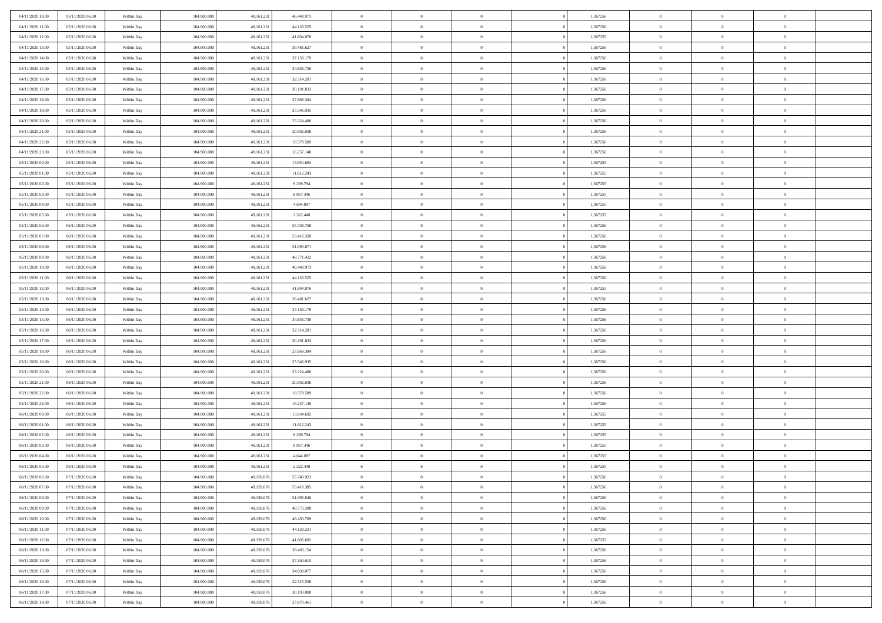| 04/11/2020 10:00                     | 05/11/2020 06:00                     | Within Day | 104.900.000 | 49.161.231 | 46.448.973 | $\,$ 0                   | $\bf{0}$       | $\theta$       |          | 1,367256 | $\bf{0}$                 | $\overline{0}$ | $\,0\,$        |  |
|--------------------------------------|--------------------------------------|------------|-------------|------------|------------|--------------------------|----------------|----------------|----------|----------|--------------------------|----------------|----------------|--|
| 04/11/2020 11:00                     | 05/11/2020 06:00                     | Within Day | 104,900,000 | 49.161.231 | 44.126.525 | $\theta$                 | $\overline{0}$ | $\overline{0}$ |          | 1,367256 | $\overline{0}$           | $\overline{0}$ | $\theta$       |  |
| 04/11/2020 12:00                     | 05/11/2020 06:00                     | Within Dav | 104.900.000 | 49.161.231 | 41.804.076 | $\mathbf{0}$             | $\overline{0}$ | $\overline{0}$ |          | 1,367255 | $\mathbf{0}$             | $\overline{0}$ | $\overline{0}$ |  |
| 04/11/2020 13.00                     | 05/11/2020 06:00                     | Within Day | 104.900.000 | 49.161.231 | 39.481.627 | $\bf{0}$                 | $\overline{0}$ | $\bf{0}$       |          | 1,367256 | $\bf{0}$                 | $\overline{0}$ | $\,0\,$        |  |
| 04/11/2020 14:00                     | 05/11/2020 06:00                     | Within Day | 104,900,000 | 49.161.231 | 37.159.179 | $\bf{0}$                 | $\overline{0}$ | $\overline{0}$ |          | 1,367256 | $\bf{0}$                 | $\theta$       | $\,0\,$        |  |
| 04/11/2020 15:00                     | 05/11/2020 06:00                     | Within Dav | 104.900.000 | 49.161.231 | 34.836.730 | $\mathbf{0}$             | $\overline{0}$ | $\overline{0}$ |          | 1,367256 | $\mathbf{0}$             | $\overline{0}$ | $\theta$       |  |
| 04/11/2020 16.00                     | 05/11/2020 06:00                     | Within Day | 104.900.000 | 49.161.231 | 32.514.281 | $\bf{0}$                 | $\overline{0}$ | $\overline{0}$ |          | 1,367256 | $\bf{0}$                 | $\overline{0}$ | $\,0\,$        |  |
| 04/11/2020 17.00                     | 05/11/2020 06:00                     | Within Day | 104,900,000 | 49.161.231 | 30.191.833 | $\theta$                 | $\overline{0}$ | $\overline{0}$ |          | 1,367256 | $\,$ 0 $\,$              | $\overline{0}$ | $\theta$       |  |
| 04/11/2020 18:00                     | 05/11/2020 06:00                     | Within Dav | 104.900.000 | 49.161.231 | 27.869.384 | $\mathbf{0}$             | $\overline{0}$ | $\overline{0}$ |          | 1,367256 | $\mathbf{0}$             | $\bf{0}$       | $\overline{0}$ |  |
| 04/11/2020 19.00                     | 05/11/2020 06:00                     |            | 104.900.000 | 49.161.231 | 25.546.935 | $\bf{0}$                 | $\overline{0}$ | $\theta$       |          | 1,367256 | $\bf{0}$                 | $\overline{0}$ | $\,0\,$        |  |
|                                      |                                      | Within Day | 104,900,000 |            |            |                          | $\overline{0}$ |                |          |          |                          | $\mathbf{0}$   | $\theta$       |  |
| 04/11/2020 20:00<br>04/11/2020 21:00 | 05/11/2020 06:00<br>05/11/2020 06:00 | Within Day |             | 49.161.231 | 23.224.486 | $\bf{0}$<br>$\mathbf{0}$ |                | $\overline{0}$ |          | 1,367256 | $\bf{0}$<br>$\mathbf{0}$ |                | $\overline{0}$ |  |
|                                      |                                      | Within Dav | 104.900.000 | 49.161.231 | 20.902.038 |                          | $\overline{0}$ | $\overline{0}$ |          | 1,367256 |                          | $\overline{0}$ |                |  |
| 04/11/2020 22.00                     | 05/11/2020 06:00                     | Within Day | 104.900.000 | 49.161.231 | 18.579.589 | $\bf{0}$                 | $\overline{0}$ | $\bf{0}$       |          | 1,367256 | $\bf{0}$                 | $\overline{0}$ | $\,0\,$        |  |
| 04/11/2020 23.00                     | 05/11/2020 06:00                     | Within Day | 104.900.000 | 49.161.231 | 16.257.140 | $\bf{0}$                 | $\overline{0}$ | $\overline{0}$ |          | 1,367256 | $\bf{0}$                 | $\theta$       | $\,0\,$        |  |
| 05/11/2020 00:00                     | 05/11/2020 06:00                     | Within Dav | 104.900.000 | 49.161.231 | 13.934.692 | $\mathbf{0}$             | $\overline{0}$ | $\overline{0}$ |          | 1,367255 | $\mathbf{0}$             | $\overline{0}$ | $\overline{0}$ |  |
| 05/11/2020 01:00                     | 05/11/2020 06:00                     | Within Day | 104.900.000 | 49.161.231 | 11.612.243 | $\bf{0}$                 | $\overline{0}$ | $\overline{0}$ |          | 1,367255 | $\bf{0}$                 | $\overline{0}$ | $\,0\,$        |  |
| 05/11/2020 02.00                     | 05/11/2020 06:00                     | Within Day | 104,900,000 | 49.161.231 | 9.289.794  | $\overline{0}$           | $\overline{0}$ | $\overline{0}$ |          | 1,367255 | $\bf{0}$                 | $\overline{0}$ | $\theta$       |  |
| 05/11/2020 03:00                     | 05/11/2020 06:00                     | Within Day | 104.900.000 | 49.161.231 | 6.967.346  | $\mathbf{0}$             | $\overline{0}$ | $\overline{0}$ |          | 1,367255 | $\mathbf{0}$             | $\overline{0}$ | $\overline{0}$ |  |
| 05/11/2020 04.00                     | 05/11/2020 06:00                     | Within Day | 104.900.000 | 49.161.231 | 4.644.897  | $\,$ 0                   | $\overline{0}$ | $\overline{0}$ |          | 1,367255 | $\bf{0}$                 | $\overline{0}$ | $\,0\,$        |  |
| 05/11/2020 05.00                     | 05/11/2020 06:00                     | Within Day | 104,900,000 | 49.161.231 | 2.322.448  | $\bf{0}$                 | $\overline{0}$ | $\overline{0}$ |          | 1,367255 | $\bf{0}$                 | $\mathbf{0}$   | $\overline{0}$ |  |
| 05/11/2020 06:00                     | 06/11/2020 06:00                     | Within Dav | 104.900.000 | 49.161.231 | 55.738.768 | $\mathbf{0}$             | $\overline{0}$ | $\overline{0}$ |          | 1,367256 | $\mathbf{0}$             | $\overline{0}$ | $\overline{0}$ |  |
| 05/11/2020 07.00                     | 06/11/2020 06:00                     | Within Day | 104.900.000 | 49.161.231 | 53.416.320 | $\bf{0}$                 | $\overline{0}$ | $\bf{0}$       |          | 1,367256 | $\bf{0}$                 | $\overline{0}$ | $\bf{0}$       |  |
| 05/11/2020 08:00                     | 06/11/2020 06:00                     | Within Day | 104,900,000 | 49.161.231 | 51.093.871 | $\bf{0}$                 | $\overline{0}$ | $\overline{0}$ |          | 1,367256 | $\bf{0}$                 | $\bf{0}$       | $\,0\,$        |  |
| 05/11/2020 09:00                     | 06/11/2020 06:00                     | Within Dav | 104.900.000 | 49.161.231 | 48.771.422 | $\mathbf{0}$             | $\overline{0}$ | $\overline{0}$ |          | 1,367256 | $\mathbf{0}$             | $\overline{0}$ | $\theta$       |  |
| 05/11/2020 10:00                     | 06/11/2020 06:00                     | Within Day | 104.900.000 | 49.161.231 | 46.448.973 | $\bf{0}$                 | $\overline{0}$ | $\overline{0}$ |          | 1,367256 | $\bf{0}$                 | $\overline{0}$ | $\,0\,$        |  |
| 05/11/2020 11:00                     | 06/11/2020 06:00                     | Within Day | 104,900,000 | 49.161.231 | 44.126.525 | $\overline{0}$           | $\overline{0}$ | $\overline{0}$ |          | 1,367256 | $\bf{0}$                 | $\overline{0}$ | $\theta$       |  |
| 05/11/2020 12:00                     | 06/11/2020 06:00                     | Within Dav | 104.900.000 | 49.161.231 | 41.804.076 | $\mathbf{0}$             | $\overline{0}$ | $\overline{0}$ |          | 1,367255 | $\mathbf{0}$             | $\bf{0}$       | $\overline{0}$ |  |
| 05/11/2020 13:00                     | 06/11/2020 06:00                     | Within Day | 104.900.000 | 49.161.231 | 39.481.627 | $\bf{0}$                 | $\bf{0}$       | $\overline{0}$ |          | 1,367256 | $\bf{0}$                 | $\overline{0}$ | $\,0\,$        |  |
| 05/11/2020 14:00                     | 06/11/2020 06:00                     | Within Day | 104,900,000 | 49.161.231 | 37.159.179 | $\bf{0}$                 | $\bf{0}$       | $\overline{0}$ |          | 1,367256 | $\bf{0}$                 | $\mathbf{0}$   | $\bf{0}$       |  |
| 05/11/2020 15:00                     | 06/11/2020 06:00                     | Within Dav | 104.900.000 | 49.161.231 | 34.836.730 | $\mathbf{0}$             | $\overline{0}$ | $\overline{0}$ |          | 1,367256 | $\mathbf{0}$             | $\overline{0}$ | $\overline{0}$ |  |
| 05/11/2020 16:00                     | 06/11/2020 06:00                     | Within Day | 104.900.000 | 49.161.231 | 32.514.281 | $\bf{0}$                 | $\overline{0}$ | $\theta$       |          | 1,367256 | $\,$ 0                   | $\overline{0}$ | $\theta$       |  |
| 05/11/2020 17:00                     | 06/11/2020 06:00                     | Within Day | 104.900.000 | 49.161.231 | 30.191.833 | $\bf{0}$                 | $\bf{0}$       | $\overline{0}$ |          | 1,367256 | $\bf{0}$                 | $\mathbf{0}$   | $\bf{0}$       |  |
| 05/11/2020 18:00                     | 06/11/2020 06:00                     | Within Dav | 104.900.000 | 49.161.231 | 27.869.384 | $\mathbf{0}$             | $\overline{0}$ | $\overline{0}$ |          | 1,367256 | $\mathbf{0}$             | $\overline{0}$ | $\overline{0}$ |  |
| 05/11/2020 19:00                     | 06/11/2020 06:00                     | Within Day | 104.900.000 | 49.161.231 | 25.546.935 | $\bf{0}$                 | $\overline{0}$ | $\theta$       |          | 1,367256 | $\,$ 0                   | $\overline{0}$ | $\theta$       |  |
| 05/11/2020 20:00                     | 06/11/2020 06:00                     | Within Day | 104,900,000 | 49.161.231 | 23.224.486 | $\bf{0}$                 | $\overline{0}$ | $\overline{0}$ |          | 1,367256 | $\bf{0}$                 | $\overline{0}$ | $\overline{0}$ |  |
| 05/11/2020 21:00                     | 06/11/2020 06:00                     | Within Day | 104.900.000 | 49.161.231 | 20.902.038 | $\mathbf{0}$             | $\overline{0}$ | $\overline{0}$ |          | 1,367256 | $\mathbf{0}$             | $\overline{0}$ | $\overline{0}$ |  |
| 05/11/2020 22.00                     | 06/11/2020 06:00                     | Within Day | 104.900.000 | 49.161.231 | 18.579.589 | $\bf{0}$                 | $\overline{0}$ | $\theta$       |          | 1,367256 | $\,$ 0                   | $\overline{0}$ | $\theta$       |  |
| 05/11/2020 23.00                     | 06/11/2020 06:00                     | Within Day | 104,900,000 | 49.161.231 | 16.257.140 | $\bf{0}$                 | $\bf{0}$       | $\overline{0}$ |          | 1,367256 | $\bf{0}$                 | $\mathbf{0}$   | $\bf{0}$       |  |
| 06/11/2020 00:00                     | 06/11/2020 06:00                     | Within Dav | 104.900.000 | 49.161.231 | 13.934.692 | $\mathbf{0}$             | $\overline{0}$ | $\overline{0}$ |          | 1,367255 | $\mathbf{0}$             | $\overline{0}$ | $\overline{0}$ |  |
| 06/11/2020 01:00                     | 06/11/2020 06:00                     | Within Day | 104.900.000 | 49.161.231 | 11.612.243 | $\,0\,$                  | $\overline{0}$ | $\theta$       |          | 1,367255 | $\,$ 0                   | $\overline{0}$ | $\theta$       |  |
| 06/11/2020 02.00                     | 06/11/2020 06:00                     | Within Day | 104,900,000 | 49.161.231 | 9.289.794  | $\bf{0}$                 | $\bf{0}$       | $\overline{0}$ |          | 1,367255 | $\bf{0}$                 | $\overline{0}$ | $\overline{0}$ |  |
| 06/11/2020 03:00                     | 06/11/2020 06:00                     | Within Dav | 104.900.000 | 49.161.231 | 6.967.346  | $\mathbf{0}$             | $\overline{0}$ | $\overline{0}$ |          | 1,367255 | $\mathbf{0}$             | $\overline{0}$ | $\overline{0}$ |  |
| 06/11/2020 04:00                     | 06/11/2020 06:00                     | Within Day | 104.900.000 | 49.161.231 | 4.644.897  | $\bf{0}$                 | $\overline{0}$ | $\theta$       |          | 1,367255 | $\,$ 0                   | $\overline{0}$ | $\theta$       |  |
| 06/11/2020 05:00                     | 06/11/2020 06:00                     | Within Day | 104,900,000 | 49.161.231 | 2.322.448  | $\bf{0}$                 | $\overline{0}$ | $\overline{0}$ |          | 1,367255 | $\bf{0}$                 | $\overline{0}$ | $\overline{0}$ |  |
| 06/11/2020 06:00                     | 07/11/2020 06:00                     | Within Day | 104.900.000 | 49.159.076 | 55.740.923 | $\bf{0}$                 | $\overline{0}$ |                |          | 1,367256 | $\overline{0}$           | $\theta$       | $\theta$       |  |
| 06/11/2020 07.00                     | 07/11/2020 06.00                     | Within Day | 104.900.000 | 49.159.076 | 53.418.385 | $\,0\,$                  | $\overline{0}$ | $\theta$       |          | 1,367256 | $\,$ 0 $\,$              | $\overline{0}$ | $\theta$       |  |
| 06/11/2020 08:00                     | 07/11/2020 06:00                     | Within Day | 104.900.000 | 49.159.076 | 51.095.846 | $\overline{0}$           | $\overline{0}$ | $\overline{0}$ |          | 1,367256 | $\overline{0}$           | $\overline{0}$ | $\overline{0}$ |  |
| 06/11/2020 09:00                     | 07/11/2020 06:00                     | Within Day | 104.900.000 | 49.159.076 | 48.773.308 | $\bf{0}$                 | $\overline{0}$ | $\overline{0}$ |          | 1,367256 | $\overline{0}$           | $\bf{0}$       | $\mathbf{0}$   |  |
| 06/11/2020 10:00                     | 07/11/2020 06:00                     | Within Day | 104.900.000 | 49.159.076 | 46.450.769 | $\bf{0}$                 | $\overline{0}$ | $\overline{0}$ | $\theta$ | 1,367256 | $\,$ 0 $\,$              | $\bf{0}$       | $\,$ 0 $\,$    |  |
| 06/11/2020 11:00                     | 07/11/2020 06.00                     | Within Day | 104.900.000 | 49.159.076 | 44.128.231 | $\bf{0}$                 | $\overline{0}$ | $\overline{0}$ |          | 1,367256 | $\,$ 0 $\,$              | $\overline{0}$ | $\overline{0}$ |  |
| 06/11/2020 12:00                     | 07/11/2020 06.00                     | Within Day | 104.900.000 | 49.159.076 | 41.805.692 | $\bf{0}$                 | $\overline{0}$ | $\overline{0}$ |          | 1,367255 | $\mathbf{0}$             | $\overline{0}$ | $\overline{0}$ |  |
|                                      |                                      |            |             |            |            |                          |                |                |          |          |                          |                |                |  |
| 06/11/2020 13.00                     | 07/11/2020 06:00                     | Within Day | 104.900.000 | 49.159.076 | 39.483.154 | $\,0\,$                  | $\overline{0}$ | $\overline{0}$ | $\theta$ | 1,367256 | $\,$ 0 $\,$              | $\overline{0}$ | $\overline{0}$ |  |
| 06/11/2020 14:00                     | 07/11/2020 06:00                     | Within Day | 104.900.000 | 49.159.076 | 37.160.615 | $\bf{0}$                 | $\overline{0}$ | $\overline{0}$ |          | 1,367256 | $\overline{0}$           | $\overline{0}$ | $\overline{0}$ |  |
| 06/11/2020 15:00                     | 07/11/2020 06:00                     | Within Day | 104.900.000 | 49.159.076 | 34.838.077 | $\bf{0}$                 | $\overline{0}$ | $\overline{0}$ |          | 1,367256 | $\mathbf{0}$             | $\overline{0}$ | $\mathbf{0}$   |  |
| 06/11/2020 16:00                     | 07/11/2020 06:00                     | Within Day | 104.900.000 | 49.159.076 | 32.515.538 | $\,0\,$                  | $\overline{0}$ | $\overline{0}$ |          | 1,367256 | $\,$ 0 $\,$              | $\overline{0}$ | $\theta$       |  |
| 06/11/2020 17.00                     | 07/11/2020 06:00                     | Within Day | 104.900.000 | 49.159.076 | 30.193.000 | $\bf{0}$                 | $\overline{0}$ | $\overline{0}$ |          | 1,367256 | $\bf{0}$                 | $\mathbf{0}$   | $\overline{0}$ |  |
| 06/11/2020 18.00                     | 07/11/2020 06:00                     | Within Day | 104.900.000 | 49.159.076 | 27.870.461 | $\mathbf{0}$             | $\overline{0}$ | $\overline{0}$ |          | 1,367256 | $\mathbf{0}$             | $\overline{0}$ | $\overline{0}$ |  |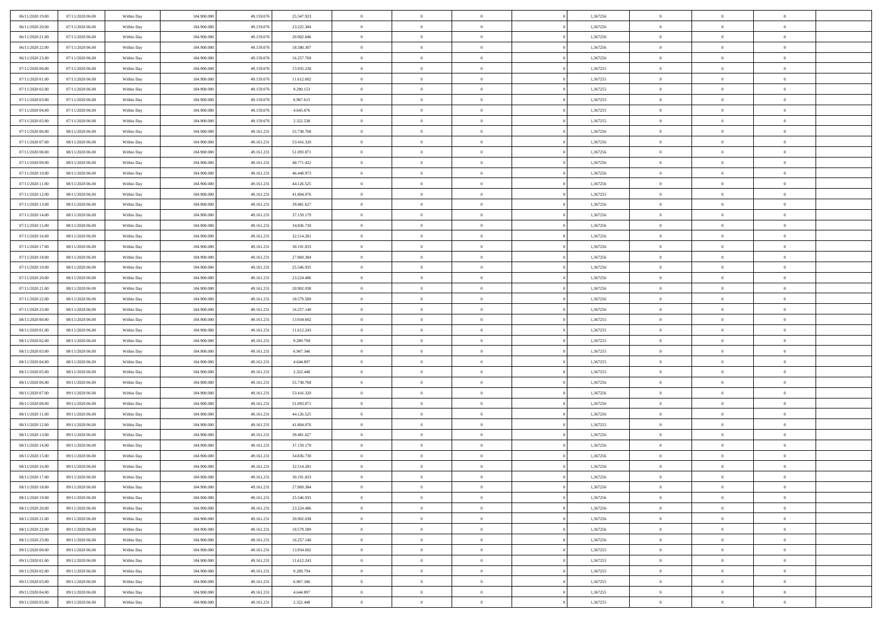| 06/11/2020 19:00                     | 07/11/2020 06:00                     | Within Day               | 104.900.000                | 49.159.076               | 25.547.923               | $\,$ 0                     | $\overline{0}$                   | $\theta$                         |                | 1,367256             | $\bf{0}$                       | $\overline{0}$                   | $\theta$                         |  |
|--------------------------------------|--------------------------------------|--------------------------|----------------------------|--------------------------|--------------------------|----------------------------|----------------------------------|----------------------------------|----------------|----------------------|--------------------------------|----------------------------------|----------------------------------|--|
| 06/11/2020 20.00                     | 07/11/2020 06.00                     | Within Day               | 104,900,000                | 49.159.076               | 23.225.384               | $\theta$                   | $\overline{0}$                   | $\overline{0}$                   |                | 1,367256             | $\theta$                       | $\theta$                         | $\overline{0}$                   |  |
| 06/11/2020 21:00                     | 07/11/2020 06:00                     | Within Dav               | 104.900.000                | 49.159.076               | 20.902.846               | $\mathbf{0}$               | $\overline{0}$                   | $\overline{0}$                   |                | 1,367256             | $\theta$                       | $\overline{0}$                   | $\theta$                         |  |
| 06/11/2020 22.00                     | 07/11/2020 06.00                     | Within Day               | 104.900.000                | 49.159.076               | 18.580.307               | $\bf{0}$                   | $\overline{0}$                   | $\bf{0}$                         |                | 1,367256             | $\bf{0}$                       | $\overline{0}$                   | $\bf{0}$                         |  |
| 06/11/2020 23.00                     | 07/11/2020 06.00                     | Within Day               | 104,900,000                | 49.159.076               | 16.257.769               | $\bf{0}$                   | $\overline{0}$                   | $\bf{0}$                         |                | 1,367256             | $\bf{0}$                       | $\Omega$                         | $\bf{0}$                         |  |
| 07/11/2020 00:00                     | 07/11/2020 06:00                     | Within Dav               | 104.900.000                | 49.159.076               | 13.935.230               | $\mathbf{0}$               | $\overline{0}$                   | $\overline{0}$                   |                | 1,367255             | $\theta$                       | $\overline{0}$                   | $\theta$                         |  |
| 07/11/2020 01:00                     | 07/11/2020 06.00                     | Within Day               | 104.900.000                | 49.159.076               | 11.612.692               | $\bf{0}$                   | $\overline{0}$                   | $\overline{0}$                   |                | 1,367255             | $\bf{0}$                       | $\overline{0}$                   | $\theta$                         |  |
| 07/11/2020 02.00                     | 07/11/2020 06.00                     | Within Day               | 104,900,000                | 49.159.076               | 9.290.153                | $\overline{0}$             | $\overline{0}$                   | $\overline{0}$                   |                | 1,367255             | $\,$ 0 $\,$                    | $\theta$                         | $\overline{0}$                   |  |
| 07/11/2020 03:00                     | 07/11/2020 06:00                     | Within Day               | 104.900.000                | 49.159.076               | 6.967.615                | $\mathbf{0}$               | $\overline{0}$                   | $\overline{0}$                   |                | 1,367255             | $\theta$                       | $\overline{0}$                   | $\theta$                         |  |
| 07/11/2020 04:00                     | 07/11/2020 06.00                     | Within Day               | 104.900.000                | 49.159.076               | 4.645.076                | $\bf{0}$                   | $\overline{0}$                   | $\overline{0}$                   |                | 1,367255             | $\bf{0}$                       | $\overline{0}$                   | $\theta$                         |  |
| 07/11/2020 05:00                     | 07/11/2020 06.00                     | Within Day               | 104,900,000                | 49.159.076               | 2.322.538                | $\bf{0}$                   | $\overline{0}$                   | $\overline{0}$                   |                | 1,367255             | $\bf{0}$                       | $\Omega$                         | $\overline{0}$                   |  |
| 07/11/2020 06:00                     | 08/11/2020 06:00                     | Within Dav               | 104.900.000                | 49.161.231               | 55.738.768               | $\mathbf{0}$               | $\overline{0}$                   | $\overline{0}$                   |                | 1,367256             | $\theta$                       | $\overline{0}$                   | $\theta$                         |  |
| 07/11/2020 07.00                     | 08/11/2020 06:00                     | Within Day               | 104.900.000                | 49.161.231               | 53.416.320               | $\bf{0}$                   | $\overline{0}$                   | $\bf{0}$                         |                | 1,367256             | $\bf{0}$                       | $\overline{0}$                   | $\bf{0}$                         |  |
| 07/11/2020 08:00                     | 08/11/2020 06:00                     |                          | 104.900.000                | 49.161.231               | 51.093.871               | $\bf{0}$                   | $\overline{0}$                   | $\overline{0}$                   |                | 1,367256             | $\bf{0}$                       | $\Omega$                         | $\bf{0}$                         |  |
| 07/11/2020 09:00                     | 08/11/2020 06:00                     | Within Day<br>Within Dav | 104.900.000                | 49.161.231               | 48.771.422               | $\overline{0}$             | $\overline{0}$                   | $\overline{0}$                   |                | 1,367256             | $\theta$                       | $\overline{0}$                   | $\theta$                         |  |
| 07/11/2020 10:00                     | 08/11/2020 06:00                     | Within Day               | 104.900.000                | 49.161.231               | 46.448.973               | $\bf{0}$                   | $\overline{0}$                   | $\overline{0}$                   |                | 1,367256             | $\bf{0}$                       | $\overline{0}$                   | $\theta$                         |  |
|                                      |                                      |                          | 104,900,000                |                          |                          | $\bf{0}$                   | $\overline{0}$                   | $\overline{0}$                   |                | 1,367256             | $\,$ 0 $\,$                    | $\theta$                         | $\overline{0}$                   |  |
| 07/11/2020 11:00<br>07/11/2020 12:00 | 08/11/2020 06:00<br>08/11/2020 06:00 | Within Day<br>Within Day | 104.900.000                | 49.161.231<br>49.161.231 | 44.126.525<br>41.804.076 | $\mathbf{0}$               | $\overline{0}$                   |                                  |                | 1,367255             | $\theta$                       |                                  | $\theta$                         |  |
|                                      |                                      |                          |                            |                          |                          |                            |                                  | $\overline{0}$<br>$\overline{0}$ |                |                      |                                | $\overline{0}$<br>$\overline{0}$ | $\theta$                         |  |
| 07/11/2020 13:00<br>07/11/2020 14:00 | 08/11/2020 06:00<br>08/11/2020 06:00 | Within Day               | 104.900.000<br>104,900,000 | 49.161.231<br>49.161.231 | 39.481.627               | $\bf{0}$<br>$\bf{0}$       | $\overline{0}$<br>$\overline{0}$ | $\overline{0}$                   |                | 1,367256<br>1,367256 | $\bf{0}$<br>$\bf{0}$           | $\theta$                         | $\bf{0}$                         |  |
|                                      | 08/11/2020 06:00                     | Within Day               |                            |                          | 37.159.179               | $\mathbf{0}$               |                                  |                                  |                |                      | $\theta$                       |                                  |                                  |  |
| 07/11/2020 15:00                     |                                      | Within Dav               | 104.900.000                | 49.161.231               | 34.836.730               |                            | $\overline{0}$                   | $\overline{0}$                   |                | 1,367256             |                                | $\overline{0}$                   | $\theta$                         |  |
| 07/11/2020 16:00                     | 08/11/2020 06:00                     | Within Day               | 104.900.000                | 49.161.231               | 32.514.281               | $\bf{0}$                   | $\bf{0}$                         | $\bf{0}$                         |                | 1,367256             | $\bf{0}$                       | $\overline{0}$                   | $\bf{0}$                         |  |
| 07/11/2020 17.00<br>07/11/2020 18:00 | 08/11/2020 06:00<br>08/11/2020 06:00 | Within Day               | 104,900,000                | 49.161.231               | 30.191.833               | $\bf{0}$                   | $\bf{0}$                         | $\overline{0}$                   |                | 1,367256             | $\bf{0}$                       | $\overline{0}$                   | $\bf{0}$                         |  |
|                                      |                                      | Within Dav               | 104.900.000                | 49.161.231               | 27.869.384               | $\mathbf{0}$               | $\overline{0}$                   | $\overline{0}$                   |                | 1,367256             | $\theta$                       | $\overline{0}$                   | $\theta$                         |  |
| 07/11/2020 19:00                     | 08/11/2020 06:00                     | Within Day               | 104.900.000                | 49.161.231               | 25.546.935               | $\bf{0}$                   | $\bf{0}$                         | $\overline{0}$                   |                | 1,367256             | $\bf{0}$                       | $\overline{0}$                   | $\theta$                         |  |
| 07/11/2020 20:00                     | 08/11/2020 06:00                     | Within Day               | 104,900,000                | 49.161.231               | 23.224.486               | $\bf{0}$                   | $\overline{0}$                   | $\overline{0}$                   |                | 1,367256             | $\,$ 0 $\,$                    | $\theta$                         | $\overline{0}$                   |  |
| 07/11/2020 21:00                     | 08/11/2020 06:00                     | Within Day               | 104.900.000                | 49.161.231               | 20.902.038               | $\mathbf{0}$               | $\overline{0}$                   | $\overline{0}$                   |                | 1,367256             | $\theta$                       | $\bf{0}$                         | $\theta$                         |  |
| 07/11/2020 22.00                     | 08/11/2020 06:00                     | Within Day               | 104.900.000                | 49.161.231               | 18.579.589               | $\bf{0}$                   | $\overline{0}$                   | $\overline{0}$                   |                | 1,367256             | $\bf{0}$                       | $\overline{0}$                   | $\theta$                         |  |
| 07/11/2020 23.00                     | 08/11/2020 06:00                     | Within Day               | 104,900,000                | 49.161.231               | 16.257.140               | $\bf{0}$                   | $\overline{0}$                   | $\overline{0}$                   |                | 1,367256             | $\bf{0}$                       | $\theta$                         | $\bf{0}$                         |  |
| 08/11/2020 00:00                     | 08/11/2020 06:00                     | Within Day               | 104.900.000                | 49.161.231               | 13.934.692               | $\mathbf{0}$               | $\overline{0}$                   | $\overline{0}$                   |                | 1,367255             | $\theta$                       | $\overline{0}$                   | $\theta$                         |  |
| 08/11/2020 01:00                     | 08/11/2020 06:00                     | Within Day               | 104.900.000                | 49.161.231               | 11.612.243               | $\bf{0}$                   | $\overline{0}$                   | $\overline{0}$                   |                | 1,367255             | $\,0\,$                        | $\overline{0}$                   | $\theta$                         |  |
| 08/11/2020 02.00                     | 08/11/2020 06:00                     | Within Day               | 104.900.000                | 49.161.231               | 9.289.794                | $\bf{0}$<br>$\mathbf{0}$   | $\overline{0}$                   | $\overline{0}$                   |                | 1,367255             | $\bf{0}$<br>$\theta$           | $\overline{0}$                   | $\bf{0}$                         |  |
| 08/11/2020 03:00                     | 08/11/2020 06:00                     | Within Day               | 104.900.000                | 49.161.231               | 6.967.346                | $\bf{0}$                   | $\overline{0}$                   | $\overline{0}$                   |                | 1,367255             |                                | $\overline{0}$                   | $\theta$                         |  |
| 08/11/2020 04:00                     | 08/11/2020 06:00                     | Within Day               | 104.900.000<br>104,900,000 | 49.161.231               | 4.644.897                |                            | $\overline{0}$<br>$\overline{0}$ | $\theta$<br>$\overline{0}$       |                | 1,367255             | $\,0\,$                        | $\overline{0}$                   | $\theta$                         |  |
| 08/11/2020 05:00<br>08/11/2020 06:00 | 08/11/2020 06:00<br>09/11/2020 06:00 | Within Day<br>Within Day | 104.900.000                | 49.161.231<br>49.161.231 | 2.322.448<br>55.738.768  | $\bf{0}$<br>$\mathbf{0}$   | $\overline{0}$                   |                                  |                | 1,367255<br>1,367256 | $\bf{0}$<br>$\theta$           | $\overline{0}$                   | $\bf{0}$<br>$\theta$             |  |
|                                      |                                      |                          |                            |                          |                          | $\bf{0}$                   | $\overline{0}$                   | $\overline{0}$<br>$\theta$       |                |                      | $\,0\,$                        | $\overline{0}$<br>$\overline{0}$ | $\theta$                         |  |
| 08/11/2020 07:00<br>08/11/2020 08:00 | 09/11/2020 06:00<br>09/11/2020 06:00 | Within Day               | 104.900.000<br>104,900,000 | 49.161.231<br>49.161.231 | 53.416.320               | $\bf{0}$                   | $\overline{0}$                   | $\overline{0}$                   |                | 1,367256<br>1,367256 | $\bf{0}$                       | $\theta$                         | $\bf{0}$                         |  |
| 08/11/2020 11:00                     | 09/11/2020 06:00                     | Within Day<br>Within Day | 104.900.000                | 49.161.231               | 51.093.871<br>44.126.525 | $\mathbf{0}$               | $\overline{0}$                   | $\overline{0}$                   |                | 1,367256             | $\theta$                       | $\overline{0}$                   | $\theta$                         |  |
|                                      |                                      |                          |                            |                          |                          | $\,0\,$                    | $\overline{0}$                   | $\theta$                         |                |                      | $\,0\,$                        | $\overline{0}$                   | $\theta$                         |  |
| 08/11/2020 12:00<br>08/11/2020 13:00 | 09/11/2020 06:00<br>09/11/2020 06:00 | Within Day               | 104.900.000<br>104,900,000 | 49.161.231<br>49.161.231 | 41.804.076<br>39.481.627 | $\bf{0}$                   | $\bf{0}$                         | $\overline{0}$                   |                | 1,367255<br>1,367256 | $\bf{0}$                       | $\overline{0}$                   | $\bf{0}$                         |  |
| 08/11/2020 14:00                     | 09/11/2020 06:00                     | Within Day<br>Within Day | 104.900.000                | 49.161.231               | 37.159.179               | $\mathbf{0}$               | $\overline{0}$                   | $\overline{0}$                   |                | 1,367256             | $\theta$                       | $\overline{0}$                   | $\theta$                         |  |
| 08/11/2020 15:00                     | 09/11/2020 06.00                     | Within Day               | 104.900.000                | 49.161.231               | 34.836.730               | $\bf{0}$                   | $\overline{0}$                   | $\theta$                         |                | 1,367256             | $\,0\,$                        | $\overline{0}$                   | $\theta$                         |  |
| 08/11/2020 16:00                     | 09/11/2020 06.00                     | Within Day               | 104,900,000                | 49.161.231               | 32.514.281               | $\bf{0}$                   | $\overline{0}$                   | $\overline{0}$                   |                | 1,367256             | $\,$ 0 $\,$                    | $\overline{0}$                   | $\bf{0}$                         |  |
| 08/11/2020 17:00                     | 09/11/2020 06:00                     | Within Day               | 104.900.000                | 49.161.231               | 30.191.833               | $\bf{0}$                   | $\overline{0}$                   |                                  |                | 1,367256             | $\bf{0}$                       | $\Omega$                         | $\theta$                         |  |
| 08/11/2020 18:00                     | 09/11/2020 06:00                     | Within Day               | 104.900.000                | 49.161.231               | 27.869.384               | $\,0\,$                    | $\overline{0}$                   | $\theta$                         |                | 1,367256             | $\,$ 0 $\,$                    | $\overline{0}$                   | $\theta$                         |  |
| 08/11/2020 19:00                     | 09/11/2020 06.00                     | Within Day               | 104.900.000                | 49.161.231               | 25.546.935               | $\bf{0}$                   | $\overline{0}$                   | $\overline{0}$                   |                | 1,367256             | $\overline{0}$                 | $\overline{0}$                   | $\overline{0}$                   |  |
| 08/11/2020 20:00                     | 09/11/2020 06:00                     | Within Day               | 104.900.000                | 49.161.231               | 23.224.486               | $\mathbf{0}$               | $\overline{0}$                   | $\overline{0}$                   |                | 1,367256             | $\mathbf{0}$                   | $\overline{0}$                   | $\overline{0}$                   |  |
| 08/11/2020 21:00                     | 09/11/2020 06:00                     | Within Day               | 104.900.000                | 49.161.231               | 20.902.038               | $\,$ 0 $\,$                | $\overline{0}$                   | $\bf{0}$                         | $\overline{0}$ | 1,367256             | $\,$ 0 $\,$                    | $\overline{0}$                   | $\,$ 0 $\,$                      |  |
| 08/11/2020 22.00                     | 09/11/2020 06.00                     | Within Day               | 104.900.000                | 49.161.231               | 18.579.589               | $\mathbf{0}$               | $\overline{0}$                   | $\overline{0}$                   |                | 1,367256             | $\,$ 0 $\,$                    | $\overline{0}$                   | $\overline{0}$                   |  |
| 08/11/2020 23:00                     | 09/11/2020 06:00                     | Within Day               | 104.900.000                | 49.161.231               | 16.257.140               | $\overline{0}$             | $\overline{0}$                   | $\overline{0}$                   |                | 1,367256             | $\overline{0}$                 | $\overline{0}$                   | $\overline{0}$                   |  |
|                                      |                                      |                          |                            |                          |                          |                            |                                  |                                  |                |                      |                                | $\overline{0}$                   | $\theta$                         |  |
| 09/11/2020 00:00                     | 09/11/2020 06:00                     | Within Day               | 104.900.000<br>104.900.000 | 49.161.231               | 13.934.692               | $\,0\,$                    | $\overline{0}$                   | $\bf{0}$                         |                | 1,367255             | $\,$ 0 $\,$                    | $\overline{0}$                   |                                  |  |
| 09/11/2020 01:00<br>09/11/2020 02.00 | 09/11/2020 06.00<br>09/11/2020 06:00 | Within Day<br>Within Day | 104.900.000                | 49.161.231<br>49.161.231 | 11.612.243<br>9.289.794  | $\bf{0}$<br>$\overline{0}$ | $\overline{0}$<br>$\overline{0}$ | $\overline{0}$<br>$\overline{0}$ |                | 1,367255<br>1,367255 | $\overline{0}$<br>$\mathbf{0}$ | $\overline{0}$                   | $\overline{0}$<br>$\overline{0}$ |  |
|                                      |                                      |                          |                            |                          |                          | $\,$ 0 $\,$                |                                  |                                  |                |                      |                                | $\overline{0}$                   | $\theta$                         |  |
| 09/11/2020 03:00                     | 09/11/2020 06:00                     | Within Day               | 104.900.000<br>104,900,000 | 49.161.231<br>49.161.231 | 6.967.346                |                            | $\overline{0}$                   | $\bf{0}$                         |                | 1,367255             | $\,$ 0 $\,$                    | $\overline{0}$                   |                                  |  |
| 09/11/2020 04:00                     | 09/11/2020 06.00                     | Within Day               |                            |                          | 4.644.897                | $\bf{0}$                   | $\overline{0}$                   | $\overline{0}$                   |                | 1,367255             | $\,$ 0 $\,$                    |                                  | $\overline{0}$                   |  |
| 09/11/2020 05:00                     | 09/11/2020 06:00                     | Within Day               | 104.900.000                | 49.161.231               | 2.322.448                | $\mathbf{0}$               | $\overline{0}$                   | $\overline{0}$                   |                | 1,367255             | $\overline{0}$                 | $\overline{0}$                   | $\overline{0}$                   |  |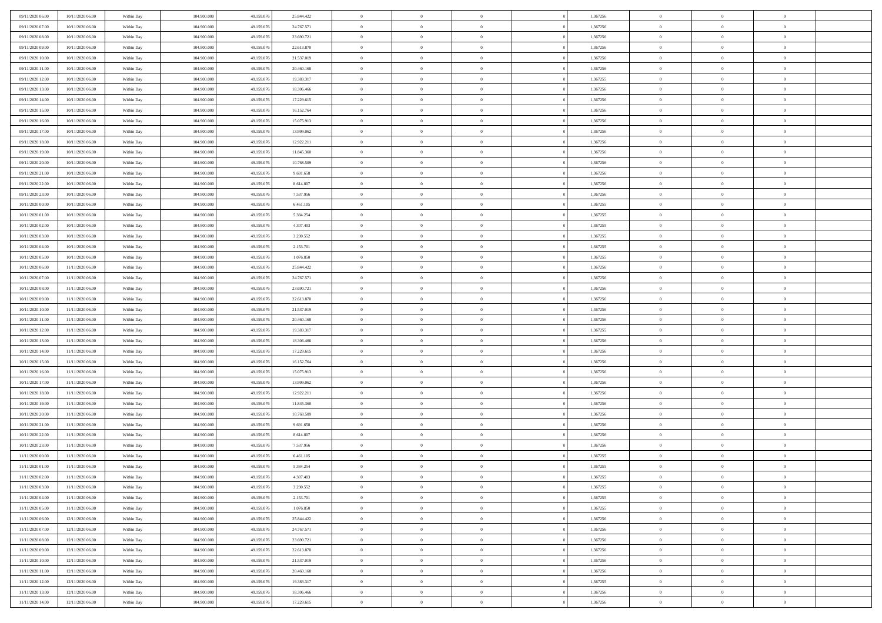| 09/11/2020 06:00                     | 10/11/2020 06:00                     | Within Day | 104.900.000                | 49.159.076 | 25.844.422 | $\,$ 0                   | $\overline{0}$                   | $\theta$                   |                | 1,367256 | $\bf{0}$            | $\overline{0}$                   | $\theta$             |  |
|--------------------------------------|--------------------------------------|------------|----------------------------|------------|------------|--------------------------|----------------------------------|----------------------------|----------------|----------|---------------------|----------------------------------|----------------------|--|
| 09/11/2020 07.00                     | 10/11/2020 06:00                     | Within Day | 104,900,000                | 49.159.076 | 24.767.571 | $\theta$                 | $\overline{0}$                   | $\overline{0}$             |                | 1,367256 | $\theta$            | $\theta$                         | $\overline{0}$       |  |
| 09/11/2020 08:00                     | 10/11/2020 06:00                     | Within Dav | 104.900.000                | 49.159.076 | 23.690.721 | $\mathbf{0}$             | $\overline{0}$                   | $\overline{0}$             |                | 1,367256 | $\theta$            | $\overline{0}$                   | $\theta$             |  |
| 09/11/2020 09:00                     | 10/11/2020 06:00                     | Within Day | 104.900.000                | 49.159.076 | 22.613.870 | $\bf{0}$                 | $\overline{0}$                   | $\bf{0}$                   |                | 1,367256 | $\bf{0}$            | $\overline{0}$                   | $\bf{0}$             |  |
| 09/11/2020 10:00                     | 10/11/2020 06:00                     | Within Day | 104,900,000                | 49.159.076 | 21.537.019 | $\bf{0}$                 | $\bf{0}$                         | $\bf{0}$                   |                | 1,367256 | $\bf{0}$            | $\Omega$                         | $\bf{0}$             |  |
| 09/11/2020 11:00                     | 10/11/2020 06:00                     | Within Dav | 104.900.000                | 49.159.076 | 20.460.168 | $\mathbf{0}$             | $\overline{0}$                   | $\overline{0}$             |                | 1,367256 | $\theta$            | $\overline{0}$                   | $\theta$             |  |
|                                      |                                      |            |                            |            |            |                          |                                  |                            |                |          |                     |                                  |                      |  |
| 09/11/2020 12:00                     | 10/11/2020 06:00                     | Within Day | 104.900.000                | 49.159.076 | 19.383.317 | $\bf{0}$                 | $\bf{0}$                         | $\overline{0}$             |                | 1,367255 | $\bf{0}$            | $\overline{0}$                   | $\theta$             |  |
| 09/11/2020 13:00                     | 10/11/2020 06:00                     | Within Day | 104,900,000                | 49.159.076 | 18.306.466 | $\overline{0}$           | $\overline{0}$                   | $\overline{0}$             |                | 1,367256 | $\,$ 0 $\,$         | $\theta$                         | $\overline{0}$       |  |
| 09/11/2020 14:00                     | 10/11/2020 06:00                     | Within Day | 104.900.000                | 49.159.076 | 17.229.615 | $\mathbf{0}$             | $\overline{0}$                   | $\overline{0}$             |                | 1,367256 | $\theta$            | $\overline{0}$                   | $\theta$             |  |
| 09/11/2020 15:00                     | 10/11/2020 06:00                     | Within Day | 104.900.000                | 49.159.076 | 16.152.764 | $\bf{0}$                 | $\bf{0}$                         | $\overline{0}$             |                | 1,367256 | $\bf{0}$            | $\overline{0}$                   | $\theta$             |  |
| 09/11/2020 16:00                     | 10/11/2020 06:00                     | Within Day | 104,900,000                | 49.159.076 | 15.075.913 | $\bf{0}$                 | $\overline{0}$                   | $\overline{0}$             |                | 1,367256 | $\bf{0}$            | $\theta$                         | $\overline{0}$       |  |
| 09/11/2020 17:00                     | 10/11/2020 06:00                     | Within Dav | 104.900.000                | 49.159.076 | 13.999.062 | $\mathbf{0}$             | $\overline{0}$                   | $\overline{0}$             |                | 1,367256 | $\theta$            | $\overline{0}$                   | $\theta$             |  |
| 09/11/2020 18:00                     | 10/11/2020 06:00                     | Within Day | 104.900.000                | 49.159.076 | 12.922.211 | $\bf{0}$                 | $\bf{0}$                         | $\bf{0}$                   |                | 1,367256 | $\bf{0}$            | $\overline{0}$                   | $\bf{0}$             |  |
| 09/11/2020 19:00                     | 10/11/2020 06:00                     | Within Day | 104.900.000                | 49.159.076 | 11.845.360 | $\bf{0}$                 | $\overline{0}$                   | $\overline{0}$             |                | 1,367256 | $\bf{0}$            | $\Omega$                         | $\bf{0}$             |  |
| 09/11/2020 20:00                     | 10/11/2020 06:00                     | Within Dav | 104.900.000                | 49.159.076 | 10.768.509 | $\overline{0}$           | $\overline{0}$                   | $\overline{0}$             |                | 1,367256 | $\theta$            | $\overline{0}$                   | $\theta$             |  |
| 09/11/2020 21:00                     | 10/11/2020 06:00                     | Within Day | 104.900.000                | 49.159.076 | 9.691.658  | $\bf{0}$                 | $\bf{0}$                         | $\overline{0}$             |                | 1,367256 | $\bf{0}$            | $\overline{0}$                   | $\theta$             |  |
| 09/11/2020 22.00                     | 10/11/2020 06:00                     | Within Day | 104,900,000                | 49.159.076 | 8.614.807  | $\bf{0}$                 | $\overline{0}$                   | $\overline{0}$             |                | 1,367256 | $\,$ 0 $\,$         | $\overline{0}$                   | $\overline{0}$       |  |
| 09/11/2020 23:00                     | 10/11/2020 06:00                     | Within Day | 104.900.000                | 49.159.076 | 7.537.956  | $\mathbf{0}$             | $\overline{0}$                   | $\overline{0}$             |                | 1,367256 | $\theta$            | $\overline{0}$                   | $\theta$             |  |
| 10/11/2020 00:00                     | 10/11/2020 06:00                     | Within Day | 104.900.000                | 49.159.076 | 6.461.105  | $\bf{0}$                 | $\bf{0}$                         | $\overline{0}$             |                | 1,367255 | $\bf{0}$            | $\overline{0}$                   | $\theta$             |  |
| 10/11/2020 01:00                     | 10/11/2020 06:00                     | Within Day | 104,900,000                | 49.159.076 | 5.384.254  | $\bf{0}$                 | $\overline{0}$                   | $\overline{0}$             |                | 1,367255 | $\bf{0}$            | $\theta$                         | $\bf{0}$             |  |
| 10/11/2020 02:00                     | 10/11/2020 06:00                     | Within Dav | 104.900.000                | 49.159.076 | 4.307.403  | $\mathbf{0}$             | $\overline{0}$                   | $\overline{0}$             |                | 1,367255 | $\theta$            | $\overline{0}$                   | $\theta$             |  |
| 10/11/2020 03:00                     | 10/11/2020 06:00                     | Within Day | 104.900.000                | 49.159.076 | 3.230.552  | $\bf{0}$                 | $\bf{0}$                         | $\bf{0}$                   |                | 1,367255 | $\bf{0}$            | $\overline{0}$                   | $\bf{0}$             |  |
| 10/11/2020 04:00                     | 10/11/2020 06:00                     | Within Day | 104,900,000                | 49.159.076 | 2.153.701  | $\bf{0}$                 | $\bf{0}$                         | $\overline{0}$             |                | 1,367255 | $\bf{0}$            | $\overline{0}$                   | $\bf{0}$             |  |
| 10/11/2020 05:00                     | 10/11/2020 06:00                     | Within Day | 104.900.000                | 49.159.076 | 1.076.850  | $\mathbf{0}$             | $\overline{0}$                   | $\overline{0}$             |                | 1,367255 | $\theta$            | $\overline{0}$                   | $\theta$             |  |
| 10/11/2020 06:00                     | 11/11/2020 06:00                     | Within Day | 104.900.000                | 49.159.076 | 25.844.422 | $\bf{0}$                 | $\bf{0}$                         | $\overline{0}$             |                | 1,367256 | $\bf{0}$            | $\overline{0}$                   | $\theta$             |  |
| 10/11/2020 07:00                     | 11/11/2020 06.00                     | Within Day | 104,900,000                | 49.159.076 | 24.767.571 | $\bf{0}$                 | $\overline{0}$                   | $\overline{0}$             |                | 1,367256 | $\,$ 0 $\,$         | $\theta$                         | $\overline{0}$       |  |
| 10/11/2020 08:00                     | 11/11/2020 06:00                     | Within Day | 104.900.000                | 49.159.076 | 23.690.721 | $\mathbf{0}$             | $\overline{0}$                   | $\overline{0}$             |                | 1,367256 | $\theta$            | $\overline{0}$                   | $\theta$             |  |
| 10/11/2020 09:00                     | 11/11/2020 06.00                     | Within Day | 104.900.000                | 49.159.076 | 22.613.870 | $\bf{0}$                 | $\bf{0}$                         | $\overline{0}$             |                | 1,367256 | $\bf{0}$            | $\overline{0}$                   | $\theta$             |  |
| 10/11/2020 10:00                     | 11/11/2020 06.00                     | Within Day | 104,900,000                | 49.159.076 | 21.537.019 | $\bf{0}$                 | $\overline{0}$                   | $\overline{0}$             |                | 1,367256 | $\bf{0}$            | $\theta$                         | $\bf{0}$             |  |
| 10/11/2020 11:00                     | 11/11/2020 06:00                     | Within Day | 104.900.000                | 49.159.076 | 20.460.168 | $\mathbf{0}$             | $\overline{0}$                   | $\overline{0}$             |                | 1,367256 | $\theta$            | $\overline{0}$                   | $\theta$             |  |
| 10/11/2020 12:00                     | 11/11/2020 06:00                     | Within Day | 104.900.000                | 49.159.076 | 19.383.317 | $\bf{0}$                 | $\overline{0}$                   | $\overline{0}$             |                | 1,367255 | $\,0\,$             | $\overline{0}$                   | $\theta$             |  |
| 10/11/2020 13:00                     | 11/11/2020 06:00                     | Within Day | 104.900.000                | 49.159.076 | 18.306.466 | $\bf{0}$                 | $\bf{0}$                         | $\overline{0}$             |                | 1,367256 | $\bf{0}$            | $\overline{0}$                   | $\bf{0}$             |  |
| 10/11/2020 14:00                     | 11/11/2020 06:00                     | Within Day | 104.900.000                | 49.159.076 | 17.229.615 | $\mathbf{0}$             | $\overline{0}$                   | $\overline{0}$             |                | 1,367256 | $\theta$            | $\overline{0}$                   | $\theta$             |  |
| 10/11/2020 15:00                     | 11/11/2020 06.00                     | Within Day | 104.900.000                | 49.159.076 | 16.152.764 | $\bf{0}$                 | $\overline{0}$                   | $\theta$                   |                | 1,367256 | $\,0\,$             | $\overline{0}$                   | $\theta$             |  |
| 10/11/2020 16:00                     | 11/11/2020 06.00                     | Within Day | 104,900,000                | 49.159.076 | 15.075.913 | $\bf{0}$                 | $\overline{0}$                   | $\overline{0}$             |                | 1,367256 | $\bf{0}$            | $\overline{0}$                   | $\bf{0}$             |  |
| 10/11/2020 17:00                     | 11/11/2020 06:00                     | Within Day | 104.900.000                | 49.159.076 | 13.999.062 | $\mathbf{0}$             | $\overline{0}$                   | $\overline{0}$             |                | 1,367256 | $\theta$            | $\overline{0}$                   | $\theta$             |  |
| 10/11/2020 18:00                     | 11/11/2020 06.00                     | Within Day | 104.900.000                | 49.159.076 | 12.922.211 | $\bf{0}$                 | $\overline{0}$                   | $\theta$                   |                | 1,367256 | $\,0\,$             | $\overline{0}$                   | $\theta$             |  |
| 10/11/2020 19:00                     | 11/11/2020 06.00                     | Within Day | 104,900,000                | 49.159.076 | 11.845.360 | $\bf{0}$                 | $\overline{0}$                   | $\overline{0}$             |                | 1,367256 | $\bf{0}$            | $\theta$                         | $\bf{0}$             |  |
| 10/11/2020 20:00                     | 11/11/2020 06:00                     | Within Day | 104.900.000                | 49.159.076 | 10.768.509 | $\mathbf{0}$             | $\overline{0}$                   | $\overline{0}$             |                | 1,367256 | $\theta$            | $\overline{0}$                   | $\theta$             |  |
|                                      |                                      |            |                            |            |            | $\,0\,$                  | $\overline{0}$                   | $\theta$                   |                |          | $\,0\,$             | $\overline{0}$                   | $\theta$             |  |
| 10/11/2020 21:00                     | 11/11/2020 06:00                     | Within Day | 104.900.000<br>104,900,000 | 49.159.076 | 9.691.658  | $\bf{0}$                 |                                  |                            |                | 1,367256 |                     | $\overline{0}$                   | $\bf{0}$             |  |
| 10/11/2020 22.00<br>10/11/2020 23:00 | 11/11/2020 06:00<br>11/11/2020 06:00 | Within Day |                            | 49.159.076 | 8.614.807  |                          | $\bf{0}$                         | $\overline{0}$             |                | 1,367256 | $\bf{0}$            |                                  |                      |  |
|                                      |                                      | Within Day | 104.900.000                | 49.159.076 | 7.537.956  | $\mathbf{0}$<br>$\bf{0}$ | $\overline{0}$<br>$\overline{0}$ | $\overline{0}$<br>$\theta$ |                | 1,367256 | $\theta$<br>$\,0\,$ | $\overline{0}$<br>$\overline{0}$ | $\theta$<br>$\theta$ |  |
| 11/11/2020 00:00                     | 11/11/2020 06.00                     | Within Day | 104.900.000                | 49.159.076 | 6.461.105  |                          |                                  |                            |                | 1,367255 |                     |                                  |                      |  |
| 11/11/2020 01:00                     | 11/11/2020 06.00                     | Within Day | 104,900,000                | 49.159.076 | 5.384.254  | $\bf{0}$                 | $\overline{0}$                   | $\overline{0}$             |                | 1,367255 | $\,$ 0 $\,$         | $\overline{0}$                   | $\bf{0}$             |  |
| 11/11/2020 02.00                     | 11/11/2020 06:00                     | Within Day | 104.900.000                | 49.159.076 | 4.307.403  | $\bf{0}$                 | $\overline{0}$                   |                            |                | 1,367255 | $\bf{0}$            | $\Omega$                         | $\theta$             |  |
| 11/11/2020 03:00                     | 11/11/2020 06:00                     | Within Day | 104.900.000                | 49.159.076 | 3.230.552  | $\,0\,$                  | $\overline{0}$                   | $\theta$                   |                | 1,367255 | $\,$ 0 $\,$         | $\overline{0}$                   | $\theta$             |  |
| 11/11/2020 04.00                     | 11/11/2020 06.00                     | Within Day | 104.900.000                | 49.159.076 | 2.153.701  | $\bf{0}$                 | $\overline{0}$                   | $\overline{0}$             |                | 1,367255 | $\overline{0}$      | $\overline{0}$                   | $\overline{0}$       |  |
| 11/11/2020 05:00                     | 11/11/2020 06:00                     | Within Day | 104.900.000                | 49.159.076 | 1.076.850  | $\mathbf{0}$             | $\overline{0}$                   | $\overline{0}$             |                | 1,367255 | $\mathbf{0}$        | $\overline{0}$                   | $\overline{0}$       |  |
| 11/11/2020 06:00                     | 12/11/2020 06:00                     | Within Day | 104.900.000                | 49.159.076 | 25.844.422 | $\,$ 0 $\,$              | $\overline{0}$                   | $\bf{0}$                   | $\overline{0}$ | 1,367256 | $\,$ 0 $\,$         | $\overline{0}$                   | $\,$ 0               |  |
| 11/11/2020 07:00                     | 12/11/2020 06:00                     | Within Day | 104.900.000                | 49.159.076 | 24.767.571 | $\,$ 0 $\,$              | $\overline{0}$                   | $\overline{0}$             |                | 1,367256 | $\,$ 0 $\,$         | $\overline{0}$                   | $\overline{0}$       |  |
| 11/11/2020 08:00                     | 12/11/2020 06:00                     | Within Day | 104.900.000                | 49.159.076 | 23.690.721 | $\mathbf{0}$             | $\overline{0}$                   | $\overline{0}$             |                | 1,367256 | $\overline{0}$      | $\overline{0}$                   | $\overline{0}$       |  |
| 11/11/2020 09:00                     | 12/11/2020 06:00                     | Within Day | 104.900.000                | 49.159.076 | 22.613.870 | $\,0\,$                  | $\overline{0}$                   | $\overline{0}$             |                | 1,367256 | $\,$ 0 $\,$         | $\overline{0}$                   | $\theta$             |  |
| 11/11/2020 10:00                     | 12/11/2020 06.00                     | Within Day | 104.900.000                | 49.159.076 | 21.537.019 | $\overline{0}$           | $\overline{0}$                   | $\overline{0}$             |                | 1,367256 | $\,$ 0 $\,$         | $\overline{0}$                   | $\overline{0}$       |  |
| 11/11/2020 11:00                     | 12/11/2020 06:00                     | Within Day | 104.900.000                | 49.159.076 | 20.460.168 | $\mathbf{0}$             | $\overline{0}$                   | $\overline{0}$             |                | 1,367256 | $\mathbf{0}$        | $\overline{0}$                   | $\overline{0}$       |  |
| 11/11/2020 12:00                     | 12/11/2020 06:00                     | Within Day | 104.900.000                | 49.159.076 | 19.383.317 | $\,0\,$                  | $\overline{0}$                   | $\bf{0}$                   |                | 1,367255 | $\,$ 0 $\,$         | $\overline{0}$                   | $\theta$             |  |
| 11/11/2020 13.00                     | 12/11/2020 06.00                     | Within Day | 104.900.000                | 49.159.076 | 18.306.466 | $\bf{0}$                 | $\bf{0}$                         | $\overline{0}$             |                | 1,367256 | $\,$ 0 $\,$         | $\overline{0}$                   | $\overline{0}$       |  |
| 11/11/2020 14:00                     | 12/11/2020 06:00                     | Within Day | 104.900.000                | 49.159.076 | 17.229.615 | $\mathbf{0}$             | $\overline{0}$                   | $\overline{0}$             |                | 1,367256 | $\mathbf{0}$        | $\overline{0}$                   | $\overline{0}$       |  |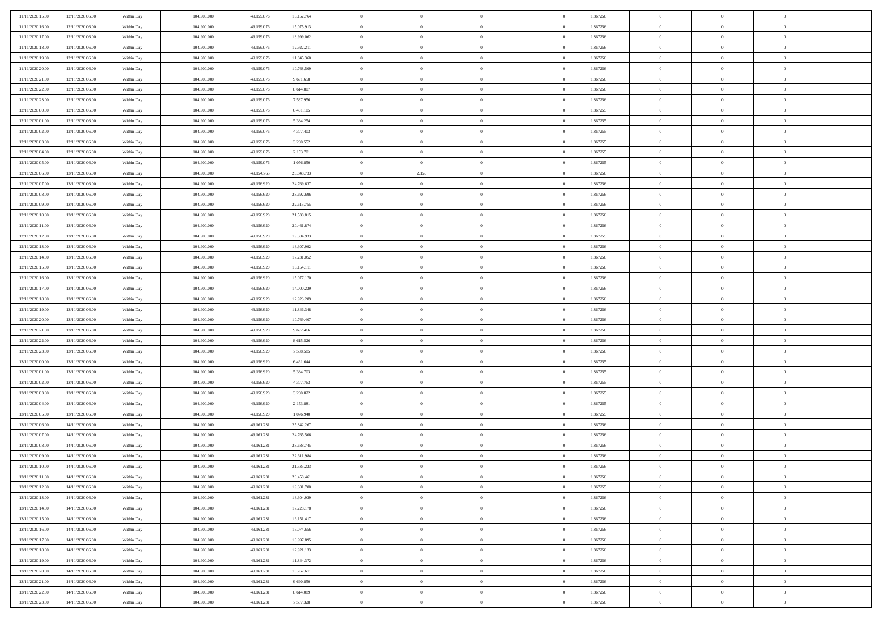| 11/11/2020 15:00                     | 12/11/2020 06.00                     | Within Day               | 104,900,000                | 49.159.076               | 16.152.764             | $\bf{0}$                    | $\overline{0}$                   | $\Omega$                         | 1,367256             | $\bf{0}$                 | $\overline{0}$             | $\bf{0}$                  |  |
|--------------------------------------|--------------------------------------|--------------------------|----------------------------|--------------------------|------------------------|-----------------------------|----------------------------------|----------------------------------|----------------------|--------------------------|----------------------------|---------------------------|--|
| 11/11/2020 16:00                     | 12/11/2020 06:00                     | Within Dav               | 104.900.000                | 49.159.076               | 15.075.913             | $\theta$                    | $\overline{0}$                   | $\overline{0}$                   | 1,367256             | $\mathbf{0}$             | $\bf{0}$                   | $\overline{0}$            |  |
| 11/11/2020 17:00                     | 12/11/2020 06:00                     | Within Day               | 104.900.000                | 49.159.076               | 13.999.062             | $\theta$                    | $\overline{0}$                   | $\bf{0}$                         | 1,367256             | $\,$ 0                   | $\overline{0}$             | $\,$ 0 $\,$               |  |
| 11/11/2020 18:00                     | 12/11/2020 06:00                     | Within Day               | 104,900,000                | 49.159.076               | 12.922.211             | $\theta$                    | $\overline{0}$                   | $\mathbf{0}$                     | 1,367256             | $\bf{0}$                 | $\mathbf{0}$               | $\theta$                  |  |
| 11/11/2020 19:00                     | 12/11/2020 06:00                     | Within Dav               | 104.900.000                | 49.159.076               | 11.845.360             | $\mathbf{0}$                | $\overline{0}$                   | $\overline{0}$                   | 1,367256             | $\mathbf{0}$             | $\bf{0}$                   | $\overline{0}$            |  |
| 11/11/2020 20:00                     | 12/11/2020 06:00                     | Within Day               | 104.900.000                | 49.159.076               | 10.768.509             | $\theta$                    | $\overline{0}$                   | $\bf{0}$                         | 1,367256             | $\,$ 0                   | $\overline{0}$             | $\,$ 0 $\,$               |  |
| 11/11/2020 21:00                     | 12/11/2020 06:00                     | Within Day               | 104,900,000                | 49.159.076               | 9.691.658              | $\,$ 0 $\,$                 | $\overline{0}$                   | $\Omega$                         | 1,367256             | $\bf{0}$                 | $\bf{0}$                   | $\bf{0}$                  |  |
| 11/11/2020 22.00                     | 12/11/2020 06:00                     | Within Dav               | 104.900.000                | 49.159.076               | 8.614.807              | $\overline{0}$              | $\overline{0}$                   | $\overline{0}$                   | 1,367256             | $\mathbf{0}$             | $\bf{0}$                   | $\overline{0}$            |  |
| 11/11/2020 23:00                     | 12/11/2020 06:00                     | Within Day               | 104.900.000                | 49.159.076               | 7.537.956              | $\theta$                    | $\overline{0}$                   | $\bf{0}$                         | 1,367256             | $\,$ 0                   | $\overline{0}$             | $\,$ 0 $\,$               |  |
| 12/11/2020 00:00                     | 12/11/2020 06.00                     | Within Day               | 104,900,000                | 49.159.076               | 6.461.105              | $\mathbf{0}$                | $\overline{0}$                   | $\mathbf{0}$                     | 1,367255             | $\theta$                 | $\mathbf{0}$               | $\theta$                  |  |
| 12/11/2020 01:00                     | 12/11/2020 06:00                     | Within Dav               | 104.900.000                | 49.159.076               | 5.384.254              | $\mathbf{0}$                | $\overline{0}$                   | $\overline{0}$                   | 1,367255             | $\mathbf{0}$             | $\bf{0}$                   | $\overline{0}$            |  |
| 12/11/2020 02:00                     | 12/11/2020 06:00                     | Within Day               | 104.900.000                | 49.159.076               | 4.307.403              | $\theta$                    | $\overline{0}$                   | $\bf{0}$                         | 1,367255             | $\,$ 0                   | $\overline{0}$             | $\,$ 0 $\,$               |  |
| 12/11/2020 03:00                     | 12/11/2020 06.00                     | Within Day               | 104,900,000                | 49.159.076               | 3.230.552              | $\theta$                    | $\overline{0}$                   | $\mathbf{0}$                     | 1,367255             | $\bf{0}$                 | $\mathbf{0}$               | $\theta$                  |  |
| 12/11/2020 04:00                     | 12/11/2020 06:00                     | Within Day               | 104.900.000                | 49.159.076               | 2.153.701              | $\mathbf{0}$                | $\overline{0}$                   | $\overline{0}$                   | 1,367255             | $\mathbf{0}$             | $\bf{0}$                   | $\overline{0}$            |  |
| 12/11/2020 05:00                     | 12/11/2020 06:00                     | Within Day               | 104.900.000                | 49.159.076               | 1.076.850              | $\theta$                    | $\overline{0}$                   | $\overline{0}$                   | 1,367255             | $\,$ 0                   | $\overline{0}$             | $\,$ 0 $\,$               |  |
| 12/11/2020 06:00                     | 13/11/2020 06.00                     | Within Day               | 104,900,000                | 49.154.765               | 25.848.733             | $\bf{0}$                    | 2.155                            | $\mathbf{0}$                     | 1,367256             | $\bf{0}$                 | $\mathbf{0}$               | $\bf{0}$                  |  |
| 12/11/2020 07:00                     | 13/11/2020 06:00                     | Within Day               | 104.900.000                | 49.156.920               | 24.769.637             | $\overline{0}$              | $\overline{0}$                   | $\overline{0}$                   | 1,367256             | $\mathbf{0}$             | $\bf{0}$                   | $\overline{0}$            |  |
| 12/11/2020 08:00                     | 13/11/2020 06:00                     | Within Day               | 104.900.000                | 49.156.920               | 23.692.696             | $\theta$                    | $\overline{0}$                   | $\bf{0}$                         | 1,367256             | $\,$ 0                   | $\overline{0}$             | $\,$ 0 $\,$               |  |
| 12/11/2020 09:00                     | 13/11/2020 06.00                     | Within Day               | 104,900,000                | 49.156.920               | 22.615.755             | $\,$ 0 $\,$                 | $\overline{0}$                   | $\mathbf{0}$                     | 1.367256             | $\theta$                 | $\mathbf{0}$               | $\theta$                  |  |
| 12/11/2020 10:00                     | 13/11/2020 06:00                     | Within Day               | 104.900.000                | 49.156.920               | 21.538.815             | $\overline{0}$              | $\overline{0}$                   | $\overline{0}$                   | 1,367256             | $\mathbf{0}$             | $\bf{0}$                   | $\overline{0}$            |  |
| 12/11/2020 11:00                     | 13/11/2020 06:00                     | Within Day               | 104.900.000                | 49.156.920               | 20.461.874             | $\theta$                    | $\overline{0}$                   | $\bf{0}$                         | 1,367256             | $\,$ 0                   | $\overline{0}$             | $\,$ 0 $\,$               |  |
| 12/11/2020 12:00                     | 13/11/2020 06.00                     | Within Day               | 104,900,000                | 49.156.920               | 19.384.933             | $\theta$                    | $\overline{0}$                   | $\mathbf{0}$                     | 1,367255             | $\bf{0}$                 | $\mathbf{0}$               | $\theta$                  |  |
| 12/11/2020 13:00                     | 13/11/2020 06:00                     | Within Day               | 104.900.000                | 49.156.920               | 18.307.992             | $\mathbf{0}$                | $\overline{0}$                   | $\overline{0}$                   | 1,367256             | $\mathbf{0}$             | $\bf{0}$                   | $\overline{0}$            |  |
| 12/11/2020 14:00                     | 13/11/2020 06:00                     | Within Day               | 104.900.000                | 49.156.920               | 17.231.052             | $\theta$                    | $\overline{0}$                   | $\bf{0}$                         | 1,367256             | $\,$ 0                   | $\overline{0}$             | $\,$ 0 $\,$               |  |
| 12/11/2020 15:00                     | 13/11/2020 06.00                     | Within Day               | 104,900,000                | 49.156.920               | 16.154.111             | $\,$ 0 $\,$                 | $\overline{0}$                   | $\mathbf{0}$                     | 1,367256             | $\bf{0}$                 | $\bf{0}$                   | $\bf{0}$                  |  |
| 12/11/2020 16:00                     | 13/11/2020 06:00                     | Within Dav               | 104.900.000                | 49.156.920               | 15.077.170             | $\overline{0}$              | $\overline{0}$                   | $\overline{0}$                   | 1,367256             | $\mathbf{0}$             | $\bf{0}$                   | $\overline{0}$            |  |
| 12/11/2020 17:00                     | 13/11/2020 06:00                     | Within Day               | 104.900.000                | 49.156.920               | 14.000.229             | $\theta$                    | $\overline{0}$                   | $\overline{0}$                   | 1,367256             | $\,$ 0                   | $\overline{0}$             | $\,$ 0 $\,$               |  |
| 12/11/2020 18:00                     | 13/11/2020 06:00                     | Within Day               | 104,900,000                | 49.156.920               | 12.923.289             | $\mathbf{0}$                | $\overline{0}$                   | $\mathbf{0}$                     | 1.367256             | $\theta$                 | $\mathbf{0}$               | $\theta$                  |  |
| 12/11/2020 19:00                     | 13/11/2020 06:00                     | Within Day               | 104.900.000                | 49.156.920               | 11.846.348             | $\mathbf{0}$                | $\overline{0}$                   | $\overline{0}$                   | 1,367256             | $\mathbf{0}$             | $\bf{0}$                   | $\overline{0}$            |  |
| 12/11/2020 20:00                     | 13/11/2020 06:00                     | Within Day               | 104.900.000                | 49.156.920               | 10.769.407             | $\theta$                    | $\overline{0}$                   | $\bf{0}$                         | 1,367256             | $\,$ 0                   | $\overline{0}$             | $\,$ 0 $\,$               |  |
| 12/11/2020 21:00                     | 13/11/2020 06:00                     | Within Day               | 104.900.000                | 49.156.920               | 9.692.466              | $\,$ 0 $\,$                 | $\overline{0}$                   | $\overline{0}$                   | 1,367256             | $\bf{0}$                 | $\overline{0}$             | $\,0\,$                   |  |
| 12/11/2020 22.00                     | 13/11/2020 06:00                     | Within Day               | 104.900.000                | 49.156.920               | 8.615.526              | $\overline{0}$              | $\overline{0}$                   | $\overline{0}$                   | 1,367256             | $\mathbf{0}$             | $\bf{0}$                   | $\overline{0}$            |  |
| 12/11/2020 23:00                     | 13/11/2020 06:00                     | Within Day               | 104.900.000                | 49.156.920               | 7.538.585              | $\theta$                    | $\overline{0}$                   | $\overline{0}$                   | 1,367256             | $\,$ 0                   | $\overline{0}$             | $\,$ 0 $\,$               |  |
| 13/11/2020 00:00                     | 13/11/2020 06.00                     | Within Day               | 104.900.000                | 49.156.920               | 6.461.644              | $\,$ 0 $\,$                 | $\overline{0}$                   | $\overline{0}$                   | 1,367255             | $\bf{0}$                 | $\overline{0}$             | $\,0\,$                   |  |
| 13/11/2020 01:00                     | 13/11/2020 06:00                     | Within Day               | 104.900.000                | 49.156.920               | 5.384.703              | $\overline{0}$              | $\overline{0}$                   | $\overline{0}$                   | 1,367255             | $\mathbf{0}$             | $\bf{0}$                   | $\overline{0}$            |  |
| 13/11/2020 02:00                     | 13/11/2020 06:00                     | Within Day               | 104.900.000                | 49.156.920               | 4.307.763              | $\theta$                    | $\overline{0}$                   | $\bf{0}$                         | 1,367255             | $\,$ 0                   | $\overline{0}$             | $\,$ 0 $\,$               |  |
| 13/11/2020 03:00<br>13/11/2020 04:00 | 13/11/2020 06:00<br>13/11/2020 06:00 | Within Day<br>Within Day | 104.900.000<br>104.900.000 | 49.156.920<br>49.156.920 | 3.230.822<br>2.153.881 | $\,$ 0 $\,$<br>$\mathbf{0}$ | $\overline{0}$<br>$\overline{0}$ | $\overline{0}$<br>$\overline{0}$ | 1,367255<br>1,367255 | $\bf{0}$<br>$\mathbf{0}$ | $\overline{0}$<br>$\bf{0}$ | $\,0\,$<br>$\overline{0}$ |  |
| 13/11/2020 05:00                     | 13/11/2020 06:00                     | Within Day               | 104.900.000                | 49.156.920               | 1.076.940              | $\theta$                    | $\overline{0}$                   | $\bf{0}$                         | 1,367255             | $\,$ 0                   | $\overline{0}$             | $\,$ 0 $\,$               |  |
| 13/11/2020 06:00                     | 14/11/2020 06.00                     | Within Day               | 104.900.000                | 49.161.231               | 25.842.267             | $\,$ 0 $\,$                 | $\overline{0}$                   | $\overline{0}$                   | 1,367256             | $\bf{0}$                 | $\overline{0}$             | $\,0\,$                   |  |
| 13/11/2020 07:00                     | 14/11/2020 06:00                     | Within Day               | 104.900.000                | 49.161.231               | 24.765.506             | $\theta$                    | $\overline{0}$                   | $\overline{0}$                   | 1,367256             | $\mathbf{0}$             | $\bf{0}$                   | $\overline{0}$            |  |
| 13/11/2020 08:00                     | 14/11/2020 06:00                     | Within Day               | 104.900.000                | 49.161.231               | 23.688.745             | $\theta$                    | $\overline{0}$                   | $\bf{0}$                         | 1,367256             | $\,$ 0                   | $\overline{0}$             | $\,$ 0 $\,$               |  |
| 13/11/2020 09:00                     | 14/11/2020 06.00                     | Within Day               | 104.900.000                | 49.161.231               | 22.611.984             | $\,$ 0 $\,$                 | $\overline{0}$                   | $\overline{0}$                   | 1,367256             | $\bf{0}$                 | $\overline{0}$             | $\,0\,$                   |  |
| 13/11/2020 10:00                     | 14/11/2020 06:00                     | Within Dav               | 104.900.000                | 49.161.231               | 21.535.223             | $\theta$                    | $\overline{0}$                   | $\overline{0}$                   | 1,367256             | $\mathbf{0}$             | $\bf{0}$                   | $\overline{0}$            |  |
| 13/11/2020 11:00                     | 14/11/2020 06:00                     | Within Day               | 104.900.000                | 49.161.231               | 20.458.461             | $\overline{0}$              | $\overline{0}$                   | $\overline{0}$                   | 1,367256             | $\overline{0}$           | $\overline{0}$             | $\theta$                  |  |
| 13/11/2020 12:00                     | 14/11/2020 06:00                     | Within Day               | 104.900.000                | 49.161.231               | 19.381.700             | $\bf{0}$                    | $\overline{0}$                   | $\overline{0}$                   | 1,367255             | $\bf{0}$                 | $\overline{0}$             | $\bf{0}$                  |  |
| 13/11/2020 13:00                     | 14/11/2020 06:00                     | Within Day               | 104.900.000                | 49.161.231               | 18.304.939             | $\overline{0}$              | $\overline{0}$                   | $\overline{0}$                   | 1,367256             | $\overline{0}$           | $\bf{0}$                   | $\overline{0}$            |  |
| 13/11/2020 14:00                     | 14/11/2020 06:00                     | Within Day               | 104.900.000                | 49.161.231               | 17.228.178             | $\,$ 0                      | $\overline{0}$                   | $\overline{0}$                   | 1,367256             | $\,$ 0 $\,$              | $\,$ 0 $\,$                | $\,$ 0 $\,$               |  |
| 13/11/2020 15:00                     | 14/11/2020 06:00                     | Within Day               | 104.900.000                | 49.161.231               | 16.151.417             | $\bf{0}$                    | $\overline{0}$                   | $\overline{0}$                   | 1,367256             | $\mathbf{0}$             | $\overline{0}$             | $\bf{0}$                  |  |
| 13/11/2020 16:00                     | 14/11/2020 06:00                     | Within Day               | 104.900.000                | 49.161.231               | 15.074.656             | $\,$ 0 $\,$                 | $\overline{0}$                   | $\overline{0}$                   | 1,367256             | $\,$ 0 $\,$              | $\bf{0}$                   | $\overline{0}$            |  |
| 13/11/2020 17:00                     | 14/11/2020 06:00                     | Within Day               | 104.900.000                | 49.161.231               | 13.997.895             | $\,$ 0                      | $\overline{0}$                   | $\overline{0}$                   | 1,367256             | $\,$ 0 $\,$              | $\overline{0}$             | $\,$ 0 $\,$               |  |
| 13/11/2020 18:00                     | 14/11/2020 06:00                     | Within Day               | 104.900.000                | 49.161.231               | 12.921.133             | $\bf{0}$                    | $\overline{0}$                   | $\overline{0}$                   | 1,367256             | $\overline{0}$           | $\overline{0}$             | $\overline{0}$            |  |
| 13/11/2020 19:00                     | 14/11/2020 06:00                     | Within Day               | 104.900.000                | 49.161.231               | 11.844.372             | $\,$ 0 $\,$                 | $\overline{0}$                   | $\overline{0}$                   | 1,367256             | $\,$ 0 $\,$              | $\bf{0}$                   | $\mathbf{0}$              |  |
| 13/11/2020 20:00                     | 14/11/2020 06:00                     | Within Day               | 104.900.000                | 49.161.231               | 10.767.611             | $\,$ 0                      | $\overline{0}$                   | $\overline{0}$                   | 1,367256             | $\,$ 0 $\,$              | $\,$ 0 $\,$                | $\,$ 0 $\,$               |  |
| 13/11/2020 21:00                     | 14/11/2020 06.00                     | Within Day               | 104.900.000                | 49.161.231               | 9.690.850              | $\bf{0}$                    | $\overline{0}$                   | $\overline{0}$                   | 1,367256             | $\mathbf{0}$             | $\overline{0}$             | $\bf{0}$                  |  |
| 13/11/2020 22.00                     | 14/11/2020 06:00                     | Within Day               | 104.900.000                | 49.161.231               | 8.614.089              | $\,$ 0 $\,$                 | $\overline{0}$                   | $\overline{0}$                   | 1,367256             | $\overline{0}$           | $\bf{0}$                   | $\overline{0}$            |  |
| 13/11/2020 23:00                     | 14/11/2020 06.00                     | Within Day               | 104.900.000                | 49.161.231               | 7.537.328              | $\,$ 0 $\,$                 | $\overline{0}$                   | $\overline{0}$                   | 1,367256             | $\,$ 0 $\,$              | $\overline{0}$             | $\,$ 0 $\,$               |  |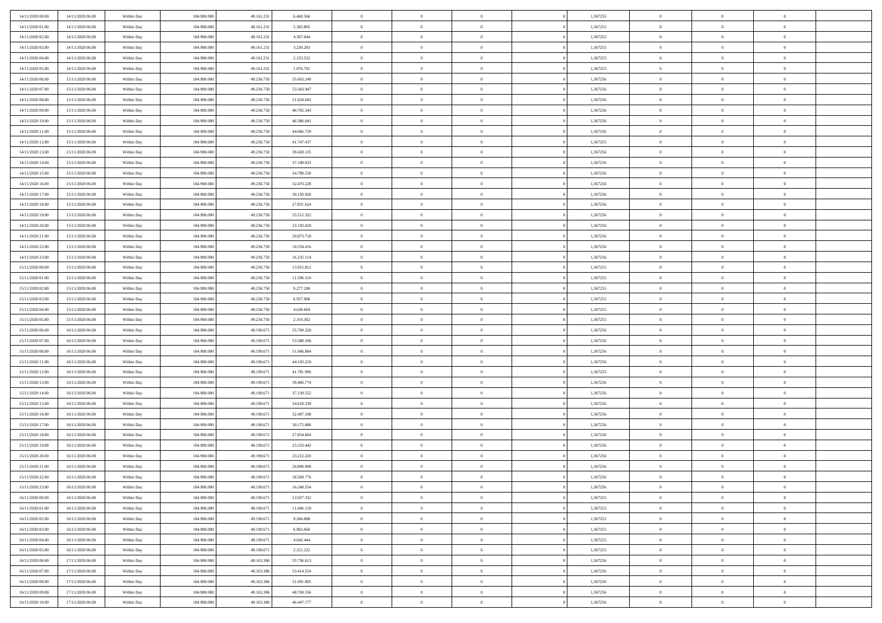| 14/11/2020 00:00 | 14/11/2020 06.00 | Within Day | 104,900,000 | 49.161.23  | 6.460.566  | $\bf{0}$       | $\overline{0}$ | $\overline{0}$ | 1,367255 | $\bf{0}$       | $\overline{0}$ | $\bf{0}$       |  |
|------------------|------------------|------------|-------------|------------|------------|----------------|----------------|----------------|----------|----------------|----------------|----------------|--|
| 14/11/2020 01:00 | 14/11/2020 06:00 | Within Day | 104.900.000 | 49.161.23  | 5.383.805  | $\overline{0}$ | $\overline{0}$ | $\Omega$       | 1,367255 | $\overline{0}$ | $\bf{0}$       | $\theta$       |  |
| 14/11/2020 02:00 | 14/11/2020 06:00 | Within Day | 104.900.000 | 49.161.23  | 4.307.044  | $\overline{0}$ | $\overline{0}$ | $\overline{0}$ | 1,367255 | $\,$ 0 $\,$    | $\overline{0}$ | $\,$ 0 $\,$    |  |
| 14/11/2020 03:00 | 14/11/2020 06.00 | Within Day | 104,900,000 | 49.161.23  | 3.230.283  | $\overline{0}$ | $\overline{0}$ | $\Omega$       | 1,367255 | $\overline{0}$ | $\theta$       | $\overline{0}$ |  |
| 14/11/2020 04:00 | 14/11/2020 06:00 | Within Day | 104.900.000 | 49.161.23  | 2.153.522  | $\mathbf{0}$   | $\overline{0}$ | $\overline{0}$ | 1,367255 | $\mathbf{0}$   | $\bf{0}$       | $\overline{0}$ |  |
| 14/11/2020 05:00 | 14/11/2020 06:00 | Within Day | 104.900.000 | 49.161.23  | 1.076.761  | $\overline{0}$ | $\overline{0}$ | $\overline{0}$ | 1,367255 | $\,$ 0 $\,$    | $\overline{0}$ | $\,$ 0 $\,$    |  |
| 14/11/2020 06.00 | 15/11/2020 06.00 | Within Day | 104,900,000 | 49.236.75  | 55.663.249 | $\bf{0}$       | $\overline{0}$ | $\Omega$       | 1,367256 | $\bf{0}$       | $\theta$       | $\overline{0}$ |  |
| 14/11/2020 07:00 | 15/11/2020 06:00 | Within Day | 104.900.000 | 49.236.750 | 53.343.947 | $\overline{0}$ | $\overline{0}$ | $\overline{0}$ | 1,367256 | $\mathbf{0}$   | $\bf{0}$       | $\theta$       |  |
| 14/11/2020 08:00 | 15/11/2020 06:00 | Within Day | 104.900.000 | 49.236.750 | 51.024.645 | $\,$ 0         | $\overline{0}$ | $\overline{0}$ | 1,367256 | $\,$ 0 $\,$    | $\overline{0}$ | $\,$ 0 $\,$    |  |
| 14/11/2020 09:00 | 15/11/2020 06.00 | Within Day | 104,900,000 | 49.236.750 | 48.705.343 | $\overline{0}$ | $\overline{0}$ | $\Omega$       | 1,367256 | $\overline{0}$ | $\theta$       | $\overline{0}$ |  |
| 14/11/2020 10:00 | 15/11/2020 06:00 | Within Day | 104.900.000 | 49.236.750 | 46.386.041 | $\mathbf{0}$   | $\overline{0}$ | $\overline{0}$ | 1,367256 | $\mathbf{0}$   | $\bf{0}$       | $\theta$       |  |
| 14/11/2020 11:00 | 15/11/2020 06:00 | Within Day | 104.900.000 | 49.236.750 | 44.066.739 | $\overline{0}$ | $\overline{0}$ | $\overline{0}$ | 1,367256 | $\,$ 0 $\,$    | $\overline{0}$ | $\,$ 0 $\,$    |  |
| 14/11/2020 12.00 | 15/11/2020 06.00 | Within Day | 104,900,000 | 49.236.75  | 41.747.437 | $\overline{0}$ | $\overline{0}$ | $\Omega$       | 1,367255 | $\overline{0}$ | $\theta$       | $\overline{0}$ |  |
| 14/11/2020 13:00 | 15/11/2020 06:00 | Within Day | 104.900.000 | 49.236.750 | 39.428.135 | $\mathbf{0}$   | $\overline{0}$ | $\overline{0}$ | 1,367256 | $\mathbf{0}$   | $\bf{0}$       | $\theta$       |  |
| 14/11/2020 14:00 | 15/11/2020 06:00 | Within Day | 104.900.000 | 49.236.750 | 37.108.833 | $\,$ 0         | $\,$ 0 $\,$    | $\overline{0}$ | 1,367256 | $\,$ 0 $\,$    | $\overline{0}$ | $\,$ 0 $\,$    |  |
| 14/11/2020 15.00 | 15/11/2020 06.00 | Within Day | 104,900,000 | 49.236.750 | 34.789.530 | $\bf{0}$       | $\overline{0}$ | $\Omega$       | 1,367256 | $\bf{0}$       | $\theta$       | $\bf{0}$       |  |
| 14/11/2020 16:00 | 15/11/2020 06:00 | Within Day | 104.900.000 | 49.236.750 | 32.470.228 | $\overline{0}$ | $\overline{0}$ | $\overline{0}$ | 1,367256 | $\mathbf{0}$   | $\bf{0}$       | $\theta$       |  |
| 14/11/2020 17:00 | 15/11/2020 06:00 | Within Day | 104.900.000 | 49.236.750 | 30.150.926 | $\overline{0}$ | $\overline{0}$ | $\overline{0}$ | 1,367256 | $\,$ 0 $\,$    | $\overline{0}$ | $\,0\,$        |  |
| 14/11/2020 18.00 | 15/11/2020 06.00 | Within Day | 104,900,000 | 49.236.750 | 27.831.624 | $\overline{0}$ | $\overline{0}$ | $\Omega$       | 1,367256 | $\overline{0}$ | $\theta$       | $\overline{0}$ |  |
| 14/11/2020 19:00 | 15/11/2020 06:00 | Within Day | 104.900.000 | 49.236.750 | 25.512.322 | $\overline{0}$ | $\overline{0}$ | $\overline{0}$ | 1,367256 | $\mathbf{0}$   | $\bf{0}$       | $\theta$       |  |
| 14/11/2020 20:00 | 15/11/2020 06:00 | Within Day | 104.900.000 | 49.236.750 | 23.193.020 | $\,$ 0         | $\overline{0}$ | $\overline{0}$ | 1,367256 | $\,$ 0 $\,$    | $\overline{0}$ | $\,0\,$        |  |
| 14/11/2020 21.00 | 15/11/2020 06.00 | Within Day | 104,900,000 | 49.236.750 | 20.873.718 | $\overline{0}$ | $\overline{0}$ | $\Omega$       | 1,367256 | $\overline{0}$ | $\theta$       | $\overline{0}$ |  |
| 14/11/2020 22:00 | 15/11/2020 06:00 | Within Day | 104.900.000 | 49.236.750 | 18.554.416 | $\mathbf{0}$   | $\overline{0}$ | $\overline{0}$ | 1,367256 | $\mathbf{0}$   | $\bf{0}$       | $\theta$       |  |
| 14/11/2020 23.00 | 15/11/2020 06:00 | Within Day | 104.900.000 | 49.236.750 | 16.235.114 | $\overline{0}$ | $\overline{0}$ | $\overline{0}$ | 1,367256 | $\,$ 0 $\,$    | $\overline{0}$ | $\,0\,$        |  |
| 15/11/2020 00:00 | 15/11/2020 06.00 | Within Day | 104,900,000 | 49.236.75  | 13.915.812 | $\bf{0}$       | $\overline{0}$ | $\Omega$       | 1,367255 | $\bf{0}$       | $\theta$       | $\bf{0}$       |  |
| 15/11/2020 01:00 | 15/11/2020 06:00 | Within Day | 104.900.000 | 49.236.750 | 11.596.510 | $\overline{0}$ | $\overline{0}$ | $\overline{0}$ | 1,367255 | $\overline{0}$ | $\bf{0}$       | $\theta$       |  |
| 15/11/2020 02:00 | 15/11/2020 06:00 | Within Day | 104.900.000 | 49.236.750 | 9.277.208  | $\,$ 0         | $\overline{0}$ | $\overline{0}$ | 1,367255 | $\,$ 0 $\,$    | $\overline{0}$ | $\,0\,$        |  |
| 15/11/2020 03.00 | 15/11/2020 06.00 | Within Day | 104,900,000 | 49.236.750 | 6.957.906  | $\overline{0}$ | $\overline{0}$ | $\Omega$       | 1.367255 | $\overline{0}$ | $\theta$       | $\overline{0}$ |  |
| 15/11/2020 04:00 | 15/11/2020 06:00 | Within Day | 104.900.000 | 49.236.750 | 4.638.604  | $\mathbf{0}$   | $\overline{0}$ | $\overline{0}$ | 1,367255 | $\mathbf{0}$   | $\bf{0}$       | $\overline{0}$ |  |
| 15/11/2020 05:00 | 15/11/2020 06:00 | Within Day | 104.900.000 | 49.236.750 | 2.319.302  | $\overline{0}$ | $\overline{0}$ | $\overline{0}$ | 1,367255 | $\,$ 0 $\,$    | $\overline{0}$ | $\,0\,$        |  |
| 15/11/2020 06:00 | 16/11/2020 06:00 | Within Day | 104.900.000 | 49.190.67  | 55.709.328 | $\bf{0}$       | $\overline{0}$ | $\Omega$       | 1,367256 | $\bf{0}$       | $\overline{0}$ | $\bf{0}$       |  |
| 15/11/2020 07:00 | 16/11/2020 06:00 | Within Day | 104.900.000 | 49.190.671 | 53.388.106 | $\overline{0}$ | $\overline{0}$ | $\overline{0}$ | 1,367256 | $\mathbf{0}$   | $\bf{0}$       | $\theta$       |  |
| 15/11/2020 08:00 | 16/11/2020 06:00 | Within Day | 104.900.000 | 49.190.67  | 51.066.884 | $\,$ 0         | $\,$ 0 $\,$    | $\overline{0}$ | 1,367256 | $\,$ 0 $\,$    | $\overline{0}$ | $\,0\,$        |  |
| 15/11/2020 11:00 | 16/11/2020 06:00 | Within Day | 104.900.000 | 49.190.671 | 44.103.218 | $\bf{0}$       | $\overline{0}$ | $\overline{0}$ | 1,367256 | $\mathbf{0}$   | $\overline{0}$ | $\bf{0}$       |  |
| 15/11/2020 12:00 | 16/11/2020 06:00 | Within Day | 104.900.000 | 49.190.671 | 41.781.996 | $\overline{0}$ | $\overline{0}$ | $\overline{0}$ | 1,367255 | $\overline{0}$ | $\overline{0}$ | $\theta$       |  |
| 15/11/2020 13:00 | 16/11/2020 06:00 | Within Day | 104.900.000 | 49.190.67  | 39.460.774 | $\overline{0}$ | $\overline{0}$ | $\overline{0}$ | 1,367256 | $\,$ 0 $\,$    | $\overline{0}$ | $\,0\,$        |  |
| 15/11/2020 14:00 | 16/11/2020 06:00 | Within Day | 104.900.000 | 49.190.67  | 37.139.552 | $\bf{0}$       | $\overline{0}$ | $\Omega$       | 1,367256 | $\bf{0}$       | $\theta$       | $\bf{0}$       |  |
| 15/11/2020 15:00 | 16/11/2020 06:00 | Within Day | 104.900.000 | 49.190.67  | 34.818.330 | $\mathbf{0}$   | $\overline{0}$ | $\overline{0}$ | 1,367256 | $\mathbf{0}$   | $\bf{0}$       | $\overline{0}$ |  |
| 15/11/2020 16:00 | 16/11/2020 06:00 | Within Day | 104.900.000 | 49.190.671 | 32.497.108 | $\,$ 0         | $\overline{0}$ | $\overline{0}$ | 1,367256 | $\,$ 0 $\,$    | $\overline{0}$ | $\,0\,$        |  |
| 15/11/2020 17:00 | 16/11/2020 06:00 | Within Day | 104.900.000 | 49.190.671 | 30.175.886 | $\bf{0}$       | $\overline{0}$ | $\Omega$       | 1,367256 | $\bf{0}$       | $\overline{0}$ | $\bf{0}$       |  |
| 15/11/2020 18:00 | 16/11/2020 06:00 | Within Day | 104.900.000 | 49.190.671 | 27.854.664 | $\mathbf{0}$   | $\overline{0}$ | $\overline{0}$ | 1,367256 | $\overline{0}$ | $\overline{0}$ | $\theta$       |  |
| 15/11/2020 19:00 | 16/11/2020 06:00 | Within Day | 104.900.000 | 49.190.67  | 25.533.442 | $\,$ 0         | $\overline{0}$ | $\overline{0}$ | 1,367256 | $\,$ 0 $\,$    | $\overline{0}$ | $\,0\,$        |  |
| 15/11/2020 20:00 | 16/11/2020 06:00 | Within Day | 104.900.000 | 49.190.67  | 23.212.220 | $\bf{0}$       | $\overline{0}$ | $\overline{0}$ | 1,367256 | $\bf{0}$       | $\overline{0}$ | $\bf{0}$       |  |
| 15/11/2020 21.00 | 16/11/2020 06:00 | Within Day | 104.900.000 | 49.190.671 | 20.890.998 | $\mathbf{0}$   | $\overline{0}$ | $\overline{0}$ | 1,367256 | $\overline{0}$ | $\bf{0}$       | $\theta$       |  |
| 15/11/2020 22:00 | 16/11/2020 06:00 | Within Day | 104.900.000 | 49.190.671 | 18.569.776 | $\theta$       | $\overline{0}$ | $\Omega$       | 1,367256 | $\overline{0}$ | $\overline{0}$ | $\overline{0}$ |  |
| 15/11/2020 23.00 | 16/11/2020 06:00 | Within Day | 104.900.000 | 49.190.671 | 16.248.554 | $\bf{0}$       | $\overline{0}$ | $\overline{0}$ | 1,367256 | $\mathbf{0}$   | $\overline{0}$ | $\bf{0}$       |  |
| 16/11/2020 00:00 | 16/11/2020 06:00 | Within Day | 104.900.000 | 49.190.671 | 13.927.332 | $\overline{0}$ | $\overline{0}$ | $\overline{0}$ | 1,367255 | $\mathbf{0}$   | $\bf{0}$       | $\overline{0}$ |  |
| 16/11/2020 01:00 | 16/11/2020 06:00 | Within Day | 104.900.000 | 49.190.671 | 11.606.110 | $\,$ 0 $\,$    | $\overline{0}$ | $\overline{0}$ | 1,367255 | $\,$ 0 $\,$    | $\,$ 0         | $\theta$       |  |
| 16/11/2020 02:00 | 16/11/2020 06:00 | Within Day | 104.900.000 | 49.190.671 | 9.284.888  | $\bf{0}$       | $\overline{0}$ | $\overline{0}$ | 1,367255 | $\mathbf{0}$   | $\overline{0}$ | $\bf{0}$       |  |
| 16/11/2020 03:00 | 16/11/2020 06:00 | Within Day | 104.900.000 | 49.190.671 | 6.963.666  | $\mathbf{0}$   | $\overline{0}$ | $\overline{0}$ | 1,367255 | $\mathbf{0}$   | $\bf{0}$       | $\theta$       |  |
| 16/11/2020 04:00 | 16/11/2020 06:00 | Within Day | 104.900.000 | 49.190.671 | 4.642.444  | $\,$ 0 $\,$    | $\overline{0}$ | $\overline{0}$ | 1,367255 | $\,$ 0 $\,$    | $\overline{0}$ | $\theta$       |  |
| 16/11/2020 05:00 | 16/11/2020 06:00 | Within Day | 104.900.000 | 49.190.671 | 2.321.222  | $\bf{0}$       | $\overline{0}$ | $\overline{0}$ | 1,367255 | $\mathbf{0}$   | $\overline{0}$ | $\overline{0}$ |  |
| 16/11/2020 06:00 | 17/11/2020 06:00 | Within Day | 104.900.000 | 49.163.386 | 55.736.613 | $\mathbf{0}$   | $\overline{0}$ | $\overline{0}$ | 1,367256 | $\,$ 0 $\,$    | $\bf{0}$       | $\overline{0}$ |  |
| 16/11/2020 07:00 | 17/11/2020 06:00 | Within Day | 104.900.000 | 49.163.386 | 53.414.254 | $\,$ 0         | $\overline{0}$ | $\overline{0}$ | 1,367256 | $\,$ 0 $\,$    | $\,$ 0         | $\theta$       |  |
| 16/11/2020 08:00 | 17/11/2020 06:00 | Within Day | 104.900.000 | 49.163.386 | 51.091.895 | $\bf{0}$       | $\overline{0}$ | $\overline{0}$ | 1,367256 | $\mathbf{0}$   | $\overline{0}$ | $\bf{0}$       |  |
| 16/11/2020 09:00 | 17/11/2020 06:00 | Within Day | 104.900.000 | 49.163.386 | 48.769.536 | $\mathbf{0}$   | $\overline{0}$ | $\overline{0}$ | 1,367256 | $\mathbf{0}$   | $\bf{0}$       | $\overline{0}$ |  |
| 16/11/2020 10:00 | 17/11/2020 06:00 | Within Day | 104.900.000 | 49.163.386 | 46.447.177 | $\,$ 0         | $\overline{0}$ | $\overline{0}$ | 1,367256 | $\,$ 0 $\,$    | $\overline{0}$ | $\theta$       |  |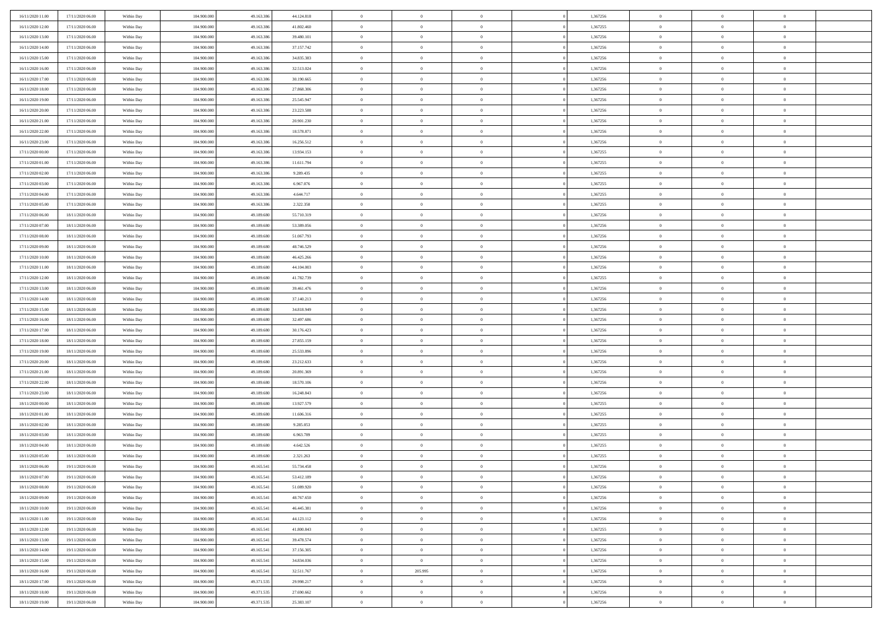| 16/11/2020 11:00                     | 17/11/2020 06:00                     | Within Day               | 104.900.000                | 49.163.386               | 44.124.818               | $\bf{0}$             | $\overline{0}$                   | $\overline{0}$                   | 1,367256             | $\bf{0}$                     | $\overline{0}$                   | $\,0\,$                          |  |
|--------------------------------------|--------------------------------------|--------------------------|----------------------------|--------------------------|--------------------------|----------------------|----------------------------------|----------------------------------|----------------------|------------------------------|----------------------------------|----------------------------------|--|
| 16/11/2020 12:00                     | 17/11/2020 06.00                     | Within Day               | 104,900,000                | 49.163.386               | 41.802.460               | $\theta$             | $\overline{0}$                   | $\mathbf{0}$                     | 1,367255             | $\theta$                     | $\overline{0}$                   | $\theta$                         |  |
| 16/11/2020 13:00                     | 17/11/2020 06:00                     | Within Day               | 104.900.000                | 49.163.386               | 39.480.101               | $\theta$             | $\overline{0}$                   | $\mathbf{0}$                     | 1,367256             | $\mathbf{0}$                 | $\overline{0}$                   | $\overline{0}$                   |  |
| 16/11/2020 14:00                     | 17/11/2020 06.00                     | Within Day               | 104.900.000                | 49.163.386               | 37.157.742               | $\,$ 0 $\,$          | $\overline{0}$                   | $\overline{0}$                   | 1,367256             | $\bf{0}$                     | $\overline{0}$                   | $\bf{0}$                         |  |
| 16/11/2020 15:00                     | 17/11/2020 06:00                     | Within Day               | 104,900,000                | 49.163.386               | 34.835.383               | $\,$ 0               | $\overline{0}$                   | $\mathbf{0}$                     | 1,367256             | $\bf{0}$                     | $\theta$                         | $\,0\,$                          |  |
| 16/11/2020 16:00                     | 17/11/2020 06:00                     | Within Day               | 104.900.000                | 49.163.386               | 32.513.024               | $\theta$             | $\overline{0}$                   | $\mathbf{0}$                     | 1,367256             | $\mathbf{0}$                 | $\overline{0}$                   | $\overline{0}$                   |  |
| 16/11/2020 17.00                     | 17/11/2020 06:00                     | Within Day               | 104.900.000                | 49.163.386               | 30.190.665               | $\,$ 0 $\,$          | $\overline{0}$                   | $\overline{0}$                   | 1,367256             | $\bf{0}$                     | $\overline{0}$                   | $\,0\,$                          |  |
| 16/11/2020 18:00                     | 17/11/2020 06:00                     | Within Day               | 104,900,000                | 49.163.386               | 27.868.306               | $\,$ 0               | $\overline{0}$                   | $\mathbf{0}$                     | 1,367256             | $\,$ 0 $\,$                  | $\overline{0}$                   | $\theta$                         |  |
| 16/11/2020 19:00                     | 17/11/2020 06:00                     | Within Day               | 104.900.000                | 49.163.386               | 25.545.947               | $\theta$             | $\overline{0}$                   | $\overline{0}$                   | 1,367256             | $\mathbf{0}$                 | $\bf{0}$                         | $\overline{0}$                   |  |
| 16/11/2020 20:00                     | 17/11/2020 06.00                     | Within Day               | 104.900.000                | 49.163.386               | 23.223.588               | $\,$ 0 $\,$          | $\overline{0}$                   | $\Omega$                         | 1,367256             | $\bf{0}$                     | $\overline{0}$                   | $\,0\,$                          |  |
| 16/11/2020 21:00                     | 17/11/2020 06.00                     | Within Day               | 104,900,000                | 49.163.386               | 20.901.230               | $\bf{0}$             | $\overline{0}$                   | $\mathbf{0}$                     | 1,367256             | $\bf{0}$                     | $\mathbf{0}$                     | $\theta$                         |  |
| 16/11/2020 22:00                     | 17/11/2020 06:00                     | Within Day               | 104.900.000                | 49.163.386               | 18.578.871               | $\theta$             | $\overline{0}$                   | $\overline{0}$                   | 1,367256             | $\mathbf{0}$                 | $\overline{0}$                   | $\overline{0}$                   |  |
| 16/11/2020 23.00                     | 17/11/2020 06:00                     | Within Day               | 104.900.000                | 49.163.386               | 16.256.512               | $\,$ 0 $\,$          | $\overline{0}$                   | $\overline{0}$                   | 1,367256             | $\bf{0}$                     | $\overline{0}$                   | $\bf{0}$                         |  |
| 17/11/2020 00:00                     | 17/11/2020 06:00                     | Within Day               | 104.900.000                | 49.163.386               | 13.934.153               | $\,$ 0               | $\overline{0}$                   | $\mathbf{0}$                     | 1,367255             | $\bf{0}$                     | $\theta$                         | $\,0\,$                          |  |
| 17/11/2020 01:00                     | 17/11/2020 06:00                     | Within Day               | 104.900.000                | 49.163.386               | 11.611.794               | $\theta$             | $\overline{0}$                   | $\mathbf{0}$                     | 1,367255             | $\mathbf{0}$                 | $\overline{0}$                   | $\overline{0}$                   |  |
| 17/11/2020 02.00                     | 17/11/2020 06.00                     | Within Day               | 104.900.000                | 49.163.386               | 9.289.435                | $\,$ 0 $\,$          | $\overline{0}$                   | $\Omega$                         | 1,367255             | $\bf{0}$                     | $\overline{0}$                   | $\bf{0}$                         |  |
| 17/11/2020 03:00                     | 17/11/2020 06.00                     |                          | 104,900,000                | 49.163.386               | 6.967.076                | $\,$ 0               | $\overline{0}$                   | $\mathbf{0}$                     | 1,367255             | $\,$ 0 $\,$                  | $\overline{0}$                   | $\theta$                         |  |
| 17/11/2020 04:00                     | 17/11/2020 06:00                     | Within Day<br>Within Day | 104.900.000                | 49.163.386               | 4.644.717                | $\theta$             | $\overline{0}$                   | $\mathbf{0}$                     | 1,367255             | $\mathbf{0}$                 | $\overline{0}$                   | $\overline{0}$                   |  |
| 17/11/2020 05:00                     | 17/11/2020 06:00                     | Within Day               | 104.900.000                | 49.163.386               | 2.322.358                | $\,$ 0 $\,$          | $\overline{0}$                   | $\overline{0}$                   | 1,367255             | $\bf{0}$                     | $\overline{0}$                   | $\,0\,$                          |  |
|                                      | 18/11/2020 06:00                     |                          | 104,900,000                | 49.189.680               |                          | $\bf{0}$             | $\overline{0}$                   | $\mathbf{0}$                     | 1,367256             | $\bf{0}$                     | $\mathbf{0}$                     | $\theta$                         |  |
| 17/11/2020 06:00<br>17/11/2020 07:00 | 18/11/2020 06:00                     | Within Day<br>Within Day | 104.900.000                | 49.189.680               | 55.710.319<br>53.389.056 | $\theta$             | $\overline{0}$                   | $\mathbf{0}$                     | 1,367256             | $\mathbf{0}$                 | $\overline{0}$                   | $\overline{0}$                   |  |
| 17/11/2020 08:00                     |                                      |                          |                            |                          |                          | $\,$ 0 $\,$          |                                  |                                  |                      | $\bf{0}$                     | $\overline{0}$                   | $\bf{0}$                         |  |
|                                      | 18/11/2020 06:00                     | Within Day               | 104.900.000<br>104,900,000 | 49.189.680<br>49.189.680 | 51.067.793               |                      | $\overline{0}$                   | $\overline{0}$                   | 1,367256             |                              |                                  |                                  |  |
| 17/11/2020 09:00                     | 18/11/2020 06:00<br>18/11/2020 06:00 | Within Day               |                            |                          | 48.746.529               | $\,$ 0<br>$\theta$   | $\overline{0}$                   | $\mathbf{0}$                     | 1,367256             | $\,$ 0 $\,$<br>$\mathbf{0}$  | $\bf{0}$                         | $\,0\,$<br>$\overline{0}$        |  |
| 17/11/2020 10:00                     |                                      | Within Day               | 104.900.000                | 49.189.680               | 46.425.266               |                      | $\overline{0}$                   | $\mathbf{0}$<br>$\overline{0}$   | 1,367256             |                              | $\overline{0}$<br>$\overline{0}$ |                                  |  |
| 17/11/2020 11:00                     | 18/11/2020 06:00                     | Within Day               | 104.900.000                | 49.189.680               | 44.104.003               | $\,$ 0 $\,$          | $\overline{0}$                   |                                  | 1,367256             | $\bf{0}$                     | $\overline{0}$                   | $\,0\,$                          |  |
| 17/11/2020 12:00                     | 18/11/2020 06:00                     | Within Day               | 104,900,000                | 49.189.680               | 41.782.739               | $\,$ 0               | $\overline{0}$                   | $\mathbf{0}$                     | 1,367255             | $\bf{0}$                     |                                  | $\theta$                         |  |
| 17/11/2020 13:00                     | 18/11/2020 06:00                     | Within Day               | 104.900.000                | 49.189.680               | 39.461.476               | $\theta$             | $\overline{0}$                   | $\overline{0}$                   | 1,367256             | $\mathbf{0}$                 | $\bf{0}$                         | $\overline{0}$                   |  |
| 17/11/2020 14:00                     | 18/11/2020 06:00                     | Within Day               | 104.900.000                | 49.189.680               | 37.140.213               | $\,$ 0 $\,$          | $\overline{0}$                   | $\Omega$                         | 1,367256             | $\bf{0}$                     | $\overline{0}$                   | $\,0\,$                          |  |
| 17/11/2020 15:00                     | 18/11/2020 06:00                     | Within Day               | 104,900,000                | 49.189.680               | 34.818.949               | $\bf{0}$<br>$\theta$ | $\overline{0}$                   | $\mathbf{0}$                     | 1,367256             | $\bf{0}$<br>$\mathbf{0}$     | $\mathbf{0}$                     | $\overline{0}$<br>$\overline{0}$ |  |
| 17/11/2020 16:00                     | 18/11/2020 06:00                     | Within Day               | 104.900.000                | 49.189.680               | 32.497.686               |                      | $\overline{0}$                   | $\overline{0}$                   | 1,367256             |                              | $\overline{0}$                   |                                  |  |
| 17/11/2020 17:00                     | 18/11/2020 06:00                     | Within Day               | 104.900.000                | 49.189.680               | 30.176.423               | $\,$ 0 $\,$          | $\overline{0}$                   | $\overline{0}$                   | 1,367256             | $\,$ 0                       | $\overline{0}$                   | $\,$ 0 $\,$                      |  |
| 17/11/2020 18:00                     | 18/11/2020 06:00                     | Within Day               | 104.900.000                | 49.189.680               | 27.855.159               | $\,$ 0<br>$\theta$   | $\overline{0}$                   | $\mathbf{0}$                     | 1,367256             | $\bf{0}$<br>$\mathbf{0}$     | $\mathbf{0}$                     | $\bf{0}$<br>$\overline{0}$       |  |
| 17/11/2020 19:00                     | 18/11/2020 06:00                     | Within Day               | 104.900.000                | 49.189.680               | 25.533.896               |                      | $\overline{0}$<br>$\overline{0}$ | $\mathbf{0}$                     | 1,367256             |                              | $\overline{0}$                   | $\theta$                         |  |
| 17/11/2020 20:00                     | 18/11/2020 06:00                     | Within Day               | 104.900.000<br>104,900,000 | 49.189.680<br>49.189.680 | 23.212.633               | $\theta$             |                                  | $\overline{0}$                   | 1,367256             | $\,$ 0                       | $\overline{0}$<br>$\overline{0}$ | $\overline{0}$                   |  |
| 17/11/2020 21:00<br>17/11/2020 22.00 | 18/11/2020 06:00<br>18/11/2020 06:00 | Within Day<br>Within Day | 104.900.000                | 49.189.680               | 20.891.369<br>18.570.106 | $\bf{0}$<br>$\theta$ | $\overline{0}$<br>$\overline{0}$ | $\mathbf{0}$                     | 1,367256<br>1,367256 | $\mathbf{0}$<br>$\mathbf{0}$ | $\overline{0}$                   | $\overline{0}$                   |  |
|                                      |                                      |                          |                            |                          |                          | $\theta$             | $\overline{0}$                   | $\mathbf{0}$<br>$\overline{0}$   |                      | $\,$ 0                       | $\overline{0}$                   | $\theta$                         |  |
| 17/11/2020 23:00                     | 18/11/2020 06:00<br>18/11/2020 06:00 | Within Day               | 104.900.000<br>104,900,000 | 49.189.680<br>49.189.680 | 16.248.843               | $\bf{0}$             | $\overline{0}$                   | $\mathbf{0}$                     | 1,367256<br>1,367255 | $\bf{0}$                     | $\mathbf{0}$                     | $\bf{0}$                         |  |
| 18/11/2020 00:00<br>18/11/2020 01:00 | 18/11/2020 06:00                     | Within Day<br>Within Dav | 104.900.000                | 49.189.680               | 13.927.579<br>11.606.316 | $\theta$             | $\overline{0}$                   | $\overline{0}$                   | 1,367255             | $\mathbf{0}$                 | $\overline{0}$                   | $\overline{0}$                   |  |
|                                      |                                      |                          |                            |                          |                          | $\,$ 0 $\,$          |                                  | $\overline{0}$                   |                      | $\,$ 0                       | $\overline{0}$                   | $\,$ 0 $\,$                      |  |
| 18/11/2020 02:00<br>18/11/2020 03:00 | 18/11/2020 06:00<br>18/11/2020 06:00 | Within Day               | 104.900.000<br>104,900,000 | 49.189.680<br>49.189.680 | 9.285.053<br>6.963.789   | $\,$ 0               | $\overline{0}$<br>$\,$ 0 $\,$    | $\overline{0}$                   | 1,367255<br>1,367255 | $\,$ 0 $\,$                  | $\overline{0}$                   | $\overline{0}$                   |  |
| 18/11/2020 04:00                     | 18/11/2020 06:00                     | Within Day<br>Within Dav | 104.900.000                | 49.189.680               | 4.642.526                | $\theta$             | $\overline{0}$                   | $\mathbf{0}$                     | 1,367255             | $\mathbf{0}$                 | $\overline{0}$                   | $\theta$                         |  |
| 18/11/2020 05:00                     | 18/11/2020 06:00                     | Within Day               | 104.900.000                | 49.189.680               | 2.321.263                | $\theta$             | $\overline{0}$                   | $\overline{0}$                   | 1,367255             | $\,$ 0                       | $\overline{0}$                   | $\theta$                         |  |
| 18/11/2020 06:00                     | 19/11/2020 06.00                     | Within Day               | 104,900,000                | 49.165.541               | 55.734.458               | $\,$ 0               | $\,$ 0 $\,$                      | $\mathbf{0}$                     | 1,367256             | $\,$ 0 $\,$                  | $\overline{0}$                   | $\overline{0}$                   |  |
| 18/11/2020 07:00                     | 19/11/2020 06:00                     | Within Day               | 104.900.000                | 49.165.541               | 53.412.189               | $\overline{0}$       | $\theta$                         |                                  | 1,367256             | $\overline{0}$               | $\theta$                         | $\theta$                         |  |
| 18/11/2020 08:00                     | 19/11/2020 06:00                     | Within Day               | 104.900.000                | 49.165.541               | 51.089.920               | $\,$ 0 $\,$          | $\overline{0}$                   | $\overline{0}$                   | 1,367256             | $\,$ 0 $\,$                  | $\bf{0}$                         | $\theta$                         |  |
| 18/11/2020 09:00                     | 19/11/2020 06:00                     | Within Day               | 104.900.000                | 49.165.541               | 48.767.650               | $\overline{0}$       | $\,$ 0 $\,$                      | $\overline{0}$                   | 1,367256             | $\,$ 0 $\,$                  | $\overline{0}$                   | $\overline{0}$                   |  |
| 18/11/2020 10:00                     | 19/11/2020 06:00                     | Within Day               | 104.900.000                | 49.165.541               | 46.445.381               | $\overline{0}$       | $\overline{0}$                   | $\overline{0}$                   | 1,367256             | $\,$ 0 $\,$                  | $\bf{0}$                         | $\mathbf{0}$                     |  |
| 18/11/2020 11:00                     | 19/11/2020 06:00                     | Within Day               | 104.900.000                | 49.165.541               | 44.123.112               | $\,$ 0 $\,$          | $\overline{0}$                   | $\overline{0}$                   | 1,367256             | $\,$ 0 $\,$                  | $\bf{0}$                         | $\,$ 0 $\,$                      |  |
|                                      | 19/11/2020 06.00                     |                          | 104,900,000                | 49.165.541               | 41.800.843               | $\,$ 0 $\,$          | $\,$ 0 $\,$                      | $\overline{0}$                   | 1,367255             | $\,$ 0 $\,$                  | $\overline{0}$                   | $\overline{0}$                   |  |
| 18/11/2020 12:00<br>18/11/2020 13:00 | 19/11/2020 06:00                     | Within Day<br>Within Day | 104.900.000                | 49.165.541               | 39.478.574               | $\overline{0}$       | $\overline{0}$                   | $\overline{0}$                   | 1,367256             | $\mathbf{0}$                 | $\overline{0}$                   | $\overline{0}$                   |  |
|                                      |                                      |                          |                            |                          |                          |                      |                                  |                                  |                      |                              | $\overline{0}$                   |                                  |  |
| 18/11/2020 14:00                     | 19/11/2020 06:00                     | Within Day               | 104.900.000<br>104.900.000 | 49.165.541               | 37.156.305               | $\,$ 0 $\,$          | $\overline{0}$                   | $\overline{0}$<br>$\overline{0}$ | 1,367256             | $\,$ 0 $\,$                  | $\overline{0}$                   | $\,$ 0 $\,$                      |  |
| 18/11/2020 15:00                     | 19/11/2020 06:00<br>19/11/2020 06:00 | Within Day               |                            | 49.165.541               | 34.834.036               | $\overline{0}$       | $\overline{0}$<br>205.995        |                                  | 1,367256             | $\,$ 0 $\,$                  |                                  | $\overline{0}$                   |  |
| 18/11/2020 16:00                     |                                      | Within Day               | 104.900.000                | 49.165.541               | 32.511.767               | $\overline{0}$       |                                  | $\overline{0}$                   | 1,367256             | $\mathbf{0}$                 | $\bf{0}$                         | $\mathbf{0}$                     |  |
| 18/11/2020 17:00                     | 19/11/2020 06:00                     | Within Day               | 104.900.000                | 49.371.535               | 29.998.217               | $\,$ 0 $\,$          | $\overline{0}$                   | $\overline{0}$                   | 1,367256             | $\,$ 0 $\,$                  | $\overline{0}$                   | $\,$ 0 $\,$                      |  |
| 18/11/2020 18:00                     | 19/11/2020 06:00                     | Within Day               | 104,900,000                | 49.371.535               | 27.690.662               | $\,$ 0 $\,$          | $\overline{0}$                   | $\overline{0}$                   | 1,367256             | $\,$ 0 $\,$                  | $\overline{0}$                   | $\overline{0}$                   |  |
| 18/11/2020 19:00                     | 19/11/2020 06:00                     | Within Day               | 104.900.000                | 49.371.535               | 25.383.107               | $\theta$             | $\overline{0}$                   | $\overline{0}$                   | 1,367256             | $\mathbf{0}$                 | $\overline{0}$                   | $\overline{0}$                   |  |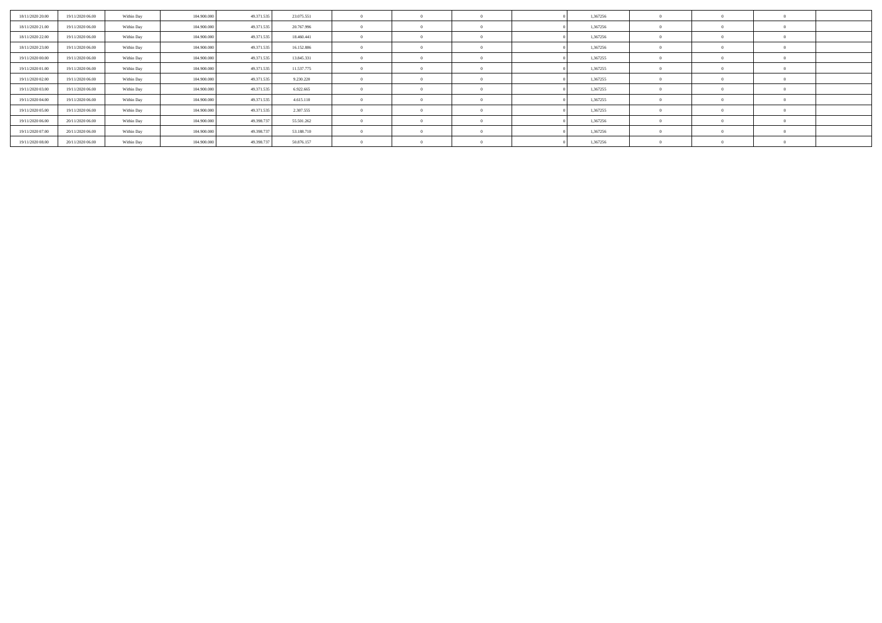| 18/11/2020 20:00 | 19/11/2020 06:00 | Within Day | 104.900.000 | 49.371.535 | 23.075.551 |  |  | 1,367256 |  |  |
|------------------|------------------|------------|-------------|------------|------------|--|--|----------|--|--|
| 18/11/2020 21.00 | 19/11/2020 06.00 | Within Day | 104.900.000 | 49.371.535 | 20.767.996 |  |  | 1,367256 |  |  |
| 18/11/2020 22.00 | 19/11/2020 06.00 | Within Day | 104.900.000 | 49.371.535 | 18.460.441 |  |  | 1,367256 |  |  |
| 18/11/2020 23.00 | 19/11/2020 06.00 | Within Day | 104.900.000 | 49.371.535 | 16.152.886 |  |  | 1,367256 |  |  |
| 19/11/2020 00:00 | 19/11/2020 06:00 | Within Day | 104.900.000 | 49.371.535 | 13.845.331 |  |  | 1,367255 |  |  |
| 19/11/2020 01:00 | 19/11/2020 06.00 | Within Day | 104.900.000 | 49.371.535 | 11.537.775 |  |  | 1,367255 |  |  |
| 19/11/2020 02.00 | 19/11/2020 06.00 | Within Day | 104.900.000 | 49.371.535 | 9.230.220  |  |  | 1,367255 |  |  |
| 19/11/2020 03:00 | 19/11/2020 06.00 | Within Day | 104.900.000 | 49.371.535 | 6.922.665  |  |  | 1,367255 |  |  |
| 19/11/2020 04:00 | 19/11/2020 06.00 | Within Day | 104.900.000 | 49.371.535 | 4.615.110  |  |  | 1,367255 |  |  |
| 19/11/2020 05:00 | 19/11/2020 06.00 | Within Day | 104.900.000 | 49.371.535 | 2.307.555  |  |  | 1,367255 |  |  |
| 19/11/2020 06:00 | 20/11/2020 06.00 | Within Day | 104.900.000 | 49.398.73  | 55.501.262 |  |  | 1,367256 |  |  |
| 19/11/2020 07:00 | 20/11/2020 06:00 | Within Day | 104.900.000 | 49.398.737 | 53.188.710 |  |  | 1,367256 |  |  |
| 19/11/2020 08:00 | 20/11/2020 06.00 | Within Day | 104.900.000 | 49.398.737 | 50.876.157 |  |  | 1,367256 |  |  |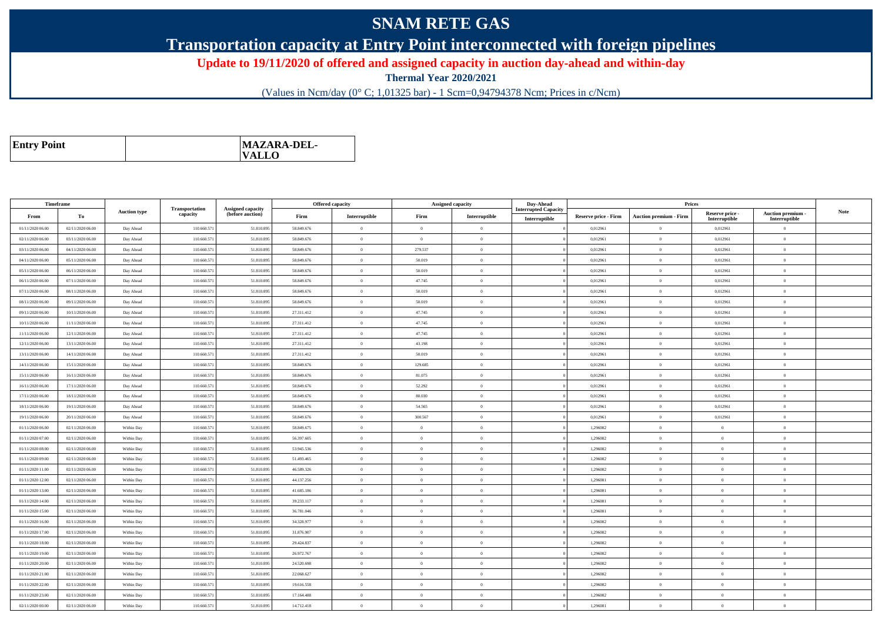## **SNAM RETE GAS**

**Transportation capacity at Entry Point interconnected with foreign pipelines**

**Update to 19/11/2020 of offered and assigned capacity in auction day-ahead and within-day**

**Thermal Year 2020/2021**

(Values in Ncm/day (0° C; 1,01325 bar) - 1 Scm=0,94794378 Ncm; Prices in c/Ncm)

| MAZARA-DEL-<br><b>Entry Point</b><br><b>VALLO</b> |
|---------------------------------------------------|
|---------------------------------------------------|

| Timeframe        |                  |                     |                            |                                              |            | <b>Offered capacity</b> |                | <b>Assigned capacity</b> | Day-Ahead                                    |                             | Prices                        |                                  |                                    |             |
|------------------|------------------|---------------------|----------------------------|----------------------------------------------|------------|-------------------------|----------------|--------------------------|----------------------------------------------|-----------------------------|-------------------------------|----------------------------------|------------------------------------|-------------|
| From             | To               | <b>Auction type</b> | Transportation<br>capacity | <b>Assigned capacity</b><br>(before auction) | Firm       | Interruptible           | Firm           | Interruptible            | <b>Interrupted Capacity</b><br>Interruptible | <b>Reserve price - Firm</b> | <b>Auction premium - Firm</b> | Reserve price -<br>Interruptible | Auction premium -<br>Interruptible | <b>Note</b> |
| 01/11/2020 06.00 | 02/11/2020 06:00 | Day Ahead           | 110.660.571                | 51.810.895                                   | 58.849.676 | $\bf{0}$                | $\Omega$       | $\theta$                 |                                              | 0,012961                    | $\Omega$                      | 0,012961                         | $\overline{0}$                     |             |
| 02/11/2020 06.00 | 03/11/2020 06:00 | Day Ahead           | 110.660.571                | 51.810.89                                    | 58.849.676 | $\overline{0}$          | $\Omega$       | $\theta$                 |                                              | 0,012961                    | $\theta$                      | 0,012961                         | $\theta$                           |             |
| 03/11/2020 06:00 | 04/11/2020 06.00 | Day Ahead           | 110.660.571                | 51.810.895                                   | 58.849.676 | $\bf{0}$                | 279.537        | $\theta$                 |                                              | 0,012961                    | $\overline{0}$                | 0,012961                         | $\overline{0}$                     |             |
| 04/11/2020 06:00 | 05/11/2020 06:00 | Day Ahead           | 110.660.571                | 51.810.895                                   | 58.849.676 | $\overline{0}$          | 50.019         | $\overline{0}$           |                                              | 0,012961                    | $\bf{0}$                      | 0,012961                         | $\overline{0}$                     |             |
| 05/11/2020 06:00 | 06/11/2020 06:00 | Day Ahead           | 110.660.571                | 51.810.895                                   | 58.849.676 | $\overline{0}$          | 50.019         | $\overline{0}$           |                                              | 0,012961                    | $\,$ 0                        | 0,012961                         | $\overline{0}$                     |             |
| 06/11/2020 06:00 | 07/11/2020 06.00 | Day Ahead           | 110.660.571                | 51.810.895                                   | 58.849.676 | $\overline{0}$          | 47.745         | $\Omega$                 |                                              | 0.012961                    | $\Omega$                      | 0,012961                         | $\overline{0}$                     |             |
| 07/11/2020 06:00 | 08/11/2020 06:00 | Day Ahead           | 110.660.571                | 51.810.895                                   | 58.849.676 | $\bf{0}$                | 50.019         | $\overline{0}$           |                                              | 0,012961                    | $\theta$                      | 0,012961                         | $\overline{0}$                     |             |
| 08/11/2020 06:00 | 09/11/2020 06:00 | Day Ahead           | 110.660.571                | 51.810.895                                   | 58.849.676 | $\overline{0}$          | 50,019         | $\theta$                 |                                              | 0.012961                    | $\theta$                      | 0.012961                         | $\overline{0}$                     |             |
| 09/11/2020 06:00 | 10/11/2020 06:00 | Day Ahead           | 110.660.571                | 51.810.895                                   | 27.311.412 | $\overline{0}$          | 47.745         | $\overline{0}$           |                                              | 0,012961                    | $\theta$                      | 0,012961                         | $\overline{0}$                     |             |
| 10/11/2020 06:00 | 11/11/2020 06:00 | Day Ahead           | 110.660.571                | 51.810.895                                   | 27.311.412 | $\overline{0}$          | 47.745         | $\Omega$                 |                                              | 0.012961                    | $\Omega$                      | 0,012961                         | $\theta$                           |             |
| 11/11/2020 06:00 | 12/11/2020 06:00 | Day Ahead           | 110.660.571                | 51.810.895                                   | 27.311.412 | $\overline{0}$          | 47.745         | $\theta$                 |                                              | 0,012961                    | $\theta$                      | 0,012961                         | $\theta$                           |             |
| 12/11/2020 06:00 | 13/11/2020 06:00 | Day Ahead           | 110.660.571                | 51.810.895                                   | 27.311.412 | $\overline{0}$          | 43.198         | $\Omega$                 |                                              | 0.012961                    | $\overline{0}$                | 0,012961                         | $\overline{0}$                     |             |
| 13/11/2020 06:00 | 14/11/2020 06:00 | Day Ahead           | 110.660.571                | 51.810.895                                   | 27.311.412 | $\theta$                | 50.019         | $\theta$                 |                                              | 0,012961                    | $\overline{0}$                | 0,012961                         | $\overline{0}$                     |             |
| 14/11/2020 06:00 | 15/11/2020 06:00 | Day Ahead           | 110.660.571                | 51.810.895                                   | 58.849.676 | $\bf{0}$                | 129.685        | $\overline{0}$           |                                              | 0,012961                    | $\overline{0}$                | 0,012961                         | $\overline{0}$                     |             |
| 15/11/2020 06:00 | 16/11/2020 06:00 | Day Ahead           | 110.660.571                | 51.810.895                                   | 58.849.676 | $\overline{0}$          | 81.075         | $\theta$                 |                                              | 0,012961                    | $\theta$                      | 0,012961                         | $\theta$                           |             |
| 16/11/2020 06.00 | 17/11/2020 06.00 | Day Ahead           | 110.660.571                | 51.810.895                                   | 58.849.676 | $\overline{0}$          | 52.292         | $\theta$                 |                                              | 0,012961                    | $\,$ 0                        | 0,012961                         | $\overline{0}$                     |             |
| 17/11/2020 06:00 | 18/11/2020 06:00 | Day Ahead           | 110.660.571                | 51.810.895                                   | 58.849.676 | $\theta$                | 80,030         | $\theta$                 |                                              | 0,012961                    | $\overline{0}$                | 0,012961                         | $\overline{0}$                     |             |
| 18/11/2020 06:00 | 19/11/2020 06.00 | Day Ahead           | 110.660.571                | 51.810.895                                   | 58.849.676 | $\overline{0}$          | 54.565         | $\theta$                 |                                              | 0,012961                    | $\theta$                      | 0,012961                         | $\overline{0}$                     |             |
| 19/11/2020 06:00 | 20/11/2020 06:00 | Day Ahead           | 110.660.571                | 51.810.895                                   | 58,849,676 | $\theta$                | 300,567        | $\theta$                 |                                              | 0.012961                    | $\theta$                      | 0.012961                         | $\overline{0}$                     |             |
| 01/11/2020 06.00 | 02/11/2020 06:00 | Within Day          | 110.660.571                | 51.810.895                                   | 58.849.675 | $\bf{0}$                | $\overline{0}$ | $\overline{0}$           |                                              | 1,296082                    | $\theta$                      | $\overline{0}$                   | $\overline{0}$                     |             |
| 01/11/2020 07:00 | 02/11/2020 06:00 | Within Day          | 110.660.571                | 51.810.895                                   | 56,397,605 | $\overline{0}$          | $\Omega$       | $\theta$                 |                                              | 1.296082                    | $\overline{0}$                | $\theta$                         | $\overline{0}$                     |             |
| 01/11/2020 08:00 | 02/11/2020 06:00 | Within Day          | 110.660.571                | 51.810.895                                   | 53.945.536 | $\bf{0}$                | $\Omega$       | $\overline{0}$           |                                              | 1,296082                    | $\theta$                      | $\overline{0}$                   | $\overline{0}$                     |             |
| 01/11/2020 09:00 | 02/11/2020 06:00 | Within Day          | 110.660.571                | 51.810.895                                   | 51.493.465 | $\bf{0}$                | $\Omega$       | $\theta$                 |                                              | 1.296082                    | $\overline{0}$                | $\theta$                         | $\overline{0}$                     |             |
| 01/11/2020 11:00 | 02/11/2020 06:00 | Within Day          | 110.660.571                | 51.810.895                                   | 46.589.326 | $\bf{0}$                | $\Omega$       | $\overline{0}$           |                                              | 1,296082                    | $\theta$                      | $\overline{0}$                   | $\overline{0}$                     |             |
| 01/11/2020 12.00 | 02/11/2020 06:00 | Within Day          | 110.660.571                | 51.810.895                                   | 44.137.256 | $\overline{0}$          | $\Omega$       | $\overline{0}$           |                                              | 1.296081                    | $\theta$                      | $\overline{0}$                   | $\overline{0}$                     |             |
| 01/11/2020 13:00 | 02/11/2020 06:00 | Within Day          | 110.660.571                | 51.810.895                                   | 41.685.186 | $\overline{0}$          | $\Omega$       | $\overline{0}$           |                                              | 1,296081                    | $\theta$                      | $\Omega$                         | $\overline{0}$                     |             |
| 01/11/2020 14:00 | 02/11/2020 06:00 | Within Day          | 110.660.571                | 51.810.895                                   | 39.233.117 | $\overline{0}$          | $\Omega$       | $\theta$                 |                                              | 1.296081                    | $\theta$                      | $\theta$                         | $\overline{0}$                     |             |
| 01/11/2020 15:00 | 02/11/2020 06:00 | Within Day          | 110.660.571                | 51.810.895                                   | 36.781.046 | $\theta$                | $\Omega$       | $\Omega$                 |                                              | 1,296081                    | $\theta$                      | $\theta$                         | $\theta$                           |             |
| 01/11/2020 16.00 | 02/11/2020 06:00 | Within Day          | 110.660.571                | 51.810.895                                   | 34.328.977 | $\overline{0}$          | $\overline{0}$ | $\overline{0}$           |                                              | 1,296082                    | $\overline{0}$                | $\overline{0}$                   | $\overline{0}$                     |             |
| 01/11/2020 17:00 | 02/11/2020 06:00 | Within Day          | 110.660.571                | 51.810.895                                   | 31.876.907 | $\overline{0}$          | $\Omega$       | $\overline{0}$           |                                              | 1,296082                    | $\overline{0}$                | $\overline{0}$                   | $\overline{0}$                     |             |
| 01/11/2020 18:00 | 02/11/2020 06:00 | Within Day          | 110.660.571                | 51.810.895                                   | 29.424.837 | $\bf{0}$                | $\Omega$       | $\,$ 0 $\,$              |                                              | 1,296082                    | $\,$ 0                        | $\bf{0}$                         | $\overline{0}$                     |             |
| 01/11/2020 19:00 | 02/11/2020 06:00 | Within Day          | 110.660.571                | 51.810.895                                   | 26.972.767 | $\overline{0}$          | $\Omega$       | $\theta$                 |                                              | 1.296082                    | $\theta$                      | $\theta$                         | $\overline{0}$                     |             |
| 01/11/2020 20:00 | 02/11/2020 06:00 | Within Day          | 110.660.571                | 51.810.895                                   | 24.520.698 | $\overline{0}$          | $\Omega$       | $\overline{0}$           |                                              | 1,296082                    | $\overline{0}$                | $\overline{0}$                   | $\overline{0}$                     |             |
| 01/11/2020 21:00 | 02/11/2020 06:00 | Within Day          | 110.660.571                | 51.810.895                                   | 22.068.627 | $\overline{0}$          | $\Omega$       | $\Omega$                 |                                              | 1.296082                    | $\theta$                      | $\theta$                         | $\overline{0}$                     |             |
| 01/11/2020 22.00 | 02/11/2020 06:00 | Within Day          | 110.660.571                | 51.810.895                                   | 19.616.558 | $\overline{0}$          | $\Omega$       | $\overline{0}$           |                                              | 1,296082                    | $\mathbf{0}$                  | $\overline{0}$                   | $\overline{0}$                     |             |
| 01/11/2020 23.00 | 02/11/2020 06:00 | Within Day          | 110,660.571                | 51.810.895                                   | 17.164.488 | $\theta$                | $\Omega$       | $\Omega$                 |                                              | 1.296082                    | $\Omega$                      | $\theta$                         | $\overline{0}$                     |             |
| 02/11/2020 00:00 | 02/11/2020 06:00 | Within Day          | 110.660.571                | 51.810.89                                    | 14.712.418 | $\overline{0}$          | $\overline{0}$ | $\overline{0}$           |                                              | 1,296081                    | $\theta$                      | $\overline{0}$                   | $\overline{0}$                     |             |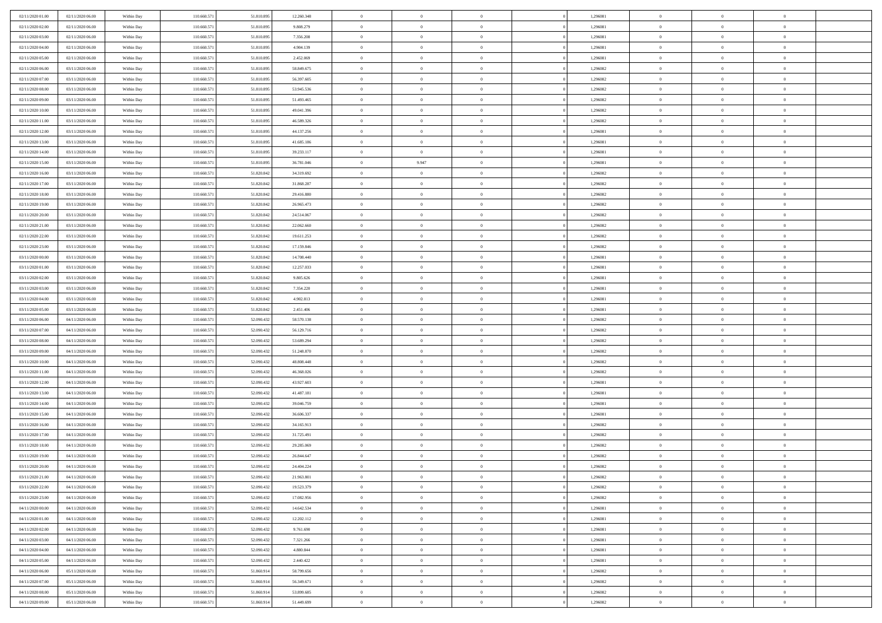| 02/11/2020 01:00                     | 02/11/2020 06.00                     | Within Day | 110.660.571                | 51.810.895               | 12.260.348               | $\overline{0}$             | $\overline{0}$             | $\Omega$                   | 1,296081             | $\bf{0}$                   | $\mathbf{0}$   | $\bf{0}$                  |  |
|--------------------------------------|--------------------------------------|------------|----------------------------|--------------------------|--------------------------|----------------------------|----------------------------|----------------------------|----------------------|----------------------------|----------------|---------------------------|--|
| 02/11/2020 02.00                     | 02/11/2020 06:00                     | Within Day | 110.660.571                | 51.810.895               | 9.808.279                | $\mathbf{0}$               | $\overline{0}$             | $\overline{0}$             | 1,296081             | $\overline{0}$             | $\overline{0}$ | $\theta$                  |  |
| 02/11/2020 03:00                     | 02/11/2020 06:00                     | Within Day | 110.660.571                | 51.810.895               | 7.356.208                | $\,$ 0                     | $\overline{0}$             | $\bf{0}$                   | 1,296081             | $\,$ 0                     | $\overline{0}$ | $\,$ 0 $\,$               |  |
| 02/11/2020 04.00                     | 02/11/2020 06.00                     | Within Day | 110,660.57                 | 51.810.895               | 4.904.139                | $\bf{0}$                   | $\overline{0}$             | $\Omega$                   | 1,296081             | $\bf{0}$                   | $\mathbf{0}$   | $\theta$                  |  |
| 02/11/2020 05:00                     | 02/11/2020 06:00                     | Within Day | 110.660.571                | 51.810.895               | 2.452.069                | $\bf{0}$                   | $\overline{0}$             | $\overline{0}$             | 1,296081             | $\mathbf{0}$               | $\overline{0}$ | $\overline{0}$            |  |
| 02/11/2020 06:00                     | 03/11/2020 06:00                     | Within Day | 110.660.571                | 51.810.895               | 58.849.675               | $\bf{0}$                   | $\overline{0}$             | $\bf{0}$                   | 1,296082             | $\,$ 0                     | $\overline{0}$ | $\,$ 0 $\,$               |  |
|                                      |                                      |            |                            |                          |                          |                            |                            | $\overline{0}$             |                      | $\theta$                   | $\overline{0}$ | $\theta$                  |  |
| 02/11/2020 07.00                     | 03/11/2020 06:00                     | Within Day | 110.660.571                | 51.810.895               | 56.397.605               | $\bf{0}$                   | $\overline{0}$             |                            | 1,296082             |                            |                |                           |  |
| 02/11/2020 08:00                     | 03/11/2020 06:00                     | Within Day | 110.660.571                | 51.810.895               | 53.945.536               | $\overline{0}$             | $\overline{0}$             | $\overline{0}$             | 1,296082             | $\mathbf{0}$               | $\overline{0}$ | $\overline{0}$            |  |
| 02/11/2020 09:00                     | 03/11/2020 06:00                     | Within Day | 110.660.571                | 51.810.895               | 51.493.465               | $\bf{0}$                   | $\overline{0}$             | $\bf{0}$                   | 1,296082             | $\,$ 0                     | $\overline{0}$ | $\,$ 0 $\,$               |  |
| 02/11/2020 10:00                     | 03/11/2020 06.00                     | Within Day | 110,660,571                | 51.810.895               | 49.041.396               | $\bf{0}$                   | $\overline{0}$             | $\Omega$                   | 1,296082             | $\theta$                   | $\mathbf{0}$   | $\theta$                  |  |
| 02/11/2020 11:00                     | 03/11/2020 06:00                     | Within Day | 110.660.571                | 51.810.895               | 46.589.326               | $\overline{0}$             | $\overline{0}$             | $\overline{0}$             | 1,296082             | $\mathbf{0}$               | $\overline{0}$ | $\overline{0}$            |  |
| 02/11/2020 12:00                     | 03/11/2020 06:00                     | Within Day | 110.660.571                | 51.810.895               | 44.137.256               | $\bf{0}$                   | $\overline{0}$             | $\bf{0}$                   | 1,296081             | $\,$ 0                     | $\overline{0}$ | $\,$ 0 $\,$               |  |
| 02/11/2020 13.00                     | 03/11/2020 06:00                     | Within Day | 110,660.57                 | 51.810.895               | 41.685.186               | $\bf{0}$                   | $\overline{0}$             | $\Omega$                   | 1,296081             | $\overline{0}$             | $\mathbf{0}$   | $\theta$                  |  |
| 02/11/2020 14:00                     | 03/11/2020 06:00                     | Within Day | 110.660.571                | 51.810.895               | 39.233.117               | $\overline{0}$             | $\overline{0}$             | $\overline{0}$             | 1,296081             | $\mathbf{0}$               | $\overline{0}$ | $\overline{0}$            |  |
| 02/11/2020 15:00                     | 03/11/2020 06:00                     | Within Day | 110.660.57                 | 51.810.895               | 36.781.046               | $\bf{0}$                   | 9.947                      | $\bf{0}$                   | 1,296081             | $\,$ 0                     | $\overline{0}$ | $\,$ 0 $\,$               |  |
| 02/11/2020 16.00                     | 03/11/2020 06.00                     | Within Day | 110.660.571                | 51.820.842               | 34.319.692               | $\bf{0}$                   | $\overline{0}$             | $\overline{0}$             | 1,296082             | $\bf{0}$                   | $\mathbf{0}$   | $\bf{0}$                  |  |
| 02/11/2020 17:00                     | 03/11/2020 06:00                     | Within Day | 110.660.571                | 51.820.842               | 31.868.287               | $\overline{0}$             | $\overline{0}$             | $\overline{0}$             | 1,296082             | $\mathbf{0}$               | $\overline{0}$ | $\overline{0}$            |  |
| 02/11/2020 18:00                     | 03/11/2020 06:00                     | Within Day | 110.660.571                | 51.820.842               | 29.416.880               | $\bf{0}$                   | $\overline{0}$             | $\bf{0}$                   | 1,296082             | $\,$ 0                     | $\overline{0}$ | $\,$ 0 $\,$               |  |
| 02/11/2020 19:00                     | 03/11/2020 06.00                     | Within Day | 110,660,571                | 51.820.842               | 26.965.473               | $\bf{0}$                   | $\overline{0}$             | $\Omega$                   | 1,296082             | $\theta$                   | $\mathbf{0}$   | $\theta$                  |  |
| 02/11/2020 20:00                     | 03/11/2020 06:00                     | Within Day | 110.660.571                | 51.820.842               | 24.514.067               | $\overline{0}$             | $\overline{0}$             | $\overline{0}$             | 1,296082             | $\mathbf{0}$               | $\overline{0}$ | $\overline{0}$            |  |
| 02/11/2020 21:00                     | 03/11/2020 06:00                     | Within Day | 110.660.571                | 51.820.842               | 22.062.660               | $\bf{0}$                   | $\overline{0}$             | $\bf{0}$                   | 1,296082             | $\,$ 0                     | $\overline{0}$ | $\,$ 0 $\,$               |  |
| 02/11/2020 22.00                     | 03/11/2020 06:00                     | Within Day | 110,660.57                 | 51.820.842               | 19.611.253               | $\bf{0}$                   | $\overline{0}$             | $\Omega$                   | 1,296082             | $\bf{0}$                   | $\mathbf{0}$   | $\theta$                  |  |
| 02/11/2020 23.00                     | 03/11/2020 06:00                     | Within Day | 110.660.571                | 51.820.842               | 17.159.846               | $\overline{0}$             | $\overline{0}$             | $\overline{0}$             | 1,296082             | $\mathbf{0}$               | $\overline{0}$ | $\overline{0}$            |  |
| 03/11/2020 00:00                     | 03/11/2020 06:00                     | Within Day | 110.660.571                | 51.820.842               | 14.708.440               | $\bf{0}$                   | $\overline{0}$             | $\bf{0}$                   | 1,296081             | $\,$ 0                     | $\overline{0}$ | $\,$ 0 $\,$               |  |
| 03/11/2020 01:00                     | 03/11/2020 06.00                     | Within Day | 110.660.571                | 51.820.842               | 12.257.033               | $\bf{0}$                   | $\overline{0}$             | $\overline{0}$             | 1,296081             | $\bf{0}$                   | $\overline{0}$ | $\bf{0}$                  |  |
| 03/11/2020 02.00                     | 03/11/2020 06:00                     | Within Day | 110.660.571                | 51.820.842               | 9.805.626                | $\overline{0}$             | $\overline{0}$             | $\overline{0}$             | 1,296081             | $\mathbf{0}$               | $\overline{0}$ | $\overline{0}$            |  |
| 03/11/2020 03:00                     | 03/11/2020 06:00                     | Within Day | 110.660.571                | 51.820.842               | 7.354.220                | $\bf{0}$                   | $\overline{0}$             | $\bf{0}$                   | 1,296081             | $\,$ 0                     | $\overline{0}$ | $\,$ 0 $\,$               |  |
| 03/11/2020 04:00                     | 03/11/2020 06.00                     | Within Day | 110,660,571                | 51.820.842               | 4.902.813                | $\bf{0}$                   | $\overline{0}$             | $\Omega$                   | 1,296081             | $\theta$                   | $\mathbf{0}$   | $\theta$                  |  |
| 03/11/2020 05:00                     | 03/11/2020 06:00                     | Within Day | 110.660.571                | 51.820.842               | 2.451.406                | $\overline{0}$             | $\overline{0}$             | $\overline{0}$             | 1,296081             | $\mathbf{0}$               | $\overline{0}$ | $\overline{0}$            |  |
| 03/11/2020 06:00                     | 04/11/2020 06:00                     | Within Day | 110.660.571                | 52.090.432               | 58.570.138               | $\bf{0}$                   | $\overline{0}$             |                            | 1,296082             | $\,$ 0                     | $\overline{0}$ | $\,$ 0 $\,$               |  |
|                                      |                                      |            |                            |                          |                          | $\,$ 0                     |                            | $\bf{0}$<br>$\overline{0}$ |                      | $\bf{0}$                   | $\overline{0}$ | $\,0\,$                   |  |
| 03/11/2020 07.00<br>03/11/2020 08:00 | 04/11/2020 06.00<br>04/11/2020 06:00 | Within Day | 110.660.571<br>110.660.571 | 52.090.432<br>52.090.432 | 56.129.716<br>53.689.294 | $\overline{0}$             | $\bf{0}$<br>$\overline{0}$ | $\overline{0}$             | 1,296082<br>1,296082 | $\mathbf{0}$               | $\overline{0}$ | $\overline{0}$            |  |
|                                      |                                      | Within Day |                            |                          |                          | $\bf{0}$                   | $\overline{0}$             |                            |                      | $\,$ 0                     | $\overline{0}$ | $\,$ 0 $\,$               |  |
| 03/11/2020 09:00                     | 04/11/2020 06:00                     | Within Day | 110.660.571                | 52.090.432               | 51.248.870               |                            |                            | $\bf{0}$                   | 1,296082             |                            |                |                           |  |
| 03/11/2020 10:00                     | 04/11/2020 06.00                     | Within Day | 110.660.571                | 52.090.432               | 48.808.448               | $\bf{0}$<br>$\overline{0}$ | $\bf{0}$                   | $\bf{0}$                   | 1,296082             | $\bf{0}$<br>$\overline{0}$ | $\overline{0}$ | $\,0\,$<br>$\overline{0}$ |  |
| 03/11/2020 11:00                     | 04/11/2020 06:00                     | Within Day | 110.660.571                | 52.090.432               | 46.368.026               |                            | $\overline{0}$             | $\overline{0}$             | 1,296082             |                            | $\overline{0}$ |                           |  |
| 03/11/2020 12:00                     | 04/11/2020 06:00                     | Within Day | 110.660.571                | 52.090.432               | 43.927.603               | $\bf{0}$                   | $\overline{0}$             | $\bf{0}$                   | 1,296081             | $\,$ 0                     | $\overline{0}$ | $\,$ 0 $\,$               |  |
| 03/11/2020 13.00                     | 04/11/2020 06.00                     | Within Day | 110.660.571                | 52.090.432               | 41.487.181               | $\,$ 0                     | $\bf{0}$                   | $\theta$                   | 1,296081             | $\bf{0}$                   | $\overline{0}$ | $\,0\,$                   |  |
| 03/11/2020 14:00                     | 04/11/2020 06:00                     | Within Day | 110.660.571                | 52.090.432               | 39.046.759               | $\overline{0}$             | $\overline{0}$             | $\overline{0}$             | 1,296081             | $\mathbf{0}$               | $\overline{0}$ | $\overline{0}$            |  |
| 03/11/2020 15:00                     | 04/11/2020 06:00                     | Within Day | 110.660.571                | 52.090.432               | 36.606.337               | $\bf{0}$                   | $\overline{0}$             | $\bf{0}$                   | 1,296081             | $\,$ 0                     | $\overline{0}$ | $\,$ 0 $\,$               |  |
| 03/11/2020 16.00                     | 04/11/2020 06.00                     | Within Day | 110.660.571                | 52.090.432               | 34.165.913               | $\bf{0}$                   | $\overline{0}$             | $\overline{0}$             | 1,296082             | $\bf{0}$                   | $\overline{0}$ | $\,0\,$                   |  |
| 03/11/2020 17:00                     | 04/11/2020 06:00                     | Within Day | 110.660.571                | 52.090.432               | 31.725.491               | $\overline{0}$             | $\overline{0}$             | $\overline{0}$             | 1,296082             | $\overline{0}$             | $\overline{0}$ | $\overline{0}$            |  |
| 03/11/2020 18:00                     | 04/11/2020 06:00                     | Within Day | 110.660.571                | 52.090.432               | 29.285.069               | $\bf{0}$                   | $\overline{0}$             | $\bf{0}$                   | 1,296082             | $\,$ 0                     | $\overline{0}$ | $\,$ 0 $\,$               |  |
| 03/11/2020 19:00                     | 04/11/2020 06.00                     | Within Day | 110.660.571                | 52.090.432               | 26.844.647               | $\bf{0}$                   | $\overline{0}$             | $\bf{0}$                   | 1,296082             | $\bf{0}$                   | $\overline{0}$ | $\,0\,$                   |  |
| 03/11/2020 20:00                     | 04/11/2020 06:00                     | Within Day | 110.660.571                | 52.090.432               | 24.404.224               | $\mathbf{0}$               | $\overline{0}$             | $\overline{0}$             | 1,296082             | $\overline{0}$             | $\overline{0}$ | $\overline{0}$            |  |
| 03/11/2020 21.00                     | 04/11/2020 06:00                     | Within Day | 110.660.571                | 52.090.432               | 21.963.801               | $\bf{0}$                   | $\overline{0}$             | $\theta$                   | 1,296082             | $\overline{0}$             | $\theta$       | $\theta$                  |  |
| 03/11/2020 22.00                     | 04/11/2020 06.00                     | Within Day | 110.660.571                | 52.090.432               | 19.523.379               | $\bf{0}$                   | $\overline{0}$             | $\bf{0}$                   | 1,296082             | $\bf{0}$                   | $\overline{0}$ | $\,0\,$                   |  |
| 03/11/2020 23:00                     | 04/11/2020 06:00                     | Within Day | 110.660.571                | 52.090.432               | 17.082.956               | $\overline{0}$             | $\overline{0}$             | $\overline{0}$             | 1,296082             | $\mathbf{0}$               | $\bf{0}$       | $\overline{0}$            |  |
| 04/11/2020 00:00                     | 04/11/2020 06:00                     | Within Day | 110.660.571                | 52.090.432               | 14.642.534               | $\,$ 0 $\,$                | $\overline{0}$             | $\overline{0}$             | 1,296081             | $\,$ 0 $\,$                | $\,$ 0 $\,$    | $\,$ 0 $\,$               |  |
| 04/11/2020 01:00                     | 04/11/2020 06.00                     | Within Day | 110.660.571                | 52.090.432               | 12.202.112               | $\bf{0}$                   | $\overline{0}$             | $\overline{0}$             | 1,296081             | $\bf{0}$                   | $\overline{0}$ | $\bf{0}$                  |  |
| 04/11/2020 02.00                     | 04/11/2020 06:00                     | Within Day | 110.660.571                | 52.090.432               | 9.761.690                | $\bf{0}$                   | $\overline{0}$             | $\overline{0}$             | 1,296081             | $\mathbf{0}$               | $\overline{0}$ | $\overline{0}$            |  |
| 04/11/2020 03.00                     | 04/11/2020 06:00                     | Within Day | 110.660.571                | 52.090.432               | 7.321.266                | $\,$ 0 $\,$                | $\overline{0}$             | $\overline{0}$             | 1,296081             | $\,$ 0 $\,$                | $\overline{0}$ | $\,$ 0 $\,$               |  |
| 04/11/2020 04.00                     | 04/11/2020 06.00                     | Within Day | 110.660.571                | 52.090.432               | 4.880.844                | $\bf{0}$                   | $\overline{0}$             | $\overline{0}$             | 1,296081             | $\bf{0}$                   | $\overline{0}$ | $\overline{0}$            |  |
| 04/11/2020 05:00                     | 04/11/2020 06:00                     | Within Day | 110.660.571                | 52.090.432               | 2.440.422                | $\overline{0}$             | $\overline{0}$             | $\overline{0}$             | 1,296081             | $\overline{0}$             | $\bf{0}$       | $\mathbf{0}$              |  |
| 04/11/2020 06.00                     | 05/11/2020 06:00                     | Within Day | 110.660.571                | 51.860.914               | 58.799.656               | $\,$ 0 $\,$                | $\overline{0}$             | $\overline{0}$             | 1,296082             | $\,$ 0 $\,$                | $\,$ 0 $\,$    | $\,$ 0 $\,$               |  |
| 04/11/2020 07.00                     | 05/11/2020 06.00                     | Within Day | 110.660.571                | 51.860.914               | 56.349.671               | $\bf{0}$                   | $\overline{0}$             | $\overline{0}$             | 1,296082             | $\mathbf{0}$               | $\overline{0}$ | $\bf{0}$                  |  |
| 04/11/2020 08:00                     | 05/11/2020 06:00                     | Within Day | 110.660.571                | 51.860.914               | 53.899.685               | $\bf{0}$                   | $\overline{0}$             | $\overline{0}$             | 1,296082             | $\mathbf{0}$               | $\bf{0}$       | $\overline{0}$            |  |
| 04/11/2020 09:00                     | 05/11/2020 06:00                     | Within Day | 110.660.571                | 51.860.914               | 51.449.699               | $\,0\,$                    | $\overline{0}$             | $\overline{0}$             | 1,296082             | $\,$ 0                     | $\overline{0}$ | $\,$ 0 $\,$               |  |
|                                      |                                      |            |                            |                          |                          |                            |                            |                            |                      |                            |                |                           |  |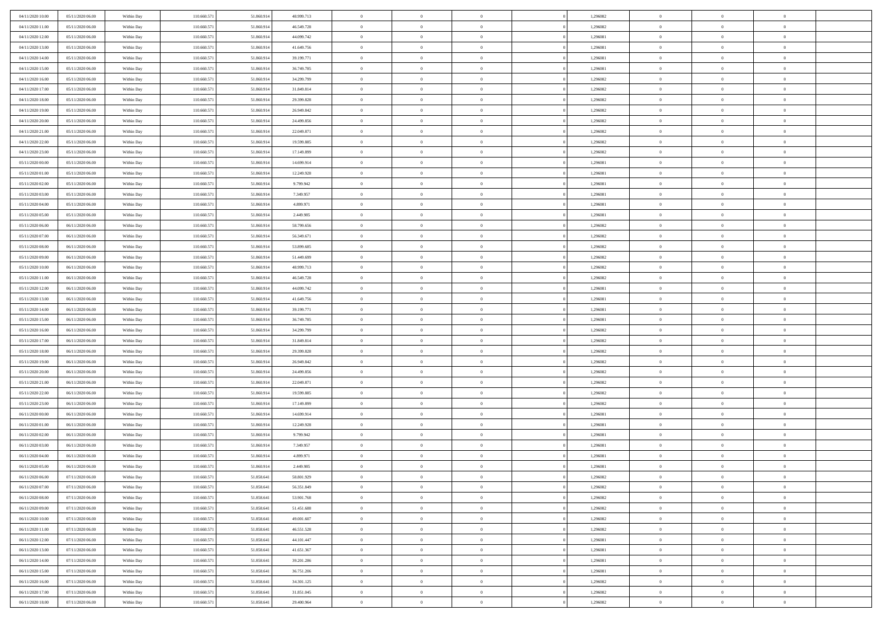| 04/11/2020 10:00<br>05/11/2020 06.00 | Within Day | 110.660.571 | 51.860.914 | 48.999.713 | $\overline{0}$ | $\overline{0}$ | $\Omega$       | 1,296082 | $\bf{0}$       | $\mathbf{0}$   | $\bf{0}$       |  |
|--------------------------------------|------------|-------------|------------|------------|----------------|----------------|----------------|----------|----------------|----------------|----------------|--|
| 04/11/2020 11:00<br>05/11/2020 06:00 | Within Day | 110.660.571 | 51.860.914 | 46.549.728 | $\mathbf{0}$   | $\overline{0}$ | $\overline{0}$ | 1,296082 | $\overline{0}$ | $\overline{0}$ | $\theta$       |  |
| 04/11/2020 12.00<br>05/11/2020 06:00 | Within Day | 110.660.571 | 51.860.914 | 44.099.742 | $\,$ 0         | $\overline{0}$ | $\bf{0}$       | 1,296081 | $\,$ 0         | $\overline{0}$ | $\,$ 0 $\,$    |  |
| 04/11/2020 13.00<br>05/11/2020 06.00 | Within Day | 110,660.57  | 51.860.914 | 41.649.756 | $\bf{0}$       | $\overline{0}$ | $\Omega$       | 1,296081 | $\bf{0}$       | $\theta$       | $\theta$       |  |
| 04/11/2020 14:00<br>05/11/2020 06:00 | Within Day | 110.660.571 | 51.860.914 | 39.199.771 | $\bf{0}$       | $\overline{0}$ | $\overline{0}$ | 1,296081 | $\mathbf{0}$   | $\overline{0}$ | $\overline{0}$ |  |
| 04/11/2020 15.00<br>05/11/2020 06:00 | Within Day | 110.660.571 | 51.860.914 | 36.749.785 | $\bf{0}$       | $\overline{0}$ | $\bf{0}$       | 1,296081 | $\,$ 0         | $\overline{0}$ | $\,$ 0 $\,$    |  |
| 05/11/2020 06:00<br>04/11/2020 16:00 | Within Day | 110.660.571 | 51.860.914 | 34.299.799 | $\bf{0}$       | $\overline{0}$ | $\overline{0}$ | 1,296082 | $\theta$       | $\overline{0}$ | $\theta$       |  |
| 04/11/2020 17.00<br>05/11/2020 06:00 | Within Day | 110.660.571 | 51.860.914 | 31.849.814 | $\overline{0}$ | $\overline{0}$ | $\overline{0}$ | 1,296082 | $\mathbf{0}$   | $\overline{0}$ | $\overline{0}$ |  |
| 04/11/2020 18:00<br>05/11/2020 06:00 | Within Day | 110.660.571 | 51.860.914 | 29.399.828 | $\bf{0}$       | $\overline{0}$ | $\bf{0}$       | 1,296082 | $\,$ 0         | $\overline{0}$ | $\,$ 0 $\,$    |  |
| 04/11/2020 19:00<br>05/11/2020 06.00 | Within Day | 110,660,571 | 51.860.914 | 26.949.842 | $\bf{0}$       | $\overline{0}$ | $\Omega$       | 1,296082 | $\theta$       | $\mathbf{0}$   | $\theta$       |  |
| 04/11/2020 20:00<br>05/11/2020 06:00 | Within Day | 110.660.571 | 51.860.914 | 24.499.856 | $\overline{0}$ | $\overline{0}$ | $\overline{0}$ | 1,296082 | $\mathbf{0}$   | $\overline{0}$ | $\overline{0}$ |  |
| 04/11/2020 21.00<br>05/11/2020 06:00 | Within Day | 110.660.571 | 51.860.914 | 22.049.871 | $\,$ 0         | $\overline{0}$ | $\bf{0}$       | 1,296082 | $\,$ 0         | $\overline{0}$ | $\,$ 0 $\,$    |  |
| 04/11/2020 22.00<br>05/11/2020 06:00 | Within Day | 110,660.57  | 51.860.914 | 19.599.885 | $\bf{0}$       | $\overline{0}$ | $\Omega$       | 1,296082 | $\overline{0}$ | $\theta$       | $\theta$       |  |
| 04/11/2020 23.00<br>05/11/2020 06:00 | Within Day | 110.660.571 | 51.860.914 | 17.149.899 | $\overline{0}$ | $\overline{0}$ | $\overline{0}$ | 1,296082 | $\mathbf{0}$   | $\overline{0}$ | $\overline{0}$ |  |
| 05/11/2020 00:00<br>05/11/2020 06:00 | Within Day | 110.660.57  | 51.860.914 | 14.699.914 | $\bf{0}$       | $\overline{0}$ | $\bf{0}$       | 1,296081 | $\,$ 0         | $\overline{0}$ | $\,$ 0 $\,$    |  |
| 05/11/2020 01:00<br>05/11/2020 06.00 | Within Day | 110.660.571 | 51.860.914 | 12.249.928 | $\bf{0}$       | $\overline{0}$ | $\overline{0}$ | 1,296081 | $\bf{0}$       | $\mathbf{0}$   | $\bf{0}$       |  |
| 05/11/2020 02:00<br>05/11/2020 06:00 | Within Day | 110.660.571 | 51.860.914 | 9.799.942  | $\overline{0}$ | $\overline{0}$ | $\overline{0}$ | 1,296081 | $\mathbf{0}$   | $\overline{0}$ | $\overline{0}$ |  |
| 05/11/2020 03:00<br>05/11/2020 06:00 | Within Day | 110.660.571 | 51.860.914 | 7.349.957  | $\bf{0}$       | $\overline{0}$ | $\bf{0}$       | 1,296081 | $\,$ 0         | $\overline{0}$ | $\,$ 0 $\,$    |  |
| 05/11/2020 04.00<br>05/11/2020 06.00 | Within Day | 110,660,571 | 51.860.914 | 4.899.971  | $\bf{0}$       | $\overline{0}$ | $\Omega$       | 1,296081 | $\theta$       | $\mathbf{0}$   | $\theta$       |  |
| 05/11/2020 05:00<br>05/11/2020 06:00 | Within Day | 110.660.571 | 51.860.914 | 2.449.985  | $\overline{0}$ | $\overline{0}$ | $\overline{0}$ | 1,296081 | $\mathbf{0}$   | $\overline{0}$ | $\overline{0}$ |  |
| 05/11/2020 06:00<br>06/11/2020 06:00 | Within Day | 110.660.571 | 51.860.914 | 58.799.656 | $\bf{0}$       | $\overline{0}$ | $\bf{0}$       | 1,296082 | $\,$ 0         | $\overline{0}$ | $\,$ 0 $\,$    |  |
| 05/11/2020 07.00<br>06/11/2020 06:00 | Within Day | 110,660.57  | 51.860.914 | 56.349.671 | $\bf{0}$       | $\overline{0}$ | $\Omega$       | 1,296082 | $\bf{0}$       | $\theta$       | $\theta$       |  |
| 05/11/2020 08:00<br>06/11/2020 06:00 | Within Day | 110.660.571 | 51.860.914 | 53.899.685 | $\overline{0}$ | $\overline{0}$ | $\overline{0}$ | 1,296082 | $\mathbf{0}$   | $\overline{0}$ | $\overline{0}$ |  |
| 05/11/2020 09:00<br>06/11/2020 06:00 | Within Day | 110.660.571 | 51.860.914 | 51.449.699 | $\bf{0}$       | $\overline{0}$ | $\bf{0}$       | 1,296082 | $\,$ 0         | $\overline{0}$ | $\,$ 0 $\,$    |  |
| 06/11/2020 06.00<br>05/11/2020 10:00 | Within Day | 110.660.571 | 51.860.914 | 48.999.713 | $\bf{0}$       | $\overline{0}$ | $\overline{0}$ | 1,296082 | $\bf{0}$       | $\overline{0}$ | $\bf{0}$       |  |
| 05/11/2020 11:00<br>06/11/2020 06:00 | Within Day | 110.660.571 | 51.860.914 | 46.549.728 | $\overline{0}$ | $\overline{0}$ | $\overline{0}$ | 1,296082 | $\mathbf{0}$   | $\overline{0}$ | $\overline{0}$ |  |
| 05/11/2020 12:00<br>06/11/2020 06:00 | Within Day | 110.660.571 | 51.860.914 | 44.099.742 | $\bf{0}$       | $\overline{0}$ | $\bf{0}$       | 1,296081 | $\,$ 0         | $\overline{0}$ | $\,$ 0 $\,$    |  |
| 05/11/2020 13:00<br>06/11/2020 06.00 | Within Day | 110,660,571 | 51.860.914 | 41.649.756 | $\bf{0}$       | $\overline{0}$ | $\Omega$       | 1,296081 | $\theta$       | $\mathbf{0}$   | $\theta$       |  |
| 05/11/2020 14:00<br>06/11/2020 06:00 | Within Day | 110.660.571 | 51.860.914 | 39.199.771 | $\overline{0}$ | $\overline{0}$ | $\overline{0}$ | 1,296081 | $\mathbf{0}$   | $\overline{0}$ | $\overline{0}$ |  |
| 05/11/2020 15:00<br>06/11/2020 06:00 | Within Day | 110.660.571 | 51.860.914 | 36.749.785 | $\bf{0}$       | $\overline{0}$ | $\bf{0}$       | 1,296081 | $\,$ 0         | $\overline{0}$ | $\,$ 0 $\,$    |  |
| 05/11/2020 16.00<br>06/11/2020 06:00 | Within Day | 110.660.571 | 51.860.914 | 34.299.799 | $\,$ 0         | $\bf{0}$       | $\overline{0}$ | 1,296082 | $\bf{0}$       | $\overline{0}$ | $\,0\,$        |  |
| 05/11/2020 17:00<br>06/11/2020 06:00 | Within Day | 110.660.571 | 51.860.914 | 31.849.814 | $\overline{0}$ | $\overline{0}$ | $\overline{0}$ | 1,296082 | $\mathbf{0}$   | $\overline{0}$ | $\overline{0}$ |  |
| 05/11/2020 18:00<br>06/11/2020 06:00 | Within Day | 110.660.571 | 51.860.914 | 29.399.828 | $\bf{0}$       | $\overline{0}$ | $\bf{0}$       | 1,296082 | $\,$ 0         | $\overline{0}$ | $\,$ 0 $\,$    |  |
| 05/11/2020 19:00<br>06/11/2020 06:00 | Within Day | 110.660.571 | 51.860.914 | 26.949.842 | $\bf{0}$       | $\bf{0}$       | $\bf{0}$       | 1,296082 | $\bf{0}$       | $\overline{0}$ | $\,0\,$        |  |
| 05/11/2020 20:00<br>06/11/2020 06:00 | Within Day | 110.660.571 | 51.860.914 | 24.499.856 | $\overline{0}$ | $\overline{0}$ | $\overline{0}$ | 1,296082 | $\overline{0}$ | $\overline{0}$ | $\overline{0}$ |  |
| 05/11/2020 21.00<br>06/11/2020 06:00 | Within Day | 110.660.571 | 51.860.914 | 22.049.871 | $\bf{0}$       | $\overline{0}$ | $\bf{0}$       | 1,296082 | $\,$ 0         | $\overline{0}$ | $\,$ 0 $\,$    |  |
| 05/11/2020 22.00<br>06/11/2020 06:00 | Within Day | 110.660.571 | 51.860.914 | 19.599.885 | $\,$ 0         | $\bf{0}$       | $\overline{0}$ | 1,296082 | $\bf{0}$       | $\overline{0}$ | $\,0\,$        |  |
| 05/11/2020 23.00<br>06/11/2020 06:00 | Within Day | 110.660.571 | 51.860.914 | 17.149.899 | $\overline{0}$ | $\overline{0}$ | $\overline{0}$ | 1,296082 | $\mathbf{0}$   | $\overline{0}$ | $\overline{0}$ |  |
| 06/11/2020 00:00<br>06/11/2020 06:00 | Within Day | 110.660.571 | 51.860.914 | 14.699.914 | $\bf{0}$       | $\overline{0}$ | $\bf{0}$       | 1,296081 | $\,$ 0         | $\overline{0}$ | $\,$ 0 $\,$    |  |
| 06/11/2020 01:00<br>06/11/2020 06:00 | Within Day | 110.660.571 | 51.860.914 | 12.249.928 | $\bf{0}$       | $\bf{0}$       | $\overline{0}$ | 1,296081 | $\bf{0}$       | $\overline{0}$ | $\,0\,$        |  |
| 06/11/2020 02.00<br>06/11/2020 06:00 | Within Day | 110.660.571 | 51.860.914 | 9.799.942  | $\overline{0}$ | $\overline{0}$ | $\overline{0}$ | 1,296081 | $\overline{0}$ | $\overline{0}$ | $\overline{0}$ |  |
| 06/11/2020 03.00<br>06/11/2020 06:00 | Within Day | 110.660.571 | 51.860.914 | 7.349.957  | $\bf{0}$       | $\overline{0}$ | $\bf{0}$       | 1,296081 | $\,$ 0         | $\overline{0}$ | $\,$ 0 $\,$    |  |
| 06/11/2020 04.00<br>06/11/2020 06:00 | Within Day | 110.660.571 | 51.860.914 | 4.899.971  | $\bf{0}$       | $\bf{0}$       | $\bf{0}$       | 1,296081 | $\bf{0}$       | $\overline{0}$ | $\,0\,$        |  |
| 06/11/2020 05:00<br>06/11/2020 06:00 | Within Day | 110.660.571 | 51.860.914 | 2.449.985  | $\mathbf{0}$   | $\overline{0}$ | $\overline{0}$ | 1,296081 | $\overline{0}$ | $\overline{0}$ | $\overline{0}$ |  |
| 06/11/2020 06:00<br>07/11/2020 06:00 | Within Day | 110.660.571 | 51.858.641 | 58.801.929 | $\bf{0}$       | $\overline{0}$ | $\theta$       | 1,296082 | $\overline{0}$ | $\overline{0}$ | $\theta$       |  |
| 06/11/2020 07.00<br>07/11/2020 06.00 | Within Day | 110.660.571 | 51.858.641 | 56.351.849 | $\bf{0}$       | $\bf{0}$       | $\bf{0}$       | 1,296082 | $\bf{0}$       | $\overline{0}$ | $\,0\,$        |  |
| 06/11/2020 08:00<br>07/11/2020 06:00 | Within Day | 110.660.571 | 51.858.641 | 53.901.768 | $\overline{0}$ | $\overline{0}$ | $\overline{0}$ | 1,296082 | $\overline{0}$ | $\bf{0}$       | $\overline{0}$ |  |
| 06/11/2020 09:00<br>07/11/2020 06:00 | Within Day | 110.660.571 | 51.858.641 | 51.451.688 | $\,$ 0 $\,$    | $\overline{0}$ | $\overline{0}$ | 1,296082 | $\,$ 0 $\,$    | $\overline{0}$ | $\,$ 0 $\,$    |  |
| 06/11/2020 10:00<br>07/11/2020 06.00 | Within Day | 110.660.571 | 51.858.641 | 49.001.607 | $\bf{0}$       | $\overline{0}$ | $\overline{0}$ | 1,296082 | $\bf{0}$       | $\overline{0}$ | $\bf{0}$       |  |
| 06/11/2020 11:00<br>07/11/2020 06.00 | Within Day | 110.660.571 | 51.858.641 | 46.551.528 | $\bf{0}$       | $\overline{0}$ | $\overline{0}$ | 1,296082 | $\mathbf{0}$   | $\overline{0}$ | $\overline{0}$ |  |
| 06/11/2020 12:00<br>07/11/2020 06:00 | Within Day | 110.660.571 | 51.858.641 | 44.101.447 | $\,$ 0 $\,$    | $\overline{0}$ | $\overline{0}$ | 1,296081 | $\,$ 0 $\,$    | $\overline{0}$ | $\,$ 0 $\,$    |  |
| 06/11/2020 13:00<br>07/11/2020 06.00 | Within Day | 110.660.571 | 51.858.641 | 41.651.367 | $\bf{0}$       | $\overline{0}$ | $\overline{0}$ | 1,296081 | $\bf{0}$       | $\overline{0}$ | $\overline{0}$ |  |
| 06/11/2020 14:00<br>07/11/2020 06:00 | Within Day | 110.660.571 | 51.858.641 | 39.201.286 | $\overline{0}$ | $\overline{0}$ | $\overline{0}$ | 1,296081 | $\overline{0}$ | $\overline{0}$ | $\mathbf{0}$   |  |
| 06/11/2020 15:00<br>07/11/2020 06:00 | Within Day | 110.660.571 | 51.858.641 | 36.751.206 | $\,$ 0 $\,$    | $\overline{0}$ | $\overline{0}$ | 1,296081 | $\,$ 0 $\,$    | $\overline{0}$ | $\,$ 0 $\,$    |  |
| 06/11/2020 16:00<br>07/11/2020 06.00 | Within Day | 110.660.571 | 51.858.641 | 34.301.125 | $\bf{0}$       | $\overline{0}$ | $\overline{0}$ | 1,296082 | $\mathbf{0}$   | $\overline{0}$ | $\bf{0}$       |  |
| 06/11/2020 17:00<br>07/11/2020 06:00 | Within Day | 110.660.571 | 51.858.641 | 31.851.045 | $\bf{0}$       | $\overline{0}$ | $\overline{0}$ | 1,296082 | $\overline{0}$ | $\bf{0}$       | $\overline{0}$ |  |
| 06/11/2020 18:00<br>07/11/2020 06:00 | Within Day | 110.660.571 | 51.858.641 | 29.400.964 | $\,0\,$        | $\overline{0}$ | $\overline{0}$ | 1,296082 | $\,$ 0         | $\overline{0}$ | $\,$ 0 $\,$    |  |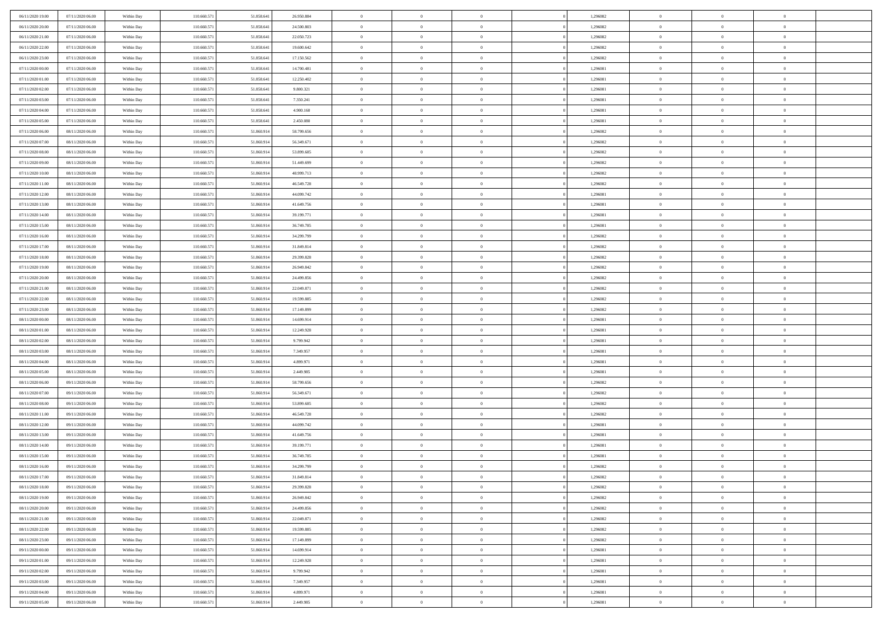| 06/11/2020 19:00<br>07/11/2020 06.00 | Within Day | 110.660.571 | 51.858.641 | 26.950.884 | $\overline{0}$ | $\overline{0}$ | $\Omega$       | 1,296082 | $\bf{0}$       | $\mathbf{0}$   | $\bf{0}$       |  |
|--------------------------------------|------------|-------------|------------|------------|----------------|----------------|----------------|----------|----------------|----------------|----------------|--|
| 06/11/2020 20:00<br>07/11/2020 06:00 | Within Day | 110.660.571 | 51.858.641 | 24.500.803 | $\mathbf{0}$   | $\overline{0}$ | $\overline{0}$ | 1,296082 | $\overline{0}$ | $\overline{0}$ | $\theta$       |  |
| 06/11/2020 21.00<br>07/11/2020 06:00 | Within Day | 110.660.571 | 51.858.641 | 22.050.723 | $\,$ 0         | $\overline{0}$ | $\bf{0}$       | 1,296082 | $\,$ 0         | $\overline{0}$ | $\,$ 0 $\,$    |  |
| 06/11/2020 22.00<br>07/11/2020 06.00 | Within Day | 110,660.57  | 51.858.641 | 19,600,642 | $\bf{0}$       | $\overline{0}$ | $\Omega$       | 1,296082 | $\bf{0}$       | $\mathbf{0}$   | $\theta$       |  |
| 06/11/2020 23.00<br>07/11/2020 06:00 | Within Day | 110.660.571 | 51.858.641 | 17.150.562 | $\bf{0}$       | $\overline{0}$ | $\overline{0}$ | 1,296082 | $\mathbf{0}$   | $\overline{0}$ | $\overline{0}$ |  |
| 07/11/2020 00:00<br>07/11/2020 06:00 | Within Day | 110.660.571 | 51.858.641 | 14.700.481 | $\bf{0}$       | $\overline{0}$ | $\bf{0}$       | 1,296081 | $\,$ 0         | $\overline{0}$ | $\,$ 0 $\,$    |  |
| 07/11/2020 01:00<br>07/11/2020 06:00 | Within Day | 110.660.571 | 51.858.641 | 12.250.402 | $\bf{0}$       | $\overline{0}$ | $\overline{0}$ | 1,296081 | $\bf{0}$       | $\mathbf{0}$   | $\theta$       |  |
| 07/11/2020 02:00<br>07/11/2020 06:00 | Within Day | 110.660.571 | 51.858.641 | 9.800.321  | $\overline{0}$ | $\overline{0}$ | $\overline{0}$ | 1,296081 | $\mathbf{0}$   | $\overline{0}$ | $\overline{0}$ |  |
| 07/11/2020 03.00<br>07/11/2020 06:00 | Within Day | 110.660.571 | 51.858.641 | 7.350.241  | $\bf{0}$       | $\overline{0}$ | $\bf{0}$       | 1,296081 | $\,$ 0         | $\overline{0}$ | $\,$ 0 $\,$    |  |
| 07/11/2020 04.00<br>07/11/2020 06.00 | Within Day | 110,660,571 | 51.858.641 | 4.900.160  | $\bf{0}$       | $\overline{0}$ | $\Omega$       | 1,296081 | $\theta$       | $\mathbf{0}$   | $\theta$       |  |
| 07/11/2020 05:00<br>07/11/2020 06:00 | Within Day | 110.660.571 | 51.858.641 | 2.450.080  | $\overline{0}$ | $\overline{0}$ | $\overline{0}$ | 1,296081 | $\mathbf{0}$   | $\overline{0}$ | $\overline{0}$ |  |
| 07/11/2020 06.00<br>08/11/2020 06:00 | Within Day | 110.660.571 | 51.860.914 | 58.799.656 | $\bf{0}$       | $\overline{0}$ | $\bf{0}$       | 1,296082 | $\,$ 0         | $\overline{0}$ | $\,$ 0 $\,$    |  |
| 07/11/2020 07.00<br>08/11/2020 06:00 | Within Day | 110,660.57  | 51.860.914 | 56.349.671 | $\bf{0}$       | $\overline{0}$ | $\Omega$       | 1,296082 | $\overline{0}$ | $\mathbf{0}$   | $\theta$       |  |
| 07/11/2020 08:00<br>08/11/2020 06:00 | Within Day | 110.660.571 | 51.860.914 | 53.899.685 | $\overline{0}$ | $\overline{0}$ | $\overline{0}$ | 1,296082 | $\mathbf{0}$   | $\overline{0}$ | $\overline{0}$ |  |
| 07/11/2020 09:00<br>08/11/2020 06:00 | Within Day | 110.660.57  | 51.860.914 | 51.449.699 | $\bf{0}$       | $\overline{0}$ | $\bf{0}$       | 1,296082 | $\,$ 0         | $\overline{0}$ | $\,$ 0 $\,$    |  |
| 07/11/2020 10:00<br>08/11/2020 06.00 | Within Day | 110.660.571 | 51.860.914 | 48.999.713 | $\bf{0}$       | $\overline{0}$ | $\overline{0}$ | 1,296082 | $\theta$       | $\mathbf{0}$   | $\bf{0}$       |  |
| 07/11/2020 11:00<br>08/11/2020 06:00 | Within Day | 110.660.571 | 51.860.914 | 46.549.728 | $\overline{0}$ | $\overline{0}$ | $\overline{0}$ | 1,296082 | $\mathbf{0}$   | $\overline{0}$ | $\overline{0}$ |  |
| 07/11/2020 12.00<br>08/11/2020 06:00 | Within Day | 110.660.571 | 51.860.914 | 44.099.742 | $\bf{0}$       | $\overline{0}$ | $\bf{0}$       | 1,296081 | $\,$ 0         | $\overline{0}$ | $\,$ 0 $\,$    |  |
| 07/11/2020 13.00<br>08/11/2020 06.00 | Within Day | 110,660,571 | 51.860.914 | 41.649.756 | $\bf{0}$       | $\overline{0}$ | $\Omega$       | 1,296081 | $\theta$       | $\mathbf{0}$   | $\theta$       |  |
| 07/11/2020 14:00<br>08/11/2020 06:00 | Within Day | 110.660.571 | 51.860.914 | 39.199.771 | $\overline{0}$ | $\overline{0}$ | $\overline{0}$ | 1,296081 | $\mathbf{0}$   | $\overline{0}$ | $\overline{0}$ |  |
| 07/11/2020 15.00<br>08/11/2020 06:00 | Within Day | 110.660.571 | 51.860.914 | 36.749.785 | $\bf{0}$       | $\overline{0}$ | $\bf{0}$       | 1,296081 | $\,$ 0         | $\overline{0}$ | $\,$ 0 $\,$    |  |
| 07/11/2020 16.00<br>08/11/2020 06:00 | Within Day | 110,660.57  | 51.860.914 | 34.299.799 | $\bf{0}$       | $\overline{0}$ | $\Omega$       | 1,296082 | $\bf{0}$       | $\theta$       | $\theta$       |  |
| 07/11/2020 17:00<br>08/11/2020 06:00 | Within Day | 110.660.571 | 51.860.914 | 31.849.814 | $\overline{0}$ | $\overline{0}$ | $\overline{0}$ | 1,296082 | $\mathbf{0}$   | $\overline{0}$ | $\overline{0}$ |  |
| 07/11/2020 18:00<br>08/11/2020 06:00 | Within Day | 110.660.571 | 51.860.914 | 29.399.828 | $\bf{0}$       | $\overline{0}$ | $\bf{0}$       | 1,296082 | $\,$ 0         | $\overline{0}$ | $\,$ 0 $\,$    |  |
| 07/11/2020 19.00<br>08/11/2020 06.00 | Within Day | 110.660.571 | 51.860.914 | 26.949.842 | $\bf{0}$       | $\overline{0}$ | $\overline{0}$ | 1,296082 | $\bf{0}$       | $\overline{0}$ | $\bf{0}$       |  |
| 07/11/2020 20:00<br>08/11/2020 06:00 | Within Day | 110.660.571 | 51.860.914 | 24.499.856 | $\overline{0}$ | $\overline{0}$ | $\overline{0}$ | 1,296082 | $\mathbf{0}$   | $\overline{0}$ | $\overline{0}$ |  |
| 07/11/2020 21.00<br>08/11/2020 06:00 | Within Day | 110.660.571 | 51.860.914 | 22.049.871 | $\bf{0}$       | $\overline{0}$ | $\bf{0}$       | 1,296082 | $\,$ 0         | $\overline{0}$ | $\,$ 0 $\,$    |  |
| 07/11/2020 22.00<br>08/11/2020 06.00 | Within Day | 110,660,571 | 51.860.914 | 19.599.885 | $\bf{0}$       | $\overline{0}$ | $\Omega$       | 1,296082 | $\theta$       | $\mathbf{0}$   | $\theta$       |  |
| 07/11/2020 23:00<br>08/11/2020 06:00 | Within Day | 110.660.571 | 51.860.914 | 17.149.899 | $\overline{0}$ | $\overline{0}$ | $\overline{0}$ | 1,296082 | $\mathbf{0}$   | $\overline{0}$ | $\overline{0}$ |  |
| 08/11/2020 00:00<br>08/11/2020 06:00 | Within Day | 110.660.571 | 51.860.914 | 14.699.914 | $\bf{0}$       | $\overline{0}$ | $\bf{0}$       | 1,296081 | $\,$ 0         | $\overline{0}$ | $\,$ 0 $\,$    |  |
| 08/11/2020 01:00<br>08/11/2020 06:00 | Within Day | 110.660.571 | 51.860.914 | 12.249.928 | $\,$ 0         | $\bf{0}$       | $\overline{0}$ | 1,296081 | $\bf{0}$       | $\overline{0}$ | $\,0\,$        |  |
| 08/11/2020 02.00<br>08/11/2020 06:00 | Within Day | 110.660.571 | 51.860.914 | 9.799.942  | $\overline{0}$ | $\overline{0}$ | $\overline{0}$ | 1,296081 | $\mathbf{0}$   | $\overline{0}$ | $\overline{0}$ |  |
| 08/11/2020 03:00<br>08/11/2020 06:00 | Within Day | 110.660.571 | 51.860.914 | 7.349.957  | $\bf{0}$       | $\overline{0}$ | $\bf{0}$       | 1,296081 | $\,$ 0         | $\overline{0}$ | $\,$ 0 $\,$    |  |
| 08/11/2020 04:00<br>08/11/2020 06:00 | Within Day | 110.660.571 | 51.860.914 | 4.899.971  | $\bf{0}$       | $\bf{0}$       | $\bf{0}$       | 1,296081 | $\bf{0}$       | $\overline{0}$ | $\,0\,$        |  |
| 08/11/2020 05:00<br>08/11/2020 06:00 | Within Day | 110.660.571 | 51.860.914 | 2.449.985  | $\overline{0}$ | $\overline{0}$ | $\overline{0}$ | 1,296081 | $\overline{0}$ | $\overline{0}$ | $\overline{0}$ |  |
| 08/11/2020 06:00<br>09/11/2020 06:00 | Within Day | 110.660.571 | 51.860.914 | 58.799.656 | $\bf{0}$       | $\overline{0}$ | $\bf{0}$       | 1,296082 | $\,$ 0         | $\overline{0}$ | $\,$ 0 $\,$    |  |
| 08/11/2020 07.00<br>09/11/2020 06:00 | Within Day | 110.660.571 | 51.860.914 | 56.349.671 | $\,$ 0         | $\bf{0}$       | $\overline{0}$ | 1,296082 | $\bf{0}$       | $\overline{0}$ | $\,0\,$        |  |
| 08/11/2020 08:00<br>09/11/2020 06:00 | Within Day | 110.660.571 | 51.860.914 | 53.899.685 | $\overline{0}$ | $\overline{0}$ | $\overline{0}$ | 1,296082 | $\mathbf{0}$   | $\overline{0}$ | $\overline{0}$ |  |
| 08/11/2020 11:00<br>09/11/2020 06:00 | Within Day | 110.660.571 | 51.860.914 | 46.549.728 | $\bf{0}$       | $\overline{0}$ | $\bf{0}$       | 1,296082 | $\,$ 0         | $\overline{0}$ | $\,$ 0 $\,$    |  |
| 08/11/2020 12.00<br>09/11/2020 06:00 | Within Day | 110.660.571 | 51.860.914 | 44.099.742 | $\bf{0}$       | $\bf{0}$       | $\overline{0}$ | 1,296081 | $\bf{0}$       | $\overline{0}$ | $\,0\,$        |  |
| 08/11/2020 13:00<br>09/11/2020 06:00 | Within Day | 110.660.571 | 51.860.914 | 41.649.756 | $\overline{0}$ | $\overline{0}$ | $\overline{0}$ | 1,296081 | $\overline{0}$ | $\overline{0}$ | $\overline{0}$ |  |
| 08/11/2020 14:00<br>09/11/2020 06:00 | Within Day | 110.660.571 | 51.860.914 | 39.199.771 | $\bf{0}$       | $\overline{0}$ | $\bf{0}$       | 1,296081 | $\,$ 0         | $\overline{0}$ | $\,$ 0 $\,$    |  |
| 08/11/2020 15.00<br>09/11/2020 06:00 | Within Day | 110.660.571 | 51.860.914 | 36.749.785 | $\bf{0}$       | $\bf{0}$       | $\bf{0}$       | 1,296081 | $\bf{0}$       | $\overline{0}$ | $\,0\,$        |  |
| 08/11/2020 16:00<br>09/11/2020 06:00 | Within Day | 110.660.571 | 51.860.914 | 34.299.799 | $\mathbf{0}$   | $\overline{0}$ | $\overline{0}$ | 1,296082 | $\overline{0}$ | $\overline{0}$ | $\overline{0}$ |  |
| 08/11/2020 17.00<br>09/11/2020 06:00 | Within Day | 110.660.571 | 51.860.914 | 31.849.814 | $\bf{0}$       | $\overline{0}$ | $\theta$       | 1,296082 | $\overline{0}$ | $\theta$       | $\theta$       |  |
| 08/11/2020 18:00<br>09/11/2020 06.00 | Within Day | 110.660.571 | 51.860.914 | 29.399.828 | $\bf{0}$       | $\bf{0}$       | $\bf{0}$       | 1,296082 | $\bf{0}$       | $\overline{0}$ | $\,0\,$        |  |
| 08/11/2020 19:00<br>09/11/2020 06:00 | Within Day | 110.660.571 | 51.860.914 | 26.949.842 | $\overline{0}$ | $\overline{0}$ | $\overline{0}$ | 1,296082 | $\mathbf{0}$   | $\bf{0}$       | $\overline{0}$ |  |
| 08/11/2020 20:00<br>09/11/2020 06:00 | Within Day | 110.660.571 | 51.860.914 | 24.499.856 | $\,$ 0 $\,$    | $\overline{0}$ | $\overline{0}$ | 1,296082 | $\,$ 0 $\,$    | $\,$ 0 $\,$    | $\,$ 0 $\,$    |  |
| 08/11/2020 21:00<br>09/11/2020 06.00 | Within Day | 110.660.571 | 51.860.914 | 22.049.871 | $\bf{0}$       | $\overline{0}$ | $\overline{0}$ | 1,296082 | $\bf{0}$       | $\overline{0}$ | $\bf{0}$       |  |
| 08/11/2020 22.00<br>09/11/2020 06.00 | Within Day | 110.660.571 | 51.860.914 | 19.599.885 | $\bf{0}$       | $\overline{0}$ | $\overline{0}$ | 1,296082 | $\mathbf{0}$   | $\overline{0}$ | $\overline{0}$ |  |
| 08/11/2020 23.00<br>09/11/2020 06:00 | Within Day | 110.660.571 | 51.860.914 | 17.149.899 | $\,$ 0 $\,$    | $\overline{0}$ | $\overline{0}$ | 1,296082 | $\,$ 0 $\,$    | $\overline{0}$ | $\,$ 0 $\,$    |  |
| 09/11/2020 00:00<br>09/11/2020 06.00 | Within Day | 110.660.571 | 51.860.914 | 14.699.914 | $\bf{0}$       | $\overline{0}$ | $\overline{0}$ | 1,296081 | $\bf{0}$       | $\overline{0}$ | $\overline{0}$ |  |
| 09/11/2020 01:00<br>09/11/2020 06:00 | Within Day | 110.660.571 | 51.860.914 | 12.249.928 | $\overline{0}$ | $\overline{0}$ | $\overline{0}$ | 1,296081 | $\overline{0}$ | $\bf{0}$       | $\overline{0}$ |  |
| 09/11/2020 02.00<br>09/11/2020 06:00 | Within Day | 110.660.571 | 51.860.914 | 9.799.942  | $\,$ 0 $\,$    | $\overline{0}$ | $\overline{0}$ | 1,296081 | $\,$ 0 $\,$    | $\,$ 0 $\,$    | $\,$ 0 $\,$    |  |
| 09/11/2020 03:00<br>09/11/2020 06.00 | Within Day | 110.660.571 | 51.860.914 | 7.349.957  | $\bf{0}$       | $\overline{0}$ | $\overline{0}$ | 1,296081 | $\mathbf{0}$   | $\overline{0}$ | $\bf{0}$       |  |
| 09/11/2020 04.00<br>09/11/2020 06:00 | Within Day | 110.660.571 | 51.860.914 | 4.899.971  | $\bf{0}$       | $\overline{0}$ | $\overline{0}$ | 1,296081 | $\mathbf{0}$   | $\bf{0}$       | $\overline{0}$ |  |
| 09/11/2020 05:00<br>09/11/2020 06:00 | Within Day | 110.660.571 | 51.860.914 | 2.449.985  | $\,0\,$        | $\overline{0}$ | $\overline{0}$ | 1,296081 | $\,$ 0         | $\overline{0}$ | $\,$ 0 $\,$    |  |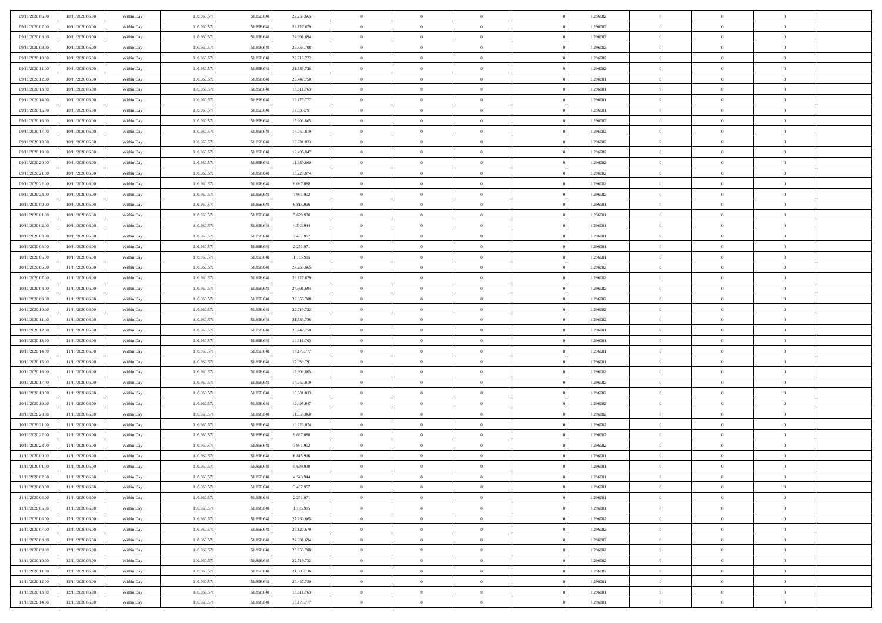| 09/11/2020 06.00<br>10/11/2020 06:00 | Within Day | 110.660.571 | 51.858.641 | 27.263.665 | $\,$ 0         | $\overline{0}$ | $\theta$       |          | 1,296082 | $\bf{0}$                 | $\overline{0}$ | $\,0\,$        |  |
|--------------------------------------|------------|-------------|------------|------------|----------------|----------------|----------------|----------|----------|--------------------------|----------------|----------------|--|
| 09/11/2020 07:00<br>10/11/2020 06:00 | Within Day | 110.660.57  | 51.858.641 | 26.127.679 | $\overline{0}$ | $\overline{0}$ | $\overline{0}$ |          | 1,296082 | $\overline{0}$           | $\overline{0}$ | $\theta$       |  |
| 09/11/2020 08:00<br>10/11/2020 06:00 | Within Dav | 110.660.571 | 51.858.641 | 24.991.694 | $\mathbf{0}$   | $\overline{0}$ | $\overline{0}$ |          | 1,296082 | $\mathbf{0}$             | $\overline{0}$ | $\overline{0}$ |  |
| 09/11/2020 09:00<br>10/11/2020 06:00 | Within Day | 110.660.571 | 51.858.641 | 23.855.708 | $\bf{0}$       | $\overline{0}$ | $\bf{0}$       |          | 1,296082 | $\bf{0}$                 | $\overline{0}$ | $\bf{0}$       |  |
| 09/11/2020 10:00<br>10/11/2020 06:00 | Within Day | 110.660.571 | 51.858.641 | 22.719.722 | $\bf{0}$       | $\overline{0}$ | $\overline{0}$ |          | 1,296082 | $\bf{0}$                 | $\bf{0}$       | $\,0\,$        |  |
| 09/11/2020 11:00<br>10/11/2020 06:00 | Within Dav | 110.660.571 | 51.858.641 | 21.583.736 | $\mathbf{0}$   | $\overline{0}$ | $\overline{0}$ |          | 1,296082 | $\mathbf{0}$             | $\overline{0}$ | $\overline{0}$ |  |
|                                      |            |             |            |            |                |                |                |          |          |                          |                |                |  |
| 09/11/2020 12.00<br>10/11/2020 06:00 | Within Day | 110.660.571 | 51.858.641 | 20.447.750 | $\bf{0}$       | $\bf{0}$       | $\overline{0}$ |          | 1,296081 | $\bf{0}$                 | $\overline{0}$ | $\,0\,$        |  |
| 09/11/2020 13:00<br>10/11/2020 06:00 | Within Day | 110.660.571 | 51.858.641 | 19.311.763 | $\overline{0}$ | $\overline{0}$ | $\overline{0}$ |          | 1,296081 | $\,$ 0 $\,$              | $\overline{0}$ | $\theta$       |  |
| 09/11/2020 14:00<br>10/11/2020 06:00 | Within Day | 110.660.571 | 51.858.641 | 18.175.777 | $\mathbf{0}$   | $\overline{0}$ | $\overline{0}$ |          | 1,296081 | $\mathbf{0}$             | $\overline{0}$ | $\overline{0}$ |  |
| 09/11/2020 15.00<br>10/11/2020 06:00 | Within Day | 110.660.571 | 51.858.641 | 17.039.791 | $\bf{0}$       | $\bf{0}$       | $\theta$       |          | 1,296081 | $\bf{0}$                 | $\overline{0}$ | $\,0\,$        |  |
| 09/11/2020 16.00<br>10/11/2020 06:00 | Within Day | 110.660.571 | 51.858.641 | 15.903.805 | $\bf{0}$       | $\overline{0}$ | $\overline{0}$ |          | 1,296082 | $\bf{0}$                 | $\overline{0}$ | $\theta$       |  |
| 09/11/2020 17:00<br>10/11/2020 06:00 | Within Dav | 110.660.571 | 51.858.641 | 14.767.819 | $\mathbf{0}$   | $\overline{0}$ | $\overline{0}$ |          | 1,296082 | $\mathbf{0}$             | $\overline{0}$ | $\overline{0}$ |  |
| 09/11/2020 18.00<br>10/11/2020 06:00 | Within Day | 110.660.571 | 51.858.641 | 13.631.833 | $\bf{0}$       | $\overline{0}$ | $\bf{0}$       |          | 1,296082 | $\bf{0}$                 | $\overline{0}$ | $\bf{0}$       |  |
| 09/11/2020 19:00<br>10/11/2020 06:00 | Within Day | 110.660.571 | 51.858.641 | 12.495.847 | $\bf{0}$       | $\overline{0}$ | $\overline{0}$ |          | 1,296082 | $\bf{0}$                 | $\theta$       | $\,0\,$        |  |
| 09/11/2020 20:00<br>10/11/2020 06:00 | Within Dav | 110.660.571 | 51.858.641 | 11.359.860 | $\overline{0}$ | $\overline{0}$ | $\overline{0}$ |          | 1,296082 | $\mathbf{0}$             | $\overline{0}$ | $\overline{0}$ |  |
| 09/11/2020 21.00<br>10/11/2020 06:00 | Within Day | 110.660.571 | 51.858.641 | 10.223.874 | $\bf{0}$       | $\bf{0}$       | $\overline{0}$ |          | 1,296082 | $\bf{0}$                 | $\overline{0}$ | $\,0\,$        |  |
| 09/11/2020 22.00<br>10/11/2020 06:00 | Within Day | 110.660.571 | 51.858.641 | 9.087.888  | $\overline{0}$ | $\overline{0}$ | $\overline{0}$ |          | 1,296082 | $\,$ 0 $\,$              | $\overline{0}$ | $\theta$       |  |
| 09/11/2020 23.00<br>10/11/2020 06:00 | Within Day | 110.660.571 | 51.858.641 | 7.951.902  | $\mathbf{0}$   | $\overline{0}$ | $\overline{0}$ |          | 1,296082 | $\mathbf{0}$             | $\overline{0}$ | $\overline{0}$ |  |
| 10/11/2020 00:00<br>10/11/2020 06:00 | Within Day | 110.660.571 | 51.858.641 | 6.815.916  | $\bf{0}$       | $\bf{0}$       | $\overline{0}$ |          | 1,296081 | $\bf{0}$                 | $\overline{0}$ | $\,0\,$        |  |
| 10/11/2020 01:00<br>10/11/2020 06:00 | Within Day | 110.660.571 | 51.858.641 | 5.679.930  | $\bf{0}$       | $\overline{0}$ | $\overline{0}$ |          | 1,296081 | $\bf{0}$                 | $\overline{0}$ | $\overline{0}$ |  |
| 10/11/2020 02:00<br>10/11/2020 06:00 | Within Dav | 110.660.571 | 51.858.641 | 4.543.944  | $\mathbf{0}$   | $\overline{0}$ | $\overline{0}$ |          | 1,296081 | $\mathbf{0}$             | $\overline{0}$ | $\overline{0}$ |  |
| 10/11/2020 03.00<br>10/11/2020 06:00 | Within Day | 110.660.571 | 51.858.641 | 3.407.957  | $\bf{0}$       | $\overline{0}$ | $\bf{0}$       |          | 1,296081 | $\bf{0}$                 | $\overline{0}$ | $\bf{0}$       |  |
| 10/11/2020 04:00<br>10/11/2020 06:00 | Within Day | 110.660.571 | 51.858.641 | 2.271.971  | $\bf{0}$       | $\bf{0}$       | $\overline{0}$ |          | 1,296081 | $\bf{0}$                 | $\bf{0}$       | $\,0\,$        |  |
| 10/11/2020 05:00<br>10/11/2020 06:00 | Within Dav | 110.660.571 | 51.858.641 | 1.135.985  | $\mathbf{0}$   | $\overline{0}$ | $\overline{0}$ |          | 1,296081 | $\mathbf{0}$             | $\overline{0}$ | $\overline{0}$ |  |
| 10/11/2020 06:00<br>11/11/2020 06:00 | Within Day | 110.660.571 | 51.858.641 | 27.263.665 | $\bf{0}$       | $\bf{0}$       | $\overline{0}$ |          | 1,296082 | $\bf{0}$                 | $\overline{0}$ | $\,0\,$        |  |
| 10/11/2020 07:00<br>11/11/2020 06:00 | Within Day | 110.660.571 | 51.858.641 | 26.127.679 | $\bf{0}$       | $\overline{0}$ | $\overline{0}$ |          | 1,296082 | $\,$ 0 $\,$              | $\overline{0}$ | $\overline{0}$ |  |
| 10/11/2020 08:00<br>11/11/2020 06:00 | Within Dav | 110.660.571 | 51.858.641 | 24.991.694 | $\mathbf{0}$   | $\overline{0}$ | $\overline{0}$ |          | 1,296082 | $\mathbf{0}$             | $\overline{0}$ | $\overline{0}$ |  |
| 10/11/2020 09:00<br>11/11/2020 06:00 | Within Day | 110.660.571 | 51.858.641 | 23.855.708 | $\bf{0}$       | $\bf{0}$       | $\overline{0}$ |          | 1,296082 | $\bf{0}$                 | $\overline{0}$ | $\,0\,$        |  |
| 10/11/2020 10:00<br>11/11/2020 06:00 | Within Day | 110.660.571 | 51.858.641 | 22.719.722 | $\bf{0}$       | $\bf{0}$       | $\overline{0}$ |          | 1,296082 | $\bf{0}$                 | $\overline{0}$ | $\bf{0}$       |  |
| 10/11/2020 11:00<br>11/11/2020 06:00 | Within Dav | 110.660.571 | 51.858.641 | 21.583.736 | $\mathbf{0}$   | $\overline{0}$ | $\overline{0}$ |          | 1,296082 | $\mathbf{0}$             | $\overline{0}$ | $\overline{0}$ |  |
| 10/11/2020 12:00<br>11/11/2020 06:00 | Within Day | 110.660.571 | 51.858.641 | 20.447.750 | $\bf{0}$       | $\overline{0}$ | $\theta$       |          | 1,296081 | $\,$ 0                   | $\overline{0}$ | $\theta$       |  |
| 10/11/2020 13:00<br>11/11/2020 06:00 | Within Day | 110.660.571 | 51.858.641 | 19.311.763 | $\bf{0}$       | $\bf{0}$       | $\overline{0}$ |          | 1,296081 | $\bf{0}$                 | $\mathbf{0}$   | $\bf{0}$       |  |
| 10/11/2020 14:00<br>11/11/2020 06:00 | Within Dav | 110.660.571 | 51.858.641 | 18.175.777 | $\mathbf{0}$   | $\overline{0}$ | $\overline{0}$ |          | 1,296081 | $\mathbf{0}$             | $\overline{0}$ | $\overline{0}$ |  |
| 11/11/2020 06:00<br>10/11/2020 15.00 | Within Day | 110.660.571 | 51.858.641 | 17.039.791 | $\bf{0}$       | $\overline{0}$ | $\theta$       |          | 1,296081 | $\,$ 0                   | $\overline{0}$ | $\theta$       |  |
|                                      |            |             |            |            | $\bf{0}$       | $\overline{0}$ | $\overline{0}$ |          |          |                          | $\overline{0}$ | $\overline{0}$ |  |
| 10/11/2020 16:00<br>11/11/2020 06:00 | Within Day | 110.660.571 | 51.858.641 | 15.903.805 | $\mathbf{0}$   |                |                |          | 1,296082 | $\bf{0}$<br>$\mathbf{0}$ |                | $\overline{0}$ |  |
| 10/11/2020 17:00<br>11/11/2020 06:00 | Within Day | 110.660.571 | 51.858.641 | 14.767.819 |                | $\overline{0}$ | $\overline{0}$ |          | 1,296082 |                          | $\overline{0}$ |                |  |
| 10/11/2020 18:00<br>11/11/2020 06:00 | Within Day | 110.660.571 | 51.858.641 | 13.631.833 | $\bf{0}$       | $\overline{0}$ | $\theta$       |          | 1,296082 | $\,$ 0                   | $\overline{0}$ | $\theta$       |  |
| 10/11/2020 19:00<br>11/11/2020 06:00 | Within Day | 110.660.571 | 51.858.641 | 12.495.847 | $\bf{0}$       | $\bf{0}$       | $\overline{0}$ |          | 1,296082 | $\bf{0}$                 | $\mathbf{0}$   | $\overline{0}$ |  |
| 10/11/2020 20:00<br>11/11/2020 06:00 | Within Dav | 110.660.571 | 51.858.641 | 11.359.860 | $\mathbf{0}$   | $\overline{0}$ | $\overline{0}$ |          | 1,296082 | $\mathbf{0}$             | $\overline{0}$ | $\overline{0}$ |  |
| 10/11/2020 21:00<br>11/11/2020 06:00 | Within Day | 110.660.571 | 51.858.641 | 10.223.874 | $\bf{0}$       | $\overline{0}$ | $\theta$       |          | 1,296082 | $\,$ 0                   | $\overline{0}$ | $\theta$       |  |
| 10/11/2020 22.00<br>11/11/2020 06:00 | Within Day | 110.660.571 | 51.858.641 | 9.087.888  | $\bf{0}$       | $\bf{0}$       | $\overline{0}$ |          | 1,296082 | $\bf{0}$                 | $\overline{0}$ | $\overline{0}$ |  |
| 10/11/2020 23:00<br>11/11/2020 06:00 | Within Dav | 110.660.571 | 51.858.641 | 7.951.902  | $\mathbf{0}$   | $\overline{0}$ | $\overline{0}$ |          | 1,296082 | $\mathbf{0}$             | $\overline{0}$ | $\overline{0}$ |  |
| 11/11/2020 00:00<br>11/11/2020 06:00 | Within Day | 110.660.571 | 51.858.641 | 6.815.916  | $\bf{0}$       | $\overline{0}$ | $\theta$       |          | 1,296081 | $\,$ 0                   | $\overline{0}$ | $\theta$       |  |
| 11/11/2020 01:00<br>11/11/2020 06:00 | Within Day | 110.660.57  | 51.858.641 | 5.679.930  | $\bf{0}$       | $\overline{0}$ | $\overline{0}$ |          | 1,296081 | $\,$ 0 $\,$              | $\overline{0}$ | $\bf{0}$       |  |
| 11/11/2020 02:00<br>11/11/2020 06.00 | Within Day | 110.660.571 | 51.858.641 | 4.543.944  | $\bf{0}$       | $\overline{0}$ | $\Omega$       |          | 1,296081 | $\overline{0}$           | $\theta$       | $\theta$       |  |
| 11/11/2020 03:00<br>11/11/2020 06:00 | Within Day | 110.660.571 | 51.858.641 | 3.407.957  | $\,0\,$        | $\overline{0}$ | $\theta$       |          | 1,296081 | $\,$ 0 $\,$              | $\overline{0}$ | $\theta$       |  |
| 11/11/2020 04:00<br>11/11/2020 06:00 | Within Day | 110.660.571 | 51.858.641 | 2.271.971  | $\overline{0}$ | $\overline{0}$ | $\overline{0}$ |          | 1,296081 | $\overline{0}$           | $\overline{0}$ | $\overline{0}$ |  |
| 11/11/2020 05:00<br>11/11/2020 06.00 | Within Day | 110.660.571 | 51.858.641 | 1.135.985  | $\bf{0}$       | $\overline{0}$ | $\overline{0}$ |          | 1,296081 | $\overline{0}$           | $\bf{0}$       | $\mathbf{0}$   |  |
| 11/11/2020 06:00<br>12/11/2020 06:00 | Within Day | 110.660.571 | 51.858.641 | 27.263.665 | $\bf{0}$       | $\overline{0}$ | $\overline{0}$ | $\theta$ | 1,296082 | $\,$ 0 $\,$              | $\bf{0}$       | $\,$ 0 $\,$    |  |
| 11/11/2020 07:00<br>12/11/2020 06.00 | Within Day | 110.660.571 | 51.858.641 | 26.127.679 | $\bf{0}$       | $\overline{0}$ | $\overline{0}$ |          | 1,296082 | $\,$ 0 $\,$              | $\overline{0}$ | $\overline{0}$ |  |
| 11/11/2020 08:00<br>12/11/2020 06.00 | Within Day | 110.660.571 | 51.858.641 | 24.991.694 | $\bf{0}$       | $\overline{0}$ | $\overline{0}$ |          | 1,296082 | $\mathbf{0}$             | $\overline{0}$ | $\overline{0}$ |  |
| 11/11/2020 09:00<br>12/11/2020 06:00 | Within Day | 110.660.571 | 51.858.641 | 23.855.708 | $\,0\,$        | $\overline{0}$ | $\overline{0}$ | $\theta$ | 1,296082 | $\,$ 0 $\,$              | $\overline{0}$ | $\overline{0}$ |  |
| 11/11/2020 10:00<br>12/11/2020 06:00 | Within Day | 110.660.571 | 51.858.641 | 22.719.722 | $\bf{0}$       | $\overline{0}$ | $\overline{0}$ |          | 1,296082 | $\overline{0}$           | $\overline{0}$ | $\overline{0}$ |  |
| 11/11/2020 11:00<br>12/11/2020 06:00 | Within Day | 110.660.571 | 51.858.641 | 21.583.736 | $\bf{0}$       | $\overline{0}$ | $\overline{0}$ |          | 1,296082 | $\mathbf{0}$             | $\overline{0}$ | $\mathbf{0}$   |  |
| 11/11/2020 12:00<br>12/11/2020 06:00 | Within Day | 110.660.571 | 51.858.641 | 20.447.750 | $\,0\,$        | $\overline{0}$ | $\overline{0}$ |          | 1,296081 | $\,$ 0 $\,$              | $\mathbf{0}$   | $\overline{0}$ |  |
| 11/11/2020 13.00<br>12/11/2020 06:00 | Within Day | 110.660.571 | 51.858.641 | 19.311.763 | $\bf{0}$       | $\bf{0}$       | $\overline{0}$ |          | 1,296081 | $\bf{0}$                 | $\mathbf{0}$   | $\overline{0}$ |  |
| 11/11/2020 14:00<br>12/11/2020 06:00 | Within Day | 110.660.571 | 51.858.641 | 18.175.777 | $\mathbf{0}$   | $\overline{0}$ | $\overline{0}$ |          | 1,296081 | $\mathbf{0}$             | $\overline{0}$ | $\overline{0}$ |  |
|                                      |            |             |            |            |                |                |                |          |          |                          |                |                |  |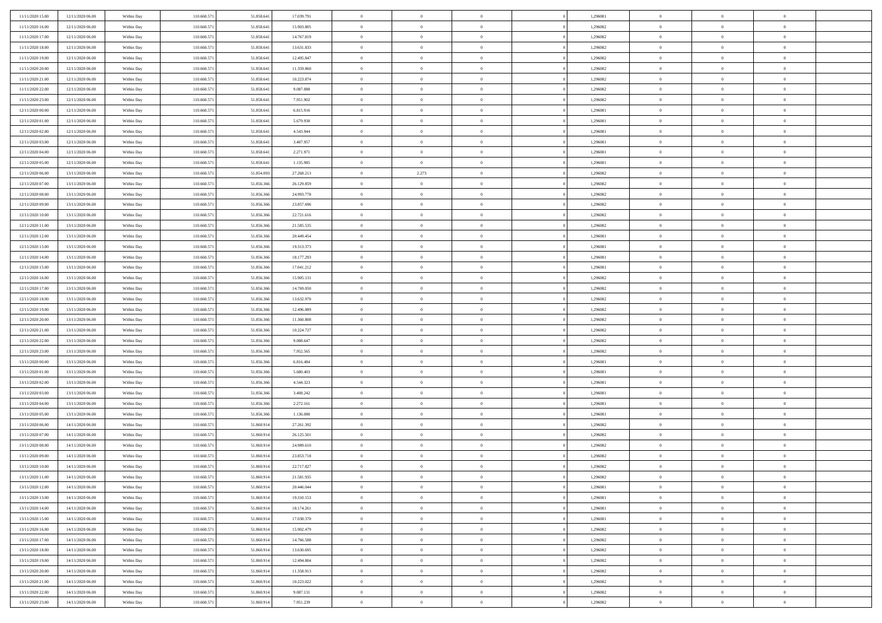| 11/11/2020 15:00                     | 12/11/2020 06.00                     | Within Day               | 110,660,571                | 51.858.641               | 17.039.791             | $\bf{0}$                      | $\overline{0}$                   | $\Omega$                         | 1,296081             | $\bf{0}$                 | $\overline{0}$             | $\bf{0}$                  |  |
|--------------------------------------|--------------------------------------|--------------------------|----------------------------|--------------------------|------------------------|-------------------------------|----------------------------------|----------------------------------|----------------------|--------------------------|----------------------------|---------------------------|--|
| 11/11/2020 16:00                     | 12/11/2020 06:00                     | Within Dav               | 110.660.571                | 51.858.641               | 15.903.805             | $\theta$                      | $\overline{0}$                   | $\overline{0}$                   | 1,296082             | $\mathbf{0}$             | $\bf{0}$                   | $\overline{0}$            |  |
| 11/11/2020 17:00                     | 12/11/2020 06:00                     | Within Day               | 110.660.571                | 51.858.641               | 14.767.819             | $\theta$                      | $\overline{0}$                   | $\bf{0}$                         | 1,296082             | $\,$ 0                   | $\overline{0}$             | $\,$ 0 $\,$               |  |
| 11/11/2020 18:00                     | 12/11/2020 06:00                     | Within Day               | 110.660.571                | 51.858.641               | 13.631.833             | $\theta$                      | $\overline{0}$                   | $\mathbf{0}$                     | 1,296082             | $\bf{0}$                 | $\mathbf{0}$               | $\theta$                  |  |
| 11/11/2020 19:00                     | 12/11/2020 06:00                     | Within Dav               | 110.660.571                | 51.858.641               | 12.495.847             | $\mathbf{0}$                  | $\overline{0}$                   | $\overline{0}$                   | 1,296082             | $\mathbf{0}$             | $\bf{0}$                   | $\overline{0}$            |  |
| 11/11/2020 20:00                     | 12/11/2020 06:00                     | Within Day               | 110.660.571                | 51.858.641               | 11.359.860             | $\theta$                      | $\overline{0}$                   | $\bf{0}$                         | 1,296082             | $\,$ 0                   | $\overline{0}$             | $\,$ 0 $\,$               |  |
| 11/11/2020 21:00                     | 12/11/2020 06:00                     | Within Day               | 110.660.571                | 51.858.641               | 10.223.874             | $\,$ 0 $\,$                   | $\overline{0}$                   | $\Omega$                         | 1,296082             | $\bf{0}$                 | $\overline{0}$             | $\bf{0}$                  |  |
| 11/11/2020 22.00                     | 12/11/2020 06:00                     | Within Dav               | 110.660.571                | 51.858.641               | 9.087.888              | $\overline{0}$                | $\overline{0}$                   | $\overline{0}$                   | 1,296082             | $\mathbf{0}$             | $\bf{0}$                   | $\overline{0}$            |  |
| 11/11/2020 23:00                     | 12/11/2020 06:00                     | Within Day               | 110.660.571                | 51.858.641               | 7.951.902              | $\theta$                      | $\overline{0}$                   | $\bf{0}$                         | 1,296082             | $\,$ 0                   | $\overline{0}$             | $\,$ 0 $\,$               |  |
| 12/11/2020 00:00                     | 12/11/2020 06.00                     | Within Day               | 110.660.571                | 51.858.641               | 6.815.916              | $\mathbf{0}$                  | $\overline{0}$                   | $\mathbf{0}$                     | 1,296081             | $\theta$                 | $\mathbf{0}$               | $\theta$                  |  |
| 12/11/2020 01:00                     | 12/11/2020 06:00                     | Within Dav               | 110.660.571                | 51.858.641               | 5.679.930              | $\mathbf{0}$                  | $\overline{0}$                   | $\overline{0}$                   | 1,296081             | $\mathbf{0}$             | $\bf{0}$                   | $\overline{0}$            |  |
| 12/11/2020 02:00                     | 12/11/2020 06:00                     | Within Day               | 110.660.571                | 51.858.641               | 4.543.944              | $\theta$                      | $\overline{0}$                   | $\bf{0}$                         | 1,296081             | $\,$ 0                   | $\overline{0}$             | $\,$ 0 $\,$               |  |
| 12/11/2020 03:00                     | 12/11/2020 06.00                     | Within Day               | 110.660.571                | 51.858.641               | 3.407.957              | $\theta$                      | $\overline{0}$                   | $\mathbf{0}$                     | 1,296081             | $\bf{0}$                 | $\mathbf{0}$               | $\theta$                  |  |
| 12/11/2020 04:00                     | 12/11/2020 06:00                     | Within Day               | 110.660.571                | 51.858.641               | 2.271.971              | $\mathbf{0}$                  | $\overline{0}$                   | $\overline{0}$                   | 1,296081             | $\mathbf{0}$             | $\bf{0}$                   | $\overline{0}$            |  |
| 12/11/2020 05:00                     | 12/11/2020 06:00                     | Within Day               | 110.660.571                | 51.858.641               | 1.135.985              | $\theta$                      | $\overline{0}$                   | $\overline{0}$                   | 1,296081             | $\,$ 0                   | $\overline{0}$             | $\,$ 0 $\,$               |  |
| 12/11/2020 06:00                     | 13/11/2020 06.00                     | Within Day               | 110.660.571                | 51.854.093               | 27.268.213             | $\,$ 0 $\,$                   | 2.273                            | $\mathbf{0}$                     | 1,296082             | $\bf{0}$                 | $\mathbf{0}$               | $\bf{0}$                  |  |
| 12/11/2020 07:00                     | 13/11/2020 06:00                     | Within Day               | 110.660.571                | 51.856.366               | 26.129.859             | $\overline{0}$                | $\overline{0}$                   | $\overline{0}$                   | 1,296082             | $\mathbf{0}$             | $\bf{0}$                   | $\overline{0}$            |  |
| 12/11/2020 08:00                     | 13/11/2020 06:00                     | Within Day               | 110.660.571                | 51.856.366               | 24.993.778             | $\theta$                      | $\overline{0}$                   | $\bf{0}$                         | 1,296082             | $\,$ 0                   | $\overline{0}$             | $\,$ 0 $\,$               |  |
| 12/11/2020 09:00                     | 13/11/2020 06.00                     | Within Day               | 110.660.571                | 51.856,366               | 23.857.696             | $\,$ 0 $\,$                   | $\overline{0}$                   | $\mathbf{0}$                     | 1,296082             | $\theta$                 | $\mathbf{0}$               | $\theta$                  |  |
| 12/11/2020 10:00                     | 13/11/2020 06:00                     | Within Day               | 110.660.571                | 51.856.366               | 22.721.616             | $\overline{0}$                | $\overline{0}$                   | $\overline{0}$                   | 1,296082             | $\mathbf{0}$             | $\bf{0}$                   | $\overline{0}$            |  |
| 12/11/2020 11:00                     | 13/11/2020 06:00                     | Within Day               | 110.660.571                | 51.856.366               | 21.585.535             | $\theta$                      | $\overline{0}$                   | $\overline{0}$                   | 1,296082             | $\,$ 0                   | $\overline{0}$             | $\,$ 0 $\,$               |  |
| 12/11/2020 12:00                     | 13/11/2020 06.00                     | Within Day               | 110.660.571                | 51.856.366               | 20.449.454             | $\theta$                      | $\overline{0}$                   | $\mathbf{0}$                     | 1,296081             | $\bf{0}$                 | $\theta$                   | $\theta$                  |  |
| 12/11/2020 13:00                     | 13/11/2020 06:00                     | Within Day               | 110.660.571                | 51.856.366               | 19.313.373             | $\mathbf{0}$                  | $\overline{0}$                   | $\overline{0}$                   | 1,296081             | $\mathbf{0}$             | $\bf{0}$                   | $\overline{0}$            |  |
| 12/11/2020 14:00                     | 13/11/2020 06:00                     | Within Day               | 110.660.571                | 51.856.366               | 18.177.293             | $\theta$                      | $\overline{0}$                   | $\bf{0}$                         | 1,296081             | $\,$ 0                   | $\overline{0}$             | $\,$ 0 $\,$               |  |
| 12/11/2020 15:00                     | 13/11/2020 06.00                     | Within Day               | 110.660.571                | 51.856.366               | 17.041.212             | $\,$ 0 $\,$                   | $\overline{0}$                   | $\mathbf{0}$                     | 1,296081             | $\bf{0}$                 | $\overline{0}$             | $\bf{0}$                  |  |
| 12/11/2020 16:00                     | 13/11/2020 06:00                     | Within Dav               | 110.660.571                | 51.856.366               | 15.905.131             | $\overline{0}$                | $\overline{0}$                   | $\overline{0}$                   | 1,296082             | $\mathbf{0}$             | $\bf{0}$                   | $\overline{0}$            |  |
| 12/11/2020 17:00                     | 13/11/2020 06:00                     | Within Day               | 110.660.571                | 51.856.366               | 14.769.050             | $\theta$                      | $\overline{0}$                   | $\overline{0}$                   | 1,296082             | $\,$ 0                   | $\overline{0}$             | $\,$ 0 $\,$               |  |
| 12/11/2020 18:00                     | 13/11/2020 06:00                     | Within Day               | 110.660.571                | 51.856,366               | 13.632.970             | $\mathbf{0}$                  | $\overline{0}$                   | $\mathbf{0}$                     | 1.296082             | $\theta$                 | $\mathbf{0}$               | $\theta$                  |  |
| 12/11/2020 19:00                     | 13/11/2020 06:00                     | Within Day               | 110.660.571                | 51.856.366               | 12.496.889             | $\mathbf{0}$                  | $\overline{0}$                   | $\overline{0}$                   | 1,296082             | $\mathbf{0}$             | $\bf{0}$                   | $\overline{0}$            |  |
| 12/11/2020 20:00                     | 13/11/2020 06:00                     | Within Day               | 110.660.571                | 51.856.366               | 11.360.808             | $\theta$                      | $\overline{0}$                   | $\bf{0}$                         | 1,296082             | $\,$ 0                   | $\overline{0}$             | $\,$ 0 $\,$               |  |
| 12/11/2020 21:00                     | 13/11/2020 06:00                     | Within Day               | 110.660.571                | 51.856.366               | 10.224.727             | $\,$ 0 $\,$                   | $\overline{0}$                   | $\overline{0}$                   | 1,296082             | $\bf{0}$                 | $\overline{0}$             | $\,0\,$                   |  |
| 12/11/2020 22.00                     | 13/11/2020 06:00                     | Within Day               | 110.660.571                | 51.856.366               | 9.088.647              | $\overline{0}$                | $\overline{0}$                   | $\overline{0}$                   | 1,296082             | $\mathbf{0}$             | $\bf{0}$                   | $\overline{0}$            |  |
| 12/11/2020 23:00                     | 13/11/2020 06:00                     | Within Day               | 110.660.571                | 51.856.366               | 7.952.565              | $\theta$                      | $\overline{0}$                   | $\overline{0}$                   | 1,296082             | $\,$ 0                   | $\overline{0}$             | $\,$ 0 $\,$               |  |
| 13/11/2020 00:00                     | 13/11/2020 06.00<br>13/11/2020 06:00 | Within Day<br>Within Day | 110.660.571<br>110.660.571 | 51.856.366<br>51.856.366 | 6.816.484<br>5.680.403 | $\,$ 0 $\,$<br>$\overline{0}$ | $\overline{0}$<br>$\overline{0}$ | $\overline{0}$<br>$\overline{0}$ | 1,296081<br>1,296081 | $\bf{0}$<br>$\mathbf{0}$ | $\overline{0}$<br>$\bf{0}$ | $\,0\,$<br>$\overline{0}$ |  |
| 13/11/2020 01:00<br>13/11/2020 02:00 | 13/11/2020 06:00                     | Within Day               | 110.660.571                | 51.856.366               | 4.544.323              | $\theta$                      | $\overline{0}$                   | $\bf{0}$                         | 1,296081             | $\,$ 0                   | $\overline{0}$             | $\,$ 0 $\,$               |  |
| 13/11/2020 03:00                     | 13/11/2020 06:00                     | Within Day               | 110.660.571                | 51.856.366               | 3.408.242              | $\,$ 0 $\,$                   | $\overline{0}$                   | $\overline{0}$                   | 1,296081             | $\bf{0}$                 | $\overline{0}$             | $\,0\,$                   |  |
| 13/11/2020 04:00                     | 13/11/2020 06:00                     | Within Day               | 110.660.571                | 51.856.366               | 2.272.161              | $\mathbf{0}$                  | $\overline{0}$                   | $\overline{0}$                   | 1,296081             | $\mathbf{0}$             | $\bf{0}$                   | $\overline{0}$            |  |
| 13/11/2020 05:00                     | 13/11/2020 06:00                     | Within Day               | 110.660.571                | 51.856.366               | 1.136.080              | $\theta$                      | $\overline{0}$                   | $\overline{0}$                   | 1,296081             | $\,$ 0                   | $\overline{0}$             | $\,$ 0 $\,$               |  |
| 13/11/2020 06:00                     | 14/11/2020 06.00                     | Within Day               | 110.660.571                | 51.860.914               | 27.261.392             | $\,$ 0 $\,$                   | $\overline{0}$                   | $\overline{0}$                   | 1,296082             | $\bf{0}$                 | $\overline{0}$             | $\,0\,$                   |  |
| 13/11/2020 07:00                     | 14/11/2020 06:00                     | Within Day               | 110.660.571                | 51.860.914               | 26.125.501             | $\overline{0}$                | $\overline{0}$                   | $\overline{0}$                   | 1,296082             | $\mathbf{0}$             | $\bf{0}$                   | $\overline{0}$            |  |
| 13/11/2020 08:00                     | 14/11/2020 06:00                     | Within Day               | 110.660.571                | 51.860.914               | 24.989.610             | $\theta$                      | $\overline{0}$                   | $\bf{0}$                         | 1,296082             | $\,$ 0                   | $\overline{0}$             | $\,$ 0 $\,$               |  |
| 13/11/2020 09:00                     | 14/11/2020 06.00                     | Within Day               | 110.660.571                | 51.860.914               | 23.853.718             | $\,$ 0 $\,$                   | $\overline{0}$                   | $\overline{0}$                   | 1,296082             | $\bf{0}$                 | $\overline{0}$             | $\,0\,$                   |  |
| 13/11/2020 10:00                     | 14/11/2020 06:00                     | Within Dav               | 110.660.571                | 51.860.914               | 22.717.827             | $\theta$                      | $\overline{0}$                   | $\overline{0}$                   | 1,296082             | $\mathbf{0}$             | $\bf{0}$                   | $\overline{0}$            |  |
| 13/11/2020 11:00                     | 14/11/2020 06:00                     | Within Day               | 110.660.571                | 51.860.914               | 21.581.935             | $\overline{0}$                | $\overline{0}$                   | $\overline{0}$                   | 1,296082             | $\overline{0}$           | $\overline{0}$             | $\theta$                  |  |
| 13/11/2020 12:00                     | 14/11/2020 06:00                     | Within Day               | 110.660.571                | 51.860.914               | 20.446.044             | $\bf{0}$                      | $\overline{0}$                   | $\overline{0}$                   | 1,296081             | $\bf{0}$                 | $\overline{0}$             | $\bf{0}$                  |  |
| 13/11/2020 13:00                     | 14/11/2020 06:00                     | Within Day               | 110.660.571                | 51.860.914               | 19.310.153             | $\overline{0}$                | $\overline{0}$                   | $\overline{0}$                   | 1,296081             | $\overline{0}$           | $\bf{0}$                   | $\overline{0}$            |  |
| 13/11/2020 14:00                     | 14/11/2020 06:00                     | Within Day               | 110.660.571                | 51.860.914               | 18.174.261             | $\,$ 0 $\,$                   | $\overline{0}$                   | $\overline{0}$                   | 1,296081             | $\,$ 0 $\,$              | $\,$ 0 $\,$                | $\,$ 0 $\,$               |  |
| 13/11/2020 15:00                     | 14/11/2020 06:00                     | Within Day               | 110.660.571                | 51.860.914               | 17.038.370             | $\bf{0}$                      | $\overline{0}$                   | $\overline{0}$                   | 1,296081             | $\mathbf{0}$             | $\overline{0}$             | $\bf{0}$                  |  |
| 13/11/2020 16:00                     | 14/11/2020 06:00                     | Within Day               | 110.660.571                | 51.860.914               | 15.902.479             | $\,$ 0 $\,$                   | $\overline{0}$                   | $\overline{0}$                   | 1,296082             | $\,$ 0 $\,$              | $\bf{0}$                   | $\overline{0}$            |  |
| 13/11/2020 17:00                     | 14/11/2020 06:00                     | Within Day               | 110.660.571                | 51.860.914               | 14.766.588             | $\,$ 0                        | $\overline{0}$                   | $\overline{0}$                   | 1,296082             | $\,$ 0 $\,$              | $\overline{0}$             | $\,$ 0 $\,$               |  |
| 13/11/2020 18:00                     | 14/11/2020 06:00                     | Within Day               | 110.660.571                | 51.860.914               | 13.630.695             | $\bf{0}$                      | $\overline{0}$                   | $\overline{0}$                   | 1,296082             | $\overline{0}$           | $\overline{0}$             | $\overline{0}$            |  |
| 13/11/2020 19:00                     | 14/11/2020 06:00                     | Within Day               | 110.660.571                | 51.860.914               | 12.494.804             | $\,$ 0 $\,$                   | $\overline{0}$                   | $\overline{0}$                   | 1,296082             | $\,$ 0 $\,$              | $\bf{0}$                   | $\mathbf{0}$              |  |
| 13/11/2020 20:00                     | 14/11/2020 06:00                     | Within Day               | 110.660.571                | 51.860.914               | 11.358.913             | $\,$ 0                        | $\overline{0}$                   | $\overline{0}$                   | 1,296082             | $\,$ 0 $\,$              | $\,$ 0 $\,$                | $\,$ 0 $\,$               |  |
| 13/11/2020 21:00                     | 14/11/2020 06.00                     | Within Day               | 110.660.571                | 51.860.914               | 10.223.022             | $\bf{0}$                      | $\overline{0}$                   | $\overline{0}$                   | 1,296082             | $\mathbf{0}$             | $\overline{0}$             | $\bf{0}$                  |  |
| 13/11/2020 22.00                     | 14/11/2020 06:00                     | Within Day               | 110.660.571                | 51.860.914               | 9.087.131              | $\mathbf{0}$                  | $\overline{0}$                   | $\overline{0}$                   | 1,296082             | $\overline{0}$           | $\bf{0}$                   | $\overline{0}$            |  |
| 13/11/2020 23:00                     | 14/11/2020 06.00                     | Within Day               | 110.660.571                | 51.860.914               | 7.951.239              | $\,$ 0 $\,$                   | $\overline{0}$                   | $\overline{0}$                   | 1,296082             | $\,$ 0 $\,$              | $\overline{0}$             | $\,$ 0 $\,$               |  |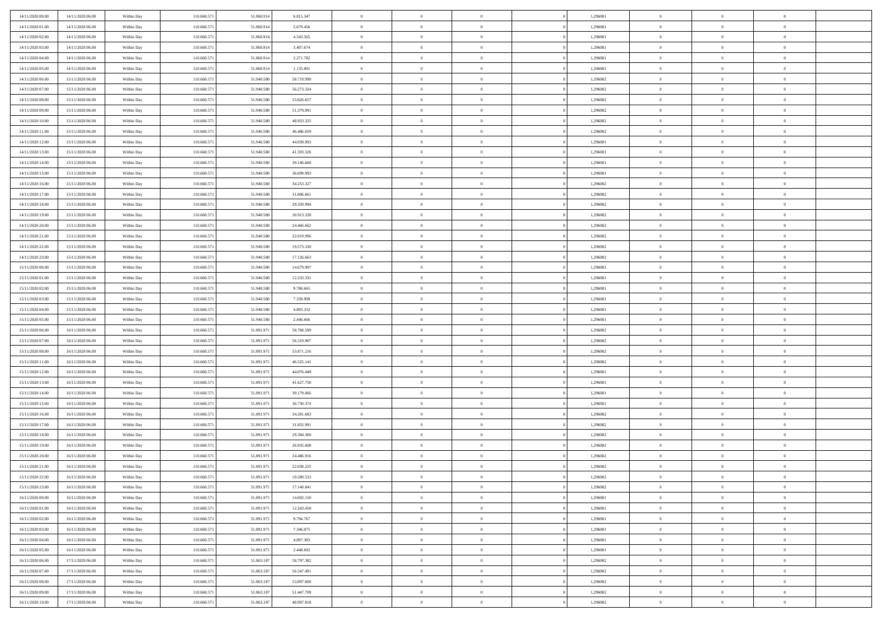| 14/11/2020 00:00 | 14/11/2020 06.00                     | Within Day | 110,660,571 | 51.860.914 | 6.815.347  | $\bf{0}$       | $\overline{0}$                   | $\Omega$       | 1,296081 | $\bf{0}$       | $\overline{0}$ | $\bf{0}$       |  |
|------------------|--------------------------------------|------------|-------------|------------|------------|----------------|----------------------------------|----------------|----------|----------------|----------------|----------------|--|
| 14/11/2020 01:00 | 14/11/2020 06:00                     | Within Day | 110.660.571 | 51.860.914 | 5.679.456  | $\theta$       | $\overline{0}$                   | $\overline{0}$ | 1,296081 | $\mathbf{0}$   | $\bf{0}$       | $\overline{0}$ |  |
| 14/11/2020 02.00 | 14/11/2020 06:00                     | Within Day | 110.660.571 | 51.860.914 | 4.543.565  | $\theta$       | $\overline{0}$                   | $\bf{0}$       | 1,296081 | $\,$ 0         | $\overline{0}$ | $\,$ 0 $\,$    |  |
| 14/11/2020 03:00 | 14/11/2020 06:00                     | Within Day | 110.660.571 | 51.860.914 | 3.407.674  | $\mathbf{0}$   | $\overline{0}$                   | $\mathbf{0}$   | 1,296081 | $\bf{0}$       | $\mathbf{0}$   | $\theta$       |  |
| 14/11/2020 04:00 | 14/11/2020 06:00                     | Within Day | 110.660.571 | 51.860.914 | 2.271.782  | $\mathbf{0}$   | $\overline{0}$                   | $\overline{0}$ | 1,296081 | $\mathbf{0}$   | $\bf{0}$       | $\overline{0}$ |  |
| 14/11/2020 05:00 | 14/11/2020 06:00                     | Within Day | 110.660.571 | 51.860.914 | 1.135.891  | $\theta$       | $\overline{0}$                   | $\bf{0}$       | 1,296081 | $\,$ 0         | $\overline{0}$ | $\,$ 0 $\,$    |  |
| 14/11/2020 06:00 | 15/11/2020 06:00                     | Within Day | 110.660.571 | 51.940.580 | 58.719.990 | $\,$ 0 $\,$    | $\overline{0}$                   | $\Omega$       | 1,296082 | $\bf{0}$       | $\overline{0}$ | $\bf{0}$       |  |
| 14/11/2020 07:00 | 15/11/2020 06:00                     | Within Day | 110.660.571 | 51.940.580 | 56.273.324 | $\overline{0}$ | $\overline{0}$                   | $\overline{0}$ | 1,296082 | $\mathbf{0}$   | $\bf{0}$       | $\overline{0}$ |  |
| 14/11/2020 08:00 | 15/11/2020 06:00                     |            | 110.660.571 | 51.940.580 | 53.826.657 | $\theta$       | $\overline{0}$                   | $\bf{0}$       | 1,296082 | $\,$ 0         | $\overline{0}$ | $\,$ 0 $\,$    |  |
|                  |                                      | Within Day | 110.660.571 | 51,940,580 |            | $\mathbf{0}$   |                                  | $\mathbf{0}$   |          | $\theta$       | $\mathbf{0}$   | $\theta$       |  |
| 14/11/2020 09:00 | 15/11/2020 06.00<br>15/11/2020 06:00 | Within Day |             |            | 51.379.991 |                | $\overline{0}$<br>$\overline{0}$ |                | 1,296082 | $\mathbf{0}$   |                | $\overline{0}$ |  |
| 14/11/2020 10:00 |                                      | Within Day | 110.660.571 | 51.940.580 | 48.933.325 | $\mathbf{0}$   |                                  | $\overline{0}$ | 1,296082 |                | $\bf{0}$       |                |  |
| 14/11/2020 11:00 | 15/11/2020 06:00                     | Within Day | 110.660.571 | 51.940.580 | 46.486.659 | $\theta$       | $\overline{0}$                   | $\bf{0}$       | 1,296082 | $\,$ 0         | $\overline{0}$ | $\,$ 0 $\,$    |  |
| 14/11/2020 12:00 | 15/11/2020 06.00                     | Within Day | 110.660.571 | 51.940.580 | 44.039.993 | $\theta$       | $\overline{0}$                   | $\mathbf{0}$   | 1,296081 | $\bf{0}$       | $\mathbf{0}$   | $\theta$       |  |
| 14/11/2020 13:00 | 15/11/2020 06:00                     | Within Day | 110.660.571 | 51.940.580 | 41.593.326 | $\overline{0}$ | $\overline{0}$                   | $\overline{0}$ | 1,296081 | $\mathbf{0}$   | $\bf{0}$       | $\overline{0}$ |  |
| 14/11/2020 14:00 | 15/11/2020 06:00                     | Within Day | 110.660.571 | 51.940.580 | 39.146.660 | $\theta$       | $\overline{0}$                   | $\overline{0}$ | 1,296081 | $\,$ 0         | $\overline{0}$ | $\,$ 0 $\,$    |  |
| 14/11/2020 15:00 | 15/11/2020 06.00                     | Within Day | 110.660.571 | 51.940.580 | 36.699.993 | $\bf{0}$       | $\overline{0}$                   | $\mathbf{0}$   | 1,296081 | $\bf{0}$       | $\mathbf{0}$   | $\bf{0}$       |  |
| 14/11/2020 16:00 | 15/11/2020 06:00                     | Within Day | 110.660.571 | 51.940.580 | 34.253.327 | $\overline{0}$ | $\overline{0}$                   | $\overline{0}$ | 1,296082 | $\mathbf{0}$   | $\bf{0}$       | $\overline{0}$ |  |
| 14/11/2020 17:00 | 15/11/2020 06:00                     | Within Day | 110.660.571 | 51.940.580 | 31.806.661 | $\theta$       | $\overline{0}$                   | $\bf{0}$       | 1,296082 | $\,$ 0         | $\overline{0}$ | $\,$ 0 $\,$    |  |
| 14/11/2020 18:00 | 15/11/2020 06.00                     | Within Day | 110.660.571 | 51,940,580 | 29.359.994 | $\theta$       | $\overline{0}$                   | $\mathbf{0}$   | 1,296082 | $\theta$       | $\mathbf{0}$   | $\theta$       |  |
| 14/11/2020 19:00 | 15/11/2020 06:00                     | Within Day | 110.660.571 | 51.940.580 | 26.913.328 | $\overline{0}$ | $\overline{0}$                   | $\overline{0}$ | 1,296082 | $\mathbf{0}$   | $\bf{0}$       | $\overline{0}$ |  |
| 14/11/2020 20:00 | 15/11/2020 06:00                     | Within Day | 110.660.571 | 51.940.580 | 24.466.662 | $\theta$       | $\overline{0}$                   | $\overline{0}$ | 1,296082 | $\,$ 0         | $\overline{0}$ | $\,$ 0 $\,$    |  |
| 14/11/2020 21.00 | 15/11/2020 06:00                     | Within Day | 110.660.571 | 51,940,580 | 22.019.996 | $\theta$       | $\overline{0}$                   | $\mathbf{0}$   | 1,296082 | $\bf{0}$       | $\theta$       | $\theta$       |  |
| 14/11/2020 22:00 | 15/11/2020 06:00                     | Within Day | 110.660.571 | 51.940.580 | 19.573.330 | $\overline{0}$ | $\overline{0}$                   | $\overline{0}$ | 1,296082 | $\mathbf{0}$   | $\bf{0}$       | $\overline{0}$ |  |
| 14/11/2020 23:00 | 15/11/2020 06:00                     | Within Day | 110.660.571 | 51.940.580 | 17.126.663 | $\theta$       | $\overline{0}$                   | $\bf{0}$       | 1,296082 | $\,$ 0         | $\overline{0}$ | $\,$ 0 $\,$    |  |
| 15/11/2020 00:00 | 15/11/2020 06.00                     | Within Day | 110.660.571 | 51.940.580 | 14.679.997 | $\,$ 0 $\,$    | $\overline{0}$                   | $\mathbf{0}$   | 1,296081 | $\bf{0}$       | $\overline{0}$ | $\bf{0}$       |  |
| 15/11/2020 01:00 | 15/11/2020 06:00                     | Within Day | 110.660.571 | 51.940.580 | 12.233.331 | $\overline{0}$ | $\overline{0}$                   | $\overline{0}$ | 1,296081 | $\mathbf{0}$   | $\bf{0}$       | $\overline{0}$ |  |
| 15/11/2020 02:00 | 15/11/2020 06:00                     | Within Day | 110.660.571 | 51.940.580 | 9.786.665  | $\theta$       | $\overline{0}$                   | $\overline{0}$ | 1,296081 | $\,$ 0         | $\overline{0}$ | $\,$ 0 $\,$    |  |
| 15/11/2020 03:00 | 15/11/2020 06:00                     | Within Day | 110.660.571 | 51,940,580 | 7.339.999  | $\mathbf{0}$   | $\overline{0}$                   | $\mathbf{0}$   | 1.296081 | $\theta$       | $\mathbf{0}$   | $\theta$       |  |
| 15/11/2020 04:00 | 15/11/2020 06:00                     | Within Day | 110.660.571 | 51.940.580 | 4.893.332  | $\mathbf{0}$   | $\overline{0}$                   | $\overline{0}$ | 1,296081 | $\mathbf{0}$   | $\bf{0}$       | $\overline{0}$ |  |
| 15/11/2020 05:00 | 15/11/2020 06:00                     | Within Day | 110.660.571 | 51.940.580 | 2.446.666  | $\theta$       | $\overline{0}$                   | $\bf{0}$       | 1,296081 | $\,$ 0         | $\overline{0}$ | $\,$ 0 $\,$    |  |
| 15/11/2020 06:00 | 16/11/2020 06.00                     | Within Day | 110.660.571 | 51.891.971 | 58.768.599 | $\bf{0}$       | $\overline{0}$                   | $\overline{0}$ | 1,296082 | $\bf{0}$       | $\overline{0}$ | $\,0\,$        |  |
| 15/11/2020 07:00 | 16/11/2020 06:00                     | Within Day | 110.660.571 | 51.891.971 | 56.319.907 | $\overline{0}$ | $\overline{0}$                   | $\overline{0}$ | 1,296082 | $\mathbf{0}$   | $\bf{0}$       | $\overline{0}$ |  |
| 15/11/2020 08:00 | 16/11/2020 06:00                     | Within Day | 110.660.571 | 51.891.971 | 53.871.216 | $\theta$       | $\overline{0}$                   | $\overline{0}$ | 1,296082 | $\,$ 0         | $\overline{0}$ | $\,$ 0 $\,$    |  |
| 15/11/2020 11:00 | 16/11/2020 06:00                     | Within Day | 110.660.571 | 51.891.971 | 46.525.141 | $\,$ 0 $\,$    | $\overline{0}$                   | $\overline{0}$ | 1,296082 | $\bf{0}$       | $\overline{0}$ | $\,0\,$        |  |
| 15/11/2020 12:00 | 16/11/2020 06:00                     | Within Day | 110.660.571 | 51.891.971 | 44.076.449 | $\overline{0}$ | $\overline{0}$                   | $\overline{0}$ | 1,296081 | $\mathbf{0}$   | $\bf{0}$       | $\overline{0}$ |  |
| 15/11/2020 13:00 | 16/11/2020 06:00                     | Within Day | 110.660.571 | 51.891.971 | 41.627.758 | $\theta$       | $\overline{0}$                   | $\bf{0}$       | 1,296081 | $\,$ 0         | $\overline{0}$ | $\,$ 0 $\,$    |  |
| 15/11/2020 14:00 | 16/11/2020 06:00                     | Within Day | 110.660.571 | 51.891.971 | 39.179.066 | $\,$ 0 $\,$    | $\overline{0}$                   | $\overline{0}$ | 1,296081 | $\bf{0}$       | $\overline{0}$ | $\,0\,$        |  |
| 15/11/2020 15:00 | 16/11/2020 06:00                     | Within Day | 110.660.571 | 51.891.971 | 36.730.374 | $\overline{0}$ | $\overline{0}$                   | $\overline{0}$ | 1,296081 | $\mathbf{0}$   | $\bf{0}$       | $\overline{0}$ |  |
| 15/11/2020 16:00 | 16/11/2020 06:00                     | Within Day | 110.660.571 | 51.891.971 | 34.281.683 | $\theta$       | $\overline{0}$                   | $\bf{0}$       | 1,296082 | $\,$ 0         | $\overline{0}$ | $\,$ 0 $\,$    |  |
| 15/11/2020 17:00 | 16/11/2020 06:00                     | Within Day | 110.660.571 | 51.891.971 | 31.832.991 | $\,$ 0 $\,$    | $\overline{0}$                   | $\overline{0}$ | 1,296082 | $\bf{0}$       | $\overline{0}$ | $\,0\,$        |  |
| 15/11/2020 18:00 | 16/11/2020 06:00                     | Within Day | 110.660.571 | 51.891.971 | 29.384.300 | $\theta$       | $\overline{0}$                   | $\overline{0}$ | 1,296082 | $\mathbf{0}$   | $\bf{0}$       | $\overline{0}$ |  |
| 15/11/2020 19:00 | 16/11/2020 06:00                     | Within Day | 110.660.571 | 51.891.971 | 26.935.608 | $\theta$       | $\overline{0}$                   | $\bf{0}$       | 1,296082 | $\,$ 0         | $\overline{0}$ | $\,$ 0 $\,$    |  |
| 15/11/2020 20:00 | 16/11/2020 06.00                     | Within Day | 110.660.571 | 51.891.971 | 24.486.916 | $\,$ 0 $\,$    | $\overline{0}$                   | $\overline{0}$ | 1,296082 | $\bf{0}$       | $\overline{0}$ | $\,0\,$        |  |
| 15/11/2020 21:00 | 16/11/2020 06:00                     | Within Dav | 110.660.571 | 51.891.971 | 22.038.225 | $\theta$       | $\overline{0}$                   | $\overline{0}$ | 1,296082 | $\mathbf{0}$   | $\bf{0}$       | $\overline{0}$ |  |
| 15/11/2020 22.00 | 16/11/2020 06:00                     | Within Day | 110.660.571 | 51.891.971 | 19.589.533 | $\overline{0}$ | $\overline{0}$                   | $\overline{0}$ | 1,296082 | $\overline{0}$ | $\overline{0}$ | $\theta$       |  |
| 15/11/2020 23.00 | 16/11/2020 06:00                     | Within Day | 110.660.571 | 51.891.971 | 17.140.841 | $\bf{0}$       | $\overline{0}$                   | $\overline{0}$ | 1,296082 | $\bf{0}$       | $\overline{0}$ | $\bf{0}$       |  |
| 16/11/2020 00:00 | 16/11/2020 06:00                     | Within Day | 110.660.571 | 51.891.971 | 14.692.150 | $\overline{0}$ | $\overline{0}$                   | $\overline{0}$ | 1,296081 | $\overline{0}$ | $\bf{0}$       | $\overline{0}$ |  |
| 16/11/2020 01:00 | 16/11/2020 06:00                     | Within Day | 110.660.571 | 51.891.971 | 12.243.458 | $\,$ 0 $\,$    | $\overline{0}$                   | $\overline{0}$ | 1,296081 | $\,$ 0 $\,$    | $\,$ 0 $\,$    | $\,$ 0 $\,$    |  |
| 16/11/2020 02.00 | 16/11/2020 06.00                     | Within Day | 110.660.571 | 51.891.971 | 9.794.767  | $\bf{0}$       | $\overline{0}$                   | $\overline{0}$ | 1,296081 | $\mathbf{0}$   | $\overline{0}$ | $\bf{0}$       |  |
| 16/11/2020 03:00 | 16/11/2020 06:00                     | Within Day | 110.660.571 | 51.891.971 | 7.346.075  | $\,$ 0 $\,$    | $\overline{0}$                   | $\overline{0}$ | 1,296081 | $\,$ 0 $\,$    | $\bf{0}$       | $\overline{0}$ |  |
| 16/11/2020 04:00 | 16/11/2020 06:00                     | Within Day | 110.660.571 | 51.891.971 | 4.897.383  | $\,$ 0 $\,$    | $\overline{0}$                   | $\overline{0}$ | 1,296081 | $\,$ 0 $\,$    | $\overline{0}$ | $\,$ 0 $\,$    |  |
|                  |                                      |            |             |            |            |                |                                  |                |          |                |                |                |  |
| 16/11/2020 05:00 | 16/11/2020 06.00                     | Within Day | 110.660.571 | 51.891.971 | 2.448.692  | $\bf{0}$       | $\overline{0}$                   | $\overline{0}$ | 1,296081 | $\overline{0}$ | $\overline{0}$ | $\overline{0}$ |  |
| 16/11/2020 06:00 | 17/11/2020 06:00                     | Within Day | 110.660.571 | 51.863.187 | 58.797.382 | $\,$ 0 $\,$    | $\overline{0}$                   | $\overline{0}$ | 1,296082 | $\,$ 0 $\,$    | $\bf{0}$       | $\mathbf{0}$   |  |
| 16/11/2020 07:00 | 17/11/2020 06:00                     | Within Day | 110.660.571 | 51.863.187 | 56.347.491 | $\,$ 0         | $\overline{0}$                   | $\overline{0}$ | 1,296082 | $\,$ 0 $\,$    | $\,$ 0 $\,$    | $\,$ 0 $\,$    |  |
| 16/11/2020 08:00 | 17/11/2020 06:00                     | Within Day | 110.660.571 | 51.863.187 | 53.897.600 | $\bf{0}$       | $\overline{0}$                   | $\overline{0}$ | 1,296082 | $\mathbf{0}$   | $\overline{0}$ | $\bf{0}$       |  |
| 16/11/2020 09:00 | 17/11/2020 06:00                     | Within Day | 110.660.571 | 51.863.187 | 51.447.709 | $\,$ 0 $\,$    | $\overline{0}$                   | $\overline{0}$ | 1,296082 | $\overline{0}$ | $\bf{0}$       | $\overline{0}$ |  |
| 16/11/2020 10:00 | 17/11/2020 06.00                     | Within Day | 110.660.571 | 51.863.187 | 48.997.818 | $\,$ 0 $\,$    | $\overline{0}$                   | $\overline{0}$ | 1,296082 | $\,$ 0 $\,$    | $\overline{0}$ | $\,$ 0 $\,$    |  |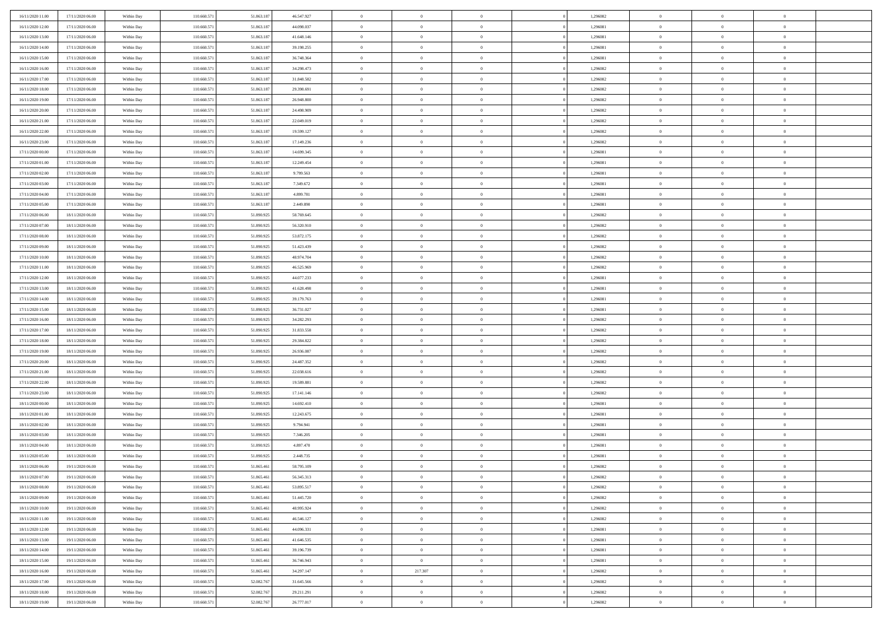| 16/11/2020 11:00<br>17/11/2020 06:00 | Within Day | 110.660.571 | 51.863.187 | 46.547.927 | $\,$ 0         | $\bf{0}$       | $\theta$       |          | 1,296082 | $\bf{0}$                 | $\overline{0}$ | $\,0\,$                    |  |
|--------------------------------------|------------|-------------|------------|------------|----------------|----------------|----------------|----------|----------|--------------------------|----------------|----------------------------|--|
| 16/11/2020 12:00<br>17/11/2020 06:00 | Within Day | 110.660.57  | 51.863.18  | 44,098,037 | $\overline{0}$ | $\overline{0}$ | $\overline{0}$ |          | 1,296081 | $\overline{0}$           | $\overline{0}$ | $\theta$                   |  |
| 16/11/2020 13:00<br>17/11/2020 06:00 | Within Dav | 110.660.571 | 51.863.187 | 41.648.146 | $\mathbf{0}$   | $\overline{0}$ | $\overline{0}$ |          | 1,296081 | $\mathbf{0}$             | $\overline{0}$ | $\overline{0}$             |  |
| 16/11/2020 14:00<br>17/11/2020 06:00 | Within Day | 110.660.571 | 51.863.187 | 39.198.255 | $\bf{0}$       | $\overline{0}$ | $\bf{0}$       |          | 1,296081 | $\bf{0}$                 | $\overline{0}$ | $\bf{0}$                   |  |
| 16/11/2020 15:00<br>17/11/2020 06:00 | Within Day | 110.660.571 | 51.863.187 | 36.748.364 | $\bf{0}$       | $\bf{0}$       | $\overline{0}$ |          | 1,296081 | $\bf{0}$                 | $\bf{0}$       | $\,0\,$                    |  |
| 16/11/2020 16:00<br>17/11/2020 06:00 | Within Dav | 110.660.571 | 51.863.187 | 34.298.473 | $\overline{0}$ | $\overline{0}$ | $\overline{0}$ |          | 1,296082 | $\mathbf{0}$             | $\overline{0}$ | $\overline{0}$             |  |
|                                      |            |             |            |            |                |                |                |          |          |                          |                |                            |  |
| 16/11/2020 17.00<br>17/11/2020 06:00 | Within Day | 110.660.571 | 51.863.187 | 31.848.582 | $\bf{0}$       | $\bf{0}$       | $\overline{0}$ |          | 1,296082 | $\bf{0}$                 | $\overline{0}$ | $\,0\,$                    |  |
| 16/11/2020 18:00<br>17/11/2020 06:00 | Within Day | 110.660.571 | 51.863.187 | 29.398.691 | $\overline{0}$ | $\overline{0}$ | $\overline{0}$ |          | 1,296082 | $\,$ 0 $\,$              | $\overline{0}$ | $\overline{0}$             |  |
| 16/11/2020 19:00<br>17/11/2020 06:00 | Within Day | 110.660.571 | 51.863.187 | 26.948.800 | $\mathbf{0}$   | $\overline{0}$ | $\overline{0}$ |          | 1,296082 | $\mathbf{0}$             | $\overline{0}$ | $\overline{0}$             |  |
| 16/11/2020 20.00<br>17/11/2020 06:00 | Within Day | 110.660.571 | 51.863.187 | 24.498.909 | $\bf{0}$       | $\bf{0}$       | $\theta$       |          | 1,296082 | $\bf{0}$                 | $\overline{0}$ | $\,0\,$                    |  |
| 16/11/2020 21.00<br>17/11/2020 06:00 | Within Day | 110.660.571 | 51.863.187 | 22.049.019 | $\bf{0}$       | $\overline{0}$ | $\overline{0}$ |          | 1,296082 | $\bf{0}$                 | $\overline{0}$ | $\theta$                   |  |
| 16/11/2020 22:00<br>17/11/2020 06:00 | Within Dav | 110.660.571 | 51.863.187 | 19.599.127 | $\mathbf{0}$   | $\overline{0}$ | $\overline{0}$ |          | 1,296082 | $\mathbf{0}$             | $\overline{0}$ | $\overline{0}$             |  |
| 16/11/2020 23.00<br>17/11/2020 06:00 | Within Day | 110.660.571 | 51.863.187 | 17.149.236 | $\bf{0}$       | $\overline{0}$ | $\bf{0}$       |          | 1,296082 | $\bf{0}$                 | $\overline{0}$ | $\overline{0}$             |  |
| 17/11/2020 00:00<br>17/11/2020 06:00 | Within Day | 110.660.571 | 51.863.187 | 14.699.345 | $\bf{0}$       | $\overline{0}$ | $\overline{0}$ |          | 1,296081 | $\bf{0}$                 | $\theta$       | $\,0\,$                    |  |
| 17/11/2020 01:00<br>17/11/2020 06:00 | Within Dav | 110.660.571 | 51.863.187 | 12.249.454 | $\overline{0}$ | $\overline{0}$ | $\overline{0}$ |          | 1,296081 | $\mathbf{0}$             | $\overline{0}$ | $\overline{0}$             |  |
| 17/11/2020 02.00<br>17/11/2020 06:00 | Within Day | 110.660.571 | 51.863.187 | 9.799.563  | $\bf{0}$       | $\bf{0}$       | $\overline{0}$ |          | 1,296081 | $\bf{0}$                 | $\overline{0}$ | $\bf{0}$                   |  |
| 17/11/2020 03:00<br>17/11/2020 06:00 | Within Day | 110.660.571 | 51.863.187 | 7.349.672  | $\bf{0}$       | $\overline{0}$ | $\overline{0}$ |          | 1,296081 | $\,$ 0 $\,$              | $\overline{0}$ | $\theta$                   |  |
| 17/11/2020 04:00<br>17/11/2020 06:00 | Within Day | 110.660.571 | 51.863.187 | 4.899.781  | $\mathbf{0}$   | $\overline{0}$ | $\overline{0}$ |          | 1,296081 | $\mathbf{0}$             | $\overline{0}$ | $\overline{0}$             |  |
| 17/11/2020 05.00<br>17/11/2020 06:00 | Within Day | 110.660.571 | 51.863.187 | 2.449.890  | $\bf{0}$       | $\bf{0}$       | $\overline{0}$ |          | 1,296081 | $\bf{0}$                 | $\overline{0}$ | $\,0\,$                    |  |
| 17/11/2020 06:00<br>18/11/2020 06:00 | Within Day | 110.660.571 | 51.890.925 | 58.769.645 | $\bf{0}$       | $\overline{0}$ | $\overline{0}$ |          | 1,296082 | $\bf{0}$                 | $\overline{0}$ | $\overline{0}$             |  |
| 17/11/2020 07:00<br>18/11/2020 06:00 | Within Dav | 110.660.571 | 51.890.925 | 56.320.910 | $\mathbf{0}$   | $\overline{0}$ | $\overline{0}$ |          | 1,296082 | $\mathbf{0}$             | $\overline{0}$ | $\overline{0}$             |  |
| 17/11/2020 08:00<br>18/11/2020 06:00 | Within Day | 110.660.571 | 51.890.925 | 53.872.175 | $\bf{0}$       | $\overline{0}$ | $\bf{0}$       |          | 1,296082 | $\bf{0}$                 | $\overline{0}$ | $\bf{0}$                   |  |
| 17/11/2020 09:00<br>18/11/2020 06:00 | Within Day | 110.660.571 | 51.890.925 | 51.423.439 | $\bf{0}$       | $\bf{0}$       | $\overline{0}$ |          | 1,296082 | $\bf{0}$                 | $\overline{0}$ | $\,0\,$                    |  |
| 17/11/2020 10:00<br>18/11/2020 06:00 | Within Dav | 110.660.571 | 51.890.925 | 48.974.704 | $\mathbf{0}$   | $\overline{0}$ | $\overline{0}$ |          | 1,296082 | $\mathbf{0}$             | $\overline{0}$ | $\overline{0}$             |  |
| 17/11/2020 11:00<br>18/11/2020 06:00 | Within Day | 110.660.571 | 51.890.925 | 46.525.969 | $\bf{0}$       | $\bf{0}$       | $\overline{0}$ |          | 1,296082 | $\bf{0}$                 | $\overline{0}$ | $\,0\,$                    |  |
| 17/11/2020 12:00<br>18/11/2020 06:00 | Within Day | 110.660.571 | 51.890.925 | 44.077.233 | $\bf{0}$       | $\overline{0}$ | $\overline{0}$ |          | 1,296081 | $\,$ 0 $\,$              | $\overline{0}$ | $\overline{0}$             |  |
| 17/11/2020 13:00<br>18/11/2020 06:00 | Within Dav | 110.660.571 | 51.890.925 | 41.628.498 | $\mathbf{0}$   | $\overline{0}$ | $\overline{0}$ |          | 1,296081 | $\mathbf{0}$             | $\overline{0}$ | $\overline{0}$             |  |
| 17/11/2020 14.00<br>18/11/2020 06:00 |            | 110.660.571 | 51.890.925 | 39.179.763 | $\bf{0}$       | $\bf{0}$       | $\overline{0}$ |          | 1,296081 | $\bf{0}$                 | $\overline{0}$ | $\,0\,$                    |  |
|                                      | Within Day |             |            |            | $\bf{0}$       |                | $\overline{0}$ |          |          |                          | $\overline{0}$ |                            |  |
| 17/11/2020 15.00<br>18/11/2020 06:00 | Within Day | 110.660.571 | 51.890.925 | 36.731.027 | $\mathbf{0}$   | $\bf{0}$       |                |          | 1,296081 | $\bf{0}$<br>$\mathbf{0}$ |                | $\bf{0}$<br>$\overline{0}$ |  |
| 17/11/2020 16:00<br>18/11/2020 06:00 | Within Dav | 110.660.571 | 51.890.925 | 34.282.293 |                | $\overline{0}$ | $\overline{0}$ |          | 1,296082 |                          | $\overline{0}$ |                            |  |
| 17/11/2020 17.00<br>18/11/2020 06:00 | Within Day | 110.660.571 | 51.890.925 | 31.833.558 | $\bf{0}$       | $\overline{0}$ | $\theta$       |          | 1,296082 | $\,$ 0                   | $\overline{0}$ | $\theta$                   |  |
| 17/11/2020 18:00<br>18/11/2020 06:00 | Within Day | 110.660.571 | 51.890.925 | 29.384.822 | $\bf{0}$       | $\bf{0}$       | $\overline{0}$ |          | 1,296082 | $\bf{0}$                 | $\overline{0}$ | $\bf{0}$                   |  |
| 17/11/2020 19:00<br>18/11/2020 06:00 | Within Dav | 110.660.571 | 51.890.925 | 26.936.087 | $\overline{0}$ | $\overline{0}$ | $\overline{0}$ |          | 1,296082 | $\mathbf{0}$             | $\overline{0}$ | $\overline{0}$             |  |
| 18/11/2020 06:00<br>17/11/2020 20:00 | Within Day | 110.660.571 | 51.890.925 | 24.487.352 | $\bf{0}$       | $\overline{0}$ | $\theta$       |          | 1,296082 | $\,$ 0                   | $\overline{0}$ | $\theta$                   |  |
| 17/11/2020 21:00<br>18/11/2020 06:00 | Within Day | 110.660.571 | 51.890.925 | 22.038.616 | $\bf{0}$       | $\overline{0}$ | $\overline{0}$ |          | 1,296082 | $\bf{0}$                 | $\overline{0}$ | $\overline{0}$             |  |
| 17/11/2020 22.00<br>18/11/2020 06:00 | Within Day | 110.660.571 | 51.890.925 | 19.589.881 | $\mathbf{0}$   | $\overline{0}$ | $\overline{0}$ |          | 1,296082 | $\mathbf{0}$             | $\overline{0}$ | $\overline{0}$             |  |
| 17/11/2020 23.00<br>18/11/2020 06:00 | Within Day | 110.660.571 | 51.890.925 | 17.141.146 | $\bf{0}$       | $\overline{0}$ | $\theta$       |          | 1,296082 | $\,$ 0                   | $\overline{0}$ | $\theta$                   |  |
| 18/11/2020 00:00<br>18/11/2020 06:00 | Within Day | 110.660.571 | 51.890.925 | 14.692.410 | $\bf{0}$       | $\bf{0}$       | $\overline{0}$ |          | 1,296081 | $\bf{0}$                 | $\mathbf{0}$   | $\overline{0}$             |  |
| 18/11/2020 01:00<br>18/11/2020 06:00 | Within Dav | 110.660.571 | 51.890.925 | 12.243.675 | $\mathbf{0}$   | $\overline{0}$ | $\overline{0}$ |          | 1,296081 | $\mathbf{0}$             | $\overline{0}$ | $\overline{0}$             |  |
| 18/11/2020 02:00<br>18/11/2020 06:00 | Within Day | 110.660.571 | 51.890.925 | 9.794.941  | $\,0\,$        | $\overline{0}$ | $\theta$       |          | 1,296081 | $\,$ 0                   | $\overline{0}$ | $\,$ 0 $\,$                |  |
| 18/11/2020 03:00<br>18/11/2020 06:00 | Within Day | 110.660.571 | 51.890.925 | 7.346.205  | $\bf{0}$       | $\bf{0}$       | $\overline{0}$ |          | 1,296081 | $\bf{0}$                 | $\overline{0}$ | $\overline{0}$             |  |
| 18/11/2020 04:00<br>18/11/2020 06:00 | Within Dav | 110.660.571 | 51.890.925 | 4.897.470  | $\mathbf{0}$   | $\overline{0}$ | $\overline{0}$ |          | 1,296081 | $\mathbf{0}$             | $\overline{0}$ | $\overline{0}$             |  |
| 18/11/2020 05:00<br>18/11/2020 06:00 | Within Day | 110.660.571 | 51.890.925 | 2.448.735  | $\bf{0}$       | $\overline{0}$ | $\theta$       |          | 1,296081 | $\,$ 0                   | $\overline{0}$ | $\theta$                   |  |
| 18/11/2020 06:00<br>19/11/2020 06:00 | Within Day | 110.660.57  | 51.865.461 | 58.795.109 | $\bf{0}$       | $\overline{0}$ | $\overline{0}$ |          | 1,296082 | $\,$ 0 $\,$              | $\overline{0}$ | $\overline{0}$             |  |
| 18/11/2020 07:00<br>19/11/2020 06:00 | Within Day | 110.660.571 | 51.865.461 | 56.345.313 | $\bf{0}$       | $\overline{0}$ | $\Omega$       |          | 1,296082 | $\overline{0}$           | $\theta$       | $\theta$                   |  |
| 18/11/2020 08:00<br>19/11/2020 06:00 | Within Day | 110.660.571 | 51.865.461 | 53.895.517 | $\,0\,$        | $\overline{0}$ | $\theta$       |          | 1,296082 | $\,$ 0 $\,$              | $\overline{0}$ | $\theta$                   |  |
| 18/11/2020 09:00<br>19/11/2020 06:00 | Within Day | 110.660.571 | 51.865.46  | 51.445.720 | $\overline{0}$ | $\overline{0}$ | $\overline{0}$ |          | 1,296082 | $\overline{0}$           | $\overline{0}$ | $\overline{0}$             |  |
| 18/11/2020 10:00<br>19/11/2020 06:00 | Within Day | 110.660.571 | 51.865.461 | 48.995.924 | $\bf{0}$       | $\overline{0}$ | $\overline{0}$ |          | 1,296082 | $\overline{0}$           | $\bf{0}$       | $\mathbf{0}$               |  |
| 18/11/2020 11:00<br>19/11/2020 06:00 | Within Day | 110.660.571 | 51.865.461 | 46.546.127 | $\bf{0}$       | $\overline{0}$ | $\overline{0}$ | $\theta$ | 1,296082 | $\,$ 0 $\,$              | $\bf{0}$       | $\,$ 0 $\,$                |  |
| 18/11/2020 12:00<br>19/11/2020 06.00 | Within Day | 110.660.571 | 51.865.461 | 44.096.331 | $\bf{0}$       | $\overline{0}$ | $\overline{0}$ |          | 1,296081 | $\,$ 0 $\,$              | $\overline{0}$ | $\overline{0}$             |  |
| 18/11/2020 13:00<br>19/11/2020 06.00 | Within Day | 110.660.571 | 51.865.461 | 41.646.535 | $\bf{0}$       | $\overline{0}$ | $\overline{0}$ |          | 1,296081 | $\mathbf{0}$             | $\overline{0}$ | $\overline{0}$             |  |
| 18/11/2020 14:00<br>19/11/2020 06:00 | Within Day | 110.660.571 | 51.865.461 | 39.196.739 | $\,0\,$        | $\overline{0}$ | $\mathbf{0}$   | $\theta$ | 1,296081 | $\,$ 0 $\,$              | $\overline{0}$ | $\overline{0}$             |  |
| 18/11/2020 15.00<br>19/11/2020 06:00 | Within Day | 110.660.571 | 51.865.461 | 36.746.943 | $\bf{0}$       | $\overline{0}$ | $\overline{0}$ |          | 1,296081 | $\overline{0}$           | $\overline{0}$ | $\overline{0}$             |  |
| 18/11/2020 16:00<br>19/11/2020 06:00 | Within Day | 110.660.571 | 51.865.461 | 34.297.147 | $\bf{0}$       | 217.307        | $\overline{0}$ |          | 1,296082 | $\mathbf{0}$             | $\overline{0}$ | $\mathbf{0}$               |  |
| 18/11/2020 17.00<br>19/11/2020 06:00 | Within Day | 110.660.571 | 52.082.767 | 31.645.566 | $\,0\,$        | $\overline{0}$ | $\overline{0}$ |          | 1,296082 | $\,$ 0 $\,$              | $\overline{0}$ | $\theta$                   |  |
| 18/11/2020 18:00<br>19/11/2020 06:00 | Within Day | 110.660.571 | 52.082.767 | 29.211.291 | $\bf{0}$       | $\overline{0}$ | $\overline{0}$ |          | 1,296082 | $\mathbf 0$              | $\mathbf{0}$   | $\overline{0}$             |  |
| 18/11/2020 19:00<br>19/11/2020 06:00 | Within Day | 110.660.571 | 52.082.767 | 26.777.017 | $\mathbf{0}$   | $\overline{0}$ | $\overline{0}$ |          | 1,296082 | $\mathbf{0}$             | $\overline{0}$ | $\overline{0}$             |  |
|                                      |            |             |            |            |                |                |                |          |          |                          |                |                            |  |